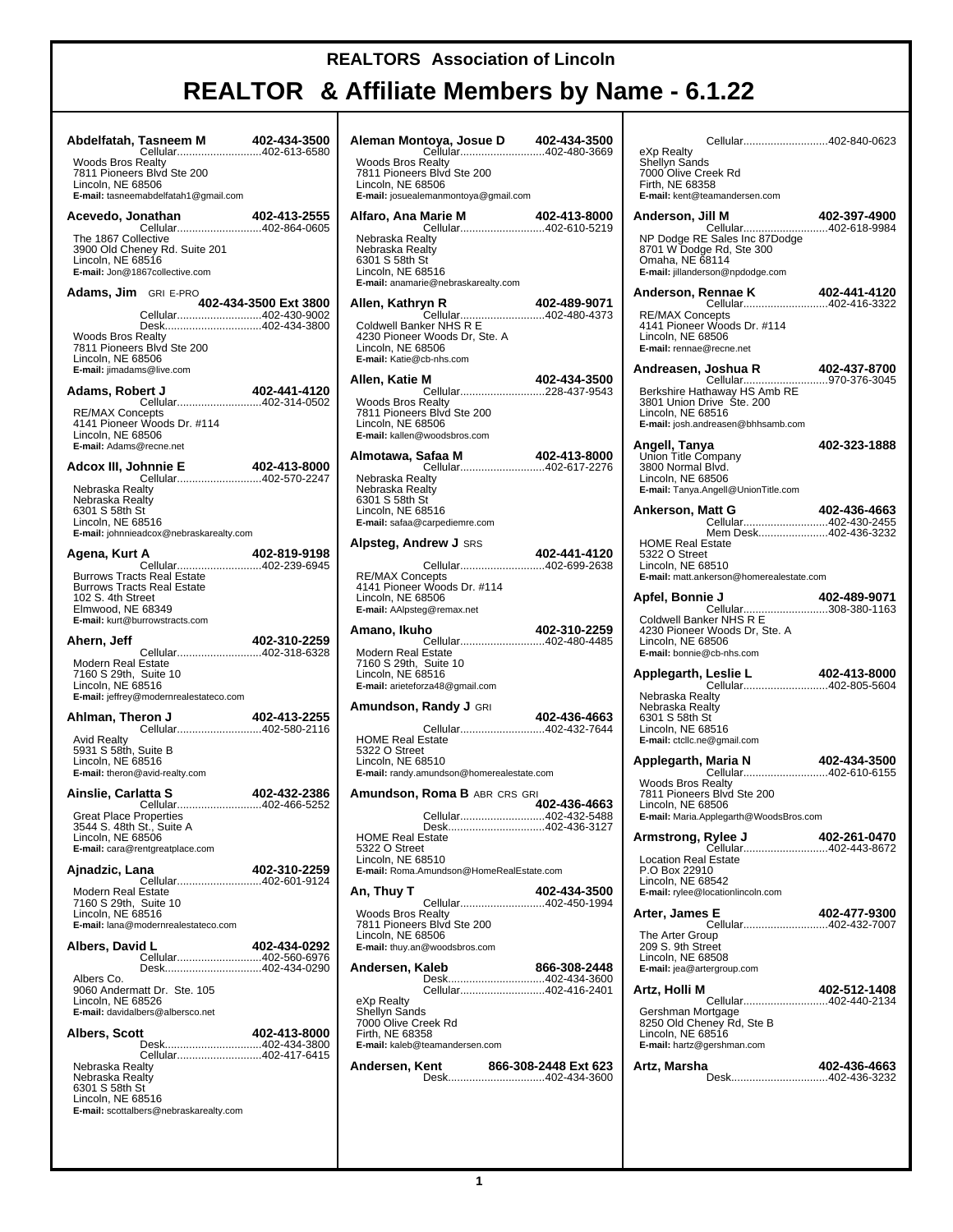| Abdelfatah, Tasneem M 402-434-3500<br>Cellular402-613-6580                                                                                         |                                                                |                       | Ale                          |
|----------------------------------------------------------------------------------------------------------------------------------------------------|----------------------------------------------------------------|-----------------------|------------------------------|
| <b>Woods Bros Realty</b><br>7811 Pioneers Blvd Ste 200<br>Lincoln, NE 68506                                                                        | E-mail: tasneemabdelfatah1@gmail.com                           |                       | W<br>78<br>Lir<br>E-r        |
| Acevedo, Jonathan                                                                                                                                  | nathan 402-413-2555<br>Cellular402-864-0605                    |                       | Alf                          |
| The 1867 Collective<br>3900 Old Cheney Rd. Suite 201<br>Lincoln, NE 68516<br>E-mail: Jon@1867collective.com                                        |                                                                |                       | Ne<br>Ne<br>63<br>Lir<br>E-r |
| <b>Adams, Jim</b> GRI E-PRO                                                                                                                        |                                                                | 402-434-3500 Ext 3800 | Alk                          |
| <b>Woods Bros Realty</b><br>7811 Pioneers Blvd Ste 200<br>Lincoln, NE 68506<br>E-mail: jimadams@live.com                                           | Cellular402-430-9002<br>Desk402-434-3800                       |                       | Cc<br>42<br>Lir<br>E-r       |
| Adams, Robert J                                                                                                                                    | ert J 402-441-4120<br>Cellular402-314-0502                     |                       | Alk                          |
| <b>RE/MAX Concepts</b><br>4141 Pioneer Woods Dr. #114<br>Lincoln, NE 68506<br>E-mail: Adams@recne.net                                              |                                                                |                       | W<br>78<br>Lir<br>E-r        |
|                                                                                                                                                    |                                                                | 402-413-8000          | Aln                          |
| Nebraska Realtv<br>Nebraska Realty<br>6301 S 58th St<br>Lincoln, NE 68516                                                                          | E-mail: johnnieadcox@nebraskarealty.com                        |                       | Ne<br>Ne<br>63<br>Lir<br>E-r |
| Agena, Kurt A                                                                                                                                      |                                                                |                       | Alp                          |
| <b>Burrows Tracts Real Estate</b><br><b>Burrows Tracts Real Estate</b><br>102 S. 4th Street<br>Elmwood, NE 68349<br>E-mail: kurt@burrowstracts.com | A 402-819-9198<br>Cellular402-239-6945                         |                       | RE<br>41<br>Lir<br>E-r       |
| Ahern, Jeff                                                                                                                                        |                                                                | 402-310-2259          | Am                           |
| <b>Modern Real Estate</b><br>7160 S 29th, Suite 10<br>Lincoln, NE 68516                                                                            | E-mail: jeffrey@modernrealestateco.com                         |                       | Mo<br>71<br>Lir<br>E-r       |
| Ahlman, Theron J                                                                                                                                   | eron J 402-413-2255<br>Cellular402-580-2116                    |                       | Am                           |
| <b>Avid Realty</b><br>5931 S 58th, Suite B<br>Lincoln, NE 68516<br>E-mail: theron@avid-realty.com                                                  |                                                                |                       | H<br>53<br>Lir<br>E-r        |
| Ainslie, Carlatta S                                                                                                                                | Cellular402-466-5252                                           | 402-432-2386          | Am                           |
| Lincoln, NE 68506<br>E-mail: cara@rentgreatplace.com                                                                                               | Great Place Properties<br>3544 S. 48th St., Suite A            |                       | нс<br>53<br>Lir              |
| Ajnadzic, Lana                                                                                                                                     | Cellular402-601-9124                                           | 402-310-2259          | E-r                          |
| Modern Real Estate<br>7160 S 29th, Suite 10<br>Lincoln, NE 68516<br>E-mail: lana@modernrealestateco.com                                            |                                                                |                       | Αn,<br>W٥<br>78              |
| Albers, David L                                                                                                                                    | Cellular402-560-6976                                           | 402-434-0292          | Lir<br>E-r                   |
| Albers Co.<br>9060 Andermatt Dr. Ste. 105<br>Lincoln, NE 68526<br>E-mail: davidalbers@albersco.net                                                 | Desk402-434-0290                                               |                       | An<br>еX<br>Sh               |
| Albers, Scott                                                                                                                                      | Desk402-434-3800                                               | 402-413-8000          | 70<br>Fir<br>E-r             |
| Nebraska Realty<br>Nebraska Realty<br>6301 S 58th St<br>Lincoln, NE 68516                                                                          | Cellular402-417-6415<br>E-mail: scottalbers@nebraskarealty.com |                       | An                           |

|                                                                                                                                                     | Aleman Montoya, Josue D 402-434-3500 |
|-----------------------------------------------------------------------------------------------------------------------------------------------------|--------------------------------------|
| Cellular402-480-3669<br><b>Woods Bros Realty</b><br>7811 Pioneers Blvd Ste 200<br>Lincoln, NE 68506<br>E-mail: josuealemanmontoya@gmail.com         |                                      |
|                                                                                                                                                     |                                      |
| Nebraska Realty<br>Nebraska Realty<br>6301 S 58th St<br>Lincoln, NE 68516<br>E-mail: anamarie@nebraskarealty.com                                    |                                      |
| Allen, Kathryn R                                                                                                                                    |                                      |
| 4230 Pioneer Woods Dr, Ste. A<br>Lincoln, NE 68506<br>E-mail: Katie@cb-nhs.com                                                                      |                                      |
| Allen, Katie M<br>Cellular228-437-9543                                                                                                              | 402-434-3500                         |
| <b>Woods Bros Realty</b><br>7811 Pioneers Blvd Ste 200<br>Lincoln, NE 68506<br>E-mail: kallen@woodsbros.com                                         |                                      |
| Almotawa, Safaa M<br><b>5afaa M 402-413-8000</b><br>Cellular402-617-2276                                                                            | 402-413-8000                         |
| Nebraska Realty<br>Nebraska Realty<br>6301 S 58th St<br>Lincoln, NE 68516<br>E-mail: safaa@carpediemre.com                                          |                                      |
| <b>Alpsteg, Andrew J</b> srs                                                                                                                        | 402-441-4120                         |
| Cellular402-699-2638<br><b>RE/MAX Concepts</b><br>4141 Pioneer Woods Dr. #114<br>Lincoln, NE 68506<br>E-mail: AAlpsteg@remax.net                    |                                      |
| Amano, Ikuho                                                                                                                                        | 402-310-2259                         |
| Cellular402-480-4485<br>Modern Real Estate<br>7160 S 29th, Suite 10<br>Lincoln, NE 68516<br>E-mail: arieteforza48@gmail.com                         |                                      |
|                                                                                                                                                     |                                      |
| <b>Amundson, Randy J</b> GRI                                                                                                                        |                                      |
| Cellular402-432-7644<br><b>HOME Real Estate</b><br>5322 O Street<br>Lincoln. NE 68510<br>E-mail: randy.amundson@homerealestate.com                  | 402-436-4663                         |
| <b>Amundson, Roma B</b> ABR CRS GRI                                                                                                                 |                                      |
| Desk402-436-3127<br><b>HOME Real Estate</b><br>5322 O Street<br>Lincoln, NE 68510                                                                   | 402-436-4663                         |
| E-mail: Roma.Amundson@HomeRealEstate.com                                                                                                            |                                      |
| An. Thuy T<br>Cellular402-450-1994                                                                                                                  | 402-434-3500                         |
| <b>Woods Bros Realty</b><br>7811 Pioneers Blvd Ste 200<br>Lincoln, NE 68506<br>E-mail: thuy.an@woodsbros.com                                        |                                      |
| Andersen, Kaleb                                                                                                                                     | 866-308-2448                         |
| Desk402-434-3600<br>Cellular402-416-2401<br>eXp Realty<br>Shellyn Sands<br>7000 Olive Creek Rd<br>Firth, NE 68358<br>E-mail: kaleb@teamandersen.com |                                      |
| Andersen, Kent<br><b>ent               866-308-2448 Ext 623</b><br>Desk402-434-3600                                                                 |                                      |

| Cellular402-840-0623<br>eXp Realty<br>Shellyn Sands                                                                                           |                              |
|-----------------------------------------------------------------------------------------------------------------------------------------------|------------------------------|
| 7000 Olive Creek Rd<br>Firth, NE 68358<br>E-mail: kent@teamandersen.com                                                                       |                              |
| Anderson, Jill M<br><b>III M</b><br>Cellular402-618-9984                                                                                      | 402-397-4900                 |
| NP Dodge RE Sales Inc 87Dodge<br>8701 W Dodge Rd, Ste 300<br>Omaha, NE 68114<br>E-mail: jillanderson@npdodge.com                              |                              |
| Anderson, Rennae K                                                                                                                            | 402-441-4120                 |
| <b>RE/MAX Concepts</b><br>4141 Pioneer Woods Dr. #114<br>Lincoln, NE 68506<br>E-mail: rennae@recne.net                                        |                              |
| Andreasen, Joshua R<br>Cellular                                                                                                               | 402-437-8700<br>970-376-3045 |
| Berkshire Hathaway HS Amb RE<br>3801 Union Drive Ste. 200<br>Lincoln, NE 68516<br>E-mail: josh.andreasen@bhhsamb.com                          |                              |
| Angell, Tanya<br>Union Title Company                                                                                                          | 402-323-1888                 |
| 3800 Normal Blvd.<br>Lincoln, NE 68506<br>E-mail: Tanya.Angell@UnionTitle.com                                                                 |                              |
| Ankerson, Matt G                                                                                                                              | 402-436-4663                 |
| Mem Desk402-436-3232<br><b>HOME Real Estate</b>                                                                                               |                              |
| 5322 O Street<br>Lincoln, NE 68510<br>E-mail: matt.ankerson@homerealestate.com                                                                |                              |
| Apfel, Bonnie J                                                                                                                               |                              |
| 4230 Pioneer Woods Dr, Ste. A<br>Lincoln, NE 68506<br>E-mail: bonnie@cb-nhs.com                                                               |                              |
| Leslie L 402-413-8000<br>Cellular402-805-5604<br>Applegarth, Leslie L                                                                         |                              |
| Nebraska Realty<br>Nebraska Realty<br>6301 S 58th St<br>Lincoln, NE 68516<br>E-mail: ctcllc.ne@gmail.com                                      |                              |
| Applegarth, Maria N                                                                                                                           | 402-434-3500                 |
| Cellular402-610-6155<br><b>Woods Bros Realty</b><br>7811 Pioneers Blvd Ste 200<br>Lincoln, NE 68506<br>E-mail: Maria.Applegarth@WoodsBros.com |                              |
| <b>Rylee J</b> 402-261-0470<br>Cellular402-443-8672<br>Armstrong, Rylee J                                                                     |                              |
| Location Real Estate<br>P.O Box 22910<br>Lincoln, NE 68542<br>E-mail: rylee@locationlincoln.com                                               |                              |
| Arter, James E<br>Cellular402-432-7007                                                                                                        | 402-477-9300                 |
| The Arter Group<br>209 S. 9th Street<br>Lincoln, NE 68508<br>E-mail: jea@artergroup.com                                                       |                              |
| Artz. Holli M<br>Cellular402-440-2134                                                                                                         | 402-512-1408                 |
| Gershman Mortgage<br>8250 Old Cheney Rd, Ste B<br>Lincoln, NE 68516<br>E-mail: hartz@gershman.com                                             |                              |
| Artz, Marsha<br>.<br>Desk402-436-3232                                                                                                         | 402-436-4663                 |
|                                                                                                                                               |                              |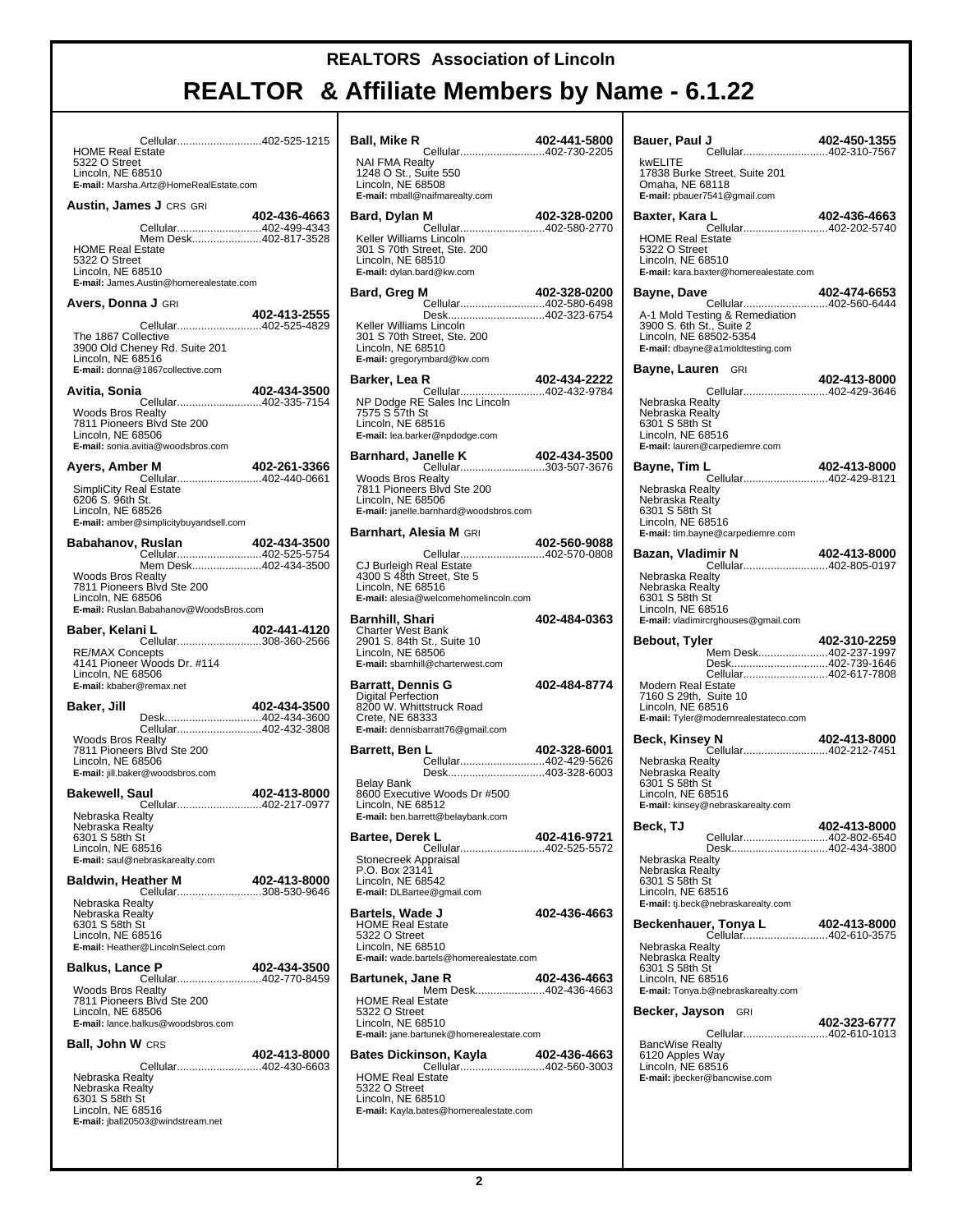| Cellular402-525-1215<br><b>HOME Real Estate</b>                                                                                                                                                                                                               |              |
|---------------------------------------------------------------------------------------------------------------------------------------------------------------------------------------------------------------------------------------------------------------|--------------|
| 5322 O Street<br>Lincoln, NE 68510<br>E-mail: Marsha.Artz@HomeRealEstate.com                                                                                                                                                                                  |              |
| <b>Austin, James J CRS GRI</b>                                                                                                                                                                                                                                |              |
| Cellular402-499-4343<br>Mem Desk402-817-3528<br><b>HOME Real Estate</b><br>5322 O Street<br>Lincoln, NE 68510<br>E-mail: James.Austin@homerealestate.com                                                                                                      | 402-436-4663 |
| <b>Avers, Donna J</b> GRI                                                                                                                                                                                                                                     |              |
| Cellular402-525-4829<br>The 1867 Collective<br>3900 Old Cheney Rd. Suite 201<br>Lincoln, NE 68516<br>E-mail: donna@1867collective.com                                                                                                                         | 402-413-2555 |
| Avitia, Sonia                                                                                                                                                                                                                                                 | 402-434-3500 |
| Cellular402-335-7154<br>Woods Bros Realty<br>7811 Pioneers Blvd Ste 200<br>Lincoln, NE 68506<br>E-mail: sonia.avitia@woodsbros.com                                                                                                                            |              |
| Ayers, Amber M<br>Cellular402-440-0661                                                                                                                                                                                                                        | 402-261-3366 |
| <b>SimpliCity Real Estate</b><br>6206 S. 96th St.<br>Lincoln, NE 68526<br>E-mail: amber@simplicitybuyandsell.com                                                                                                                                              |              |
| Babahanov, Ruslan<br>Cellular402-525-5754                                                                                                                                                                                                                     | 402-434-3500 |
| Mem Desk402-434-3500<br><b>Woods Bros Realty</b><br>7811 Pioneers Blvd Ste 200<br>Lincoln, NE 68506<br>E-mail: Ruslan.Babahanov@WoodsBros.com                                                                                                                 |              |
|                                                                                                                                                                                                                                                               |              |
| Baber, Kelani L                                                                                                                                                                                                                                               | 402-441-4120 |
| Cellular308-360-2566<br><b>RE/MAX Concepts</b><br>4141 Pioneer Woods Dr. #114<br>Lincoln, NE 68506<br>E-mail: kbaber@remax.net                                                                                                                                |              |
| Baker, Jill                                                                                                                                                                                                                                                   | 402-434-3500 |
| Desk402-434-3600<br>Cellular402-432-3808<br><b>Woods Bros Realty</b><br>7811 Pioneers Blvd Ste 200<br>Lincoln, NE 68506<br>E-mail: jill.baker@woodsbros.com                                                                                                   |              |
|                                                                                                                                                                                                                                                               | 402-413-8000 |
| Cellular402-217-0977<br>Nebraska Realty<br>6301 S 58th St<br>Lincoln, NE 68516<br>E-mail: saul@nebraskarealty.com                                                                                                                                             |              |
|                                                                                                                                                                                                                                                               | 402-413-8000 |
| Nebraska Realty<br>Nebraska Realty<br>6301 S 58th St<br>Lincoln, NE 68516<br>E-mail: Heather@LincolnSelect.com                                                                                                                                                |              |
|                                                                                                                                                                                                                                                               | 402-434-3500 |
| Bakewell, Saul<br>Nebraska Realty<br><b>Baldwin, Heather M</b><br><b>Balkus, Lance P</b><br><b>402-434-3500<br/>Cellular402-770-8459</b><br><b>Woods Bros Realty</b><br>7811 Pioneers Blvd Ste 200<br>Lincoln, NE 68506<br>E-mail: lance.balkus@woodsbros.com |              |
| <b>Ball, John W CRS</b>                                                                                                                                                                                                                                       | 402-413-8000 |

| Ball, Mike R<br>Cellular402-730-2205                                                                                                       | 402-441-5800 |
|--------------------------------------------------------------------------------------------------------------------------------------------|--------------|
| NAI FMA Realty<br>1248 O St., Suite 550<br>Lincoln, NE 68508<br>E-mail: mball@naifmarealty.com                                             |              |
| Bard, Dylan M<br>Cellular402-580-2770                                                                                                      | 402-328-0200 |
| Keller Williams Lincoln<br>301 S 70th Street, Ste. 200<br>Lincoln, NE 68510<br>E-mail: dylan.bard@kw.com                                   |              |
| Bard, Greg M<br>Cellular402-580-6498                                                                                                       | 402-328-0200 |
| Keller Williams Lincoln<br>301 S 70th Street, Ste. 200<br>Lincoln, NE 68510<br>E-mail: gregorymbard@kw.com                                 |              |
| Barker, Lea R<br>Cellular402-432-9784                                                                                                      | 402-434-2222 |
| NP Dodge RE Sales Inc Lincoln<br>7575 S 57th St<br>Lincoln, NE 68516<br>E-mail: lea.barker@npdodge.com                                     |              |
| <b>anelle K</b> 402-434-3500<br>Cellular303-507-3676<br>Barnhard, Janelle K                                                                |              |
| <b>Woods Bros Realty</b><br>7811 Pioneers Blvd Ste 200<br>Lincoln, NE 68506<br>E-mail: janelle.barnhard@woodsbros.com                      |              |
| <b>Barnhart, Alesia M</b> GRI                                                                                                              |              |
| Cellular402-570-0808<br>CJ Burleigh Real Estate<br>4300 S 48th Street, Ste 5<br>Lincoln, NE 68516<br>E-mail: alesia@welcomehomelincoln.com | 402-560-9088 |
| Barnhill, Shari<br>Charter West Bank<br>2901 S. 84th St., Suite 10<br>Lincoln, NE 68506<br>E-mail: sbarnhill@charterwest.com               | 402-484-0363 |
| Barratt, Dennis G<br><b>Digital Perfection</b><br>8200 W. Whittstruck Road<br>Crete, NE 68333<br>E-mail: dennisbarratt76@gmail.com         | 402-484-8774 |
| Barrett, Ben L<br>Cellular402-429-5626                                                                                                     | 402-328-6001 |
| Desk403-328-6003<br>Belay Bank<br>8600 Executive Woods Dr #500<br>Lincoln, NE 68512<br>E-mail: ben.barrett@belaybank.com                   |              |
| Bartee, Derek L<br>Cellular402-525-5572                                                                                                    | 402-416-9721 |
| Stonecreek Appraisal<br>P.O. Box 23141<br>Lincoln, NE 68542<br>E-mail: DLBartee@gmail.com                                                  |              |
| Bartels, Wade J<br><b>HOME Real Estate</b><br>5322 O Street<br>Lincoln, NE 68510<br>E-mail: wade.bartels@homerealestate.com                | 402-436-4663 |
| <b>Bartunek, Jane R</b>                                                                                                                    | 402-436-4663 |
| Mem Desk402-436-4663<br><b>HOME Real Estate</b><br>5322 O Street<br>Lincoln, NE 68510<br>E-mail: jane.bartunek@homerealestate.com          |              |
| <b>Bates Dickinson, Kayla</b>                                                                                                              | 402-436-4663 |
| Cellular402-560-3003<br><b>HOME Real Estate</b><br>5322 O Street<br>Lincoln, NE 68510<br>E-mail: Kayla.bates@homerealestate.com            |              |

| Bauer, Paul J<br>667-402-402-402-1<br>Cellular402-310-7567                                                                                                        | 402-450-1355 |
|-------------------------------------------------------------------------------------------------------------------------------------------------------------------|--------------|
| kwELITE<br>17838 Burke Street, Suite 201<br>Omaha, NE 68118<br>E-mail: pbauer7541@gmail.com                                                                       |              |
| Baxter, Kara L<br><b>L 402-436-4663</b><br>Cellular402-202-5740                                                                                                   |              |
| <b>HOME Real Estate</b><br>5322 O Street<br>Lincoln, NE 68510<br>E-mail: kara.baxter@homerealestate.com                                                           |              |
| 4 <b>02-474-6653</b><br>Cellular402-560-6444<br>Bayne, Dave                                                                                                       |              |
| A-1 Mold Testing & Remediation<br>3900 S. 6th St., Suite 2<br>Lincoln, NE 68502-5354<br>E-mail: dbayne@a1moldtesting.com                                          |              |
| <b>Bayne, Lauren</b> GRI                                                                                                                                          |              |
| Nebraska Realty<br>Nebraska Realty<br>6301 S 58th St<br>Lincoln, NE 68516<br>E-mail: lauren@carpediemre.com                                                       |              |
| Bayne, Tim L                                                                                                                                                      | 402-413-8000 |
| Cellular402-429-8121<br>Nebraska Realty<br>Nebraska Realty<br>6301 S 58th St<br>Lincoln, NE 68516<br>E-mail: tim.bayne@carpediemre.com                            |              |
| Bazan, Vladimir N<br>imir N 402-413-8000<br>Cellular402-805-0197                                                                                                  |              |
| Nebraska Realty<br>Nebraska Realty<br>6301 S 58th St<br>Lincoln, NE 68516<br>E-mail: vladimircrghouses@gmail.com                                                  |              |
|                                                                                                                                                                   |              |
| Bebout, Tyler                                                                                                                                                     | 402-310-2259 |
| Mem Desk402-237-1997<br>Desk402-739-1646                                                                                                                          |              |
| Cellular402-617-7808<br>Modern Real Estate<br>7160 S 29th, Suite 10<br>Lincoln, NE 68516<br>E-mail: Tyler@modernrealestateco.com                                  |              |
| Beck, Kinsey N                                                                                                                                                    |              |
| <b>y N 402-413-8000</b><br>Cellular402-212-7451<br>Nebraska Realty<br>Nebraska Realty<br>6301 S 58th St<br>Lincoln, NE 68516<br>E-mail: kinsey@nebraskarealty.com |              |
| Beck, TJ                                                                                                                                                          | 402-413-8000 |
| Cellular402-802-6540<br>Desk402-434-3800<br>Nebraska Realty<br>Nebraska Realty<br>6301 S 58th St<br>Lincoln, NE 68516<br>E-mail: tj.beck@nebraskarealty.com       |              |
| Beckenhauer, Tonya L                                                                                                                                              | 402-413-8000 |
| <b>1, TOHya L</b><br>Cellular402-610-3575<br>Nebraska Realty<br>Nebraska Realty<br>6301 S 58th St<br>Lincoln, NE 68516<br>E-mail: Tonya.b@nebraskarealty.com      |              |
| Becker, Jayson GRI                                                                                                                                                |              |
| Cellular402-610-1013<br>BancWise Realty<br>6120 Apples Way<br>Lincoln, NE 68516<br>E-mail: jbecker@bancwise.com                                                   | 402-323-6777 |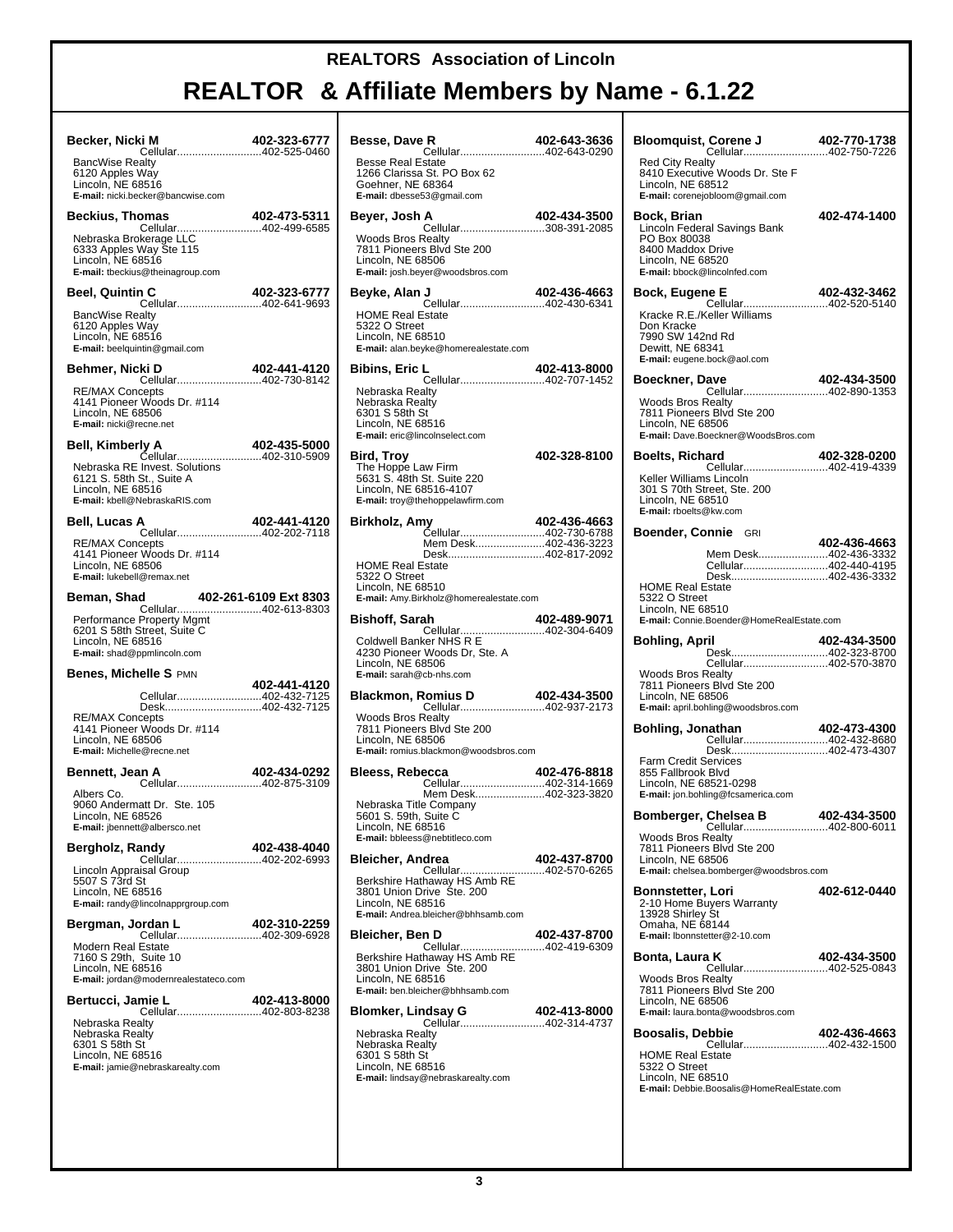## **REALTOR & Affiliate Members by Name - 6.1.22**

T

| Becker, Nicki M<br>cellular402-525-0460                                                                                        | 402-323-6777 |  |
|--------------------------------------------------------------------------------------------------------------------------------|--------------|--|
| <b>BancWise Realty</b><br>6120 Apples Way<br>Lincoln, NE 68516<br>E-mail: nicki.becker@bancwise.com                            |              |  |
| <b>Beckius, Thomas</b>                                                                                                         | 402-473-5311 |  |
| Nebraska Brokerage LLC<br>6333 Apples Way Ste 115<br>Lincoln, NE 68516<br>E-mail: tbeckius@theinagroup.com                     |              |  |
| Beel, Quintin C<br>110-02-323-07<br>Cellular402-641-9693                                                                       | 402-323-6777 |  |
| <b>BancWise Realty</b><br>6120 Apples Way<br>Lincoln, NE 68516<br>E-mail: beelquintin@gmail.com                                |              |  |
| Behmer, Nicki D<br><b>402-441-4120 402-441</b><br>Cellular402-730-8142                                                         | 402-441-4120 |  |
| <b>RE/MAX Concepts</b><br>4141 Pioneer Woods Dr. #114<br>Lincoln, NE 68506<br>E-mail: nicki@recne.net                          |              |  |
| Bell, Kimberly A<br>Cellular402-310-5909                                                                                       | 402-435-5000 |  |
| Nebraska RE Invest. Solutions<br>6121 S. 58th St., Suite A<br>Lincoln, NE 68516<br>E-mail: kbell@NebraskaRIS.com               |              |  |
| Bell, Lucas A<br>Cellular402-202-7118                                                                                          | 402-441-4120 |  |
| <b>RE/MAX Concepts</b><br>4141 Pioneer Woods Dr. #114<br>Lincoln, NE 68506<br>E-mail: lukebell@remax.net                       |              |  |
| d 402-261-6109 Ext 8303<br>Cellular402-613-8303<br>Beman, Shad                                                                 |              |  |
| Performance Property Mgmt<br>6201 S 58th Street, Suite C<br>Lincoln, NE 68516<br>E-mail: shad@ppmlincoln.com                   |              |  |
| <b>Benes, Michelle S PMN</b>                                                                                                   | 402-441-4120 |  |
| Cellular402-432-7125<br>Desk402-432-7125                                                                                       |              |  |
| <b>RE/MAX Concepts</b><br>4141 Pioneer Woods Dr. #114<br>Lincoln, NE 68506<br>E-mail: Michelle@recne.net                       |              |  |
| Bennett, Jean A                                                                                                                | 402-434-0292 |  |
| Cellular402-875-3109<br>Albers Co.<br>9060 Andermatt Dr. Ste. 105<br>Lincoln, NE 68526<br><b>E-mail:</b> jbennett@albersco.net |              |  |
| Bergholz, Randy<br>Cellular402-202-6993                                                                                        | 402-438-4040 |  |
| Lincoln Appraisal Group<br>5507 S 73rd St<br>Lincoln, NE 68516<br>E-mail: randy@lincolnapprgroup.com                           |              |  |
| Bergman, Jordan L<br>Cellular402-309-6928                                                                                      | 402-310-2259 |  |
| Modern Real Estate<br>7160 S 29th, Suite 10<br>Lincoln, NE 68516<br>E-mail: jordan@modernrealestateco.com                      |              |  |
| Bertucci, Jamie L<br>Cellular402-803-8238                                                                                      | 402-413-8000 |  |
| Nebraska Realty<br>Nebraska Realty<br>6301 S 58th St<br>Lincoln, NE 68516<br>E-mail: jamie@nebraskarealty.com                  |              |  |
|                                                                                                                                |              |  |

| Besse, Dave R<br>Cellular402-643-0290                                                                                          | 402-643-3636 |
|--------------------------------------------------------------------------------------------------------------------------------|--------------|
| <b>Besse Real Estate</b><br>1266 Clarissa St. PO Box 62<br>Goehner, NE 68364<br>E-mail: dbesse53@gmail.com                     |              |
| Beyer, Josh A                                                                                                                  | 402-434-3500 |
| <b>Woods Bros Realty</b><br>7811 Pioneers Blvd Ste 200<br>Lincoln, NE 68506<br>E-mail: josh.beyer@woodsbros.com                |              |
| Beyke, Alan J<br>ار ابر 1 <b>-402-436-4663</b><br>Cellular402-430-6341                                                         |              |
| <b>HOME Real Estate</b><br>5322 O Street<br>Lincoln, NE 68510<br>E-mail: alan.beyke@homerealestate.com                         |              |
| L 402-413-8000<br>Cellular402-707-1452<br>Bibins, Eric L                                                                       |              |
| Nebraska Realty<br>Nebraska Realty<br>6301 S 58th St<br>Lincoln, NE 68516<br>E-mail: eric@lincolnselect.com                    |              |
| Bird, Troy<br>The Hoppe Law Firm<br>5631 S. 48th St. Suite 220<br>Lincoln, NE 68516-4107<br>E-mail: troy@thehoppelawfirm.com   | 402-328-8100 |
| Birkholz, Amy<br>Cellular402-730-6788                                                                                          | 402-436-4663 |
| Mem Desk402-436-3223                                                                                                           |              |
| <b>HOME Real Estate</b><br>5322 O Street<br>Lincoln, NE 68510<br>E-mail: Amy.Birkholz@homerealestate.com                       |              |
| Bishoff, Sarah<br>Cellular402-304-6409                                                                                         | 402-489-9071 |
| Coldwell Banker NHS R E<br>4230 Pioneer Woods Dr, Ste. A<br>Lincoln, NE 68506<br>E-mail: sarah@cb-nhs.com                      |              |
| Blackmon, Romius D 402-434-3500<br>Cellular402-937-2173                                                                        |              |
| <b>Woods Bros Realty</b><br>7811 Pioneers Blvd Ste 200<br>Lincoln, NE 68506<br>E-mail: romius.blackmon@woodsbros.com           |              |
| Bleess, Rebecca<br>Cellular402-314-1669                                                                                        | 402-476-8818 |
| Mem Desk402-323-3820<br>Nebraska Title Company<br>5601 S. 59th, Suite C<br>Lincoln, NE 68516<br>E-mail: bbleess@nebtitleco.com |              |
| <b>Bleicher, Andrea</b>                                                                                                        | 402-437-8700 |
| Berkshire Hathaway HS Amb RE<br>3801 Union Drive Ste. 200<br>Lincoln, NE 68516<br>E-mail: Andrea.bleicher@bhhsamb.com          |              |
| Bleicher, Ben D<br><b>PD D</b><br>Cellular402-419-6309                                                                         | 402-437-8700 |
| Berkshire Hathaway HS Amb RE<br>3801 Union Drive Ste. 200<br>Lincoln, NE 68516<br>E-mail: ben.bleicher@bhhsamb.com             |              |
| <b>Blomker, Lindsay G</b>                                                                                                      |              |
| Nebraska Realty<br>Nebraska Realty<br>6301 S 58th St<br>Lincoln, NE 68516<br>E-mail: lindsay@nebraskarealty.com                |              |

| <b>Red City Realty</b><br>8410 Executive Woods Dr. Ste F<br>Lincoln, NE 68512<br>E-mail: corenejobloom@gmail.com                                               |              |
|----------------------------------------------------------------------------------------------------------------------------------------------------------------|--------------|
| Bock, Brian<br>Lincoln Federal Savings Bank<br>PO Box 80038<br>8400 Maddox Drive<br>Lincoln, NE 68520<br>E-mail: bbock@lincolnfed.com                          | 402-474-1400 |
| Bock, Eugene E                                                                                                                                                 | 402-432-3462 |
| Cellular402-520-5140<br>Kracke R.E./Keller Williams<br>Don Kracke<br>7990 SW 142nd Rd<br>Dewitt, NE 68341<br>E-mail: eugene.bock@aol.com                       |              |
| Boeckner, Dave                                                                                                                                                 | 402-434-3500 |
| Cellular402-890-1353<br><b>Woods Bros Realty</b><br>7811 Pioneers Blvd Ste 200<br>Lincoln, NE 68506<br>E-mail: Dave.Boeckner@WoodsBros.com                     |              |
| <b>Boelts, Richard</b><br>402-320-0200<br>Cellular402-419-4339                                                                                                 | 402-328-0200 |
| Keller Williams Lincoln<br>301 S 70th Street, Ste. 200<br>Lincoln, NE 68510<br>E-mail: rboelts@kw.com                                                          |              |
| Boender, Connie GRI                                                                                                                                            | 402-436-4663 |
| Mem Desk402-436-3332<br>Cellular402-440-4195                                                                                                                   |              |
| Desk402-436-3332<br><b>HOME Real Estate</b><br>5322 O Street<br>Lincoln, NE 68510<br>E-mail: Connie.Boender@HomeRealEstate.com                                 |              |
| Bohling, April                                                                                                                                                 |              |
|                                                                                                                                                                | 402-434-3500 |
| Desk402-323-8700<br>Cellular402-570-3870<br>Woods Bros Realty<br>7811 Pioneers Blvd Ste 200<br>Lincoln, NE 68506<br><b>E-mail:</b> april.bohling@woodsbros.com |              |
| Bohling, Jonathan                                                                                                                                              | 402-473-4300 |
| Desk402-473-4307<br><b>Farm Credit Services</b><br>855 Fallbrook Blvd<br>Lincoln, NE 68521-0298<br>E-mail: jon.bohling@fcsamerica.com                          |              |
| Bomberger, Chelsea B                                                                                                                                           | 402-434-3500 |
| Cellular402-800-6011<br>Woods Bros Realty<br>7811 Pioneers Blvd Ste 200<br>Lincoln, NE 68506<br>E-mail: chelsea.bomberger@woodsbros.com                        |              |
| <b>Bonnstetter, Lori</b><br>2-10 Home Buyers Warranty<br>13928 Shirley St<br>Omaha, NE 68144<br>E-mail: Ibonnstetter@2-10.com                                  | 402-612-0440 |
| Bonta, Laura K<br>Cellular402-525-0843<br><b>Woods Bros Realty</b><br>7811 Pioneers Blvd Ste 200<br>Lincoln, NE 68506<br>E-mail: laura.bonta@woodsbros.com     | 402-434-3500 |
| <b>Boosalis, Debbie</b>                                                                                                                                        | 402-436-4663 |
| Cellular402-432-1500<br><b>HOME Real Estate</b><br>5322 O Street<br>Lincoln, NE 68510<br>E-mail: Debbie.Boosalis@HomeRealEstate.com                            |              |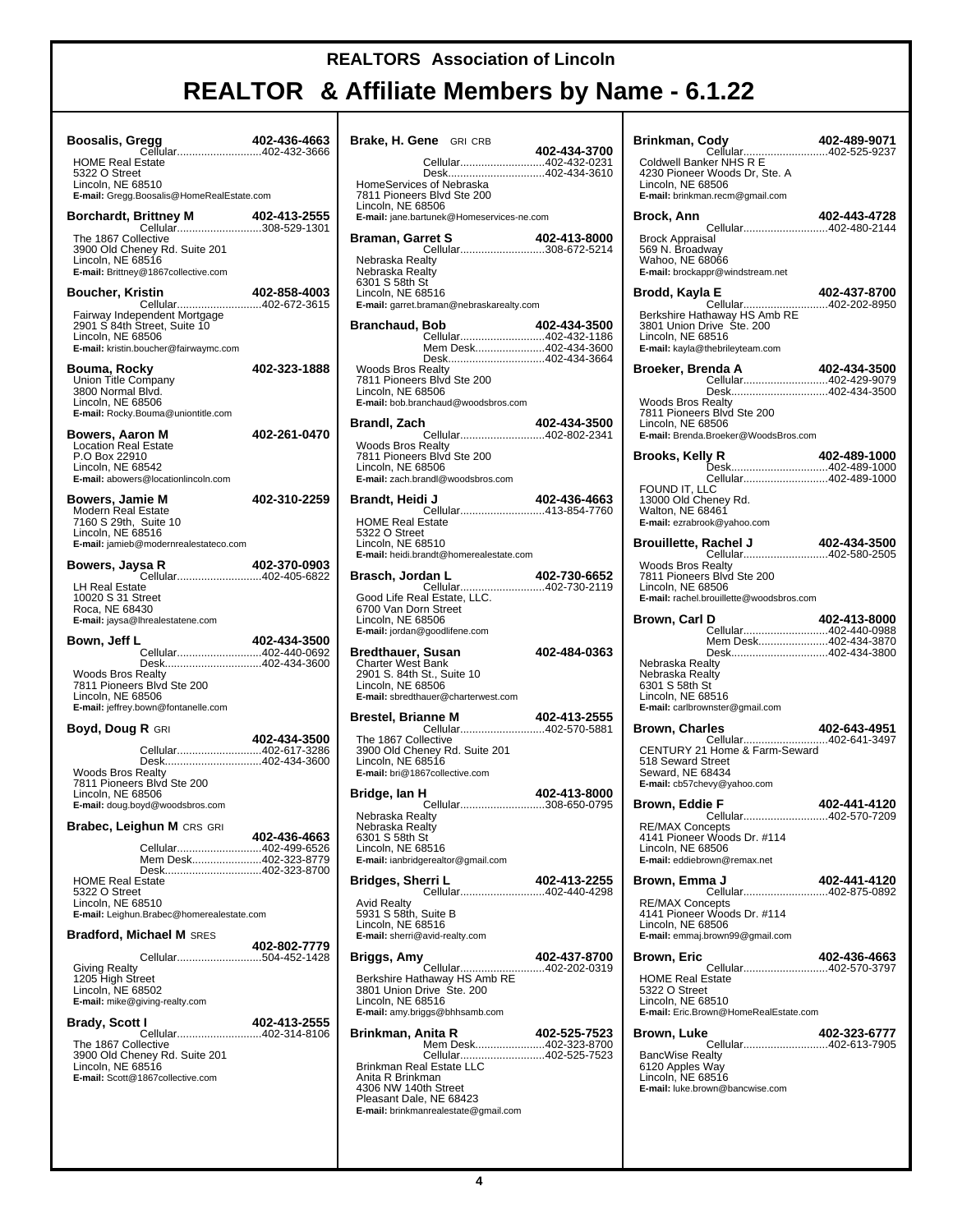Т

| Boosalis, Gregg                                                                                                                                            | 402-436-4663 |
|------------------------------------------------------------------------------------------------------------------------------------------------------------|--------------|
| Cellular402-432-3666<br><b>HOME Real Estate</b><br>5322 O Street<br>Lincoln, NE 68510<br>E-mail: Gregg.Boosalis@HomeRealEstate.com                         |              |
| Borchardt, Brittney M 402-413-2555<br>Cellular308-529-1301                                                                                                 | 402-413-2555 |
| The 1867 Collective<br>3900 Old Cheney Rd. Suite 201<br>Lincoln, NE 68516<br>E-mail: Brittney@1867collective.com                                           |              |
| <b>Boucher, Kristin</b>                                                                                                                                    | 402-858-4003 |
| Cellular402-672-3615<br>Fairway Independent Mortgage<br>2901 S 84th Street, Suite 10<br>Lincoln, NE 68506<br>E-mail: kristin.boucher@fairwaymc.com         |              |
| Bouma, Rocky<br>Union Title Company<br>3800 Normal Blvd.<br>Lincoln, NE 68506<br>E-mail: Rocky.Bouma@uniontitle.com                                        | 402-323-1888 |
| Bowers, Aaron M<br><b>Location Real Estate</b><br>P.O Box 22910<br>Lincoln, NE 68542<br>E-mail: abowers@locationlincoln.com                                | 402-261-0470 |
| Bowers, Jamie M<br>Modern Real Estate<br>7160 S 29th, Suite 10<br>Lincoln, NE 68516<br>E-mail: jamieb@modernrealestateco.com                               | 402-310-2259 |
| Bowers, Jaysa R<br>Cellular402-405-6822                                                                                                                    | 402-370-0903 |
| LH Real Estate<br>10020 S 31 Street<br>Roca, NE 68430<br>E-mail: jaysa@lhrealestatene.com                                                                  |              |
|                                                                                                                                                            |              |
| Bown, Jeff L                                                                                                                                               | 402-434-3500 |
| Cellular402-440-0692<br>Desk402-434-3600<br>Woods Bros Realty<br>7811 Pioneers Blvd Ste 200<br>Lincoln, NE 68506<br>E-mail: jeffrey.bown@fontanelle.com    |              |
| <b>Boyd, Doug R GRI</b>                                                                                                                                    |              |
| Cellular402-617-3286<br>Desk402-434-3600<br><b>Woods Bros Realty</b><br>7811 Pioneers Blvd Ste 200<br>Lincoln, NE 68506<br>E-mail: doug.boyd@woodsbros.com | 402-434-3500 |
|                                                                                                                                                            |              |
| Cellular402-499-6526<br>Mem Desk402-323-8779<br>Desk402-323-8700<br><b>HOME Real Estate</b>                                                                | 402-436-4663 |
| 5322 O Street<br>Lincoln, NE 68510<br>E-mail: Leighun.Brabec@homerealestate.com                                                                            |              |
| <b>Bradford, Michael M SRES</b><br>Cellular504-452-1428                                                                                                    | 402-802-7779 |
| <b>Giving Realty</b><br>1205 High Street<br>Lincoln, NE 68502<br>E-mail: mike@giving-realty.com                                                            |              |
| Brabec, Leighun M CRS GRI<br>Brady, Scott I                                                                                                                | 402-413-2555 |
| Cellular402-314-8106<br>The 1867 Collective<br>3900 Old Cheney Rd. Suite 201<br>Lincoln, NE 68516<br>E-mail: Scott@1867collective.com                      |              |

| Brake, H. Gene GRI CRB                                                                                                                                                 | 402-434-3700 |
|------------------------------------------------------------------------------------------------------------------------------------------------------------------------|--------------|
| Cellular402-432-0231                                                                                                                                                   |              |
| Desk402-434-3610<br>HomeServices of Nebraska<br>7811 Pioneers Blvd Ste 200                                                                                             |              |
| Lincoln, NE 68506<br>E-mail: jane.bartunek@Homeservices-ne.com                                                                                                         |              |
| Braman, Garret S                                                                                                                                                       | 402-413-8000 |
| Cellular308-672-5214<br>Nebraska Realty<br>Nebraska Realty<br>6301 S 58th St<br>Lincoln, NE 68516<br>E-mail: garret.braman@nebraskarealty.com                          |              |
| <b>Branchaud, Bob</b>                                                                                                                                                  | 402-434-3500 |
| Cellular402-432-1186<br>Mem Desk402-434-3600                                                                                                                           |              |
| Desk402-434-3664<br><b>Woods Bros Realty</b>                                                                                                                           |              |
| 7811 Pioneers Blvd Ste 200<br>Lincoln, NE 68506<br>E-mail: bob.branchaud@woodsbros.com                                                                                 |              |
| Brandl, Zach                                                                                                                                                           | 402-434-3500 |
| Cellular402-802-2341<br><b>Woods Bros Realty</b>                                                                                                                       |              |
| 7811 Pioneers Blvd Ste 200<br>Lincoln, NE 68506<br>E-mail: zach.brandl@woodsbros.com                                                                                   |              |
| Brandt, Heidi J                                                                                                                                                        | 402-436-4663 |
| Cellular413-854-7760<br><b>HOME Real Estate</b>                                                                                                                        |              |
| 5322 O Street<br>Lincoln, NE 68510<br>E-mail: heidi.brandt@homerealestate.com                                                                                          |              |
| Brasch, Jordan L                                                                                                                                                       | 402-730-6652 |
| Good Life Real Estate, LLC.<br>6700 Van Dorn Street<br>Lincoln, NE 68506                                                                                               |              |
| <b>E-mail:</b> jordan@goodlifene.com                                                                                                                                   |              |
| <b>Bredthauer, Susan</b><br><b>Charter West Bank</b>                                                                                                                   | 402-484-0363 |
| 2901 S. 84th St., Suite 10<br>Lincoln, NE 68506                                                                                                                        |              |
| E-mail: sbredthauer@charterwest.com                                                                                                                                    |              |
| <b>Brestel, Brianne M</b><br>Cellular402-570-5881                                                                                                                      | 402-413-2555 |
| The 1867 Collective<br>3900 Old Cheney Rd. Suite 201<br>Lincoln, NE 68516<br>E-mail: bri@1867collective.com                                                            |              |
| Bridge, Ian H                                                                                                                                                          | 402-413-8000 |
| Cellular308-650-0795<br>Nebraska Realty<br>Nebraska Realty                                                                                                             |              |
| 6301 S 58th St<br>Lincoln, NE 68516                                                                                                                                    |              |
| E-mail: ianbridgerealtor@gmail.com                                                                                                                                     |              |
| Bridges, Sherri L<br>Cellular402-440-4298                                                                                                                              | 402-413-2255 |
| <b>Avid Realty</b><br>5931 S 58th, Suite B<br>Lincoln, NE 68516<br>E-mail: sherri@avid-realty.com                                                                      |              |
| Briggs, Amy                                                                                                                                                            | 402-437-8700 |
| Cellular402-202-0319<br>Berkshire Hathaway HS Amb RE<br>3801 Union Drive Ste. 200<br>Lincoln, NE 68516<br>E-mail: amy.briggs@bhhsamb.com                               |              |
| Brinkman, Anita R<br>Mem Desk402-323-8700                                                                                                                              | 402-525-7523 |
| Cellular402-525-7523<br><b>Brinkman Real Estate LLC</b><br>Anita R Brinkman<br>4306 NW 140th Street<br>Pleasant Dale, NE 68423<br>E-mail: brinkmanrealestate@gmail.com |              |

| Brinkman, Cody<br>1 TUL TUL TUL TUL TUL TUL<br>2525-9237 Coldwell Banker NHS R E                                        | 402-489-9071 |
|-------------------------------------------------------------------------------------------------------------------------|--------------|
| 4230 Pioneer Woods Dr, Ste. A<br>Lincoln, NE 68506<br>E-mail: brinkman.recm@gmail.com                                   |              |
| Brock, Ann                                                                                                              | 402-443-4728 |
| <b>Brock Appraisal</b><br>569 N. Broadway<br>Wahoo, NE 68066<br>E-mail: brockappr@windstream.net                        |              |
| Brodd, Kayla E<br>Cellular402-202-8950                                                                                  | 402-437-8700 |
| Berkshire Hathaway HS Amb RE<br>3801 Union Drive Ste. 200<br>Lincoln. NE 68516<br>E-mail: kayla@thebrileyteam.com       |              |
| Broeker, Brenda A<br>Cellular402-429-9079<br>Desk402-434-3500                                                           | 402-434-3500 |
| <b>Woods Bros Realty</b><br>7811 Pioneers Blvd Ste 200<br>Lincoln, NE 68506<br>E-mail: Brenda.Broeker@WoodsBros.com     |              |
| Brooks, Kelly R                                                                                                         | 402-489-1000 |
| Cellular402-489-1000<br>FOUND IT, LLC<br>13000 Old Cheney Rd.<br>Walton, NE 68461<br>E-mail: ezrabrook@yahoo.com        |              |
|                                                                                                                         |              |
| <b>Woods Bros Realty</b><br>7811 Pioneers Blvd Ste 200<br>Lincoln, NE 68506<br>E-mail: rachel.brouillette@woodsbros.com |              |
| Brown, Carl D<br>Cellular402-440-0988                                                                                   | 402-413-8000 |
| Mem Desk402-434-3870<br>Desk402-434-3800                                                                                |              |
| Nebraska Realty<br>Nebraska Realty<br>6301 S 58th St<br>Lincoln, NE 68516<br>E-mail: carlbrownster@gmail.com            |              |
| <b>Brown, Charles</b>                                                                                                   |              |
| Seward, NE 68434<br>E-mail: cb57chevy@yahoo.com                                                                         |              |
| Brown, Eddie F<br>Cellular402-570-7209                                                                                  | 402-441-4120 |
| <b>RE/MAX Concepts</b><br>4141 Pioneer Woods Dr. #114<br>Lincoln, NE 68506<br>E-mail: eddiebrown@remax.net              |              |
| Brown, Emma J                                                                                                           | 402-441-4120 |
| <b>RE/MAX Concepts</b><br>4141 Pioneer Woods Dr. #114<br>Lincoln, NE 68506<br>E-mail: emmaj.brown99@gmail.com           |              |
| Brown, Eric<br>Cellular402-570-3797                                                                                     | 402-436-4663 |
| <b>HOME Real Estate</b><br>5322 O Street<br>Lincoln, NE 68510<br>E-mail: Eric.Brown@HomeRealEstate.com                  |              |
| Brown, Luke<br>Cellular402-613-7905                                                                                     | 402-323-6777 |
| <b>BancWise Realty</b><br>6120 Apples Way<br>Lincoln, NE 68516<br>E-mail: luke.brown@bancwise.com                       |              |
|                                                                                                                         |              |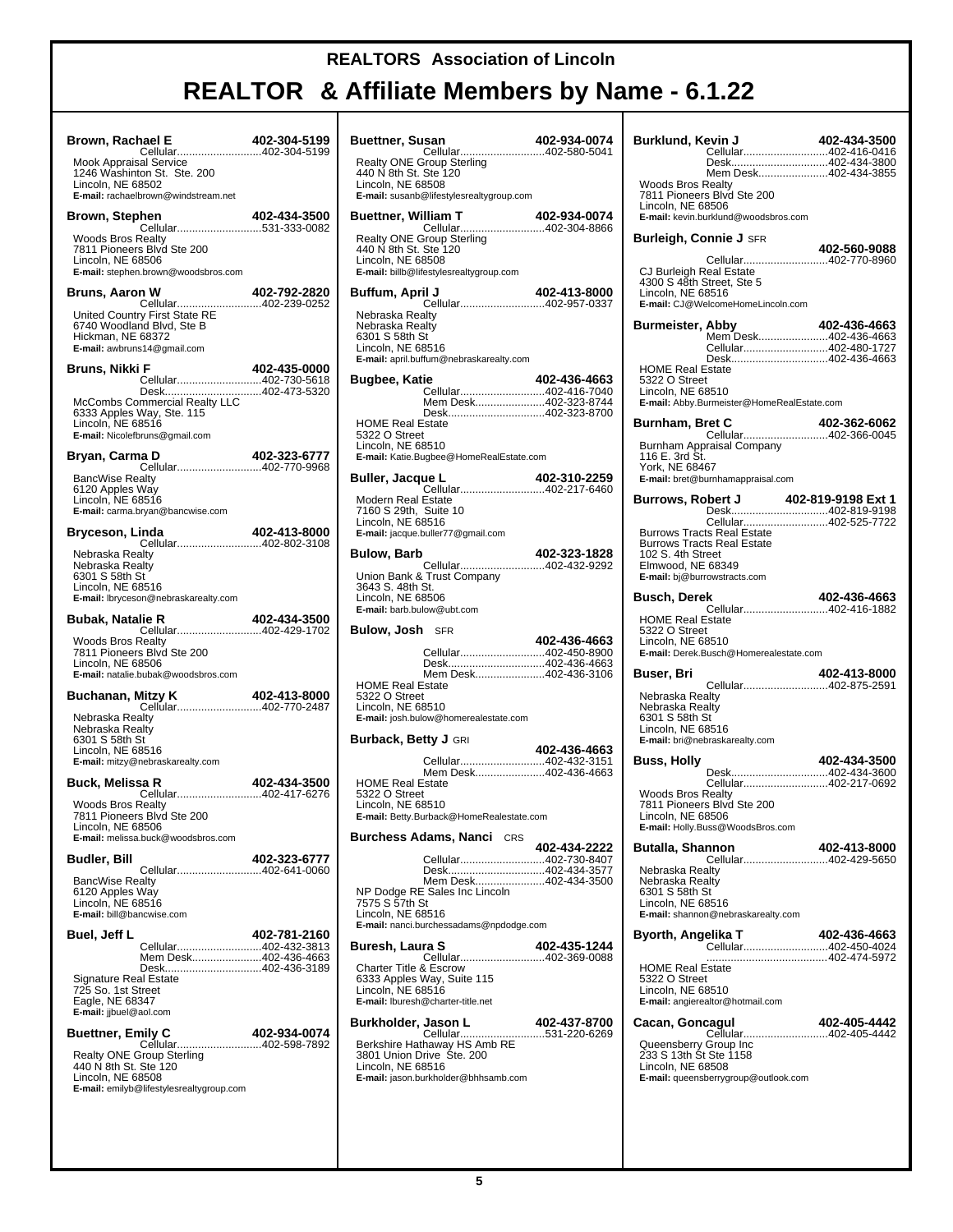# **REALTOR & Affiliate Members by Name - 6.1.22**

┱

| Brown, Rachael E<br><b>122-304-5199 402-304</b><br>Cellular402-304-5199                                                                                                                                                                                                                     | 402-304-5199 | Buet                                     |
|---------------------------------------------------------------------------------------------------------------------------------------------------------------------------------------------------------------------------------------------------------------------------------------------|--------------|------------------------------------------|
| Mook Appraisal Service<br>1246 Washinton St. Ste. 200<br>Lincoln, NE 68502<br>E-mail: rachaelbrown@windstream.net                                                                                                                                                                           |              | Rea<br>440<br>Linc<br>E-ma               |
| hen 402-434-3500<br>Cellular531-333-0082<br>Brown, Stephen                                                                                                                                                                                                                                  |              | Buet                                     |
| <b>Woods Bros Realty</b><br>7811 Pioneers Blvd Ste 200<br>Lincoln, NE 68506<br>E-mail: stephen.brown@woodsbros.com                                                                                                                                                                          |              | Rea<br>440<br>Linc<br>E-ma               |
| Bruns, Aaron W                                                                                                                                                                                                                                                                              |              | Buff                                     |
| 102-792-2820<br>United Country First State RE<br>Hickness Vice Country First State RE<br>BT40 Woodland Blvd. Ste P<br>Hickness Vice Country Prince Country Prince Country<br>Hickness Vice Country Prince Country Prince Country Prince<br>Hickman, NE 68372<br>E-mail: awbruns14@gmail.com |              | Neb<br>Neb<br>$630^{\circ}$<br>Linc      |
| Bruns, Nikki F<br>Cellular402-730-5618                                                                                                                                                                                                                                                      | 402-435-0000 | E-ma                                     |
| Desk402-473-5320<br>McCombs Commercial Realty LLC<br>6333 Apples Way, Ste. 115<br>Lincoln, NE 68516<br>E-mail: Nicolefbruns@gmail.com                                                                                                                                                       |              | Bugl<br>HON<br>5322                      |
| na D<br>Cellular402-770-9968<br>Bryan, Carma D                                                                                                                                                                                                                                              |              | Linc<br>E-ma                             |
| <b>BancWise Realty</b><br>6120 Apples Way                                                                                                                                                                                                                                                   |              | Bulle                                    |
| Lincoln, NE 68516<br>E-mail: carma.bryan@bancwise.com                                                                                                                                                                                                                                       |              | Mod<br>7160<br>Linc                      |
| inda 402-413-8000<br>Cellular402-802-3108<br>Bryceson, Linda                                                                                                                                                                                                                                |              | E-ma                                     |
| Nebraska Realty<br>Nebraska Realty<br>6301 S 58th St<br>Lincoln, NE 68516<br>E-mail: lbryceson@nebraskarealty.com                                                                                                                                                                           |              | Bulo<br>Unic<br>364:<br>Linc             |
| Bubak, Natalie R                                                                                                                                                                                                                                                                            |              | E-ma                                     |
| <b>Woods Bros Realty</b><br>7811 Pioneers Blvd Ste 200<br>Lincoln, NE 68506<br>E-mail: natalie.bubak@woodsbros.com                                                                                                                                                                          |              | Bulo                                     |
| <b>Buchanan, Mitzy K</b> 402-413-8000<br>Cellular402-770-2487<br>Nebraska Realty                                                                                                                                                                                                            |              | HON<br>5322<br>Linc<br>E-ma              |
| Nebraska Realty<br>6301 S 58th St<br>Lincoln, NE 68516<br>E-mail: mitzy@nebraskarealty.com                                                                                                                                                                                                  |              | Burt                                     |
| Buck, Melissa R                                                                                                                                                                                                                                                                             | 402-434-3500 | HON                                      |
| Cellular402-417-6276<br>Woods Bros Realty<br>7811 Pioneers Blvd Ste 200<br>Lincoln, NE 68506                                                                                                                                                                                                |              | 532<br>Linc<br>E-ma                      |
| E-mail: melissa.buck@woodsbros.com<br>Budler, Bill                                                                                                                                                                                                                                          | 402-323-6777 | Burc                                     |
| Cellular402-641-0060<br><b>BancWise Realty</b><br>6120 Apples Way<br>Lincoln, NE 68516<br>E-mail: bill@bancwise.com                                                                                                                                                                         |              | NP I<br>757<br>Linc                      |
| Buel, Jeff L<br>Cellular402-432-3813                                                                                                                                                                                                                                                        | 402-781-2160 | E-ma<br>Bure                             |
| Mem Desk402-436-4663<br>Desk402-436-3189                                                                                                                                                                                                                                                    |              | Cha                                      |
| <b>Signature Real Estate</b><br>725 So. 1st Street<br>Eagle, NE 68347<br>E-mail: jjbuel@aol.com                                                                                                                                                                                             |              | 633:<br>Linc<br>E-ma                     |
| Buettner, Emily C                                                                                                                                                                                                                                                                           | 402-934-0074 | Burk                                     |
| <br>Cellular402-598-7892<br>Realty ONE Group Sterling<br>440 N 8th St. Ste 120<br>Lincoln, NE 68508<br>E-mail: emilyb@lifestylesrealtygroup.com                                                                                                                                             |              | Berk<br>380 <sup>.</sup><br>Linc<br>E-ma |
|                                                                                                                                                                                                                                                                                             |              |                                          |

| <b>Buettner, Susan</b>                                                                                                                                                     | 402-934-0074 |
|----------------------------------------------------------------------------------------------------------------------------------------------------------------------------|--------------|
| Realty ONE Group Sterling<br>440 N 8th St. Ste 120<br>Lincoln, NE 68508<br>E-mail: susanb@lifestylesrealtygroup.com                                                        |              |
| <b>Buettner, William T</b>                                                                                                                                                 | 402-934-0074 |
| Realty ONE Group Sterling<br>440 N 8th St. Ste 120<br>Lincoln, NE 68508<br>E-mail: billb@lifestylesrealtygroup.com                                                         |              |
| Buffum, April J<br>Cellular402-957-0337                                                                                                                                    | 402-413-8000 |
| Nebraska Realty<br>Nebraska Realty<br>6301 S 58th St<br>Lincoln. NE 68516<br>E-mail: april.buffum@nebraskarealty.com                                                       |              |
| Bugbee, Katie<br>Cellular402-416-7040                                                                                                                                      | 402-436-4663 |
| Mem Desk402-323-8744                                                                                                                                                       |              |
| Desk402-323-8700<br><b>HOME Real Estate</b><br>5322 O Street<br>Lincoln, NE 68510<br>E-mail: Katie.Bugbee@HomeRealEstate.com                                               |              |
| Buller, Jacque L                                                                                                                                                           | 402-310-2259 |
| Cellular402-217-6460<br>Modern Real Estate<br>7160 S 29th, Suite 10<br>Lincoln, NE 68516<br>E-mail: jacque.buller77@gmail.com                                              |              |
| Bulow, Barb                                                                                                                                                                | 402-323-1828 |
| Union Bank & Trust Company<br>3643 S. 48th St.<br>Lincoln, NE 68506<br>E-mail: barb.bulow@ubt.com                                                                          |              |
| <b>Bulow, Josh SFR</b>                                                                                                                                                     |              |
| Cellular402-450-8900<br>Desk402-436-4663<br>Mem Desk402-436-3106<br><b>HOME Real Estate</b><br>5322 O Street<br>Lincoln, NE 68510<br>E-mail: josh.bulow@homerealestate.com | 402-436-4663 |
| Burback, Betty J GRI                                                                                                                                                       |              |
| Cellular402-432-3151<br>Mem Desk402-436-4663<br><b>HOME Real Estate</b><br>5322 O Street                                                                                   | 402-436-4663 |
| Lincoln, NE 68510<br>E-mail: Betty.Burback@HomeRealestate.com                                                                                                              |              |
| <b>Burchess Adams, Nanci</b> CRS                                                                                                                                           |              |
| Cellular402-730-8407                                                                                                                                                       | 402-434-2222 |
| Desk402-434-3577<br>Mem Desk402-434-3500<br>NP Dodge RE Sales Inc Lincoln<br>7575 S 57th St<br>Lincoln, NE 68516<br>E-mail: nanci.burchessadams@npdodge.com                |              |
| Buresh, Laura S                                                                                                                                                            | 402-435-1244 |
| Cellular402-369-0088<br><b>Charter Title &amp; Escrow</b><br>6333 Apples Way, Suite 115<br>Lincoln, NE 68516<br>E-mail: Iburesh@charter-title.net                          |              |
| Burkholder, Jason L<br>Cellular531-220-6269                                                                                                                                | 402-437-8700 |

| Burklund, Kevin J                                                                                              | 402-434-3500 |
|----------------------------------------------------------------------------------------------------------------|--------------|
|                                                                                                                |              |
| Desk402-434-3800<br>Mem Desk402-434-3855                                                                       |              |
| Woods Bros Realty<br>7811 Pioneers Blvd Ste 200<br>Lincoln, NE 68506                                           |              |
| E-mail: kevin.burklund@woodsbros.com                                                                           |              |
|                                                                                                                |              |
| CJ Burleigh Real Estate<br>4300 S 48th Street, Ste 5<br>Lincoln, NE 68516<br>E-mail: CJ@WelcomeHomeLincoln.com |              |
| Burmeister, Abby                                                                                               | 402-436-4663 |
| Cellular402-480-1727                                                                                           |              |
| Desk402-436-4663<br><b>HOME Real Estate</b>                                                                    |              |
| 5322 O Street<br>Lincoln, NE 68510<br>E-mail: Abby.Burmeister@HomeRealEstate.com                               |              |
| Burnham, Bret C                                                                                                |              |
| <b>ret C</b> 402-362-6062<br>Cellular402-366-0045                                                              |              |
| Burnham Appraisal Company<br>116 E. 3rd St.<br>York, NE 68467<br>E-mail: bret@burnhamappraisal.com             |              |
| Burrows, Robert J                                                                                              |              |
| <b>bert J</b> 402-819-9198 Ext 1<br>Desk402-819-9198                                                           |              |
| Cellular402-525-7722<br><b>Burrows Tracts Real Estate</b>                                                      |              |
| <b>Burrows Tracts Real Estate</b><br>102 S. 4th Street                                                         |              |
| Elmwood, NE 68349                                                                                              |              |
| E-mail: bj@burrowstracts.com                                                                                   |              |
| Busch, Derek<br><br>Cellular402-416-1882                                                                       | 402-436-4663 |
| <b>HOME Real Estate</b><br>5322 O Street<br>Lincoln, NE 68510<br>E-mail: Derek.Busch@Homerealestate.com        |              |
| Buser, Bri                                                                                                     |              |
|                                                                                                                |              |
| Nebraska Realty<br>Nebraska Realty                                                                             |              |
| 6301 S 58th St<br>Lincoln, NE 68516                                                                            |              |
| E-mail: bri@nebraskarealty.com                                                                                 |              |
| Buss, Holly                                                                                                    | 402-434-3500 |
| Desk402-434-3600<br>Cellular402-217-0692                                                                       |              |
| Woods Bros Realty<br>7811 Pioneers Blvd Ste 200                                                                |              |
| Lincoln, NE 68506                                                                                              |              |
| E-mail: Holly.Buss@WoodsBros.com                                                                               |              |
| Butalla, Shannon<br>Cellular402-429-5650                                                                       | 402-413-8000 |
| Nebraska Realty<br>Nebraska Realty                                                                             |              |
| 6301 S 58th St                                                                                                 |              |
| Lincoln, NE 68516<br>E-mail: shannon@nebraskarealty.com                                                        |              |
| Byorth, Angelika T<br>Cellular402-450-4024                                                                     | 402-436-4663 |
| <b>HOME Real Estate</b>                                                                                        |              |
| 5322 O Street<br>Lincoln, NE 68510<br>E-mail: angierealtor@hotmail.com                                         |              |
| Cacan, Goncagul                                                                                                | 402-405-4442 |
| -------------------------------------402-405-4442<br>Cellular402-405-4442                                      |              |
| Queensberry Group Inc<br>233 S 13th St Ste 1158                                                                |              |
| Lincoln, NE 68508<br>E-mail: queensberrygroup@outlook.com                                                      |              |
|                                                                                                                |              |
|                                                                                                                |              |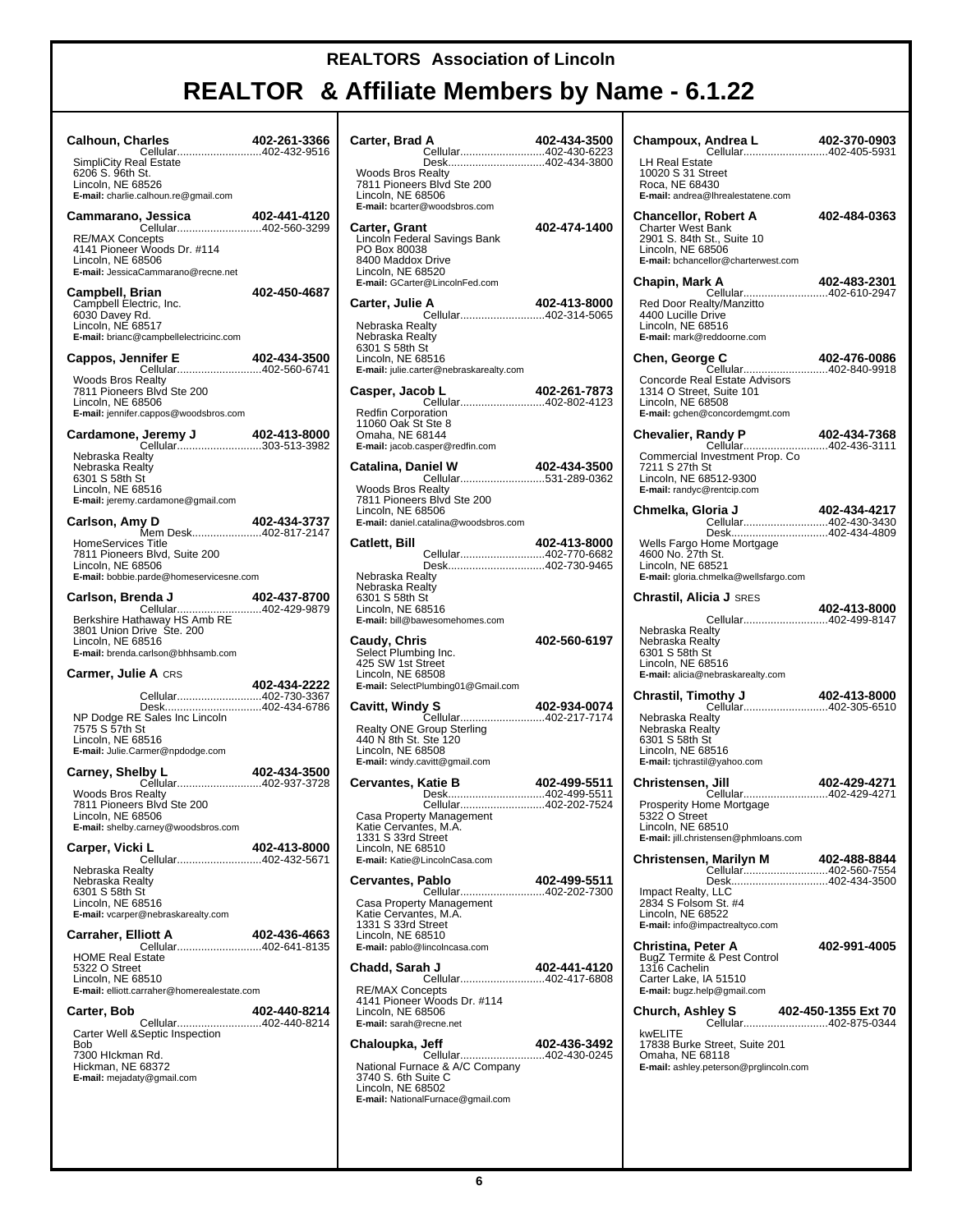| <b>Calhoun, Charles</b><br>Cellular402-432-9516<br><b>SimpliCity Real Estate</b>                                                                   | 402-261-3366 |
|----------------------------------------------------------------------------------------------------------------------------------------------------|--------------|
| 6206 S. 96th St.<br>Lincoln, NE 68526<br>E-mail: charlie.calhoun.re@gmail.com                                                                      |              |
|                                                                                                                                                    |              |
| <b>RE/MAX Concepts</b><br>4141 Pioneer Woods Dr. #114<br>Lincoln, NE 68506<br>E-mail: JessicaCammarano@recne.net                                   |              |
| Campbell, Brian<br>Campbell Electric, Inc.<br>6030 Davey Rd.<br>Lincoln, NE 68517<br>E-mail: brianc@campbellelectricinc.com                        | 402-450-4687 |
| Cappos, Jennifer E                                                                                                                                 | 402-434-3500 |
| Cellular402-560-6741<br><b>Woods Bros Realty</b><br>7811 Pioneers Blvd Ste 200<br>Lincoln, NE 68506<br>E-mail: jennifer.cappos@woodsbros.com       |              |
|                                                                                                                                                    |              |
| Nebraska Realty<br>Nebraska Realty<br>6301 S 58th St<br>Lincoln, NE 68516<br>E-mail: jeremy.cardamone@gmail.com                                    |              |
| Carlson, Amy D                                                                                                                                     | 402-434-3737 |
| Mem Desk402-817-2147<br><b>HomeServices Title</b><br>7811 Pioneers Blvd, Suite 200<br>Lincoln, NE 68506<br>E-mail: bobbie.parde@homeservicesne.com |              |
| Carlson, Brenda J                                                                                                                                  |              |
| 3801 Union Drive Ste. 200<br>Lincoln, NE 68516<br>E-mail: brenda.carlson@bhhsamb.com                                                               |              |
| <b>Carmer, Julie A CRS</b>                                                                                                                         |              |
| Cellular402-730-3367                                                                                                                               | 402-434-2222 |
| Desk402-434-6786<br>NP Dodge RE Sales Inc Lincoln<br>7575 S 57th St<br>Lincoln, NE 68516<br>E-mail: Julie.Carmer@npdodge.com                       |              |
| <b>Iby L</b> 402-434-3500<br>Cellular402-937-3728<br>Carney, Shelby L                                                                              |              |
| <b>Woods Bros Realty</b><br>7811 Pioneers Blvd Ste 200<br>Lincoln, NE 68506<br>E-mail: shelby.carney@woodsbros.com                                 |              |
| Carper, Vicki L                                                                                                                                    | 402-413-8000 |
| Cellular402-432-5671<br>Nebraska Realty<br>Nebraska Realty<br>6301 S 58th St<br>Lincoln, NE 68516<br>E-mail: vcarper@nebraskarealty.com            |              |
| <b>Carraher, Elliott A</b>                                                                                                                         | 402-436-4663 |
| Cellular402-641-8135<br><b>HOME Real Estate</b><br>5322 O Street<br>Lincoln, NE 68510<br>E-mail: elliott.carraher@homerealestate.com               |              |
| Carter, Bob                                                                                                                                        | 402-440-8214 |
| Cellular402-440-8214<br>Carter Well &Septic Inspection<br>Bob<br>7300 HIckman Rd.<br>Hickman, NE 68372<br>E-mail: mejadaty@gmail.com               |              |
|                                                                                                                                                    |              |

| Carter, Brad A<br>Cellular402-430-6223                                                                                                                                    | 402-434-3500 |
|---------------------------------------------------------------------------------------------------------------------------------------------------------------------------|--------------|
| Desk402-434-3800                                                                                                                                                          |              |
| <b>Woods Bros Realty</b><br>7811 Pioneers Blvd Ste 200<br>Lincoln, NE 68506<br>E-mail: bcarter@woodsbros.com                                                              |              |
| Carter, Grant<br>Lincoln Federal Savings Bank<br>PO Box 80038<br>8400 Maddox Drive<br>Lincoln, NE 68520<br>E-mail: GCarter@LincolnFed.com                                 | 402-474-1400 |
| Carter, Julie A                                                                                                                                                           | 402-413-8000 |
| Nebraska Realty<br>Nebraska Realty<br>6301 S 58th St<br>Lincoln, NE 68516<br>E-mail: julie.carter@nebraskarealty.com                                                      |              |
| Casper, Jacob L<br>ob L 402-261-7873<br>Cellular402-802-4123                                                                                                              |              |
| <b>Redfin Corporation</b><br>11060 Oak St Ste 8<br>Omaha, NE 68144<br>E-mail: jacob.casper@redfin.com                                                                     |              |
| Catalina, Daniel W<br><b>1112-402-404-5300</b><br>Cellular531-289-0362                                                                                                    | 402-434-3500 |
| <b>Woods Bros Realty</b><br>7811 Pioneers Blvd Ste 200<br>Lincoln, NE 68506<br>E-mail: daniel.catalina@woodsbros.com                                                      |              |
| Catlett, Bill                                                                                                                                                             | 402-413-8000 |
| Cellular402-770-6682<br>Desk402-730-9465<br>Nebraska Realty<br>Nebraska Realty<br>6301 S 58th St<br>Lincoln, NE 68516<br>E-mail: bill@bawesomehomes.com                   |              |
| <b>Caudy, Chris</b><br>Select Plumbing Inc.<br>425 SW 1st Street<br>Lincoln, NE 68508<br>E-mail: SelectPlumbing01@Gmail.com                                               | 402-560-6197 |
| Cavitt, Windy S<br>Cellular402-217-7174<br><b>Realty ONE Group Sterling</b><br>440 N 8th St. Ste 120<br>Lincoln, NE 68508<br>E-mail: windy.cavitt@gmail.com               | 402-934-0074 |
| Cervantes, Katie B                                                                                                                                                        | 402-499-5511 |
| Desk402-499-5511<br>Cellular402-202-7524<br>Casa Property Management<br>Katie Cervantes. M.A.<br>1331 S 33rd Street<br>Lincoln, NE 68510<br>E-mail: Katie@LincolnCasa.com |              |
| Cervantes, Pablo                                                                                                                                                          | 402-499-5511 |
| Cellular402-202-7300<br>Casa Property Management<br>Katie Cervantes, M.A.<br>1331 S 33rd Street<br>Lincoln, NE 68510<br>E-mail: pablo@lincolncasa.com                     |              |
| Chadd, Sarah J                                                                                                                                                            | 402-441-4120 |
| Cellular402-417-6808<br><b>RE/MAX Concepts</b><br>4141 Pioneer Woods Dr. #114<br>Lincoln, NE 68506<br>E-mail: sarah@recne.net                                             |              |
| Chaloupka, Jeff<br>Cellular402-430-0245                                                                                                                                   | 402-436-3492 |
| National Furnace & A/C Company<br>3740 S. 6th Suite C<br>Lincoln, NE 68502<br>E-mail: NationalFurnace@gmail.com                                                           |              |

| LH Real Estate<br>10020 S 31 Street<br>Roca, NE 68430<br>E-mail: andrea@lhrealestatene.com                                                                                           |                     |
|--------------------------------------------------------------------------------------------------------------------------------------------------------------------------------------|---------------------|
| <b>Chancellor, Robert A</b><br><b>Charter West Bank</b><br>2901 S. 84th St., Suite 10<br>Lincoln, NE 68506<br>E-mail: bchancellor@charterwest.com                                    | 402-484-0363        |
| Chapin, Mark A<br><b>FK A</b> 402-483-2301<br>Cellular402-610-2947<br>Red Door Realty/Manzitto<br>4400 Lucille Drive<br>Lincoln, NE 68516<br>E-mail: mark@reddoorne.com              |                     |
| Chen, George C                                                                                                                                                                       | 402-476-0086        |
| Cellular402-840-9918<br>Concorde Real Estate Advisors<br>1314 O Street, Suite 101<br>Lincoln, NE 68508<br>E-mail: gchen@concordemgmt.com                                             |                     |
| <b>Chevalier, Randy P</b><br>andy P 102-434-7368<br>Cellular402-436-3111<br>Commercial Investment Prop. Co<br>7211 S 27th St<br>Lincoln, NE 68512-9300<br>E-mail: randyc@rentcip.com | 402-434-7368        |
| Chmelka, Gloria J<br>Cellular402-430-3430                                                                                                                                            | 402-434-4217        |
| Desk402-434-4809<br>Wells Fargo Home Mortgage<br>4600 No. 27th St.<br>Lincoln, NE 68521<br>E-mail: gloria.chmelka@wellsfargo.com                                                     |                     |
| Chrastil, Alicia J SRES                                                                                                                                                              | 402-413-8000        |
| Cellular402-499-8147<br>Nebraska Realty<br>Nebraska Realty<br>6301 S 58th St<br>Lincoln, NE 68516<br>E-mail: alicia@nebraskarealty.com                                               |                     |
| <b>Chrastil, Timothy J</b> 402-413-8000<br>Cellular402-305-6510                                                                                                                      |                     |
| Nebraska Realty<br>Nebraska Realty<br>6301 S 58th St<br>Lincoln, NE 68516<br>E-mail: tjchrastil@yahoo.com                                                                            |                     |
| Christensen, Jill<br>Cellular402-429-4271                                                                                                                                            | 402-429-4271        |
| Prosperity Home Mortgage<br>5322 O Street<br>Lincoln, NE 68510<br>E-mail: jill.christensen@phmloans.com                                                                              |                     |
| Christensen, Marilyn M<br>Cellular402-560-7554                                                                                                                                       | 402-488-8844        |
| Desk402-434-3500<br>Impact Realty, LLC<br>2834 S Folsom St. #4<br>Lincoln, NE 68522<br>E-mail: info@impactrealtyco.com                                                               |                     |
| Christina, Peter A<br>BugZ Termite & Pest Control<br>1316 Cachelin<br>Carter Lake, IA 51510<br>E-mail: bugz.help@gmail.com                                                           | 402-991-4005        |
| <b>Church, Ashley S</b>                                                                                                                                                              | 402-450-1355 Ext 70 |
| Cellular402-875-0344<br>kwELITE<br>17838 Burke Street, Suite 201<br>Omaha, NE 68118<br>E-mail: ashley.peterson@prglincoln.com                                                        |                     |
|                                                                                                                                                                                      |                     |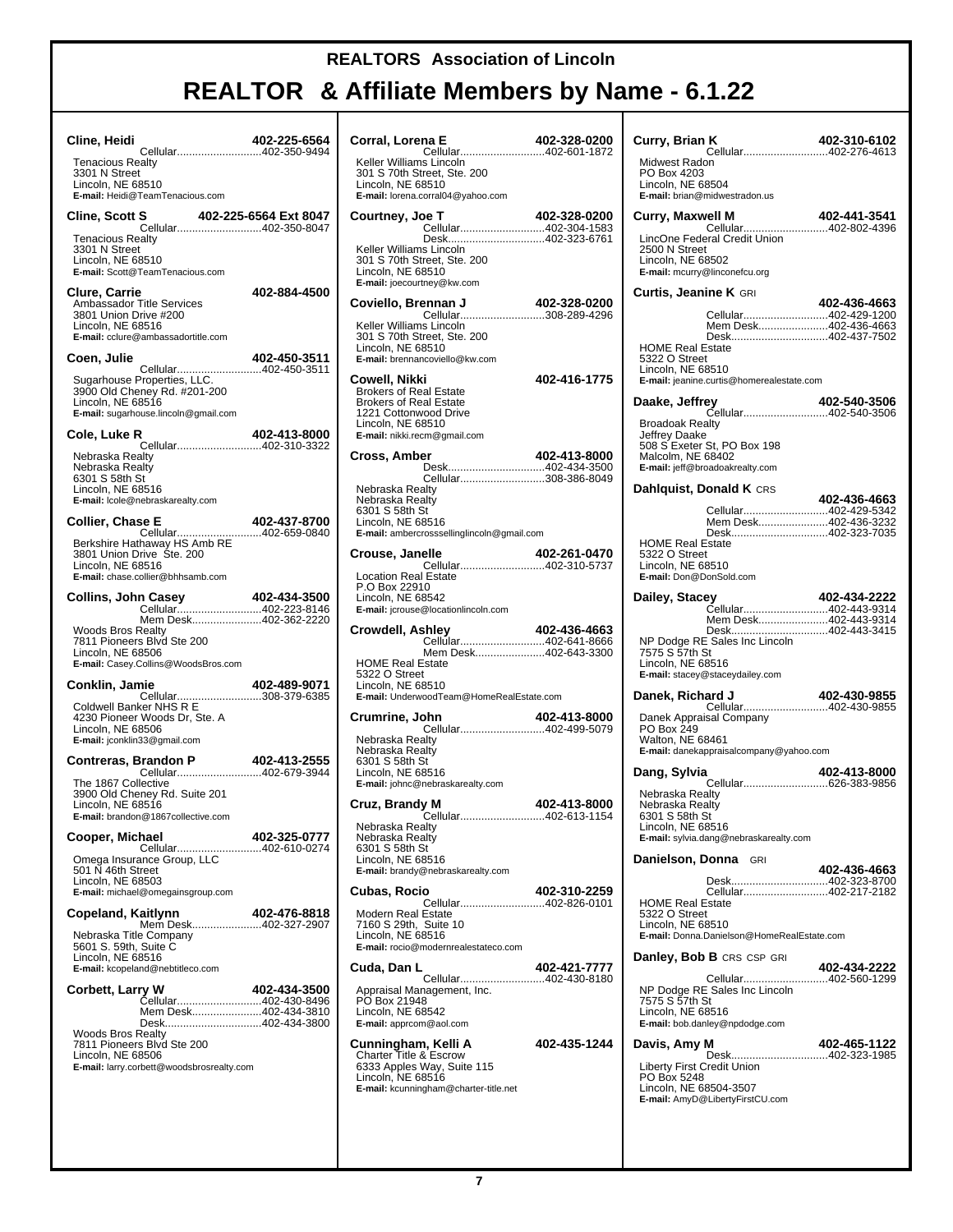| Cline, Heidi<br>Cellular402-350-9494                                                                                                                                                                      | 402-225-6564 |
|-----------------------------------------------------------------------------------------------------------------------------------------------------------------------------------------------------------|--------------|
| <b>Tenacious Realty</b><br>3301 N Street<br>Lincoln, NE 68510<br>E-mail: Heidi@TeamTenacious.com                                                                                                          |              |
| <b>Cline, Scott S</b><br>S 402-225-6564 Ext 8047<br>Cellular402-350-8047<br><b>Tenacious Realty</b><br>3301 N Street<br>Lincoln, NE 68510                                                                 |              |
| E-mail: Scott@TeamTenacious.com<br><b>Clure, Carrie</b><br>Ambassador Title Services<br>3801 Union Drive #200<br>Lincoln, NE 68516<br>E-mail: cclure@ambassadortitle.com                                  | 402-884-4500 |
| Coen, Julie                                                                                                                                                                                               | 402-450-3511 |
| Cellular402-450-3511<br>Sugarhouse Properties, LLC.<br>3900 Old Cheney Rd. #201-200<br>Lincoln, NE 68516<br>E-mail: sugarhouse.lincoln@gmail.com                                                          |              |
| Cole, Luke R                                                                                                                                                                                              | 402-413-8000 |
| Nebraska Realty<br>Nebraska Realty<br>6301 S 58th St<br>Lincoln, NE 68516<br>E-mail: Icole@nebraskarealty.com                                                                                             |              |
| <b>Collier, Chase E</b><br>Cellular402-659-0840                                                                                                                                                           | 402-437-8700 |
| Berkshire Hathaway HS Amb RE<br>3801 Union Drive Ste. 200<br>Lincoln, NE 68516<br>E-mail: chase.collier@bhhsamb.com                                                                                       |              |
| Collins, John Casey<br>Cellular402-223-8146                                                                                                                                                               | 402-434-3500 |
| Mem Desk402-362-2220<br>Woods Bros Realty<br>7811 Pioneers Blvd Ste 200<br>Lincoln, NE 68506<br>E-mail: Casey.Collins@WoodsBros.com                                                                       |              |
| Conklin, Jamie                                                                                                                                                                                            | 402-489-9071 |
| Cellular308-379-6385<br>Coldwell Banker NHS R E<br>4230 Pioneer Woods Dr, Ste. A<br>Lincoln, NE 68506<br>E-mail: jconklin33@gmail.com                                                                     |              |
|                                                                                                                                                                                                           |              |
| The 1867 Collective<br>3900 Old Cheney Rd. Suite 201<br>Lincoln, NE 68516<br>E-mail: brandon@1867collective.com                                                                                           |              |
| Cooper, Michael                                                                                                                                                                                           | 402-325-0777 |
| Cellular402-610-0274<br>Omega Insurance Group, LLC<br>501 N 46th Street<br>Lincoln, NE 68503<br>E-mail: michael@omegainsgroup.com                                                                         |              |
| Copeland, Kaitlynn<br>Mem Desk402-327-2907                                                                                                                                                                | 402-476-8818 |
| Nebraska Title Company<br>5601 S. 59th, Suite C<br>Lincoln, NE 68516<br>E-mail: kcopeland@nebtitleco.com                                                                                                  |              |
| Corbett, Larry W<br>Cellular402-430-8496<br>Mem Desk402-434-3810<br>Desk402-434-3800<br>Woods Bros Realty<br>7811 Pioneers Blvd Ste 200<br>Lincoln, NE 68506<br>E-mail: larry.corbett@woodsbrosrealty.com | 402-434-3500 |
|                                                                                                                                                                                                           |              |

| Corral, Lorena E<br><b>402-320-0200 402-340</b><br>Cellular402-601-1872                                                                                       | 402-328-0200 |
|---------------------------------------------------------------------------------------------------------------------------------------------------------------|--------------|
| Keller Williams Lincoln<br>301 S 70th Street, Ste. 200<br>Lincoln, NE 68510<br>E-mail: lorena.corral04@yahoo.com                                              |              |
| Courtney, Joe T<br>Cellular402-304-1583                                                                                                                       | 402-328-0200 |
| Desk402-323-6761<br>Keller Williams Lincoln<br>301 S 70th Street, Ste. 200<br>Lincoln, NE 68510<br>E-mail: joecourtney@kw.com                                 |              |
| Coviello, Brennan J<br><b>ennan J                      402-328-0200</b><br>Cellular308-289-4296                                                               | 402-328-0200 |
| Keller Williams Lincoln<br>301 S 70th Street, Ste. 200<br>Lincoln, NE 68510<br>E-mail: brennancoviello@kw.com                                                 |              |
| Cowell, Nikki<br><b>Brokers of Real Estate</b><br><b>Brokers of Real Estate</b><br>1221 Cottonwood Drive<br>Lincoln, NE 68510<br>E-mail: nikki.recm@gmail.com | 402-416-1775 |
| <b>Cross, Amber</b><br>Desk402-434-3500                                                                                                                       | 402-413-8000 |
| Cellular308-386-8049<br>Nebraska Realty<br>Nebraska Realty<br>6301 S 58th St<br>Lincoln, NE 68516<br>E-mail: ambercrosssellinglincoln@gmail.com               |              |
| Crouse, Janelle<br>Cellular402-310-5737                                                                                                                       | 402-261-0470 |
| <b>Location Real Estate</b><br>P.O Box 22910<br>Lincoln, NE 68542<br>E-mail: jcrouse@locationlincoln.com                                                      |              |
| Crowdell, Ashley<br>Cellular402-641-8666<br>Mem Desk402-643-3300<br><b>HOME Real Estate</b>                                                                   | 402-436-4663 |
| 5322 O Street<br>Lincoln, NE 68510<br>E-mail: UnderwoodTeam@HomeRealEstate.com                                                                                |              |
| Crumrine, John<br>Cellular402-499-5079                                                                                                                        | 402-413-8000 |
| Nebraska Realty<br>Nebraska Realty<br>6301 S 58th St<br>Lincoln, NE 68516<br>E-mail: johnc@nebraskarealty.com                                                 |              |
| <b>y M</b><br>Cellular402-613-1154<br>Cruz, Brandy M                                                                                                          |              |
| Nebraska Realty<br>Nebraska Realty<br>6301 S 58th St<br>Lincoln, NE 68516<br>E-mail: brandy@nebraskarealty.com                                                |              |
| Cubas, Rocio<br>Cellular402-826-0101                                                                                                                          | 402-310-2259 |
| <b>Modern Real Estate</b><br>7160 S 29th, Suite 10<br>Lincoln, NE 68516<br>E-mail: rocio@modernrealestateco.com                                               |              |
| Cuda, Dan L<br>Cellular402-430-8180                                                                                                                           | 402-421-7777 |
| Appraisal Management, Inc.<br>PO Box 21948<br>Lincoln, NE 68542<br>E-mail: apprcom@aol.com                                                                    |              |
| Cunningham, Kelli A<br><b>Charter Title &amp; Escrow</b><br>6333 Apples Way, Suite 115<br>Lincoln, NE 68516<br>E-mail: kcunningham@charter-title.net          | 402-435-1244 |

| Curry, Brian K                                              | 402-310-6102 |
|-------------------------------------------------------------|--------------|
| Cellular402-276-4613<br>Midwest Radon                       |              |
| PO Box 4203<br>Lincoln, NE 68504                            |              |
| E-mail: brian@midwestradon.us                               |              |
| Curry, Maxwell M                                            | 402-441-3541 |
| Cellular402-802-4396<br>LincOne Federal Credit Union        |              |
| 2500 N Street<br>Lincoln, NE 68502                          |              |
| E-mail: mcurry@linconefcu.org                               |              |
| <b>Curtis, Jeanine K</b> GRI                                |              |
| Cellular402-429-1200                                        | 402-436-4663 |
| Mem Desk402-436-4663<br>Desk402-437-7502                    |              |
| <b>HOME Real Estate</b><br>5322 O Street                    |              |
| Lincoln, NE 68510                                           |              |
| E-mail: jeanine.curtis@homerealestate.com                   |              |
| Daake, Jeffrey<br>Cellular402-540-3506                      | 402-540-3506 |
| <b>Broadoak Realty</b><br>Jeffrey Daake                     |              |
| 508 S Exeter St, PO Box 198                                 |              |
| Malcolm, NE 68402<br>E-mail: jeff@broadoakrealty.com        |              |
| Dahlquist, Donald K CRS                                     |              |
| Cellular402-429-5342                                        | 402-436-4663 |
| Mem Desk402-436-3232                                        |              |
| Desk402-323-7035<br><b>HOME Real Estate</b>                 |              |
| 5322 O Street<br>Lincoln, NE 68510                          |              |
| E-mail: Don@DonSold.com                                     |              |
| Dailey, Stacey                                              | 402-434-2222 |
| Cellular402-443-9314<br>Mem Desk402-443-9314                |              |
| Desk402-443-3415                                            |              |
| NP Dodge RE Sales Inc Lincoln<br>7575 S 57th St             |              |
| Lincoln, NE 68516<br>E-mail: stacey@staceydailey.com        |              |
| Danek, Richard J                                            | 402-430-9855 |
| Danek Appraisal Company                                     |              |
| PO Box 249                                                  |              |
| Walton, NE 68461<br>E-mail: danekappraisalcompany@yahoo.com |              |
| Dang, Sylvia                                                | 402-413-8000 |
| Nebraska Realty                                             |              |
| Nebraska Realty                                             |              |
| 6301 S 58th St<br>Lincoln, NE 68516                         |              |
| E-mail: sylvia.dang@nebraskarealty.com                      |              |
| Danielson, Donna GRI                                        | 402-436-4663 |
| Desk402-323-8700<br>Cellular402-217-2182                    |              |
| <b>HOME Real Estate</b>                                     |              |
|                                                             |              |
| 5322 O Street<br>Lincoln, NE 68510                          |              |
| E-mail: Donna.Danielson@HomeRealEstate.com                  |              |
| <b>Danley, Bob B CRS CSP GRI</b>                            | 402-434-2222 |
|                                                             |              |
| NP Dodge RE Sales Inc Lincoln<br>7575 S 57th St             |              |
| Lincoln, NE 68516<br>E-mail: bob.danley@npdodge.com         |              |
|                                                             |              |
| Davis, Amy M<br>Desk402-323-1985                            | 402-465-1122 |
| Liberty First Credit Union<br>PO Box 5248                   |              |
| Lincoln, NE 68504-3507                                      |              |
| E-mail: AmyD@LibertyFirstCU.com                             |              |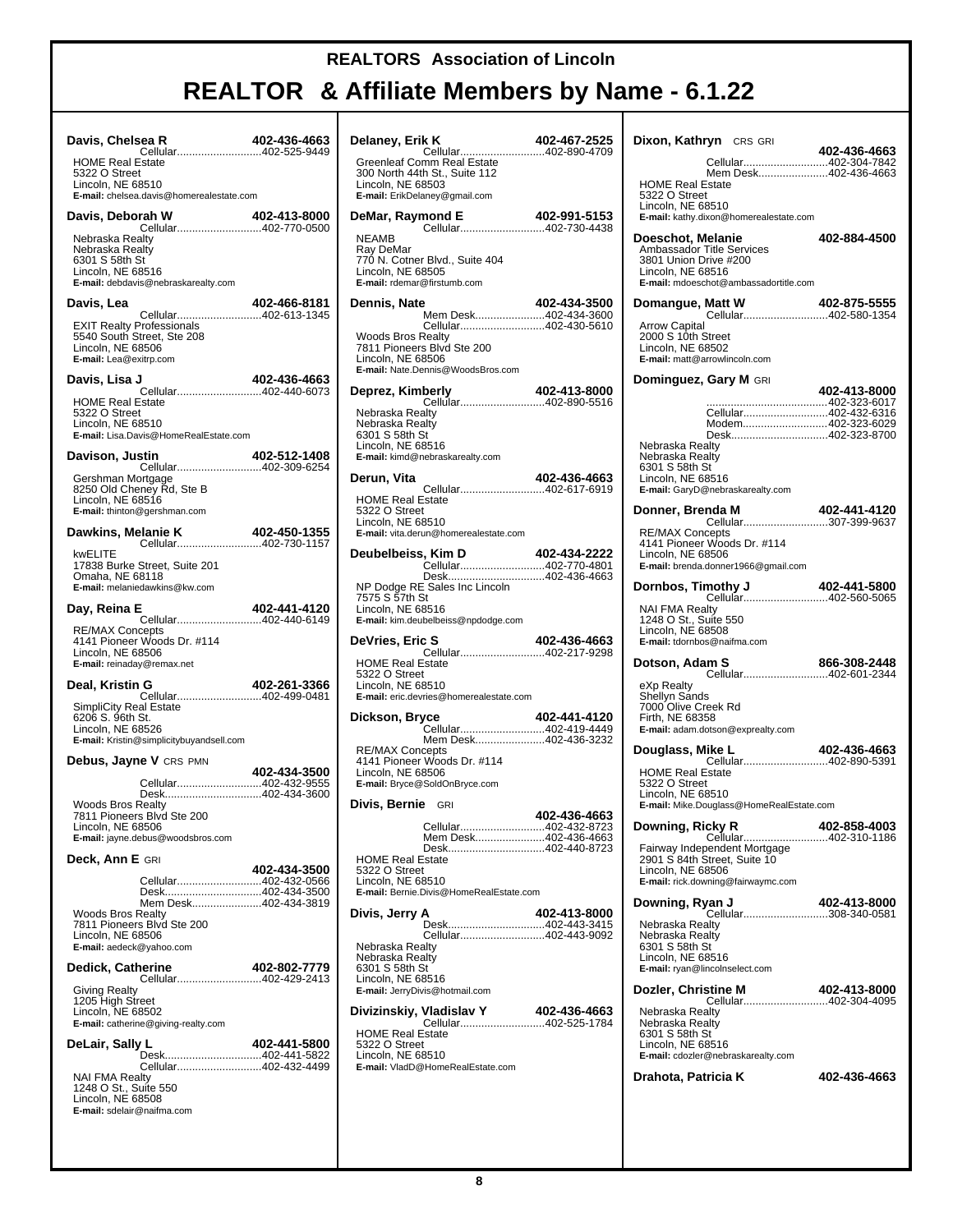| Davis, Chelsea R<br>Cellular402-525-9449                                                                                              | 402-436-4663 |
|---------------------------------------------------------------------------------------------------------------------------------------|--------------|
| <b>HOME Real Estate</b><br>5322 O Street<br>Lincoln, NE 68510<br>E-mail: chelsea.davis@homerealestate.com                             |              |
| rah W 402-413-8000<br>Cellular402-770-0500<br>Davis, Deborah W                                                                        |              |
| Nebraska Realty<br>Nebraska Realty<br>6301 S 58th St<br>Lincoln, NE 68516<br>E-mail: debdavis@nebraskarealty.com                      |              |
| Davis. Lea                                                                                                                            | 402-466-8181 |
| Cellular402-613-1345<br><b>EXIT Realty Professionals</b><br>5540 South Street, Ste 208<br>Lincoln, NE 68506<br>E-mail: Lea@exitrp.com |              |
| 402-436-4663<br>Cellular402-440-6073<br>Davis, Lisa J                                                                                 |              |
| <b>HOME Real Estate</b><br>5322 O Street<br>Lincoln, NE 68510<br>E-mail: Lisa.Davis@HomeRealEstate.com                                |              |
| Davison, Justin<br>Cellular402-309-6254                                                                                               | 402-512-1408 |
| Gershman Mortgage<br>8250 Old Cheney Rd, Ste B<br>Lincoln, NE 68516<br>E-mail: thinton@gershman.com                                   |              |
| Dawkins, Melanie K                                                                                                                    | 402-450-1355 |
| kwELITE<br>17838 Burke Street, Suite 201<br>Omaha, NE 68118<br>E-mail: melaniedawkins@kw.com                                          |              |
| Day, Reina E<br>Cellular402-440-6149                                                                                                  | 402-441-4120 |
| <b>RE/MAX Concepts</b><br>4141 Pioneer Woods Dr. #114<br>Lincoln, NE 68506<br>E-mail: reinaday@remax.net                              |              |
| Deal, Kristin G<br>Cellular402-499-0481                                                                                               | 402-261-3366 |
| <b>SimpliCity Real Estate</b><br>6206 S. 96th St.<br>Lincoln, NE 68526<br>E-mail: Kristin@simplicitybuyandsell.com                    |              |
| Debus, Jayne V CRS PMN                                                                                                                | 402-434-3500 |
| Cellular402-432-9555<br>Desk402-434-3600<br><b>Woods Bros Realty</b><br>7811 Pioneers Blvd Ste 200<br>Lincoln, NE 68506               |              |
| E-mail: jayne.debus@woodsbros.com                                                                                                     |              |
| Deck, Ann E GRI<br>Cellular402-432-0566<br>Desk402-434-3500                                                                           | 402-434-3500 |
| Mem Desk402-434-3819<br><b>Woods Bros Realty</b><br>7811 Pioneers Blvd Ste 200<br>Lincoln, NE 68506<br>E-mail: aedeck@yahoo.com       |              |
| Dedick, Catherine<br>Cellular402-429-2413                                                                                             | 402-802-7779 |
| Giving Realty<br>1205 High Street<br>Lincoln, NE 68502<br>E-mail: catherine@giving-realty.com                                         |              |
| DeLair, Sally L<br>Desk402-441-5822                                                                                                   | 402-441-5800 |
| Cellular402-432-4499<br><b>NAI FMA Realty</b><br>1248 O St., Suite 550<br>Lincoln, NE 68508<br>E-mail: sdelair@naifma.com             |              |

| Delaney, Erik K                                                                                                                                                                        | 402-467-2525 |
|----------------------------------------------------------------------------------------------------------------------------------------------------------------------------------------|--------------|
| Cellular402-890-4709<br>Greenleaf Comm Real Estate<br>300 North 44th St., Suite 112<br>Lincoln, NE 68503<br>E-mail: ErikDelaney@gmail.com                                              |              |
| mond E 402-991-5153<br>Cellular402-730-4438<br>DeMar, Raymond E                                                                                                                        |              |
| <b>NEAMB</b><br>Ray DeMar<br>770 N. Cotner Blvd., Suite 404<br>Lincoln, NE 68505<br>E-mail: rdemar@firstumb.com                                                                        |              |
| Dennis, Nate<br>Mem Desk402-434-3600                                                                                                                                                   | 402-434-3500 |
| Cellular402-430-5610<br><b>Woods Bros Realty</b><br>7811 Pioneers Blvd Ste 200<br>Lincoln, NE 68506<br>E-mail: Nate.Dennis@WoodsBros.com                                               |              |
| Deprez, Kimberly<br>Cellular402-890-5516                                                                                                                                               | 402-413-8000 |
| Nebraska Realty<br>Nebraska Realty<br>6301 S 58th St<br>Lincoln, NE 68516<br>E-mail: kimd@nebraskarealty.com                                                                           |              |
| Derun, Vita                                                                                                                                                                            | 402-436-4663 |
| <b>HOME Real Estate</b><br>5322 O Street<br>Lincoln, NE 68510<br>E-mail: vita.derun@homerealestate.com                                                                                 |              |
| Deubelbeiss, Kim D                                                                                                                                                                     | 402-434-2222 |
| Desk402-436-4663<br>NP Dodge RE Sales Inc Lincoln<br>7575 S 57th St<br>Lincoln, NE 68516<br>E-mail: kim.deubelbeiss@npdodge.com                                                        |              |
|                                                                                                                                                                                        |              |
| DeVries, Eric S                                                                                                                                                                        |              |
| <b>S                              402-436-4663</b><br>Cellular402-217-9298<br><b>HOME Real Estate</b><br>5322 O Street<br>Lincoln, NE 68510<br>E-mail: eric.devries@homerealestate.com |              |
| Dickson, Bryce                                                                                                                                                                         | 402-441-4120 |
| Cellular402-419-4449<br>Mem Desk402-436-3232<br><b>RE/MAX Concepts</b><br>4141 Pioneer Woods Dr. #114<br>Lincoln, NE 68506<br>E-mail: Bryce@SoldOnBryce.com                            |              |
| Divis, Bernie GRI                                                                                                                                                                      |              |
| Cellular402-432-8723                                                                                                                                                                   | 402-436-4663 |
| Mem Desk402-436-4663<br>Desk402-440-8723<br><b>HOME Real Estate</b><br>5322 O Street<br>Lincoln, NE 68510<br>E-mail: Bernie.Divis@HomeRealEstate.com                                   |              |
| Divis, Jerry A                                                                                                                                                                         | 402-413-8000 |
| Desk402-443-3415<br>Cellular402-443-9092<br>Nebraska Realty<br>Nebraska Realty<br>6301 S 58th St<br>Lincoln, NE 68516<br>E-mail: JerryDivis@hotmail.com                                |              |
| Divizinskiy, Vladislav Y                                                                                                                                                               | 402-436-4663 |
| Cellular402-525-1784<br><b>HOME Real Estate</b><br>5322 O Street<br>Lincoln, NE 68510<br>E-mail: VladD@HomeRealEstate.com                                                              |              |

| Dixon, Kathryn CRS GRI<br>Cellular402-304-7842                                                                                                  | 402-436-4663 |
|-------------------------------------------------------------------------------------------------------------------------------------------------|--------------|
| Mem Desk402-436-4663<br><b>HOME Real Estate</b><br>5322 O Street<br>Lincoln, NE 68510<br>E-mail: kathy.dixon@homerealestate.com                 |              |
| Doeschot, Melanie<br>Ambassador Title Services<br>3801 Union Drive #200<br>Lincoln, NE 68516<br>E-mail: mdoeschot@ambassadortitle.com           | 402-884-4500 |
| Domangue, Matt W<br>Matt W 402-875-5555<br>Cellular402-580-1354                                                                                 |              |
| <b>Arrow Capital</b><br>2000 S 10th Street<br>Lincoln, NE 68502<br>E-mail: matt@arrowlincoln.com                                                |              |
| Dominguez, Gary M GRI                                                                                                                           | 402-413-8000 |
|                                                                                                                                                 |              |
| Cellular402-432-6316                                                                                                                            |              |
| Modem402-323-6029<br>Desk402-323-8700                                                                                                           |              |
| Nebraska Realty                                                                                                                                 |              |
| Nebraska Realty<br>6301 S 58th St<br>Lincoln. NE 68516<br>E-mail: GaryD@nebraskarealty.com                                                      |              |
| Donner, Brenda M                                                                                                                                |              |
| <b>RE/MAX Concepts</b><br>4141 Pioneer Woods Dr. #114<br>Lincoln, NE 68506<br>E-mail: brenda.donner1966@gmail.com                               |              |
| nothy J 102-441-5800<br>Cellular402-560-5065<br>Dornbos, Timothy J                                                                              |              |
| <b>NAI FMA Realty</b><br>1248 O St., Suite 550<br>Lincoln, NE 68508<br>E-mail: tdornbos@naifma.com                                              |              |
| Dotson, Adam S<br><b>m S</b> 866-308-2448<br>Cellular402-601-2344                                                                               |              |
| eXp Realty<br>Shellyn Sands<br>7000 Olive Creek Rd<br>Firth, NE 68358<br>E-mail: adam.dotson@exprealty.com                                      |              |
| <b>Aike L 402-436-4663</b><br>Cellular402-890-5391<br>Douglass, Mike L                                                                          |              |
| <b>HOME Real Estate</b><br>5322 O Street<br>Lincoln, NE 68510<br>E-mail: Mike.Douglass@HomeRealEstate.com                                       |              |
| Downing, Ricky R                                                                                                                                | 402-858-4003 |
| Cellular402-310-1186<br>Fairway Independent Mortgage<br>2901 S 84th Street, Suite 10<br>Lincoln, NE 68506<br>E-mail: rick.downing@fairwaymc.com |              |
| Downing, Ryan J<br>Cellular308-340-0581                                                                                                         | 402-413-8000 |
| Nebraska Realty<br>Nebraska Realty<br>6301 S 58th St<br>Lincoln, NE 68516<br>E-mail: ryan@lincolnselect.com                                     |              |
| Dozler, Christine M                                                                                                                             | 402-413-8000 |
| Cellular402-304-4095<br>Nebraska Realty<br>Nebraska Realty<br>6301 S 58th St<br>Lincoln, NE 68516<br>E-mail: cdozler@nebraskarealty.com         |              |
| Drahota, Patricia K                                                                                                                             | 402-436-4663 |
|                                                                                                                                                 |              |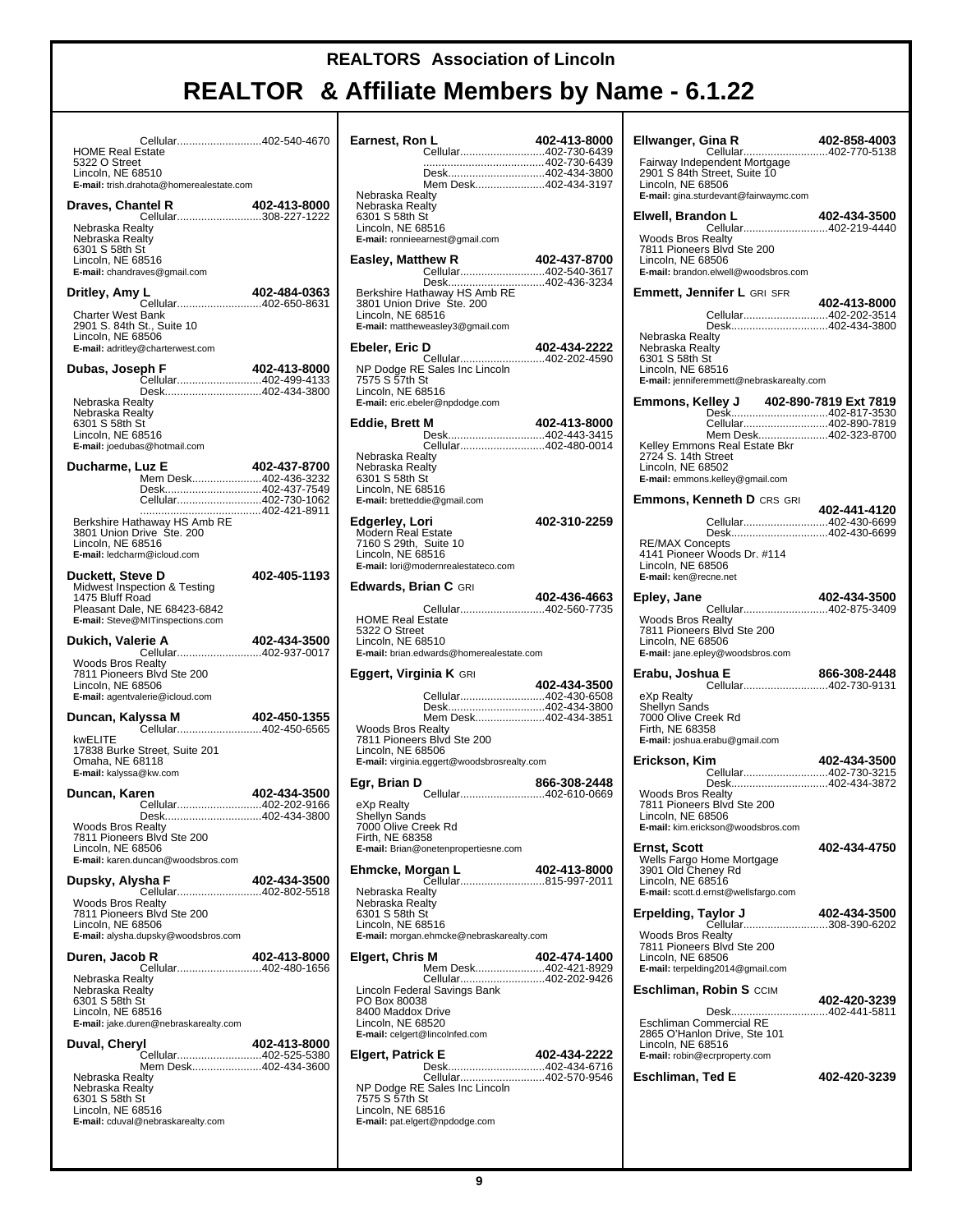| Cellular402-540-4670<br><b>HOME Real Estate</b><br>5322 O Street<br>Lincoln. NE 68510                                                                          |                                          |  |
|----------------------------------------------------------------------------------------------------------------------------------------------------------------|------------------------------------------|--|
| E-mail: trish.drahota@homerealestate.com                                                                                                                       |                                          |  |
| Draves, Chantel R<br>Cellular308-227-1222                                                                                                                      | 402-413-8000                             |  |
| Nebraska Realtv<br>Nebraska Realty<br>6301 S 58th St<br>Lincoln, NE 68516<br>E-mail: chandraves@gmail.com                                                      |                                          |  |
| Dritley, Amy L<br>Cellular402-650-8631                                                                                                                         | 402-484-0363                             |  |
| <b>Charter West Bank</b><br>2901 S. 84th St., Suite 10<br>Lincoln, NE 68506<br>E-mail: adritley@charterwest.com                                                |                                          |  |
| Dubas, Joseph F<br>Cellular402-499-4133                                                                                                                        | 402-413-8000                             |  |
| Nebraska Realty<br>Nebraska Realty<br>6301 S 58th St<br>Lincoln, NE 68516<br>E-mail: joedubas@hotmail.com                                                      | Desk402-434-3800                         |  |
| Ducharme, Luz E                                                                                                                                                | 402-437-8700                             |  |
| Cellular402-730-1062                                                                                                                                           | Mem Desk402-436-3232<br>Desk402-437-7549 |  |
| Berkshire Hathaway HS Amb RE<br>3801 Union Drive Co. 371 No. 3801 Union Drive<br>3801 Union Drive Ste. 200<br>Lincoln, NE 68516<br>E-mail: ledcharm@icloud.com |                                          |  |
| Duckett, Steve D<br>Midwest Inspection & Testing<br>1475 Bluff Road<br>Pleasant Dale, NE 68423-6842<br>E-mail: Steve@MITinspections.com                        | 402-405-1193                             |  |
| Dukich, Valerie A                                                                                                                                              | 402-434-3500                             |  |
| Cellular402-937-0017<br><b>Woods Bros Realty</b><br>7811 Pioneers Blvd Ste 200<br>Lincoln, NE 68506<br>E-mail: agentvalerie@icloud.com                         |                                          |  |
| Duncan, Kalyssa M                                                                                                                                              | 402-450-1355                             |  |
| Cellular402-450-6565<br>kwELITE<br>17838 Burke Street, Suite 201<br>Omaha, NE 68118<br>E-mail: kalyssa@kw.com                                                  |                                          |  |
| Duncan, Karen                                                                                                                                                  | 402-434-3500                             |  |
| Desk402-434-3800<br><b>Woods Bros Realty</b><br>7811 Pioneers Blvd Ste 200<br>Lincoln, NE 68506<br>E-mail: karen.duncan@woodsbros.com                          | Cellular402-202-9166                     |  |
| Dupsky, Alysha F<br>Cellular402-802-5518                                                                                                                       | 402-434-3500                             |  |
|                                                                                                                                                                |                                          |  |
| <b>Woods Bros Realty</b><br>7811 Pioneers Blvd Ste 200<br>Lincoln, NE 68506<br>E-mail: alysha.dupsky@woodsbros.com                                             |                                          |  |
|                                                                                                                                                                | 402-413-8000                             |  |
| Cellular402-480-1656<br>Nebraska Realty<br>Nebraska Realty<br>6301 S 58th St<br>Lincoln, NE 68516<br>E-mail: jake.duren@nebraskarealty.com                     |                                          |  |
| Duren, Jacob R<br>Duval, Cheryl                                                                                                                                | 402-413-8000<br>Cellular402-525-5380     |  |

| Earnest, Ron L                                         | 402-413-8000 |
|--------------------------------------------------------|--------------|
| Cellular402-730-6439                                   |              |
| Desk402-434-3800                                       |              |
| Mem Desk402-434-3197                                   |              |
| Nebraska Realty<br>Nebraska Realty                     |              |
| 6301 S 58th St<br>Lincoln, NE 68516                    |              |
| E-mail: ronnieearnest@gmail.com                        |              |
| Easley, Matthew R                                      | 402-437-8700 |
| Cellular402-540-3617                                   |              |
|                                                        |              |
| 3801 Union Drive Ste. 200                              |              |
| Lincoln, NE 68516<br>E-mail: mattheweasley3@gmail.com  |              |
| Ebeler, Eric D                                         | 402-434-2222 |
| Cellular402-202-4590                                   |              |
| NP Dodge RE Sales Inc Lincoln<br>7575 S 57th St        |              |
| Lincoln, NE 68516                                      |              |
| E-mail: eric.ebeler@npdodge.com                        |              |
| Eddie, Brett M<br>Desk402-443-3415                     | 402-413-8000 |
| Cellular402-480-0014                                   |              |
| Nebraska Realtv<br>Nebraska Realty                     |              |
| 6301 S 58th St                                         |              |
| Lincoln, NE 68516<br>E-mail: bretteddie@gmail.com      |              |
|                                                        | 402-310-2259 |
| Edgerley, Lori<br><b>Modern Real Estate</b>            |              |
| 7160 S 29th, Suite 10<br>Lincoln, NE 68516             |              |
| E-mail: lori@modernrealestateco.com                    |              |
| <b>Edwards, Brian C</b> GRI                            |              |
|                                                        | 402-436-4663 |
| Cellular402-560-7735<br><b>HOME Real Estate</b>        |              |
| 5322 O Street<br>Lincoln, NE 68510                     |              |
|                                                        |              |
| E-mail: brian.edwards@homerealestate.com               |              |
|                                                        |              |
| Eggert, Virginia K GRI                                 | 402-434-3500 |
| Cellular402-430-6508<br>Desk402-434-3800               |              |
| Mem Desk402-434-3851                                   |              |
| <b>Woods Bros Realty</b><br>7811 Pioneers Blvd Ste 200 |              |
| Lincoln, NE 68506                                      |              |
| E-mail: virginia.eggert@woodsbrosrealty.com            |              |
| Egr, Brian D                                           | 866-308-2448 |
| Cellular402-610-0669<br>eXp Realty                     |              |
| Shellyn Sands<br>7000 Olive Creek Rd                   |              |
| Firth, NE 68358                                        |              |
| E-mail: Brian@onetenpropertiesne.com                   |              |
| Ehmcke, Morgan L                                       | 402-413-8000 |
| Nebraska Realty                                        |              |
| Nebraska Realty<br>6301 S 58th St                      |              |
| Lincoln, NE 68516                                      |              |
| E-mail: morgan.ehmcke@nebraskarealty.com               |              |
| Elgert, Chris M<br>Mem Desk402-421-8929                | 402-474-1400 |
| Cellular402-202-9426                                   |              |
| Lincoln Federal Savings Bank<br>PO Box 80038           |              |
| 8400 Maddox Drive                                      |              |
| Lincoln, NE 68520<br>E-mail: celgert@lincolnfed.com    |              |
|                                                        | 402-434-2222 |
| Elgert, Patrick E<br>Desk402-434-6716                  |              |
| Cellular402-570-9546<br>NP Dodge RE Sales Inc Lincoln  |              |
| 7575 S 57th St<br>Lincoln, NE 68516                    |              |

| Ellwanger, Gina R<br>Cellular402-770-5138                                                                                               | 402-858-4003 |
|-----------------------------------------------------------------------------------------------------------------------------------------|--------------|
| Fairway Independent Mortgage<br>2901 S 84th Street, Suite 10<br>Lincoln, NE 68506<br>E-mail: gina.sturdevant@fairwaymc.com              |              |
| Elwell, Brandon L<br><b>don L 402-434-3500</b><br>Cellular402-219-4440<br><b>Woods Bros Realty</b><br>7811 Pioneers Blvd Ste 200        | 402-434-3500 |
| Lincoln, NE 68506<br>E-mail: brandon.elwell@woodsbros.com<br><b>Emmett, Jennifer L</b> GRI SFR                                          |              |
| Cellular402-202-3514                                                                                                                    | 402-413-8000 |
| Desk402-434-3800<br>Nebraska Realty<br>Nebraska Realty<br>6301 S 58th St<br>Lincoln, NE 68516                                           |              |
| E-mail: jenniferemmett@nebraskarealty.com                                                                                               |              |
| Cellular402-890-7819<br>Mem Desk402-323-8700                                                                                            |              |
| Kelley Emmons Real Estate Bkr<br>2724 S. 14th Street<br>Lincoln, NE 68502<br>E-mail: emmons.kelley@gmail.com                            |              |
| <b>Emmons, Kenneth D CRS GRI</b>                                                                                                        |              |
| Cellular402-430-6699                                                                                                                    | 402-441-4120 |
| Desk402-430-6699<br><b>RE/MAX Concepts</b><br>4141 Pioneer Woods Dr. #114<br>Lincoln, NE 68506<br>E-mail: ken@recne.net                 |              |
| Epley, Jane                                                                                                                             |              |
| <b>Woods Bros Realty</b><br>7811 Pioneers Blvd Ste 200<br>Lincoln, NE 68506<br>E-mail: jane.epley@woodsbros.com                         |              |
| ua E 866-308-2448<br>Cellular402-730-9131<br>Erabu, Joshua E                                                                            |              |
| eXp Realty<br>Shellyn Sands<br>7000 Olive Creek Rd<br>Firth, NE 68358<br>E-mail: joshua.erabu@gmail.com                                 |              |
| Erickson. Kim<br>Cellular402-730-3215                                                                                                   | 402-434-3500 |
| Desk402-434-3872<br>Woods Bros Realty<br>7811 Pioneers Blvd Ste 200<br>Lincoln, NE 68506<br>E-mail: kim.erickson@woodsbros.com          |              |
| Ernst, Scott<br>Wells Fargo Home Mortgage<br>3901 Old Cheney Rd<br>Lincoln, NE 68516<br>E-mail: scott.d.ernst@wellsfargo.com            | 402-434-4750 |
| Erpelding, Taylor J                                                                                                                     | 402-434-3500 |
| Cellular308-390-6202<br><b>Woods Bros Realty</b><br>7811 Pioneers Blvd Ste 200<br>Lincoln, NE 68506<br>E-mail: terpelding2014@gmail.com |              |
| <b>Eschliman, Robin S CCIM</b>                                                                                                          |              |
| Desk402-441-5811<br>Eschliman Commercial RE<br>2865 O'Hanlon Drive, Ste 101<br>Lincoln, NE 68516<br>E-mail: robin@ecrproperty.com       | 402-420-3239 |
| Eschliman, Ted E                                                                                                                        | 402-420-3239 |
|                                                                                                                                         |              |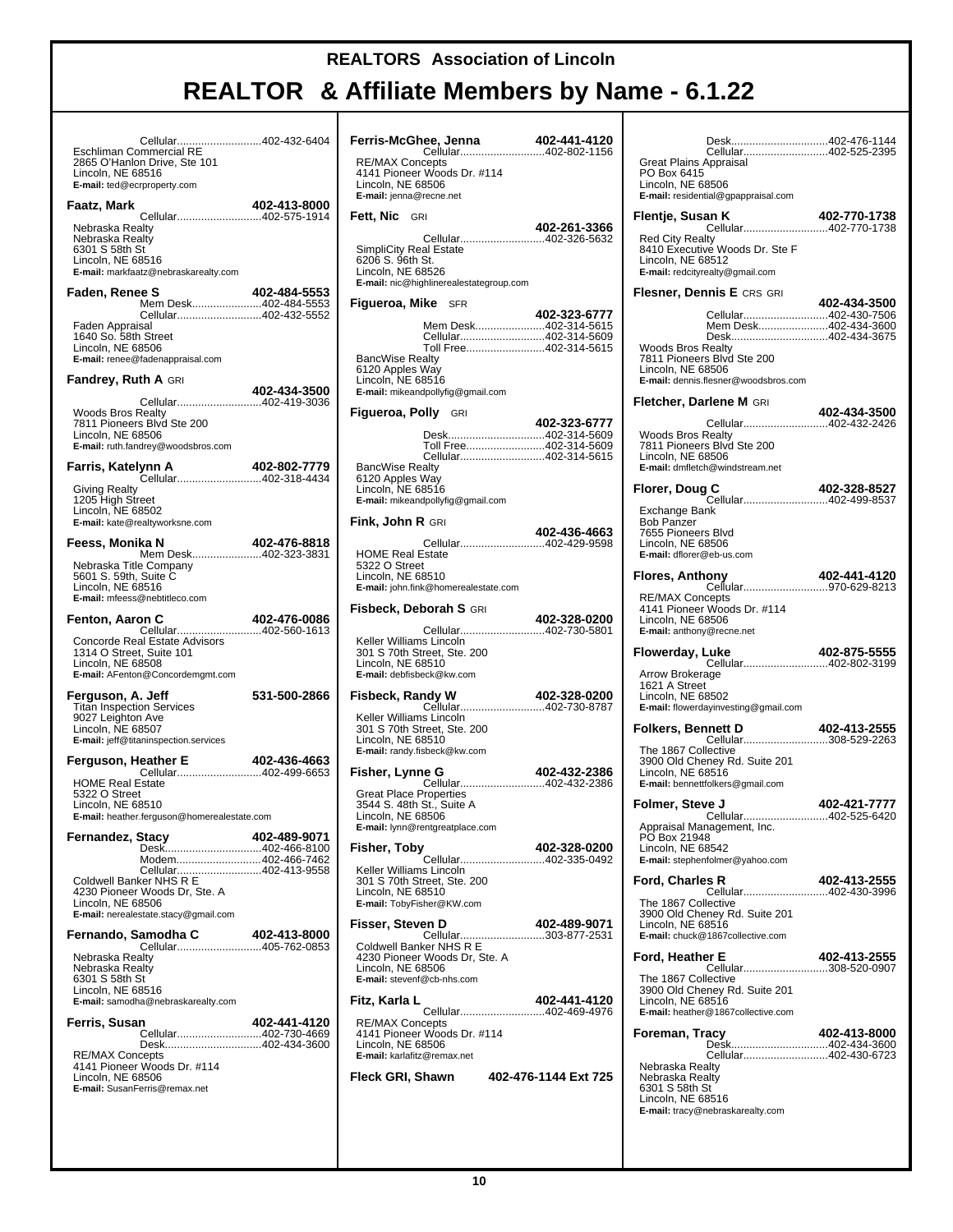# **REALTOR & Affiliate Members by Name - 6.1.22**

 $\top$ 

| Cellular402-432-6404<br>Eschliman Commercial RE<br>2865 O'Hanlon Drive, Ste 101<br>Lincoln, NE 68516                                                                                   |              |  |
|----------------------------------------------------------------------------------------------------------------------------------------------------------------------------------------|--------------|--|
| E-mail: ted@ecrproperty.com                                                                                                                                                            |              |  |
| Faatz, Mark                                                                                                                                                                            | 402-413-8000 |  |
| Nebraska Realty<br>Nebraska Realty<br>6301 S 58th St<br>Lincoln, NE 68516<br>E-mail: markfaatz@nebraskarealty.com                                                                      |              |  |
| Faden, Renee S                                                                                                                                                                         | 402-484-5553 |  |
| Mem Desk402-484-5553<br>Cellular402-432-5552<br>Faden Appraisal<br>1640 So. 58th Street<br>Lincoln, NE 68506<br>E-mail: renee@fadenappraisal.com                                       |              |  |
| Fandrey, Ruth A GRI                                                                                                                                                                    |              |  |
| Cellular402-419-3036<br><b>Woods Bros Realty</b><br>7811 Pioneers Blvd Ste 200                                                                                                         | 402-434-3500 |  |
| Lincoln, NE 68506<br>E-mail: ruth.fandrey@woodsbros.com                                                                                                                                |              |  |
| Farris, Katelynn A                                                                                                                                                                     | 402-802-7779 |  |
| Cellular402-318-4434<br>Giving Realty<br>1205 High Street<br>Lincoln, NE 68502<br>E-mail: kate@realtyworksne.com                                                                       |              |  |
| Feess, Monika N                                                                                                                                                                        | 402-476-8818 |  |
| Mem Desk402-323-3831<br>Nebraska Title Company<br>5601 S. 59th, Suite C<br>Lincoln, NE 68516<br>E-mail: mfeess@nebtitleco.com                                                          |              |  |
| Fenton, Aaron C<br>Cellular402-560-1613<br>Concorde Real Estate Advisors<br>1314 O Street, Suite 101<br>Lincoln, NE 68508<br>E-mail: AFenton@Concordemgmt.com                          | 402-476-0086 |  |
| Ferguson, A. Jeff<br><b>Titan Inspection Services</b><br>9027 Leighton Ave<br>Lincoln, NE 68507<br>E-mail: jeff@titaninspection.services                                               | 531-500-2866 |  |
| eather E 402-436-4663<br>Cellular402-499-6653<br>Ferguson, Heather E                                                                                                                   |              |  |
| <b>HOME Real Estate</b><br>5322 O Street<br>Lincoln, NE 68510<br>E-mail: heather.ferguson@homerealestate.com                                                                           |              |  |
| Fernandez, Stacy                                                                                                                                                                       | 402-489-9071 |  |
| Desk402-466-8100<br>Modem402-466-7462<br>Cellular402-413-9558<br>Coldwell Banker NHS R E<br>4230 Pioneer Woods Dr, Ste. A<br>Lincoln, NE 68506<br>E-mail: nerealestate.stacy@gmail.com |              |  |
| Fernando, Samodha C<br><b>amodha C</b> 402-413-8000<br>Cellular405-762-0853<br>bliss                                                                                                   |              |  |
| Nebraska Realty<br>Nebraska Realty<br>6301 S 58th St<br>Lincoln, NE 68516<br>E-mail: samodha@nebraskarealty.com                                                                        |              |  |
| Ferris, Susan<br>Cellular402-730-4669                                                                                                                                                  | 402-441-4120 |  |
| Desk402-434-3600<br><b>RE/MAX Concepts</b><br>4141 Pioneer Woods Dr. #114<br>Lincoln, NE 68506<br>E-mail: SusanFerris@remax.net                                                        |              |  |
|                                                                                                                                                                                        |              |  |

| Ferris-McGhee, Jenna<br>Cellular402-802-1156                                                                                                                                 | 402-441-4120         |
|------------------------------------------------------------------------------------------------------------------------------------------------------------------------------|----------------------|
| <b>RE/MAX Concepts</b><br>4141 Pioneer Woods Dr. #114<br>Lincoln, NE 68506<br>E-mail: jenna@recne.net                                                                        |                      |
| Fett, Nic GRI                                                                                                                                                                | 402-261-3366         |
| Cellular402-326-5632<br>SimpliCity Real Estate<br>6206 S. 96th St.<br>Lincoln, NE 68526<br>E-mail: nic@highlinerealestategroup.com                                           |                      |
| <b>Figueroa, Mike</b> SFR                                                                                                                                                    |                      |
| Mem Desk402-314-5615<br>Cellular402-314-5609<br>Toll Free402-314-5615<br><b>BancWise Realty</b><br>6120 Apples Way<br>Lincoln, NE 68516<br>E-mail: mikeandpollyfig@gmail.com | 402-323-6777         |
| <b>Figueroa, Polly</b> GRI                                                                                                                                                   |                      |
| Desk402-314-5609<br>Toll Free402-314-5609<br>Cellular402-314-5615<br><b>BancWise Realty</b><br>6120 Apples Way<br>Lincoln, NE 68516<br>E-mail: mikeandpollyfig@gmail.com     | 402-323-6777         |
| <b>Fink, John R GRI</b>                                                                                                                                                      |                      |
| Cellular402-429-9598<br><b>HOME Real Estate</b><br>5322 O Street<br>Lincoln, NE 68510<br>E-mail: john.fink@homerealestate.com                                                | 402-436-4663         |
| <b>Fisbeck, Deborah S</b> GRI                                                                                                                                                |                      |
| Cellular402-730-5801<br>Keller Williams Lincoln<br>301 S 70th Street, Ste. 200<br>Lincoln, NE 68510<br>E-mail: debfisbeck@kw.com                                             | 402-328-0200         |
| Fisbeck, Randy W                                                                                                                                                             | 402-328-0200         |
| Cellular402-730-8787<br>Keller Williams Lincoln<br>301 S 70th Street, Ste. 200<br>Lincoln, NE 68510<br>E-mail: randy.fisbeck@kw.com                                          |                      |
| Fisher, Lynne G<br>Cellular402-432-2386<br><b>Great Place Properties</b><br>3544 S. 48th St., Suite A<br>Lincoln, NE 68506<br>E-mail: lynn@rentgreatplace.com                | 402-432-2386         |
| Fisher, Toby                                                                                                                                                                 | 402-328-0200         |
| Cellular402-335-0492<br>Keller Williams Lincoln<br>301 S 70th Street, Ste. 200<br>Lincoln, NE 68510<br>E-mail: TobyFisher@KW.com                                             |                      |
| Fisser, Steven D                                                                                                                                                             | 402-489-9071         |
| Cellular<br>Coldwell Banker NHS R E<br>4230 Pioneer Woods Dr, Ste. A<br>Lincoln, NE 68506<br>E-mail: stevenf@cb-nhs.com                                                      | 303-877-2531         |
| Fitz, Karla L                                                                                                                                                                | 402-441-4120         |
| Cellular402-469-4976<br><b>RE/MAX Concepts</b><br>4141 Pioneer Woods Dr. #114<br>Lincoln, NE 68506<br>E-mail: karlafitz@remax.net                                            |                      |
| Fleck GRI, Shawn                                                                                                                                                             | 402-476-1144 Ext 725 |

| Cellular402-525-2395                                                                                                                            |              |
|-------------------------------------------------------------------------------------------------------------------------------------------------|--------------|
| Great Plains Appraisal<br>PO Box 6415<br>Lincoln, NE 68506<br>E-mail: residential@gpappraisal.com                                               |              |
| <b>an K 402-770-1738</b><br>Cellular402-770-1738<br>Flentje, Susan K                                                                            |              |
| Red City Realty<br>8410 Executive Woods Dr. Ste F<br>Lincoln, NE 68512<br>E-mail: redcityrealty@gmail.com                                       |              |
| Flesner, Dennis E CRS GRI                                                                                                                       | 402-434-3500 |
| Cellular402-430-7506<br>Mem Desk402-434-3600<br>Desk402-434-3675<br><b>Woods Bros Realty</b><br>7811 Pioneers Blvd Ste 200<br>Lincoln, NE 68506 |              |
| E-mail: dennis.flesner@woodsbros.com                                                                                                            |              |
| Fletcher, Darlene M GRI                                                                                                                         | 402-434-3500 |
| Cellular402-432-2426<br><b>Woods Bros Realty</b><br>7811 Pioneers Blvd Ste 200<br>Lincoln, NE 68506<br>E-mail: dmfletch@windstream.net          |              |
| Florer, Doug C<br><b>C                                   402-328-8527</b><br>Cellular402-499-8537                                               | 402-328-8527 |
| Exchange Bank<br><b>Bob Panzer</b><br>7655 Pioneers Blvd<br>Lincoln, NE 68506<br>E-mail: dflorer@eb-us.com                                      |              |
| ony 402-441-4120<br>Cellular970-629-8213<br><b>Flores, Anthony</b>                                                                              |              |
| <b>RE/MAX Concepts</b><br>4141 Pioneer Woods Dr. #114<br>Lincoln, NE 68506<br>E-mail: anthony@recne.net                                         |              |
| Luke 402-875-5555<br>Cellular402-802-3199<br>Flowerday, Luke                                                                                    |              |
| Arrow Brokerage<br>1621 A Street<br>Lincoln, NE 68502<br>E-mail: flowerdayinvesting@gmail.com                                                   |              |
| Folkers, Bennett D<br>Cellular308-529-2263                                                                                                      | 402-413-2555 |
| The 1867 Collective<br>3900 Old Cheney Rd. Suite 201<br>Lincoln, NE 68516<br>E-mail: bennettfolkers@gmail.com                                   |              |
| Folmer, Steve J<br>Cellular402-525-6420                                                                                                         | 402-421-7777 |
| Appraisal Management, Inc.<br>PO Box 21948<br>Lincoln, NE 68542<br>E-mail: stephenfolmer@yahoo.com                                              |              |
| <b>Ford, Charles R</b><br>Cellular402-430-3996                                                                                                  | 402-413-2555 |
| The 1867 Collective<br>3900 Old Cheney Rd. Suite 201<br>Lincoln, NE 68516<br>E-mail: chuck@1867collective.com                                   |              |
| Ford. Heather E<br>Cellular308-520-0907                                                                                                         | 402-413-2555 |
| The 1867 Collective<br>3900 Old Cheney Rd. Suite 201<br>Lincoln, NE 68516<br>E-mail: heather@1867collective.com                                 |              |
| Foreman, Tracy<br>Desk402-434-3600                                                                                                              | 402-413-8000 |
| Cellular402-430-6723<br>Nebraska Realty<br>Nebraska Realty<br>6301 S 58th St<br>Lincoln, NE 68516<br>E-mail: tracy@nebraskarealty.com           |              |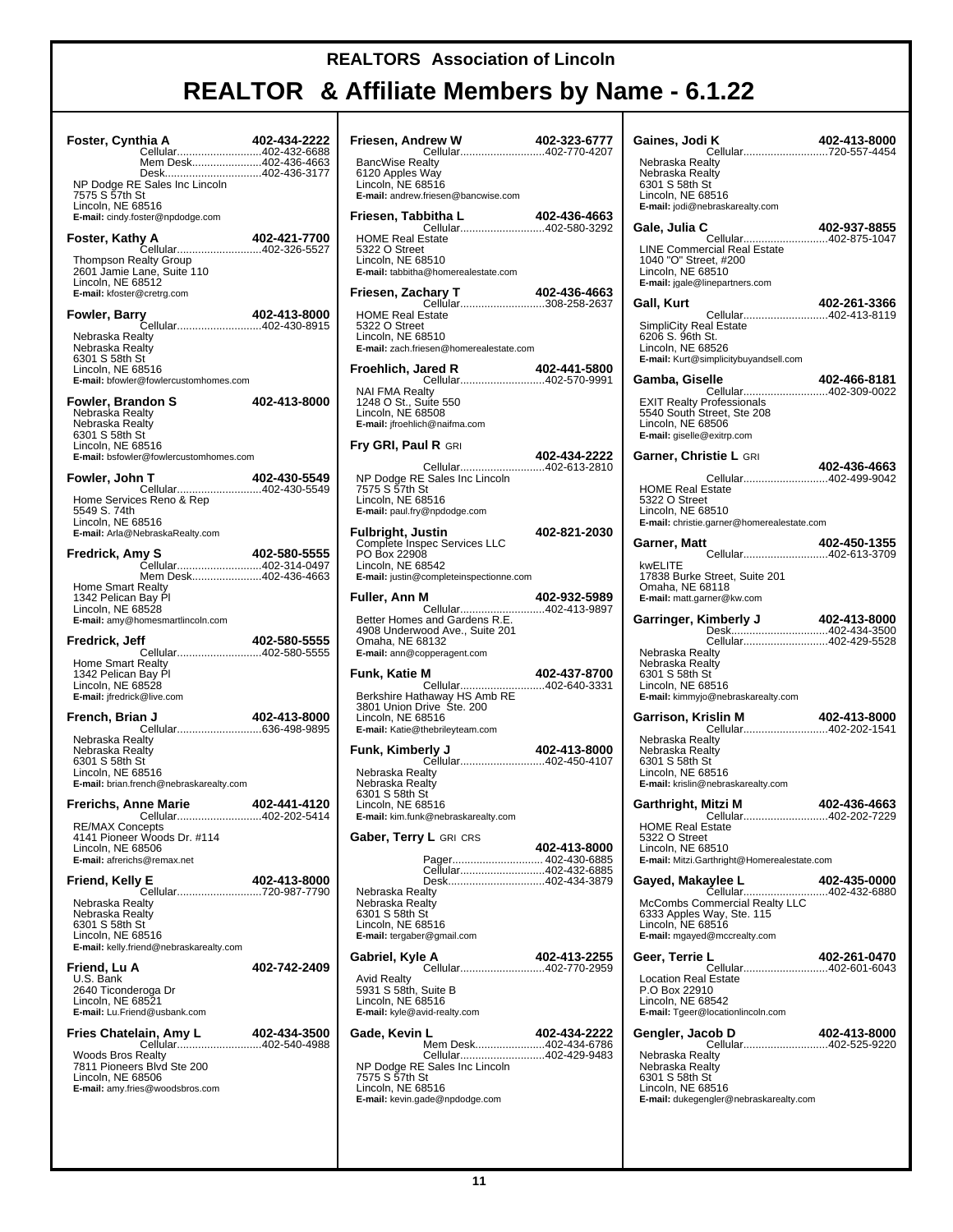| Foster, Cynthia A<br>Cellular402-432-6688<br>Mem Desk402-436-4663                                                                                                          | 402-434-2222 |
|----------------------------------------------------------------------------------------------------------------------------------------------------------------------------|--------------|
| Desk402-436-3177<br>NP Dodge RE Sales Inc Lincoln<br>7575 S 57th St<br>Lincoln, NE 68516<br>E-mail: cindy.foster@npdodge.com                                               |              |
| Foster, Kathy A<br><b>y A                        402-421-7700</b><br>Cellular402-326-5527                                                                                  | 402-421-7700 |
| Thompson Realty Group<br>2601 Jamie Lane, Suite 110<br>Lincoln, NE 68512<br>E-mail: kfoster@cretrg.com                                                                     |              |
|                                                                                                                                                                            |              |
| Nebraska Realty<br>Nebraska Realty<br>6301 S 58th St<br>Lincoln, NE 68516<br>E-mail: bfowler@fowlercustomhomes.com                                                         |              |
| Fowler, Brandon S<br>Nebraska Realty                                                                                                                                       | 402-413-8000 |
| Nebraska Realty<br>6301 S 58th St<br>Lincoln, NE 68516<br>E-mail: bsfowler@fowlercustomhomes.com                                                                           |              |
| Fowler, John T<br>Cellular402-430-5549                                                                                                                                     | 402-430-5549 |
| Home Services Reno & Rep<br>5549 S. 74th<br>Lincoln, NE 68516<br>E-mail: Arla@NebraskaRealty.com                                                                           |              |
| Fredrick, Amy S                                                                                                                                                            | 402-580-5555 |
| Mem Desk402-436-4663<br>Home Smart Realty<br>1342 Pelican Bay Pl<br>Lincoln, NE 68528<br>E-mail: amy@homesmartlincoln.com                                                  |              |
| Fredrick, Jeff                                                                                                                                                             |              |
|                                                                                                                                                                            |              |
| ff 402-580-5555<br>Cellular402-580-5555<br>Home Smart Realty<br>1342 Pelican Bay Pl<br>Lincoln, NE 68528<br>E-mail: jfredrick@live.com                                     |              |
| French, Brian J                                                                                                                                                            | 402-413-8000 |
| +U J<br>Cellular636-498-9895<br>Nebraska Realty<br>Nebraska Realty<br>6301 S 58th St<br>Lincoln, NE 68516<br>E-mail: brian.french@nebraskarealty.com                       |              |
| Frerichs, Anne Marie                                                                                                                                                       |              |
| <b>ne Marie 402-441-4120</b><br>Cellular402-202-5414<br>Cents<br><b>RE/MAX Concepts</b><br>4141 Pioneer Woods Dr. #114<br>Lincoln, NE 68506<br>E-mail: afrerichs@remax.net |              |
| Friend, Kelly E                                                                                                                                                            | 402-413-8000 |
| Nebraska Realty<br>Nebraska Realty<br>6301 S 58th St<br>Lincoln, NE 68516<br>E-mail: kelly.friend@nebraskarealty.com                                                       |              |
| Friend, Lu A                                                                                                                                                               | 402-742-2409 |
| U.S. Bank<br>2640 Ticonderoga Dr<br>Lincoln, NE 68521<br>E-mail: Lu.Friend@usbank.com                                                                                      |              |
|                                                                                                                                                                            |              |
| <b>Woods Bros Realty</b><br>7811 Pioneers Blvd Ste 200<br>Lincoln, NE 68506<br>E-mail: amy.fries@woodsbros.com                                                             |              |

| Friesen, Andrew W<br><b>Cellular402-770-4207</b>                                                                                          | 402-323-6777 |
|-------------------------------------------------------------------------------------------------------------------------------------------|--------------|
| <b>BancWise Realty</b><br>6120 Apples Way<br>Lincoln, NE 68516<br>E-mail: andrew.friesen@bancwise.com                                     |              |
| Friesen, Tabbitha L<br>Cellular402-580-3292                                                                                               | 402-436-4663 |
| <b>HOME Real Estate</b><br>5322 O Street<br>Lincoln, NE 68510<br>E-mail: tabbitha@homerealestate.com                                      |              |
| Friesen, Zachary T<br>Cellular308-258-2637                                                                                                | 402-436-4663 |
| <b>HOME Real Estate</b><br>5322 O Street<br>Lincoln, NE 68510<br>E-mail: zach.friesen@homerealestate.com                                  |              |
| Froehlich, Jared R<br>Cellular402-570-9991                                                                                                | 402-441-5800 |
| <b>NAI FMA Realty</b><br>1248 O St., Suite 550<br>Lincoln, NE 68508<br>E-mail: jfroehlich@naifma.com                                      |              |
| <b>Fry GRI, Paul R GRI</b>                                                                                                                | 402-434-2222 |
| Cellular402-613-2810<br>NP Dodge RE Sales Inc Lincoln<br>7575 S 57th St<br>Lincoln, NE 68516<br>E-mail: paul.fry@npdodge.com              |              |
| <b>Fulbright, Justin</b><br>Complete Inspec Services LLC<br>PO Box 22908<br>Lincoln, NE 68542<br>E-mail: justin@completeinspectionne.com  | 402-821-2030 |
| Fuller, Ann M                                                                                                                             | 402-932-5989 |
| Cellular402-413-9897<br>Better Homes and Gardens R.E.<br>4908 Underwood Ave., Suite 201<br>Omaha, NE 68132<br>E-mail: ann@copperagent.com |              |
| Funk, Katie M                                                                                                                             | 402-437-8700 |
| Cellular402-640-3331<br>Berkshire Hathaway HS Amb RE<br>3801 Union Drive Ste. 200<br>Lincoln, NE 68516<br>E-mail: Katie@thebrileyteam.com |              |
| <b>rly J</b> 402-413-8000<br>Cellular402-450-4107<br>Funk, Kimberly J                                                                     |              |
| Nebraska Realty<br>Nebraska Realty<br>6301 S 58th St<br>Lincoln, NE 68516<br><b>E-mail:</b> kim.funk@nebraskarealty.com                   |              |
| Gaber, Terry L GRI CRS                                                                                                                    | 402-413-8000 |
| Pager 402-430-6885<br>Cellular402-432-6885                                                                                                |              |
| Desk402-434-3879<br>Nebraska Realty<br>Nebraska Realty<br>6301 S 58th St<br>Lincoln, NE 68516<br>E-mail: tergaber@gmail.com               |              |
| Gabriel, Kyle A<br>Cellular402-770-2959                                                                                                   | 402-413-2255 |
| <b>Avid Realty</b><br>5931 S 58th, Suite B<br>Lincoln, NE 68516<br><b>E-mail:</b> kyle@avid-realty.com                                    |              |
| Gade, Kevin L<br>Mem Desk402-434-6786<br>Cellular402-429-9483                                                                             | 402-434-2222 |
| NP Dodge RE Sales Inc Lincoln<br>7575 S 57th St<br>Lincoln, NE 68516<br>E-mail: kevin.gade@npdodge.com                                    |              |

| Gaines, Jodi K<br><br>Cellular720-557-4454                                                                                              | 402-413-8000 |
|-----------------------------------------------------------------------------------------------------------------------------------------|--------------|
| Nebraska Realtv<br>Nebraska Realty<br>6301 S 58th St<br>Lincoln, NE 68516<br>E-mail: jodi@nebraskarealty.com                            |              |
| Gale, Julia C                                                                                                                           | 402-937-8855 |
| <b>LINE Commercial Real Estate</b><br>1040 "O" Street, #200<br>Lincoln, NE 68510<br>E-mail: jgale@linepartners.com                      |              |
| Gall, Kurt<br>Cellular402-413-8119                                                                                                      | 402-261-3366 |
| SimpliCity Real Estate<br>6206 S. 96th St.<br>Lincoln, NE 68526<br>E-mail: Kurt@simplicitybuyandsell.com                                |              |
| Gamba, Giselle<br>Cellular402-309-0022                                                                                                  | 402-466-8181 |
| <b>EXIT Realty Professionals</b><br>5540 South Street, Ste 208<br>Lincoln, NE 68506<br>E-mail: giselle@exitrp.com                       |              |
| Garner, Christie L GRI                                                                                                                  | 402-436-4663 |
| Cellular402-499-9042<br><b>HOME Real Estate</b>                                                                                         |              |
| 5322 O Street<br>Lincoln, NE 68510<br>E-mail: christie.garner@homerealestate.com                                                        |              |
| 2611355-40 <b>2-450</b><br>Cellular402-613-3709<br>Garner, Matt                                                                         |              |
| kwELITE<br>17838 Burke Street, Suite 201<br>Omaha, NE 68118<br>E-mail: matt.garner@kw.com                                               |              |
|                                                                                                                                         |              |
| Cellular402-429-5528<br>Nebraska Realty<br>Nebraska Realty<br>6301 S 58th St<br>Lincoln, NE 68516<br>E-mail: kimmyjo@nebraskarealty.com |              |
| Garrison, Krislin M<br>Cellular402-202-1541                                                                                             | 402-413-8000 |
| Nebraska Realty<br>Nebraska Realty<br>6301 S 58th St<br>Lincoln, NE 68516<br>E-mail: krislin@nebraskarealty.com                         |              |
| Garthright, Mitzi M<br>Cellular402-202-7229                                                                                             | 402-436-4663 |
| <b>HOME Real Estate</b><br>5322 O Street<br>Lincoln, NE 68510<br>E-mail: Mitzi.Garthright@Homerealestate.com                            |              |
| Gayed, Makaylee L                                                                                                                       | 402-435-0000 |
| Cellular402-432-6880<br>McCombs Commercial Realty LLC<br>6333 Apples Way, Ste. 115<br>Lincoln, NE 68516<br>E-mail: mgayed@mccrealty.com |              |
| Geer, Terrie L                                                                                                                          | 402-261-0470 |
| Cellular402-601-6043<br><b>Location Real Estate</b><br>P.O Box 22910<br>Lincoln, NE 68542<br>E-mail: Tgeer@locationlincoln.com          |              |
| Gengler, Jacob D<br><b>cob D</b> 402-413-8000<br>Cellular402-525-9220                                                                   |              |
| Nebraska Realty<br>Nebraska Realty<br>6301 S 58th St<br>Lincoln, NE 68516<br>E-mail: dukegengler@nebraskarealty.com                     |              |
|                                                                                                                                         |              |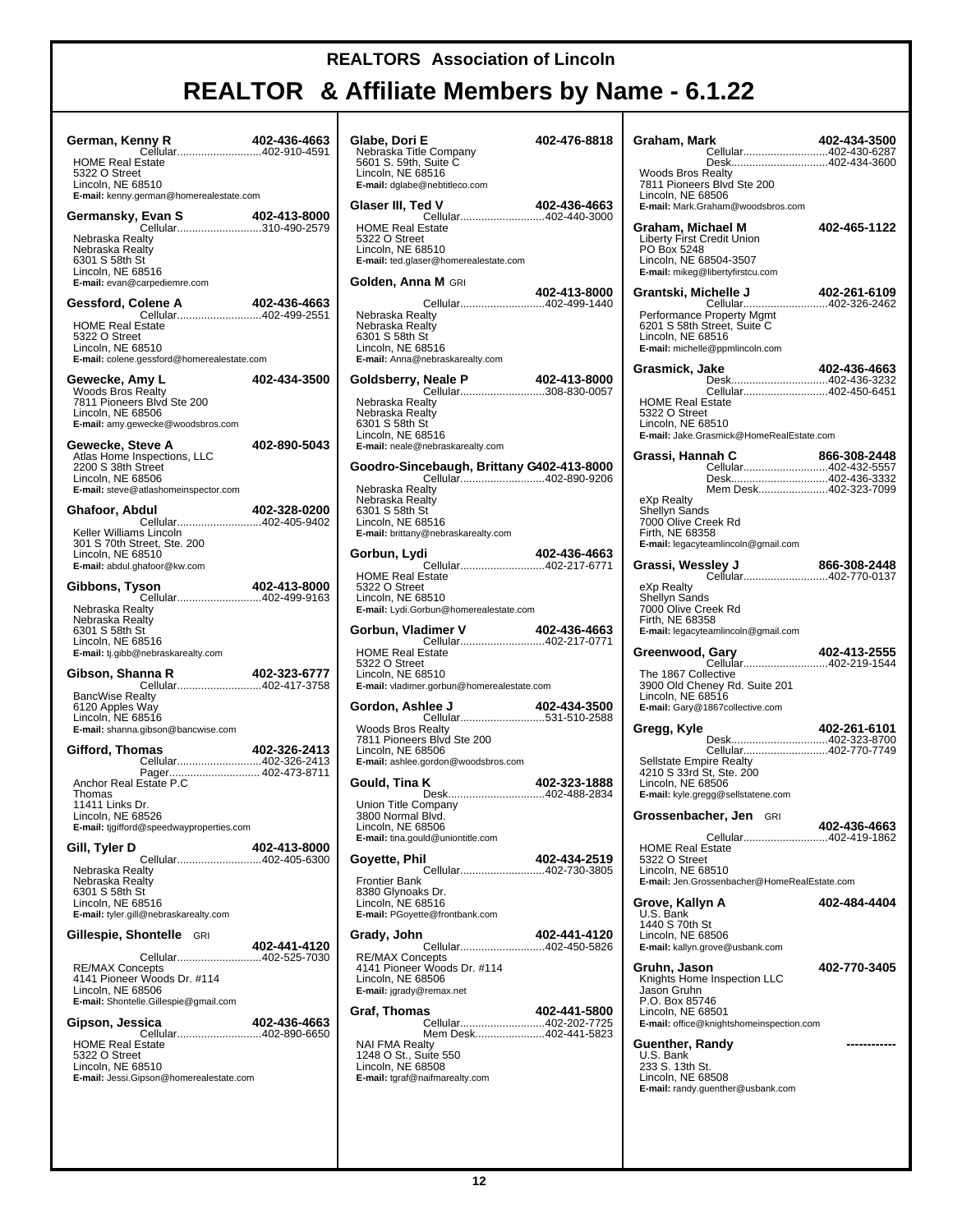| German, Kenny R<br>Cellular402-910-4591                                                                                                                   | 402-436-4663 |
|-----------------------------------------------------------------------------------------------------------------------------------------------------------|--------------|
| <b>HOME Real Estate</b><br>5322 O Street<br>Lincoln, NE 68510<br>E-mail: kenny.german@homerealestate.com                                                  |              |
| Germansky, Evan S<br>Evan S 402-413-8000<br>Cellular310-490-2579                                                                                          |              |
| Nebraska Realty<br>Nebraska Realty<br>6301 S 58th St<br>Lincoln, NE 68516<br>E-mail: evan@carpediemre.com                                                 |              |
| Gessford, Colene A<br>Cellular402-499-2551<br><b>HOME Real Estate</b><br>5322 O Street<br>Lincoln, NE 68510<br>E-mail: colene.gessford@homerealestate.com | 402-436-4663 |
| Gewecke, Amy L<br><b>Woods Bros Realty</b><br>7811 Pioneers Blvd Ste 200<br>Lincoln, NE 68506<br>E-mail: amy.gewecke@woodsbros.com                        | 402-434-3500 |
| Gewecke, Steve A<br>Atlas Home Inspections, LLC<br>2200 S 38th Street<br>Lincoln, NE 68506<br>E-mail: steve@atlashomeinspector.com                        | 402-890-5043 |
| Ghafoor, Abdul<br>Cellular402-405-9402                                                                                                                    | 402-328-0200 |
| Keller Williams Lincoln<br>301 S 70th Street, Ste. 200<br>Lincoln, NE 68510<br>E-mail: abdul.ghafoor@kw.com                                               |              |
| Gibbons, Tyson<br>Cellular402-499-9163                                                                                                                    | 402-413-8000 |
| Nebraska Realty<br>Nebraska Realty<br>6301 S 58th St<br>Lincoln, NE 68516<br>E-mail: tj.gibb@nebraskarealty.com                                           |              |
| Gibson, Shanna R<br>Cellular402-417-3758                                                                                                                  | 402-323-6777 |
| <b>BancWise Realty</b><br>6120 Apples Way<br>Lincoln, NE 68516<br>E-mail: shanna.gibson@bancwise.com                                                      |              |
| Gifford, Thomas<br>Cellular402-326-2413                                                                                                                   | 402-326-2413 |
| Pager 402-473-8711<br>Anchor Real Estate P.C<br>Thomas<br>11411 Links Dr.<br>Lincoln, NE 68526<br>E-mail: tjgifford@speedwayproperties.com                |              |
| Gill, Tyler D                                                                                                                                             | 402-413-8000 |
| Cellular402-405-6300<br>Nebraska Realty<br>Nebraska Realty<br>6301 S 58th St<br>Lincoln, NE 68516<br>E-mail: tyler.gill@nebraskarealty.com                |              |
| Gillespie, Shontelle GRI                                                                                                                                  | 402-441-4120 |
| Cellular402-525-7030<br><b>RE/MAX Concepts</b><br>4141 Pioneer Woods Dr. #114<br>Lincoln, NE 68506<br>E-mail: Shontelle.Gillespie@gmail.com               |              |
| Gipson, Jessica<br>Cellular402-890-6650<br><b>HOME Real Estate</b><br>5322 O Street                                                                       | 402-436-4663 |
| Lincoln, NE 68510<br>E-mail: Jessi.Gipson@homerealestate.com                                                                                              |              |

| Glabe, Dori E                                         | 402-476-8818                                 |
|-------------------------------------------------------|----------------------------------------------|
| Nebraska Title Company                                |                                              |
| 5601 S. 59th, Suite C<br>Lincoln, NE 68516            |                                              |
| E-mail: dglabe@nebtitleco.com                         |                                              |
|                                                       |                                              |
| Glaser III, Ted V<br>Cellular402-440-3000             | 402-436-4663                                 |
| <b>HOME Real Estate</b>                               |                                              |
| 5322 O Street                                         |                                              |
| Lincoln, NE 68510                                     |                                              |
| E-mail: ted.glaser@homerealestate.com                 |                                              |
| <b>Golden, Anna M</b> GRI                             |                                              |
|                                                       | 402-413-8000                                 |
| Nebraska Realty                                       | Cellular402-499-1440                         |
| Nebraska Realty                                       |                                              |
| 6301 S 58th St                                        |                                              |
| Lincoln. NE 68516                                     |                                              |
| E-mail: Anna@nebraskarealty.com                       |                                              |
| Goldsberry, Neale P                                   |                                              |
|                                                       | Neale P 402-413-8000<br>Cellular308-830-0057 |
| Nebraska Realty                                       |                                              |
| Nebraska Realty<br>6301 S 58th St                     |                                              |
| Lincoln, NE 68516                                     |                                              |
| E-mail: neale@nebraskarealty.com                      |                                              |
| Goodro-Sincebaugh, Brittany G402-413-8000             |                                              |
|                                                       | Cellular402-890-9206                         |
| Nebraska Realty                                       |                                              |
| Nebraska Realtv                                       |                                              |
| 6301 S 58th St<br>Lincoln, NE 68516                   |                                              |
| E-mail: brittany@nebraskarealty.com                   |                                              |
|                                                       |                                              |
| Gorbun, Lydi                                          | 402-436-4663                                 |
| <b>HOME Real Estate</b>                               | Cellular402-217-6771                         |
| 5322 O Street                                         |                                              |
| Lincoln, NE 68510                                     |                                              |
|                                                       |                                              |
| E-mail: Lydi.Gorbun@homerealestate.com                |                                              |
|                                                       |                                              |
| Gorbun, Vladimer V<br>Cellular402-217-0771            | 402-436-4663                                 |
| <b>HOME Real Estate</b>                               |                                              |
| 5322 O Street                                         |                                              |
| Lincoln, NE 68510                                     |                                              |
| E-mail: vladimer.gorbun@homerealestate.com            |                                              |
| Gordon, Ashlee J                                      | 402-434-3500                                 |
|                                                       | Cellular531-510-2588                         |
| Woods Bros Realty<br>7811 Pioneers Blvd Ste 200       |                                              |
| Lincoln, NE 68506                                     |                                              |
| E-mail: ashlee.gordon@woodsbros.com                   |                                              |
| Gould, Tina K                                         | 402-323-1888                                 |
|                                                       |                                              |
| Union Title Company                                   |                                              |
| 3800 Normal Blvd.<br>Lincoln. NE 68506                |                                              |
| E-mail: tina.gould@uniontitle.com                     |                                              |
|                                                       |                                              |
| Goyette, Phil                                         | 402-434-2519                                 |
| <b>Frontier Bank</b>                                  | Cellular402-730-3805                         |
| 8380 Glynoaks Dr.                                     |                                              |
| Lincoln, NE 68516                                     |                                              |
| E-mail: PGoyette@frontbank.com                        |                                              |
| Grady, John                                           | 402-441-4120                                 |
|                                                       |                                              |
| <b>RE/MAX Concepts</b><br>4141 Pioneer Woods Dr. #114 |                                              |
| Lincoln, NE 68506                                     |                                              |
| E-mail: jgrady@remax.net                              |                                              |
|                                                       |                                              |
| Graf, Thomas                                          | 402-441-5800<br>Cellular402-202-7725         |
|                                                       | Mem Desk402-441-5823                         |
| <b>NAI FMA Realty</b>                                 |                                              |
| 1248 O St., Suite 550                                 |                                              |
| Lincoln, NE 68508<br>E-mail: tgraf@naifmarealty.com   |                                              |
|                                                       |                                              |

| Graham, Mark<br><br>Cellular402-430-6287                                                                                                                | 402-434-3500 |
|---------------------------------------------------------------------------------------------------------------------------------------------------------|--------------|
| Desk402-434-3600<br><b>Woods Bros Realty</b><br>7811 Pioneers Blvd Ste 200<br>Lincoln, NE 68506<br>E-mail: Mark.Graham@woodsbros.com                    |              |
| Graham, Michael M<br>Liberty First Credit Union<br>PO Box 5248<br>Lincoln, NE 68504-3507<br>E-mail: mikeg@libertyfirstcu.com                            | 402-465-1122 |
| Grantski, Michelle J                                                                                                                                    | 402-261-6109 |
| Cellular402-326-2462<br>Performance Property Mgmt<br>6201 S 58th Street, Suite C<br>Lincoln, NE 68516<br>E-mail: michelle@ppmlincoln.com                |              |
| Grasmick, Jake                                                                                                                                          | 402-436-4663 |
| Desk402-436-3232<br>Cellular402-450-6451<br><b>HOME Real Estate</b><br>5322 O Street<br>Lincoln, NE 68510<br>E-mail: Jake.Grasmick@HomeRealEstate.com   |              |
| Grassi, Hannah C                                                                                                                                        | 866-308-2448 |
| Cellular402-432-5557<br>Desk402-436-3332                                                                                                                |              |
| Mem Desk402-323-7099<br>eXp Realty<br>Shellyn Sands<br>7000 Olive Creek Rd<br>Firth, NE 68358<br>E-mail: legacyteamlincoln@gmail.com                    |              |
| Grassi, Wessley J<br><b>sley J</b> 866-308-2448<br>Cellular402-770-0137                                                                                 |              |
| eXp Realty<br>Shellyn Sands<br>7000 Olive Creek Rd<br>Firth, NE 68358<br>E-mail: legacyteamlincoln@gmail.com<br>Greenwood, Gary<br>Cellular402-219-1544 | 402-413-2555 |
| The 1867 Collective<br>3900 Old Cheney Rd. Suite 201<br>Lincoln, NE 68516<br>E-mail: Gary@1867collective.com                                            |              |
| Gregg, Kyle<br>Desk402-323-8700                                                                                                                         | 402-261-6101 |
| Cellular402-770-7749<br>Sellstate Empire Realty<br>4210 S 33rd St, Ste. 200<br>Lincoln, NE 68506<br>E-mail: kyle.gregg@sellstatene.com                  |              |
| Grossenbacher, Jen GRI                                                                                                                                  | 402-436-4663 |
| Cellular402-419-1862<br><b>HOME Real Estate</b><br>5322 O Street<br>Lincoln, NE 68510<br>E-mail: Jen.Grossenbacher@HomeRealEstate.com                   |              |
| Grove, Kallyn A                                                                                                                                         | 402-484-4404 |
| U.S. Bank<br>1440 S 70th St<br>Lincoln, NE 68506<br>E-mail: kallyn.grove@usbank.com                                                                     |              |
| <b>Gruhn, Jason</b><br>Knights Home Inspection LLC<br>Jason Gruhn<br>P.O. Box 85746<br>Lincoln, NE 68501<br>E-mail: office@knightshomeinspection.com    | 402-770-3405 |
| Guenther, Randy<br>U.S. Bank<br>233 S. 13th St.<br>Lincoln, NE 68508<br>E-mail: randy.guenther@usbank.com                                               |              |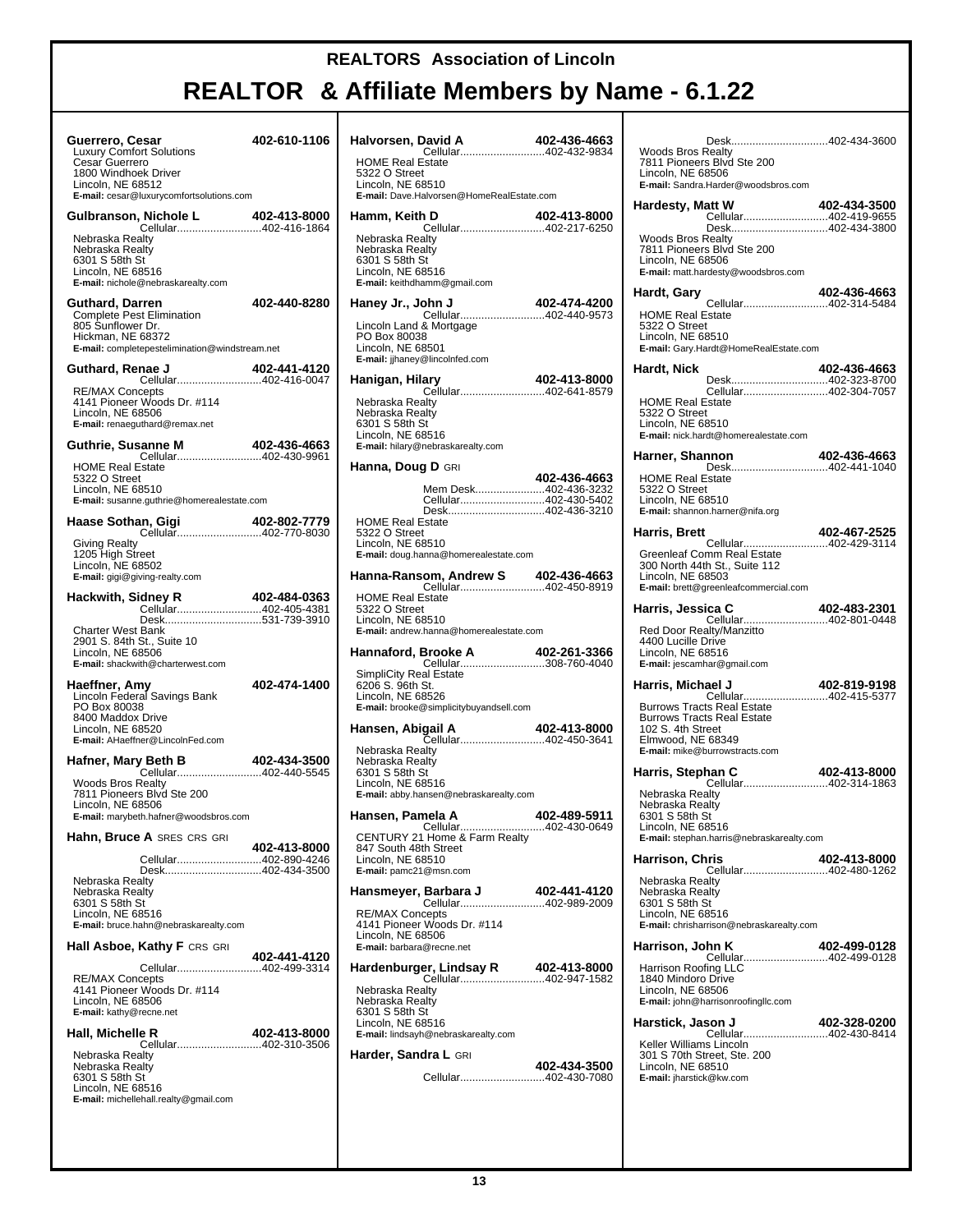| Guerrero, Cesar<br>Luxury Comfort Solutions<br>Cesar Guerrero<br>1800 Windhoek Driver                                                                          | 402-610-1106 |  |
|----------------------------------------------------------------------------------------------------------------------------------------------------------------|--------------|--|
| Lincoln, NE 68512<br>E-mail: cesar@luxurycomfortsolutions.com                                                                                                  |              |  |
| Gulbranson, Nichole L<br>Nichole L 402-413-8000<br>Cellular402-416-1864                                                                                        |              |  |
| Nebraska Realty<br>Nebraska Realty<br>6301 S 58th St<br>Lincoln, NE 68516<br>E-mail: nichole@nebraskarealty.com                                                |              |  |
| Guthard, Darren<br>Complete Pest Elimination<br>805 Sunflower Dr.<br>Hickman, NE 68372<br>E-mail: completepestelimination@windstream.net                       | 402-440-8280 |  |
| Guthard, Renae J<br>Cellular402-416-0047                                                                                                                       | 402-441-4120 |  |
| <b>RE/MAX Concepts</b><br>4141 Pioneer Woods Dr. #114<br>Lincoln, NE 68506<br>E-mail: renaeguthard@remax.net                                                   |              |  |
|                                                                                                                                                                | 402-436-4663 |  |
| <b>HOME Real Estate</b><br>5322 O Street<br>Lincoln, NE 68510<br>E-mail: susanne.guthrie@homerealestate.com                                                    |              |  |
| Haase Sothan, Gigi<br>Cellular402-770-8030                                                                                                                     | 402-802-7779 |  |
| <b>Giving Realty</b><br>1205 High Street<br>Lincoln, NE 68502<br>E-mail: gigi@giving-realty.com                                                                |              |  |
| Hackwith, Sidney R<br>Cellular402-405-4381                                                                                                                     | 402-484-0363 |  |
| Desk531-739-3910<br><b>Charter West Bank</b><br>2901 S. 84th St., Suite 10<br>Lincoln, NE 68506<br>E-mail: shackwith@charterwest.com                           |              |  |
| Haeffner, Amy<br>Lincoln Federal Savings Bank<br>PO Box 80038<br>8400 Maddox Drive<br>Lincoln, NE 68520<br>E-mail: AHaeffner@LincolnFed.com                    | 402-474-1400 |  |
| Hafner, Mary Beth B<br>Cellular402-440-5545                                                                                                                    | 402-434-3500 |  |
| <b>Woods Bros Realty</b><br>7811 Pioneers Blvd Ste 200<br>Lincoln, NE 68506<br>E-mail: marybeth.hafner@woodsbros.com                                           |              |  |
| Hahn, Bruce A SRES CRS GRI                                                                                                                                     | 402-413-8000 |  |
| Cellular402-890-4246<br>Desk402-434-3500<br>Nebraska Realty<br>Nebraska Realty<br>6301 S 58th St<br>Lincoln, NE 68516<br>E-mail: bruce.hahn@nebraskarealty.com |              |  |
| <b>Hall Asboe, Kathy F CRS GRI</b>                                                                                                                             |              |  |
| Cellular402-499-3314<br><b>RE/MAX Concepts</b><br>4141 Pioneer Woods Dr. #114<br>Lincoln, NE 68506<br>E-mail: kathy@recne.net                                  | 402-441-4120 |  |
| Hall, Michelle R<br>Cellular402-310-3506                                                                                                                       | 402-413-8000 |  |
| Nebraska Realty<br>Nebraska Realty<br>6301 S 58th St<br>Lincoln, NE 68516<br>E-mail: michellehall.realty@gmail.com                                             |              |  |
|                                                                                                                                                                |              |  |

| <b>HOME Real Estate</b><br>5322 O Street<br>Lincoln, NE 68510<br>E-mail: Dave.Halvorsen@HomeRealEstate.com                                                                 |              |
|----------------------------------------------------------------------------------------------------------------------------------------------------------------------------|--------------|
| Hamm, Keith D                                                                                                                                                              | 402-413-8000 |
| Cellular402-217-6250<br>Nebraska Realty<br>Nebraska Realty<br>6301 S 58th St<br>Lincoln, NE 68516<br>E-mail: keithdhamm@gmail.com                                          |              |
| Haney Jr., John J<br>0004-474-4200<br>Cellular402-440-9573                                                                                                                 | 402-474-4200 |
| Lincoln Land & Mortgage<br>PO Box 80038<br>Lincoln, NE 68501<br>E-mail: jjhaney@lincolnfed.com                                                                             |              |
| ary 402-413-8000<br>Cellular402-641-8579<br>Hanigan, Hilary                                                                                                                |              |
| Nebraska Realty<br>Nebraska Realty<br>6301 S 58th St<br>Lincoln, NE 68516<br>E-mail: hilary@nebraskarealty.com                                                             |              |
| <b>Hanna, Doug D</b> GRI                                                                                                                                                   |              |
| Mem Desk402-436-3232<br>Cellular402-430-5402<br>Desk402-436-3210<br><b>HOME Real Estate</b><br>5322 O Street<br>Lincoln, NE 68510<br>E-mail: doug.hanna@homerealestate.com | 402-436-4663 |
|                                                                                                                                                                            |              |
| <b>HOME Real Estate</b><br>5322 O Street<br>Lincoln, NE 68510<br>E-mail: andrew.hanna@homerealestate.com<br>Hannaford, Brooke A                                            | 402-261-3366 |
| <b>SimpliCity Real Estate</b><br>6206 S. 96th St.<br>Lincoln, NE 68526<br>E-mail: brooke@simplicitybuyandsell.com                                                          |              |
| <b>gail A 402-413-8000</b><br>Cellular402-450-3641<br>Hansen, Abigail A                                                                                                    |              |
| Nebraska Realty<br>Nebraska Realty<br>6301 S 58th St<br>Lincoln, NE 68516<br>E-mail: abby.hansen@nebraskarealty.com                                                        |              |
| Hansen, Pamela A                                                                                                                                                           | 402-489-5911 |
| Cellular402-430-0649<br>CENTURY 21 Home & Farm Realty<br>847 South 48th Street<br>Lincoln, NE 68510<br>E-mail: pamc21@msn.com                                              |              |
|                                                                                                                                                                            |              |
| <b>RE/MAX Concepts</b><br>4141 Pioneer Woods Dr. #114<br>Lincoln, NE 68506<br>E-mail: barbara@recne.net                                                                    |              |
|                                                                                                                                                                            |              |
| Nebraska Realty<br>Nebraska Realty<br>6301 S 58th St<br>Lincoln, NE 68516                                                                                                  |              |
| E-mail: lindsayh@nebraskarealty.com                                                                                                                                        |              |
| <b>Harder, Sandra L</b> GRI                                                                                                                                                | 402-434-3500 |

| Desk402-434-3600<br><b>Woods Bros Realty</b><br>7811 Pioneers Blvd Ste 200<br>Lincoln, NE 68506                                                                                                 |              |
|-------------------------------------------------------------------------------------------------------------------------------------------------------------------------------------------------|--------------|
| E-mail: Sandra.Harder@woodsbros.com<br>Hardesty, Matt W<br>Desk402-434-3800<br><b>Woods Bros Realty</b><br>7811 Pioneers Blvd Ste 200                                                           | 402-434-3500 |
| Lincoln, NE 68506<br>E-mail: matt.hardesty@woodsbros.com<br>Hardt, Gary<br>Cellular402-314-5484<br><b>HOME Real Estate</b>                                                                      | 402-436-4663 |
| 5322 O Street<br>Lincoln, NE 68510<br>E-mail: Gary.Hardt@HomeRealEstate.com<br>Hardt, Nick<br>Desk402-323-8700<br>Cellular402-304-7057                                                          | 402-436-4663 |
| <b>HOME Real Estate</b><br>5322 O Street<br>Lincoln, NE 68510<br>E-mail: nick.hardt@homerealestate.com<br>Harner, Shannon                                                                       | 402-436-4663 |
| Desk402-441-1040<br><b>HOME Real Estate</b><br>5322 O Street<br>Lincoln, NE 68510<br>E-mail: shannon.harner@nifa.org                                                                            |              |
| Harris, Brett<br>Greenleaf Comm Real Estate<br>300 North 44th St., Suite 112<br>Lincoln, NE 68503<br>E-mail: brett@greenleafcommercial.com                                                      | 402-467-2525 |
| Harris, Jessica C<br>ica C 402-483-2301<br>Cellular402-801-0448<br>Red Door Realty/Manzitto<br>4400 Lucille Drive<br>Lincoln, NE 68516<br>E-mail: jescamhar@gmail.com                           |              |
| Harris, Michael J<br>Cellular402-415-5377<br><b>Burrows Tracts Real Estate</b><br><b>Burrows Tracts Real Estate</b><br>102 S. 4th Street<br>Elmwood, NE 68349<br>E-mail: mike@burrowstracts.com | 402-819-9198 |
| Harris, Stephan C<br>Cellular402-314-1863<br>Nebraska Realty<br>Nebraska Realtv<br>6301 S 58th St<br>Lincoln, NE 68516<br>E-mail: stephan.harris@nebraskarealty.com                             | 402-413-8000 |
| Harrison, Chris<br>Cellular402-480-1262<br>Nebraska Realty<br>Nebraska Realty<br>6301 S 58th St<br>Lincoln, NE 68516<br>E-mail: chrisharrison@nebraskarealty.com                                | 402-413-8000 |
| Harrison, John K<br>Cellular402-499-0128<br><b>Harrison Roofing LLC</b><br>1840 Mindoro Drive<br>Lincoln, NE 68506<br>E-mail: john@harrisonroofingllc.com                                       | 402-499-0128 |
| Harstick, Jason J<br>Cellular402-430-8414<br>Keller Williams Lincoln<br>301 S 70th Street, Ste. 200<br>Lincoln, NE 68510<br>E-mail: jharstick@kw.com                                            | 402-328-0200 |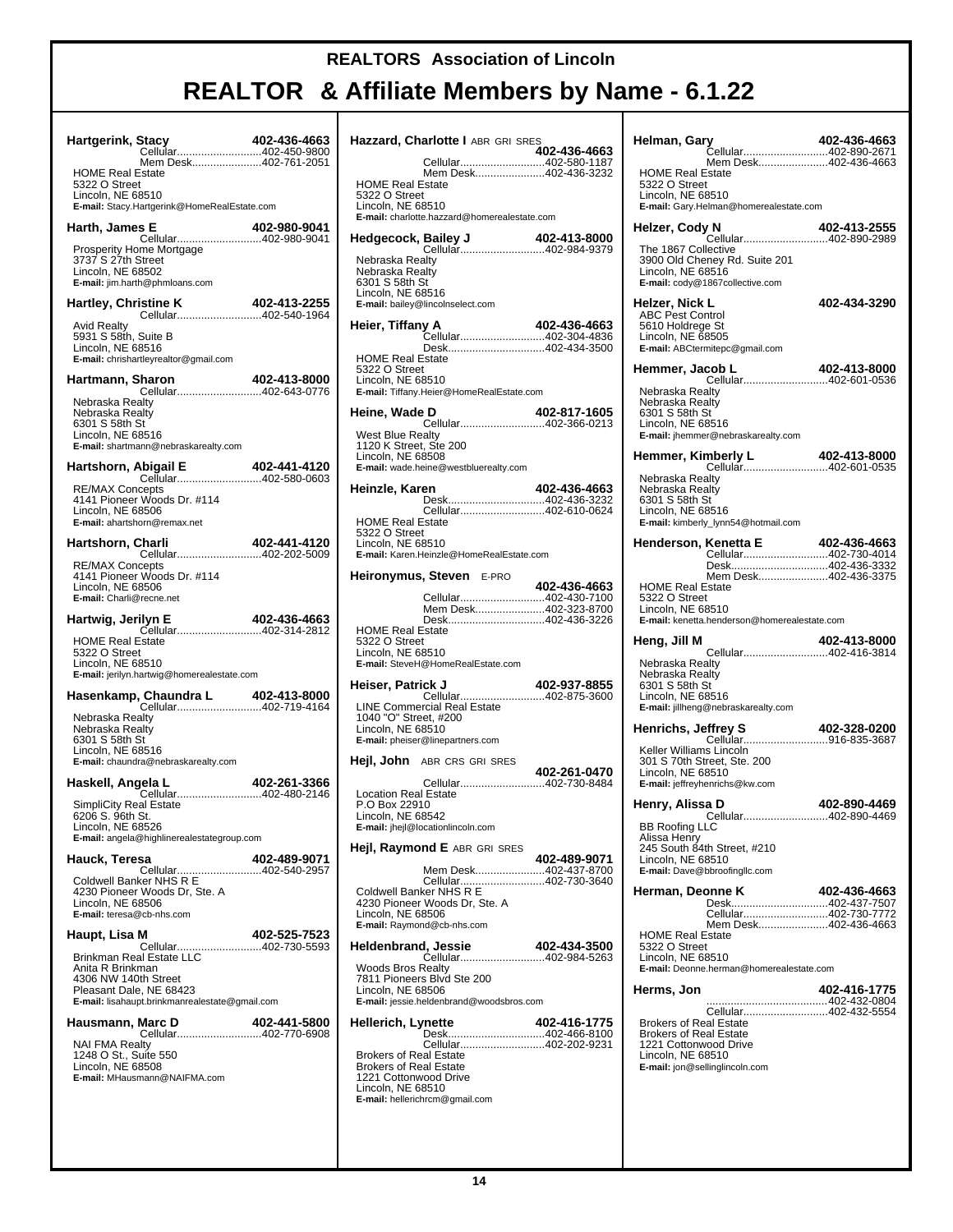| Hartgerink, Stacy<br><b>HOME Real Estate</b><br>5322 O Street<br>Lincoln, NE 68510<br>E-mail: Stacy.Hartgerink@HomeRealEstate.com                                  | 402-436-4663<br>Cellular402-450-9800<br>Mem Desk402-761-2051 |
|--------------------------------------------------------------------------------------------------------------------------------------------------------------------|--------------------------------------------------------------|
| Harth, James E<br>Prosperity Home Mortgage<br>3737 S 27th Street<br>Lincoln, NE 68502<br>E-mail: jim.harth@phmloans.com                                            | 402-980-9041<br>Cellular402-980-9041                         |
| Avid Realty<br>5931 S 58th, Suite B<br>Lincoln, NE 68516<br>E-mail: chrishartleyrealtor@gmail.com                                                                  |                                                              |
| Hartmann, Sharon<br>Nebraska Realty<br>Nebraska Realty<br>6301 S 58th St<br>Lincoln. NE 68516<br>E-mail: shartmann@nebraskarealty.com                              | Sharon 402-413-8000<br>Cellular402-643-0776                  |
| <b>RE/MAX Concepts</b><br>4141 Pioneer Woods Dr. #114<br>Lincoln, NE 68506<br>E-mail: ahartshorn@remax.net                                                         |                                                              |
| Hartshorn, Charli<br><b>RE/MAX Concepts</b><br>4141 Pioneer Woods Dr. #114<br>Lincoln, NE 68506<br>E-mail: Charli@recne.net                                        | 2 <b>harli 402-441-4120</b><br>Cellular402-202-5009          |
| Hartwig, Jerilyn E<br><b>HOME Real Estate</b><br>5322 O Street<br>Lincoln, NE 68510<br>E-mail: jerilyn.hartwig@homerealestate.com                                  | 402-436-4663<br>Cellular402-314-2812                         |
| Nebraska Realty<br>Nebraska Realty<br>6301 S 58th St<br>Lincoln, NE 68516<br>E-mail: chaundra@nebraskarealty.com                                                   |                                                              |
| Haskell, Angela L<br><b>SimpliCity Real Estate</b><br>6206 S. 96th St.<br>Lincoln, NE 68526<br>E-mail: angela@highlinerealestategroup.com                          | 402-261-3366<br><b>902-261-3366</b><br>Cellular402-480-2146  |
| Hauck, Teresa<br>Coldwell Banker NHS R E<br>4230 Pioneer Woods Dr, Ste. A<br>Lincoln, NE 68506<br>E-mail: teresa@cb-nhs.com                                        | 402-489-9071<br>Cellular402-540-2957                         |
| Haupt, Lisa M<br>Brinkman Real Estate LLC<br>Anita R Brinkman<br>4306 NW 140th Street<br>Pleasant Dale, NE 68423<br>E-mail: lisahaupt.brinkmanrealestate@gmail.com | 402-525-7523                                                 |
| Hausmann, Marc D<br><b>NAI FMA Realty</b><br>1248 O St., Suite 550<br>Lincoln, NE 68508<br>E-mail: MHausmann@NAIFMA.com                                            | 402-441-5800<br>Cellular402-770-6908                         |

| Hazzard, Charlotte I ABR GRI SRES                                                                                                                                                          | 402-436-4663 |
|--------------------------------------------------------------------------------------------------------------------------------------------------------------------------------------------|--------------|
| Cellular402-580-1187<br>Mem Desk402-436-3232<br><b>HOME Real Estate</b>                                                                                                                    |              |
| 5322 O Street<br>Lincoln, NE 68510<br>E-mail: charlotte.hazzard@homerealestate.com                                                                                                         |              |
| Hedgecock, Bailey J 402-413-8000<br>Cellular402-984-9379                                                                                                                                   |              |
| Nebraska Realty<br>Nebraska Realty<br>6301 S 58th St<br>Lincoln, NE 68516<br>E-mail: bailey@lincolnselect.com                                                                              |              |
| Heier, Tiffany A<br>Cellular402-304-4836                                                                                                                                                   | 402-436-4663 |
| Desk402-434-3500<br><b>HOME Real Estate</b><br>5322 O Street<br>Lincoln, NE 68510<br>E-mail: Tiffany.Heier@HomeRealEstate.com                                                              |              |
| Heine, Wade D                                                                                                                                                                              | 402-817-1605 |
| <b>West Blue Realty</b><br>1120 K Street, Ste 200<br>Lincoln, NE 68508<br>E-mail: wade.heine@westbluerealty.com                                                                            |              |
| Heinzle, Karen<br>Desk402-436-3232                                                                                                                                                         | 402-436-4663 |
| Cellular402-610-0624<br><b>HOME Real Estate</b><br>5322 O Street<br>Lincoln, NE 68510<br>E-mail: Karen.Heinzle@HomeRealEstate.com                                                          |              |
| Heironymus, Steven E-PRO                                                                                                                                                                   | 402-436-4663 |
| Cellular402-430-7100<br>Mem Desk402-323-8700<br>Desk402-436-3226                                                                                                                           |              |
| <b>HOME Real Estate</b><br>5322 O Street<br>Lincoln, NE 68510<br>E-mail: SteveH@HomeRealEstate.com                                                                                         |              |
| Heiser, Patrick J<br><b>CCCOO-102-937-0033</b><br>Cellular402-875-3600                                                                                                                     | 402-937-8855 |
| LINE Commercial Real Estate<br>1040 "O" Street, #200<br>Lincoln, NE 68510<br>E-mail: pheiser@linepartners.com                                                                              |              |
| <b>Hejl, John</b> ABR CRS GRISRES                                                                                                                                                          | 402-261-0470 |
| Cellular402-730-8484<br><b>Location Real Estate</b><br>P.O Box 22910<br>Lincoln, NE 68542<br>E-mail: jhejl@locationlincoln.com                                                             |              |
| Hejl, Raymond E ABR GRI SRES                                                                                                                                                               | 402-489-9071 |
| Mem Desk402-437-8700<br>Cellular402-730-3640<br>Coldwell Banker NHS R E<br>4230 Pioneer Woods Dr, Ste. A<br>Lincoln, NE 68506<br>E-mail: Raymond@cb-nhs.com                                |              |
| <b>Heldenbrand, Jessie</b><br><b>d, Jessie                    402-4<i>3</i>4-3500</b><br>Cellular402-984-5263                                                                              | 402-434-3500 |
| <b>Woods Bros Realty</b><br>7811 Pioneers Blvd Ste 200<br>Lincoln, NE 68506<br>E-mail: jessie.heldenbrand@woodsbros.com                                                                    |              |
| Hellerich, Lynette                                                                                                                                                                         | 402-416-1775 |
| Desk402-466-8100<br>Cellular402-202-9231<br><b>Brokers of Real Estate</b><br><b>Brokers of Real Estate</b><br>1221 Cottonwood Drive<br>Lincoln, NE 68510<br>E-mail: hellerichrcm@gmail.com |              |

| Helman, Gary<br>-<br>Cellular402-890-2671                                                                                                                              | 402-436-4663 |
|------------------------------------------------------------------------------------------------------------------------------------------------------------------------|--------------|
| Mem Desk402-436-4663<br><b>HOME Real Estate</b><br>5322 O Street<br>Lincoln, NE 68510<br>E-mail: Gary.Helman@homerealestate.com                                        |              |
| Helzer, Cody N                                                                                                                                                         | 402-413-2555 |
| The 1867 Collective<br>3900 Old Cheney Rd. Suite 201<br>Lincoln, NE 68516<br>E-mail: cody@1867collective.com                                                           |              |
| Helzer, Nick L<br><b>ABC Pest Control</b><br>5610 Holdrege St<br>Lincoln, NE 68505<br>E-mail: ABCtermitepc@gmail.com                                                   | 402-434-3290 |
| Hemmer, Jacob L<br>Cellular402-601-0536                                                                                                                                | 402-413-8000 |
| Nebraska Realty<br>Nebraska Realty<br>6301 S 58th St<br>Lincoln, NE 68516<br>E-mail: jhemmer@nebraskarealty.com                                                        |              |
| Hemmer, Kimberly L 402-413-8000<br>Cellular402-601-0535                                                                                                                |              |
| Nebraska Realty<br>Nebraska Realty<br>6301 S 58th St<br>Lincoln, NE 68516<br>E-mail: kimberly_lynn54@hotmail.com                                                       |              |
| Henderson, Kenetta E                                                                                                                                                   |              |
| Desk402-436-3332                                                                                                                                                       |              |
| Mem Desk402-436-3375<br><b>HOME Real Estate</b><br>5322 O Street<br>Lincoln, NE 68510<br>E-mail: kenetta.henderson@homerealestate.com                                  |              |
|                                                                                                                                                                        |              |
| Heng, Jill M                                                                                                                                                           | 402-413-8000 |
| Nebraska Realty<br>Nebraska Realty<br>6301 S 58th St<br>Lincoln, NE 68516<br>E-mail: jillheng@nebraskarealty.com                                                       |              |
| <b>Henrichs, Jeffrey S</b>                                                                                                                                             |              |
| leffrey S 402-328-0200<br>Cellular916-835-3687<br>Keller Williams Lincoln<br>301 S 70th Street, Ste. 200<br>Lincoln, NE 68510<br>E-mail: jeffreyhenrichs@kw.com        |              |
| Henry, Alissa D                                                                                                                                                        | 402-890-4469 |
| Cellular402-890-4469<br><b>BB Roofing LLC</b><br>Alissa Henry<br>245 South 84th Street, #210<br>Lincoln, NE 68510<br>E-mail: Dave@bbroofingllc.com                     |              |
| Herman, Deonne K                                                                                                                                                       | 402-436-4663 |
| Desk402-437-7507<br>Cellular402-730-7772                                                                                                                               |              |
| Mem Desk402-436-4663<br><b>HOME Real Estate</b><br>5322 O Street<br>Lincoln, NE 68510<br>E-mail: Deonne.herman@homerealestate.com                                      |              |
| Herms, Jon                                                                                                                                                             | 402-416-1775 |
| Cellular402-432-5554<br><b>Brokers of Real Estate</b><br><b>Brokers of Real Estate</b><br>1221 Cottonwood Drive<br>Lincoln, NE 68510<br>E-mail: jon@sellinglincoln.com |              |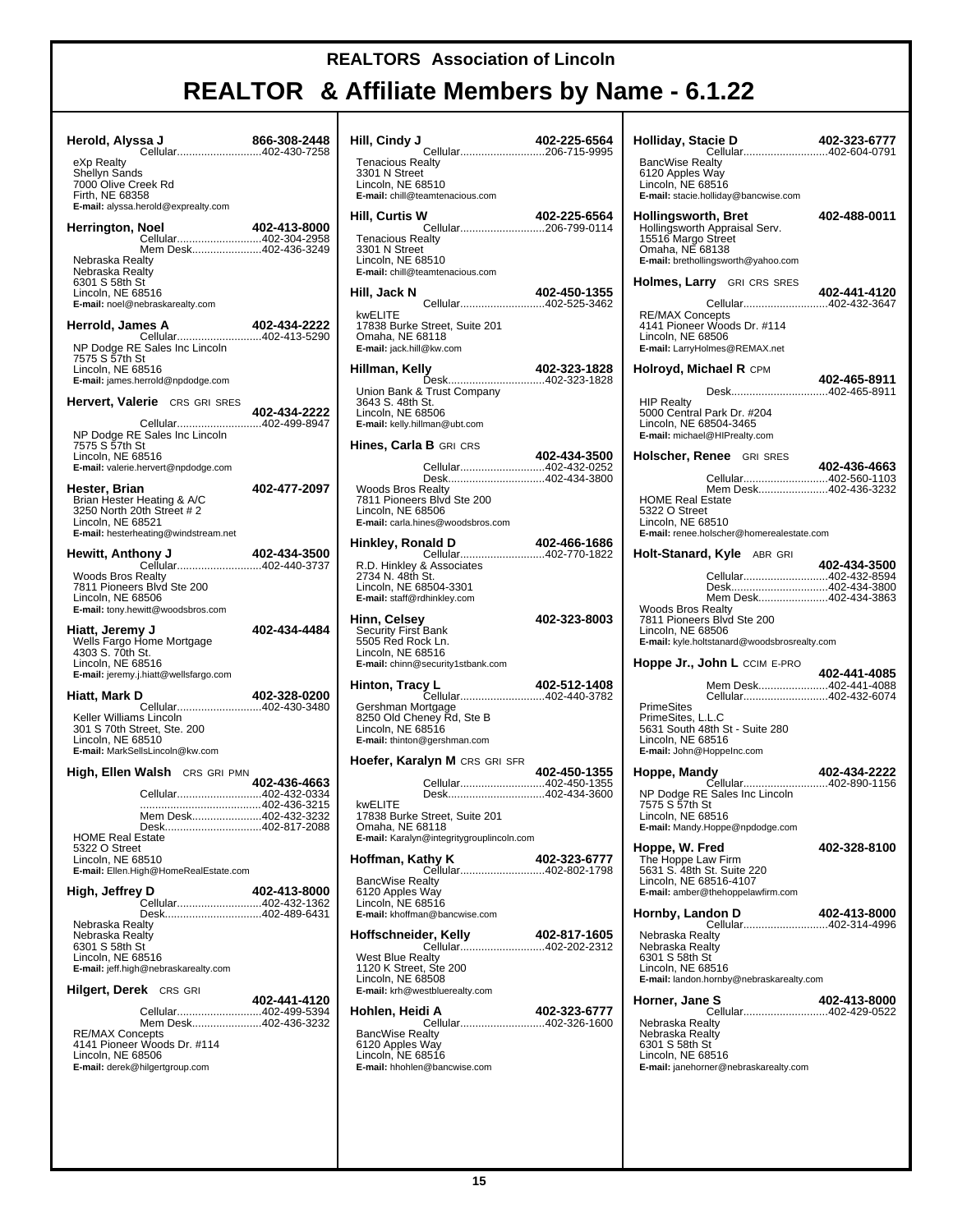| Herold, Alyssa J<br>Sa J 866-308-2448<br>Cellular402-430-7258                                                                                                 |              |
|---------------------------------------------------------------------------------------------------------------------------------------------------------------|--------------|
| eXp Realty<br>Shellyn Sands<br>7000 Olive Creek Rd<br>Firth, NE 68358<br>E-mail: alyssa.herold@exprealty.com                                                  |              |
| Herrington, Noel<br>Cellular402-304-2958                                                                                                                      | 402-413-8000 |
| Mem Desk402-436-3249<br>Nebraska Realty<br>Nebraska Realty<br>6301 S 58th St<br>Lincoln, NE 68516<br>E-mail: noel@nebraskarealty.com                          |              |
| Herrold, James A                                                                                                                                              | 402-434-2222 |
| NP Dodge RE Sales Inc Lincoln<br>7575 S 57th St<br>Lincoln, NE 68516<br>E-mail: james.herrold@npdodge.com                                                     |              |
| <b>Hervert, Valerie</b> CRS GRI SRES                                                                                                                          | 402-434-2222 |
| Cellular402-499-8947<br>NP Dodge RE Sales Inc Lincoln<br>7575 S 57th St<br>Lincoln, NE 68516<br>E-mail: valerie.hervert@npdodge.com                           |              |
| Hester, Brian<br>Brian Hester Heating & A/C<br>3250 North 20th Street # 2<br>Lincoln, NE 68521<br>E-mail: hesterheating@windstream.net                        | 402-477-2097 |
| <b>Hewitt, Anthony J</b>                                                                                                                                      | 402-434-3500 |
| Cellular402-440-3737<br>Woods Bros Realty<br>7811 Pioneers Blvd Ste 200<br>Lincoln, NE 68506<br>E-mail: tony.hewitt@woodsbros.com                             |              |
| Hiatt, Jeremy J<br>Wells Fargo Home Mortgage<br>4303 S. 70th St.<br>Lincoln, NE 68516<br>E-mail: jeremy.j.hiatt@wellsfargo.com                                | 402-434-4484 |
| Hiatt, Mark D<br>Cellular402-430-3480                                                                                                                         | 402-328-0200 |
| Keller Williams Lincoln<br>301 S 70th Street, Ste. 200<br>Lincoln, NE 68510<br>E-mail: MarkSellsLincoln@kw.com                                                |              |
| <b>High, Ellen Walsh</b> CRS GRI PMN                                                                                                                          | 402-436-4663 |
| Cellular402-432-0334                                                                                                                                          |              |
| Mem Desk402-432-3232<br>Desk402-817-2088<br><b>HOME Real Estate</b><br>5322 O Street<br>Lincoln, NE 68510<br>E-mail: Ellen.High@HomeRealEstate.com            |              |
| High, Jeffrey D                                                                                                                                               | 402-413-8000 |
| Cellular402-432-1362<br>Desk402-489-6431<br>Nebraska Realty<br>Nebraska Realty<br>6301 S 58th St<br>Lincoln, NE 68516<br>E-mail: jeff.high@nebraskarealty.com |              |
| <b>Hilgert, Derek</b> CRS GRI                                                                                                                                 | 402-441-4120 |
| Cellular402-499-5394<br>Mem Desk402-436-3232<br><b>RE/MAX Concepts</b><br>4141 Pioneer Woods Dr. #114<br>Lincoln, NE 68506<br>E-mail: derek@hilgertgroup.com  |              |
|                                                                                                                                                               |              |

| Hill, Cindy J<br>Cellular206-715-9995                                                                                                                                                                                                          | 402-225-6564 |
|------------------------------------------------------------------------------------------------------------------------------------------------------------------------------------------------------------------------------------------------|--------------|
| <b>Tenacious Realty</b><br>3301 N Street<br>Lincoln. NE 68510<br>E-mail: chill@teamtenacious.com                                                                                                                                               |              |
| Hill, Curtis W                                                                                                                                                                                                                                 | 402-225-6564 |
| Cellular206-799-0114<br><b>Tenacious Realty</b><br>3301 N Street<br>Lincoln, NE 68510<br>E-mail: chill@teamtenacious.com                                                                                                                       |              |
| Hill, Jack N<br>Cellular402-525-3462                                                                                                                                                                                                           | 402-450-1355 |
| kwELITE<br>17838 Burke Street, Suite 201<br>Omaha, NE 68118<br>E-mail: jack.hill@kw.com                                                                                                                                                        |              |
| Hillman, Kelly                                                                                                                                                                                                                                 | 402-323-1828 |
| <b>uy محت</b> ب بارتها بارتها بارتها بارتها بارتها بارتها بارتها بارتها بارتها بارتها بارتها بارتها بارتها بارتها بار<br>1828-023-1828<br>Union Bank & Trust Company<br>3643 S. 48th St.<br>Lincoln, NE 68506<br>E-mail: kelly.hillman@ubt.com |              |
| <b>Hines, Carla B</b> GRI CRS                                                                                                                                                                                                                  | 402-434-3500 |
| Cellular402-432-0252<br>Desk402-434-3800                                                                                                                                                                                                       |              |
| <b>Woods Bros Realty</b><br>7811 Pioneers Blvd Ste 200<br>Lincoln, NE 68506<br>E-mail: carla.hines@woodsbros.com                                                                                                                               |              |
| Hinkley, Ronald D<br><b>ald D</b> 402-466-1686<br>Cellular402-770-1822                                                                                                                                                                         |              |
| R.D. Hinkley & Associates<br>2734 N. 48th St.<br>Lincoln, NE 68504-3301<br>E-mail: staff@rdhinkley.com                                                                                                                                         |              |
| Hinn, Celsey<br><b>Security First Bank</b><br>5505 Red Rock Ln.<br>Lincoln, NE 68516<br>E-mail: chinn@security1stbank.com                                                                                                                      | 402-323-8003 |
|                                                                                                                                                                                                                                                |              |
| Gershman Mortgage<br>8250 Old Cheney Rd, Ste B<br>Lincoln, NE 68516<br>E-mail: thinton@gershman.com                                                                                                                                            |              |
| <b>Hoefer, Karalyn M</b> CRS GRI SFR                                                                                                                                                                                                           |              |
| Cellular402-450-1355<br>Desk402-434-3600<br>kwELITE<br>17838 Burke Street, Suite 201<br>Omaha, NE 68118<br>E-mail: Karalyn@integritygrouplincoln.com                                                                                           | 402-450-1355 |
| Hoffman, Kathy K                                                                                                                                                                                                                               | 402-323-6777 |
| Cellular402-802-1798<br><b>BancWise Realty</b><br>6120 Apples Way<br>Lincoln, NE 68516<br>E-mail: khoffman@bancwise.com                                                                                                                        |              |
| Hoffschneider, Kelly<br><b>er, Kelly 402-817-1605</b><br>Cellular402-202-2312                                                                                                                                                                  | 402-817-1605 |
| West Blue Realty<br>1120 K Street, Ste 200<br>Lincoln, NE 68508<br>E-mail: krh@westbluerealty.com                                                                                                                                              |              |
| Hohlen, Heidi A<br>Cellular402-326-1600                                                                                                                                                                                                        | 402-323-6777 |
| <b>BancWise Realty</b><br>6120 Apples Way<br>Lincoln, NE 68516<br>E-mail: hhohlen@bancwise.com                                                                                                                                                 |              |
|                                                                                                                                                                                                                                                |              |

| Holliday, Stacie D<br><b>BancWise Realty</b>                                                                                                           |              |
|--------------------------------------------------------------------------------------------------------------------------------------------------------|--------------|
| 6120 Apples Way<br>Lincoln, NE 68516<br>E-mail: stacie.holliday@bancwise.com                                                                           | 402-488-0011 |
| <b>Hollingsworth, Bret</b><br>Hollingsworth Appraisal Serv.<br>15516 Margo Street<br>Omaha, NE 68138<br>E-mail: brethollingsworth@yahoo.com            |              |
| <b>Holmes, Larry</b> GRI CRS SRES                                                                                                                      | 402-441-4120 |
| <b>RE/MAX Concepts</b><br>4141 Pioneer Woods Dr. #114<br>Lincoln, NE 68506<br>E-mail: LarryHolmes@REMAX.net                                            |              |
| Holroyd, Michael R CPM                                                                                                                                 | 402-465-8911 |
| Desk402-465-8911<br>HIP Realty<br>5000 Central Park Dr. #204<br>Lincoln, NE 68504-3465<br>E-mail: michael@HIPrealty.com                                |              |
| Holscher, Renee GRI SRES                                                                                                                               | 402-436-4663 |
| Cellular402-560-1103<br>Mem Desk402-436-3232<br><b>HOME Real Estate</b><br>5322 O Street<br>Lincoln, NE 68510                                          |              |
| E-mail: renee.holscher@homerealestate.com                                                                                                              |              |
| Holt-Stanard, Kyle ABR GRI<br>Cellular402-432-8594<br>Desk402-434-3800                                                                                 | 402-434-3500 |
| Mem Desk402-434-3863<br><b>Woods Bros Realty</b><br>7811 Pioneers Blvd Ste 200                                                                         |              |
| Lincoln, NE 68506<br>E-mail: kyle.holtstanard@woodsbrosrealty.com                                                                                      |              |
| <b>Hoppe Jr., John L</b> CCIM E-PRO                                                                                                                    |              |
| Mem Desk402-441-4088                                                                                                                                   | 402-441-4085 |
| Cellular402-432-6074<br><b>PrimeSites</b><br>PrimeSites, L.L.C<br>5631 South 48th St - Suite 280<br>Lincoln, NE 68516<br>E-mail: John@HoppeInc.com     |              |
| Hoppe, Mandy                                                                                                                                           | 402-434-2222 |
| <b>402-434-2222</b><br>Cellular402-890-1156<br>NP Dodge RE Sales Inc Lincoln<br>7575 S 57th St<br>Lincoln, NE 68516<br>E-mail: Mandy.Hoppe@npdodge.com |              |
| Hoppe, W. Fred<br>The Hoppe Law Firm<br>5631 S. 48th St. Suite 220<br>Lincoln, NE 68516-4107<br>E-mail: amber@thehoppelawfirm.com                      | 402-328-8100 |
| Hornby, Landon D                                                                                                                                       | 402-413-8000 |
| Cellular402-314-4996<br>Nebraska Realty<br>Nebraska Realty<br>6301 S 58th St<br>Lincoln, NE 68516<br>E-mail: landon.hornby@nebraskarealty.com          |              |
| Horner, Jane S                                                                                                                                         | 402-413-8000 |
| Cellular402-429-0522<br>Nebraska Realty<br>Nebraska Realty<br>6301 S 58th St<br>Lincoln, NE 68516<br>E-mail: janehorner@nebraskarealty.com             |              |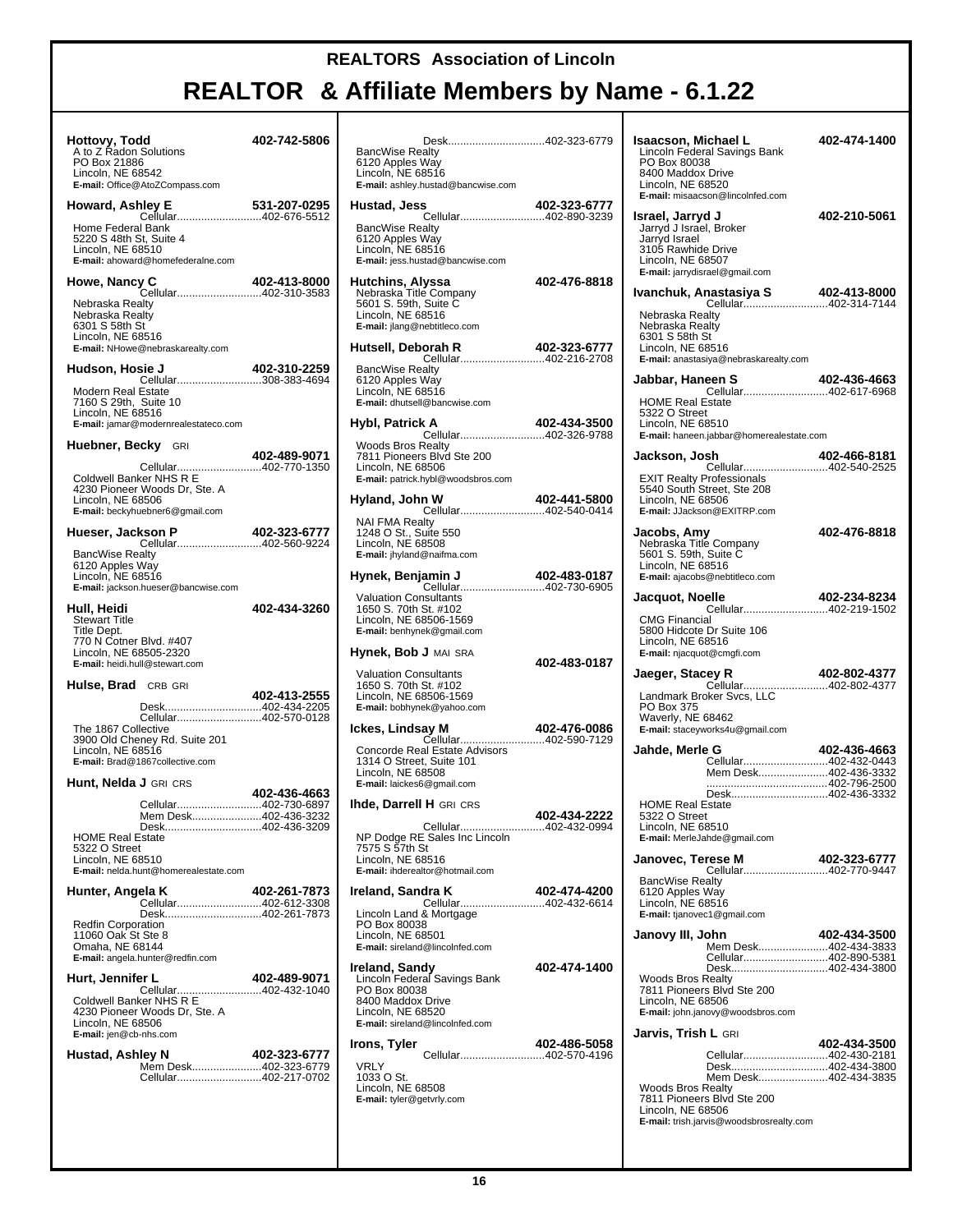| Hottovy, Todd<br>A to Z Radon Solutions<br>PO Box 21886<br>Lincoln, NE 68542<br>E-mail: Office@AtoZCompass.com                                              | 402-742-5806 | <b>BancWise F</b><br>6120 Apples<br>Lincoln, NE<br>E-mail: ashle                 |
|-------------------------------------------------------------------------------------------------------------------------------------------------------------|--------------|----------------------------------------------------------------------------------|
| Howard, Ashley E<br><b>1ley E                          531-207-0295</b><br>Cellular402-676-5512                                                             | 531-207-0295 | Hustad, Je                                                                       |
| Home Federal Bank<br>5220 S 48th St, Suite 4<br>Lincoln, NE 68510<br>E-mail: ahoward@homefederalne.com                                                      |              | BancWise F<br>6120 Apples<br>Lincoln, NE<br>E-mail: jess.h                       |
| Howe, Nancy C<br>Cellular402-310-3583<br>Nebraska Realty<br>Nebraska Realty<br>6301 S 58th St<br>Lincoln, NE 68516                                          | 402-413-8000 | <b>Hutchins, /</b><br>Nebraska T<br>5601 S. 59tl<br>Lincoln, NE<br>E-mail: jlang |
| E-mail: NHowe@nebraskarealty.com                                                                                                                            |              | Hutsell, De                                                                      |
| Hudson, Hosie J<br>sie J                           402-310-2259<br>Cellular308-383-4694<br>Modern Real Estate<br>7160 S 29th, Suite 10<br>Lincoln, NE 68516 | 402-310-2259 | <b>BancWise F</b><br>6120 Apples<br>Lincoln, NE<br>E-mail: dhuts                 |
| E-mail: jamar@modernrealestateco.com                                                                                                                        |              | Hybl, Patri                                                                      |
| <b>Huebner, Becky</b> GRI<br>Cellular402-770-1350<br>Coldwell Banker NHS R E<br>4230 Pioneer Woods Dr, Ste. A                                               | 402-489-9071 | Woods Bros<br>7811 Pione<br>Lincoln, NE<br>E-mail: patric                        |
| Lincoln, NE 68506<br>E-mail: beckyhuebner6@gmail.com                                                                                                        |              | Hyland, Jo                                                                       |
| kson P 402-323-6777<br>Cellular402-560-9224<br>Hueser, Jackson P<br><b>BancWise Realty</b>                                                                  |              | NAI FMA Re<br>1248 O St.,<br>Lincoln, NE<br>E-mail: jhylan                       |
| 6120 Apples Way<br>Lincoln, NE 68516<br>E-mail: jackson.hueser@bancwise.com                                                                                 |              | Hynek, Ber                                                                       |
| Hull, Heidi<br><b>Stewart Title</b><br>Title Dept.                                                                                                          | 402-434-3260 | Valuation C<br>1650 S. 70tl<br>Lincoln, NE<br>E-mail: benhy                      |
| 770 N Cotner Blvd. #407<br>Lincoln, NE 68505-2320<br>E-mail: heidi.hull@stewart.com                                                                         |              | Hynek, Bol                                                                       |
| Hulse, Brad CRB GRI<br>Desk402-434-2205                                                                                                                     | 402-413-2555 | Valuation C<br>1650 S. 70tl<br>Lincoln, NE<br>E-mail: bobhy                      |
| Cellular402-570-0128<br>The 1867 Collective<br>3900 Old Cheney Rd. Suite 201<br>Lincoln, NE 68516<br>E-mail: Brad@1867collective.com                        |              | lckes, Lind<br>Concorde R<br>1314 O Stre                                         |
| <b>Hunt, Nelda J</b> GRI CRS                                                                                                                                | 402-436-4663 | Lincoln, NE<br>E-mail: laicke                                                    |
| Cellular402-730-6897<br>Mem Desk402-436-3232<br>Desk402-436-3209                                                                                            |              | Ihde, Darre                                                                      |
| <b>HOME Real Estate</b><br>5322 O Street<br>Lincoln. NE 68510<br>E-mail: nelda.hunt@homerealestate.com                                                      |              | NP Dodge F<br>7575 S 57th<br>Lincoln, NE<br>E-mail: ihder                        |
| Hunter, Angela K<br>Cellular402-612-3308                                                                                                                    | 402-261-7873 | Ireland, Sa                                                                      |
| Desk402-261-7873<br><b>Redfin Corporation</b><br>11060 Oak St Ste 8<br>Omaha, NE 68144<br>E-mail: angela.hunter@redfin.com                                  |              | Lincoln Lan<br><b>PO Box 800</b><br>Lincoln, NE<br>E-mail: sirela                |
| Hurt, Jennifer L<br>Cellular402-432-1040<br>Coldwell Banker NHS R E                                                                                         | 402-489-9071 | Ireland, Sa<br>Lincoln Fed<br><b>PO Box 800</b><br>8400 Maddo                    |
| 4230 Pioneer Woods Dr, Ste. A<br>Lincoln, NE 68506<br>E-mail: jen@cb-nhs.com                                                                                |              | Lincoln, NE<br>E-mail: sirela                                                    |
| Hustad, Ashley N<br>Mem Desk402-323-6779<br>Cellular402-217-0702                                                                                            | 402-323-6777 | Irons, Tyle<br>VRLY<br>1033 O St.                                                |
|                                                                                                                                                             |              | Lincoln, NE<br>E-mail: tyler@                                                    |

| Desk402-323-6779<br><b>BancWise Realty</b><br>6120 Apples Way<br>Lincoln, NE 68516                                                                         | k  |
|------------------------------------------------------------------------------------------------------------------------------------------------------------|----|
| E-mail: ashley.hustad@bancwise.com                                                                                                                         |    |
| 402-323-6777<br>Hustad, Jess<br>Cellular402-890-3239<br><b>BancWise Realty</b><br>6120 Apples Way<br>Lincoln, NE 68516<br>E-mail: jess.hustad@bancwise.com | k  |
| 402-476-8818<br>Hutchins, Alyssa<br>Nebraska Title Company<br>5601 S. 59th, Suite C<br>Lincoln, NE 68516<br>E-mail: jlang@nebtitleco.com                   | I۱ |
| Hutsell, Deborah R<br>402-323-6777                                                                                                                         |    |
| <b>BancWise Realty</b><br>6120 Apples Way<br>Lincoln, NE 68516<br>E-mail: dhutsell@bancwise.com                                                            |    |
| Hybl, Patrick A<br>402-434-3500<br>Cellular402-326-9788                                                                                                    |    |
| <b>Woods Bros Realty</b><br>7811 Pioneers Blvd Ste 200<br>Lincoln, NE 68506<br>E-mail: patrick.hybl@woodsbros.com                                          |    |
| 402-441-5800<br>Hyland, John W<br>Cellular402-540-0414                                                                                                     |    |
| <b>NAI FMA Realty</b><br>1248 O St., Suite 550<br>Lincoln, NE 68508<br>E-mail: jhyland@naifma.com                                                          |    |
| Hynek, Benjamin J<br>402-483-0187                                                                                                                          |    |
| <b>Valuation Consultants</b><br>1650 S. 70th St. #102<br>Lincoln, NE 68506-1569<br>E-mail: benhynek@gmail.com                                              |    |
| <b>Hynek, Bob J</b> MAI SRA<br>402-483-0187                                                                                                                |    |
| <b>Valuation Consultants</b><br>1650 S. 70th St. #102<br>Lincoln, NE 68506-1569<br>E-mail: bobhynek@yahoo.com                                              |    |
| 402-476-0086<br>Ickes, Lindsay M<br>Cellular402-590-7129                                                                                                   |    |
| Concorde Real Estate Advisors<br>1314 O Street, Suite 101<br>Lincoln, NE 68508<br>E-mail: laickes6@gmail.com                                               |    |
| <b>Ihde, Darrell H</b> GRI CRS<br>402-434-2222                                                                                                             |    |
| Cellular<br>402-432-0994<br>NP Dodge RE Sales Inc Lincoln<br>7575 S 57th St<br>Lincoln, NE 68516<br>E-mail: ihderealtor@hotmail.com                        | J  |
| Ireland, Sandra K<br>402-474-4200                                                                                                                          |    |
| Cellular402-432-6614<br>Lincoln Land & Mortgage<br>PO Box 80038<br>Lincoln. NE 68501<br>E-mail: sireland@lincolnfed.com                                    | J  |
| <b>Ireland, Sandy</b><br>402-474-1400                                                                                                                      |    |
| Lincoln Federal Savings Bank<br>PO Box 80038<br>8400 Maddox Drive<br>Lincoln, NE 68520<br>E-mail: sireland@lincolnfed.com                                  |    |
| 402-486-5058<br>Irons, Tyler<br>Cellular402-570-4196                                                                                                       |    |
| VRLY<br>1033 O St.<br>Lincoln, NE 68508<br>E-mail: tyler@getvrly.com                                                                                       |    |
|                                                                                                                                                            |    |

| <b>Isaacson, Michael L</b><br>Lincoln Federal Savings Bank<br>PO Box 80038<br>8400 Maddox Drive<br>Lincoln, NE 68520<br>E-mail: misaacson@lincolnfed.com            | 402-474-1400 |
|---------------------------------------------------------------------------------------------------------------------------------------------------------------------|--------------|
| <b>Israel, Jarryd J</b><br>Jarryd J Israel, Broker<br>Jarryd Israel<br>3105 Rawhide Drive<br>Lincoln, NE 68507<br>E-mail: jarrydisrael@gmail.com                    | 402-210-5061 |
|                                                                                                                                                                     |              |
| Nebraska Realty<br>Nebraska Realty<br>6301 S 58th St<br>Lincoln, NE 68516<br>E-mail: anastasiya@nebraskarealty.com                                                  |              |
| Jabbar, Haneen S                                                                                                                                                    |              |
| <b>HOME Real Estate</b><br>5322 O Street<br>Lincoln, NE 68510<br>E-mail: haneen.jabbar@homerealestate.com                                                           |              |
| Jackson, Josh<br>Cellular402-540-2525                                                                                                                               | 402-466-8181 |
| EXIT Realty Professionals<br>5540 South Street, Ste 208<br>Lincoln, NE 68506<br>E-mail: JJackson@EXITRP.com                                                         |              |
| Jacobs, Amy<br>Nebraska Title Company<br>5601 S. 59th, Suite C<br>Lincoln, NE 68516<br>E-mail: ajacobs@nebtitleco.com                                               | 402-476-8818 |
| Jacquot, Noelle                                                                                                                                                     | 402-234-8234 |
| Cellular402-219-1502<br><b>CMG Financial</b><br>5800 Hidcote Dr Suite 106<br>Lincoln, NE 68516<br>E-mail: njacquot@cmgfi.com                                        |              |
| Jaeger, Stacey R                                                                                                                                                    | 402-802-4377 |
| Cellular402-802-4377<br>Landmark Broker Svcs, LLC<br>PO Box 375<br>Waverly, NE 68462<br>E-mail: staceyworks4u@gmail.com                                             |              |
| Jahde, Merle G<br>Cellular402-432-0443                                                                                                                              | 402-436-4663 |
| Mem Desk402-436-3332                                                                                                                                                |              |
| Desk402-436-3332                                                                                                                                                    |              |
| <b>HOME Real Estate</b><br>5322 O Street<br>Lincoln, NE 68510<br>E-mail: MerleJahde@gmail.com                                                                       |              |
| Janovec, Terese M<br><b>11/ 402-323-br</b><br>Cellular402-770-9447                                                                                                  | 402-323-6777 |
| <b>BancWise Realty</b><br>6120 Apples Way<br>Lincoln, NE 68516<br>E-mail: tjanovec1@gmail.com                                                                       |              |
| Janovy III, John<br>Mem Desk402-434-3833                                                                                                                            | 402-434-3500 |
| Cellular402-890-5381                                                                                                                                                |              |
| Desk402-434-3800<br><b>Woods Bros Realty</b><br>7811 Pioneers Blvd Ste 200<br>Lincoln, NE 68506<br>E-mail: john.janovy@woodsbros.com                                |              |
| <b>Jarvis, Trish L</b> GRI                                                                                                                                          | 402-434-3500 |
| Cellular402-430-2181                                                                                                                                                |              |
| Desk402-434-3800<br>Mem Desk402-434-3835<br><b>Woods Bros Realty</b><br>7811 Pioneers Blvd Ste 200<br>Lincoln, NE 68506<br>E-mail: trish.jarvis@woodsbrosrealty.com |              |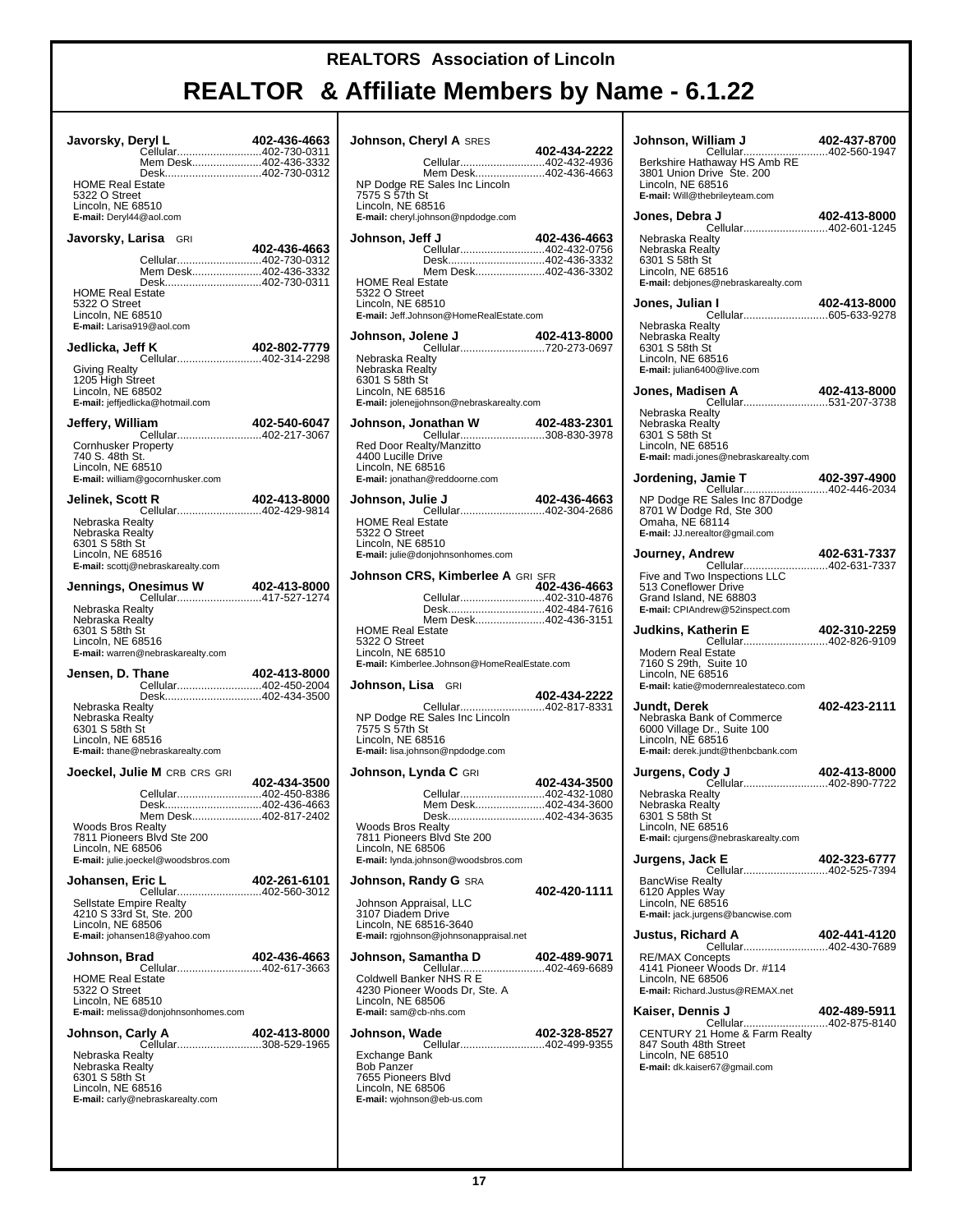T

| Javorsky, Deryl L                                                         | Cellular402-730-0311<br>Mem Desk402-436-3332<br>Desk402-730-0312                                                                      | 402-436-4663 |
|---------------------------------------------------------------------------|---------------------------------------------------------------------------------------------------------------------------------------|--------------|
| <b>HOME Real Estate</b><br>5322 O Street<br>Lincoln, NE 68510             | E-mail: Deryl44@aol.com                                                                                                               |              |
|                                                                           | Javorsky, Larisa GRI                                                                                                                  |              |
| <b>HOME Real Estate</b><br>5322 O Street<br>Lincoln, NE 68510             | Cellular402-730-0312<br>Mem Desk402-436-3332<br>Desk402-730-0311<br>E-mail: Larisa919@aol.com                                         | 402-436-4663 |
| Jedlicka, Jeff K                                                          | <b>ff K</b> 402-802-7779<br>Cellular402-314-2298                                                                                      |              |
| <b>Giving Realty</b><br>1205 High Street<br>Lincoln, NE 68502             | E-mail: jeffjedlicka@hotmail.com                                                                                                      |              |
| Jeffery, William                                                          | Cellular402-217-3067                                                                                                                  | 402-540-6047 |
| <b>Cornhusker Property</b><br>740 S. 48th St.<br>Lincoln, NE 68510        | E-mail: william@gocornhusker.com                                                                                                      |              |
| Jelinek, Scott R                                                          | Cellular402-429-9814                                                                                                                  | 402-413-8000 |
| Nebraska Realty<br>Nebraska Realty<br>6301 S 58th St<br>Lincoln, NE 68516 | E-mail: scottj@nebraskarealty.com                                                                                                     |              |
|                                                                           |                                                                                                                                       |              |
| Nebraska Realty<br>Nebraska Realty                                        |                                                                                                                                       |              |
| 6301 S 58th St<br>Lincoln, NE 68516                                       | E-mail: warren@nebraskarealty.com                                                                                                     |              |
| Jensen, D. Thane                                                          | Cellular402-450-2004                                                                                                                  | 402-413-8000 |
| Nebraska Realty<br>Nebraska Realty<br>6301 S 58th St<br>Lincoln. NE 68516 | Desk402-434-3500<br>E-mail: thane@nebraskarealty.com                                                                                  |              |
|                                                                           | <b>Joeckel, Julie M</b> CRB CRS GRI                                                                                                   |              |
| Woods Bros Realty<br>Lincoln, NE 68506                                    | Cellular402-450-8386<br>Desk402-436-4663<br>Mem Desk402-817-2402<br>7811 Pioneers Blvd Ste 200<br>E-mail: julie.joeckel@woodsbros.com | 402-434-3500 |
| Johansen, Eric L                                                          |                                                                                                                                       | 402-261-6101 |
| Lincoln, NE 68506                                                         | Cellular402-560-3012<br><b>Sellstate Empire Realty</b><br>4210 S 33rd St, Ste. 200<br>E-mail: johansen18@yahoo.com                    |              |
| Johnson, Brad                                                             |                                                                                                                                       | 402-436-4663 |
| <b>HOME Real Estate</b><br>5322 O Street<br>Lincoln, NE 68510             | <del>ou</del><br>Cellular402-617-3663<br>E-mail: melissa@donjohnsonhomes.com                                                          |              |
| Johnson, Carly A                                                          | Cellular308-529-1965                                                                                                                  | 402-413-8000 |

| <b>Johnson, Cheryl A SRES</b>                                                                                                                                                   | 402-434-2222 |
|---------------------------------------------------------------------------------------------------------------------------------------------------------------------------------|--------------|
| Cellular402-432-4936<br>Mem Desk402-436-4663<br>NP Dodge RE Sales Inc Lincoln<br>7575 S 57th St<br>Lincoln, NE 68516<br>E-mail: cheryl.johnson@npdodge.com                      |              |
| Johnson, Jeff J                                                                                                                                                                 | 402-436-4663 |
| Cellular402-432-0756<br>Desk402-436-3332<br>Mem Desk402-436-3302<br><b>HOME Real Estate</b><br>5322 O Street<br>Lincoln, NE 68510<br>E-mail: Jeff.Johnson@HomeRealEstate.com    |              |
| Johnson, Jolene J<br><b>olene J 402-413-8000</b><br>Cellular720-273-0697                                                                                                        |              |
| Nebraska Realty<br>Nebraska Realty<br>6301 S 58th St<br>Lincoln, NE 68516<br>E-mail: jolenejjohnson@nebraskarealty.com                                                          |              |
| Johnson, Jonathan W 402-483-2301<br>Cellular308-830-3978                                                                                                                        |              |
| Red Door Realty/Manzitto<br>4400 Lucille Drive<br>Lincoln, NE 68516<br>E-mail: jonathan@reddoorne.com                                                                           |              |
| Johnson, Julie J<br>Cellular402-304-2686                                                                                                                                        | 402-436-4663 |
| <b>HOME Real Estate</b><br>5322 O Street<br>Lincoln, NE 68510<br>E-mail: julie@donjohnsonhomes.com                                                                              |              |
| Johnson CRS, Kimberlee A GRI SFR                                                                                                                                                | 402-436-4663 |
| Cellular402-310-4876<br>Desk402-484-7616<br>Mem Desk402-436-3151                                                                                                                |              |
| <b>HOME Real Estate</b><br>5322 O Street<br>Lincoln, NE 68510<br>E-mail: Kimberlee.Johnson@HomeRealEstate.com                                                                   |              |
|                                                                                                                                                                                 |              |
| <b>Johnson, Lisa GRI</b><br>Cellular402-817-8331<br>NP Dodge RE Sales Inc Lincoln<br>7575 S 57th St<br>Lincoln, NE 68516<br>E-mail: lisa.johnson@npdodge.com                    | 402-434-2222 |
| <b>Johnson, Lynda C</b> GRI                                                                                                                                                     |              |
| Cellular402-432-1080<br>Mem Desk402-434-3600<br>Desk402-434-3635<br>Woods Bros Realty<br>7811 Pioneers Blvd Ste 200<br>Lincoln, NE 68506<br>E-mail: lynda.johnson@woodsbros.com | 402-434-3500 |
| <b>Johnson, Randy G SRA</b>                                                                                                                                                     |              |
| Johnson Appraisal, LLC<br>3107 Diadem Drive<br>Lincoln, NE 68516-3640<br>E-mail: rgjohnson@johnsonappraisal.net                                                                 | 402-420-1111 |
| Johnson, Samantha D                                                                                                                                                             | 402-489-9071 |
| Cellular402-469-6689<br>Coldwell Banker NHS R E<br>4230 Pioneer Woods Dr, Ste. A<br>Lincoln, NE 68506<br>E-mail: sam@cb-nhs.com                                                 |              |
| Johnson, Wade<br>Cellular402-499-9355<br>Exchange Bank<br><b>Bob Panzer</b><br>7655 Pioneers Blvd<br>Lincoln, NE 68506<br>E-mail: wjohnson@eb-us.com                            | 402-328-8527 |

| Johnson, William J<br>Cellular                                                                                                            | 402-437-8700<br>402-560-1947 |
|-------------------------------------------------------------------------------------------------------------------------------------------|------------------------------|
| Berkshire Hathaway HS Amb RE<br>3801 Union Drive Ste. 200<br>Lincoln, NE 68516<br>E-mail: Will@thebrileyteam.com                          |                              |
| Jones, Debra J<br><b>a J 402-413-8000</b><br>Cellular402-601-1245                                                                         |                              |
| Nebraska Realty<br>Nebraska Realty<br>6301 S 58th St<br>Lincoln. NE 68516<br>E-mail: debjones@nebraskarealty.com                          |                              |
| Jones, Julian I<br><b>402-413-0000</b><br>Cellular605-633-9278                                                                            | 402-413-8000                 |
| Nebraska Realtv<br>Nebraska Realtv<br>6301 S 58th St<br>Lincoln, NE 68516<br>E-mail: julian6400@live.com                                  |                              |
| Jones, Madisen A<br>Cellular531-207-3738                                                                                                  | 402-413-8000                 |
| Nebraska Realty<br>Nebraska Realty<br>6301 S 58th St<br>Lincoln, NE 68516<br>E-mail: madi.jones@nebraskarealty.com                        |                              |
| Jamie T 402-397-4900<br>Cellular402-446-2034<br>Jordening, Jamie T                                                                        |                              |
| NP Dodge RE Sales Inc 87Dodge<br>8701 W Dodge Rd, Ste 300<br>Omaha, NE 68114<br>E-mail: JJ.nerealtor@gmail.com                            |                              |
| Journey, Andrew                                                                                                                           | 402-631-7337                 |
| Cellular402-631-7337<br>Five and Two Inspections LLC<br>513 Coneflower Drive<br>Grand Island, NE 68803<br>E-mail: CPIAndrew@52inspect.com |                              |
| Judkins, Katherin E<br>Cellular402-826-9109                                                                                               | 402-310-2259                 |
| Modern Real Estate<br>7160 S 29th, Suite 10<br>Lincoln, NE 68516<br>E-mail: katie@modernrealestateco.com                                  |                              |
| Jundt, Derek<br>Nebraska Bank of Commerce<br>6000 Village Dr., Suite 100<br>Lincoln, NE 68516<br>E-mail: derek.jundt@thenbcbank.com       | 402-423-2111                 |
| Jurgens, Cody J                                                                                                                           |                              |
| Nebraska Realty<br>Nebraska Realty<br>6301 S 58th St<br>Lincoln, NE 68516<br>E-mail: cjurgens@nebraskarealty.com                          |                              |
| Jurgens, Jack E<br><b>AUZ-3ZJ-U<i>I I I</i><br/>Cellular402-525-7394</b>                                                                  | 402-323-6777                 |
| <b>BancWise Realty</b><br>6120 Apples Way<br>Lincoln, NE 68516<br>E-mail: jack.jurgens@bancwise.com                                       |                              |
| <b>Justus, Richard A</b>                                                                                                                  | 402-441-4120                 |
| <b>RE/MAX Concepts</b><br>4141 Pioneer Woods Dr. #114<br>Lincoln, NE 68506<br>E-mail: Richard.Justus@REMAX.net                            |                              |
| Kaiser, Dennis J<br>Cellular402-875-8140                                                                                                  | 402-489-5911                 |
| CENTURY 21 Home & Farm Realty<br>847 South 48th Street<br>Lincoln, NE 68510<br>E-mail: dk.kaiser67@gmail.com                              |                              |
|                                                                                                                                           |                              |
|                                                                                                                                           |                              |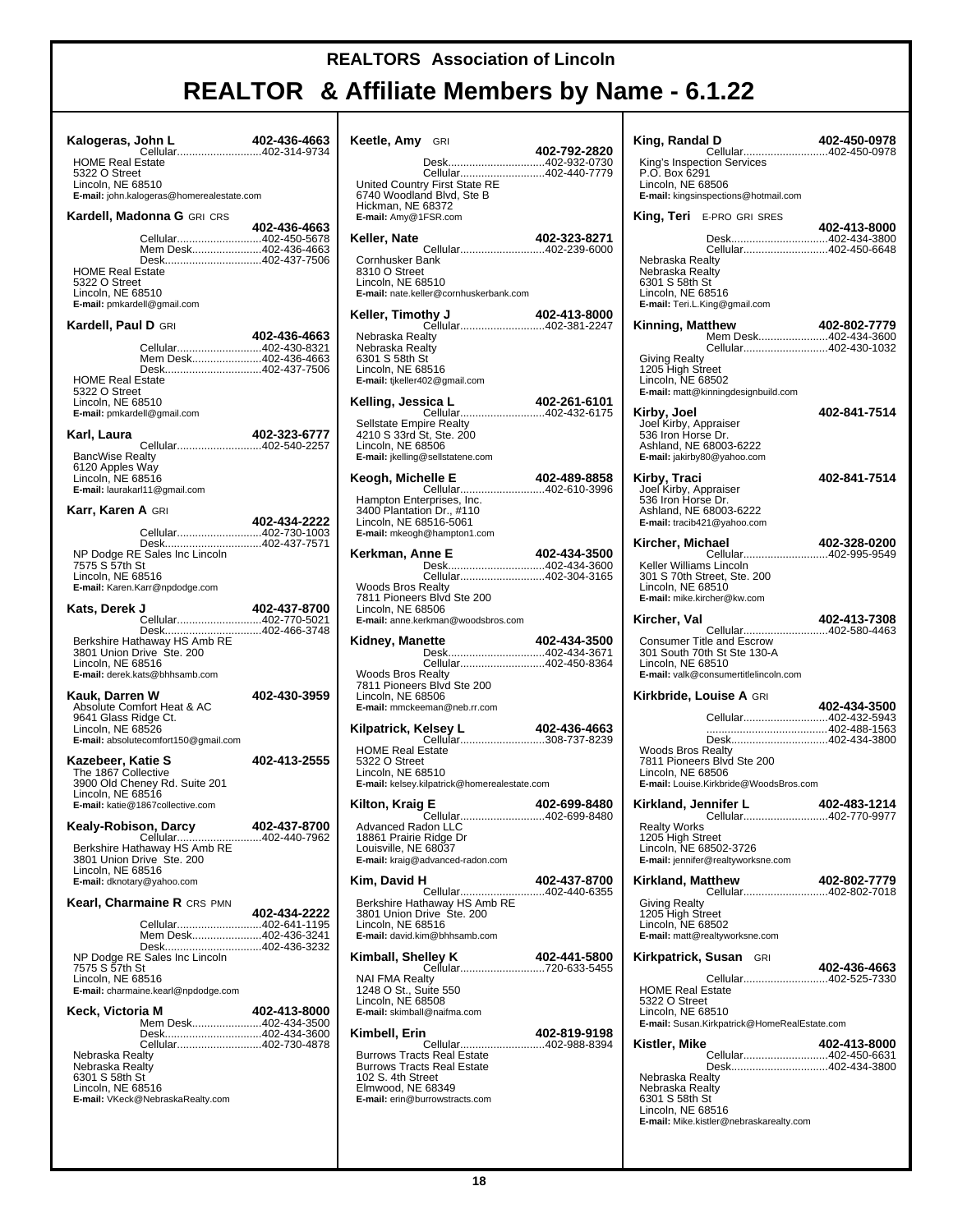| Kalogeras, John L<br>Cellular402-314-9734                                                                                                                                                             | 402-436-4663 | Κ |
|-------------------------------------------------------------------------------------------------------------------------------------------------------------------------------------------------------|--------------|---|
| <b>HOME Real Estate</b><br>5322 O Street<br>Lincoln, NE 68510<br>E-mail: john.kalogeras@homerealestate.com                                                                                            |              |   |
| Kardell, Madonna G GRI CRS                                                                                                                                                                            |              |   |
| Cellular402-450-5678<br>Mem Desk402-436-4663<br>Desk402-437-7506<br><b>HOME Real Estate</b><br>5322 O Street<br>Lincoln, NE 68510<br>E-mail: pmkardell@gmail.com                                      | 402-436-4663 | μ |
| Kardell, Paul D GRI                                                                                                                                                                                   |              | k |
| Cellular402-430-8321                                                                                                                                                                                  | 402-436-4663 |   |
| Mem Desk402-436-4663<br>Desk402-437-7506<br><b>HOME Real Estate</b><br>5322 O Street<br>Lincoln, NE 68510<br>E-mail: pmkardell@gmail.com                                                              |              | и |
| Karl, Laura                                                                                                                                                                                           | 402-323-6777 |   |
| Cellular402-540-2257<br><b>BancWise Realty</b><br>6120 Apples Way<br>Lincoln, NE 68516<br>E-mail: laurakarl11@gmail.com                                                                               |              | и |
| <b>Karr, Karen A</b> GRI                                                                                                                                                                              | 402-434-2222 |   |
| Cellular402-730-1003<br>Desk402-437-7571<br>NP Dodge RE Sales Inc Lincoln<br>7575 S 57th St<br>Lincoln, NE 68516<br>E-mail: Karen.Karr@npdodge.com                                                    |              | и |
| Kats, Derek J                                                                                                                                                                                         | 402-437-8700 |   |
| Cellular402-770-5021<br>Desk402-466-3748<br>Berkshire Hathaway HS Amb RE<br>3801 Union Drive Ste. 200<br>Lincoln, NE 68516<br>E-mail: derek.kats@bhhsamb.com                                          |              | μ |
| Kauk, Darren W<br>Absolute Comfort Heat & AC<br>9641 Glass Ridge Ct.<br>Lincoln, NE 68526<br>E-mail: absolutecomfort150@gmail.com                                                                     | 402-430-3959 | k |
| Kazebeer, Katie S<br>The 1867 Collective<br>3900 Old Cheney Rd. Suite 201<br>Lincoln, NE 68516<br>E-mail: katie@1867collective.com                                                                    | 402-413-2555 |   |
| Kealy-Robison, Darcy                                                                                                                                                                                  | 402-437-8700 |   |
| Cellular402-440-7962<br>Berkshire Hathaway HS Amb RE<br>3801 Union Drive Ste. 200<br>Lincoln, NE 68516<br>E-mail: dknotary@yahoo.com                                                                  |              | ĸ |
| Kearl, Charmaine R CRS PMN                                                                                                                                                                            | 402-434-2222 |   |
| Cellular402-641-1195<br>Mem Desk402-436-3241<br>Desk402-436-3232<br>NP Dodge RE Sales Inc Lincoln<br>7575 S 57th St<br>Lincoln, NE 68516<br>E-mail: charmaine.kearl@npdodge.com                       |              | и |
| Keck, Victoria M<br>Mem Desk402-434-3500<br>Desk402-434-3600<br>Cellular402-730-4878<br>Nebraska Realty<br>Nebraska Realty<br>6301 S 58th St<br>Lincoln, NE 68516<br>E-mail: VKeck@NebraskaRealty.com | 402-413-8000 | ĸ |

| Keetle, Amy GRI                                                                                                          |                                                                                                                             | 402-792-2820 |
|--------------------------------------------------------------------------------------------------------------------------|-----------------------------------------------------------------------------------------------------------------------------|--------------|
| Hickman, NE 68372                                                                                                        | Desk402-932-0730<br>Cellular402-440-7779<br>United Country First State RE<br>6740 Woodland Blvd, Ste B                      |              |
| E-mail: Amy@1FSR.com                                                                                                     |                                                                                                                             |              |
| Keller, Nate<br>Cornhusker Bank<br>8310 O Street<br>Lincoln, NE 68510                                                    | Cellular402-239-6000<br>E-mail: nate.keller@cornhuskerbank.com                                                              | 402-323-8271 |
| Nebraska Realty<br>Nebraska Realtv<br>6301 S 58th St<br>Lincoln, NE 68516<br>E-mail: tjkeller402@gmail.com               |                                                                                                                             |              |
| Kelling, Jessica L<br>Sellstate Empire Realty<br>4210 S 33rd St, Ste. 200<br>Lincoln, NE 68506                           | Cellular402-432-6175<br>E-mail: jkelling@sellstatene.com                                                                    | 402-261-6101 |
| Keogh, Michelle E<br>Hampton Enterprises, Inc.<br>3400 Plantation Dr., #110<br>Lincoln, NE 68516-5061                    | Cellular402-610-3996<br>E-mail: mkeogh@hampton1.com                                                                         | 402-489-8858 |
| Kerkman, Anne E<br><b>Woods Bros Realty</b>                                                                              | Desk402-434-3600<br>Cellular402-304-3165<br>7811 Pioneers Blvd Ste 200                                                      | 402-434-3500 |
| Lincoln, NE 68506                                                                                                        | E-mail: anne.kerkman@woodsbros.com                                                                                          |              |
|                                                                                                                          |                                                                                                                             |              |
| Kidney, Manette<br><b>Woods Bros Realty</b><br>Lincoln, NE 68506                                                         | ette 402-434-3500<br>Desk402-434-3671<br>Cellular402-450-8364<br>7811 Pioneers Blvd Ste 200<br>E-mail: mmckeeman@neb.rr.com |              |
| Kilpatrick, Kelsey L<br><b>HOME Real Estate</b><br>5322 O Street<br>Lincoln, NE 68510                                    | <b>Gelsey L 402-436-4663</b><br>Cellular308-737-8239<br>E-mail: kelsey.kilpatrick@homerealestate.com                        |              |
| Kilton, Kraig E<br><b>Advanced Radon LLC</b><br>18861 Prairie Ridge Dr<br>Louisville, NE 68037                           | Cellular402-699-8480<br>E-mail: kraig@advanced-radon.com                                                                    | 402-699-8480 |
| Kim, David H<br>Lincoln, NE 68516                                                                                        | Cellular402-440-6355<br>Berkshire Hathaway HS Amb RE<br>3801 Union Drive Ste. 200<br>E-mail: david.kim@bhhsamb.com          | 402-437-8700 |
| Kimball, Shelley K<br><b>NAI FMA Realty</b><br>1248 O St., Suite 550<br>Lincoln, NE 68508<br>E-mail: skimball@naifma.com | Cellular720-633-5455                                                                                                        | 402-441-5800 |

| King, Randal D<br>Cellular402-450-0978                                                                                                                           | 402-450-0978 |
|------------------------------------------------------------------------------------------------------------------------------------------------------------------|--------------|
| King's Inspection Services<br>P.O. Box 6291<br>Lincoln, NE 68506<br>E-mail: kingsinspections@hotmail.com                                                         |              |
| <b>King, Teri</b> E-PRO GRI SRES                                                                                                                                 |              |
| Desk402-434-3800                                                                                                                                                 | 402-413-8000 |
| Cellular402-450-6648<br>Nebraska Realty<br>Nebraska Realty<br>6301 S 58th St<br>Lincoln, NE 68516<br>E-mail: Teri.L.King@gmail.com                               |              |
| Kinning, Matthew 402-802-7779<br>Mem Desk402-434-3600                                                                                                            |              |
| Cellular402-430-1032<br><b>Giving Realty</b><br>1205 High Street<br>Lincoln, NE 68502<br>E-mail: matt@kinningdesignbuild.com                                     |              |
| Kirby, Joel<br>Joel Kirby, Appraiser<br>536 Iron Horse Dr.<br>Ashland, NE 68003-6222<br>E-mail: jakirby80@yahoo.com                                              | 402-841-7514 |
| <b>Kirby, Traci</b><br>Joel Kirby, Appraiser<br>536 Iron Horse Dr.<br>Ashland, NE 68003-6222<br>E-mail: tracib421@yahoo.com                                      | 402-841-7514 |
| Kircher, Michael<br>Cellular402-995-9549                                                                                                                         | 402-328-0200 |
| Keller Williams Lincoln<br>301 S 70th Street, Ste. 200<br>Lincoln, NE 68510<br>E-mail: mike.kircher@kw.com                                                       |              |
| Kircher, Val<br>Cellular402-580-4463                                                                                                                             | 402-413-7308 |
| Consumer Title and Escrow<br>301 South 70th St Ste 130-A<br>Lincoln, NE 68510<br>E-mail: valk@consumertitlelincoln.com                                           |              |
| <b>Kirkbride, Louise A</b> GRI                                                                                                                                   | 402-434-3500 |
| Cellular402-432-5943                                                                                                                                             |              |
| Desk402-434-3800<br><b>Woods Bros Realty</b><br>7811 Pioneers Blvd Ste 200<br>Lincoln. NE 68506<br>E-mail: Louise.Kirkbride@WoodsBros.com                        |              |
| Kirkland, Jennifer L                                                                                                                                             | 402-483-1214 |
| Cellular402-770-9977<br><b>Realty Works</b><br>1205 High Street<br>Lincoln, NE 68502-3726<br>E-mail: jennifer@realtyworksne.com                                  |              |
| Kirkland, Matthew<br>Cellular402-802-7018                                                                                                                        | 402-802-7779 |
| Giving Realty<br>1205 High Street<br>Lincoln, NE 68502<br>E-mail: matt@realtyworksne.com                                                                         |              |
| Kirkpatrick, Susan GRI                                                                                                                                           | 402-436-4663 |
| Cellular402-525-7330<br><b>HOME Real Estate</b><br>5322 O Street<br>Lincoln, NE 68510<br>E-mail: Susan.Kirkpatrick@HomeRealEstate.com                            |              |
| Kistler, Mike                                                                                                                                                    | 402-413-8000 |
| Cellular402-450-6631<br>Desk402-434-3800<br>Nebraska Realty<br>Nebraska Realty<br>6301 S 58th St<br>Lincoln, NE 68516<br>E-mail: Mike.kistler@nebraskarealty.com |              |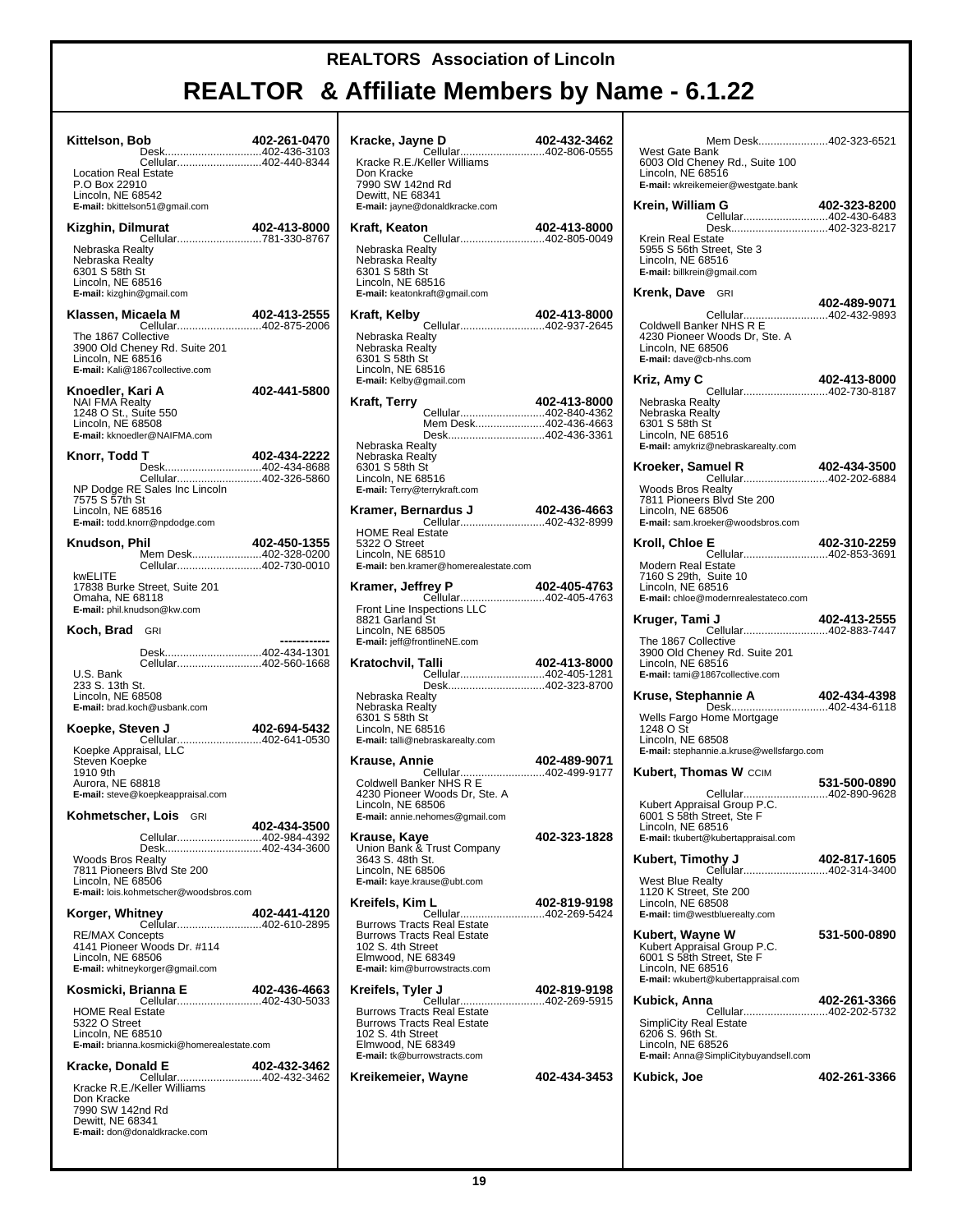| Kittelson, Bob                                                                          | Desk402-436-3103                                                                                                 | 402-261-0470 |
|-----------------------------------------------------------------------------------------|------------------------------------------------------------------------------------------------------------------|--------------|
| <b>Location Real Estate</b><br>P.O Box 22910<br>Lincoln, NE 68542                       | Cellular402-440-8344<br>E-mail: bkittelson51@gmail.com                                                           |              |
| Kizghin, Dilmurat                                                                       |                                                                                                                  | 402-413-8000 |
| Nebraska Realty<br>Nebraska Realty<br>6301 S 58th St<br>Lincoln, NE 68516               | E-mail: kizghin@gmail.com                                                                                        |              |
| Klassen, Micaela M                                                                      | <b>Cellular402-875-2006</b>                                                                                      | 402-413-2555 |
| The 1867 Collective<br>Lincoln, NE 68516                                                | 3900 Old Cheney Rd. Suite 201<br>E-mail: Kali@1867collective.com                                                 |              |
| Knoedler, Kari A<br><b>NAI FMA Realty</b><br>1248 O St., Suite 550<br>Lincoln, NE 68508 | E-mail: kknoedler@NAIFMA.com                                                                                     | 402-441-5800 |
| Knorr, Todd T                                                                           | Desk402-434-8688                                                                                                 | 402-434-2222 |
| 7575 S 57th St<br>Lincoln, NE 68516                                                     | E-mail: todd.knorr@npdodge.com                                                                                   |              |
| Knudson, Phil                                                                           | Mem Desk402-328-0200<br>Cellular402-730-0010                                                                     | 402-450-1355 |
| kwELITE<br>Omaha, NE 68118                                                              | 17838 Burke Street, Suite 201<br>E-mail: phil.knudson@kw.com                                                     |              |
| Koch, Brad GRI                                                                          |                                                                                                                  |              |
| U.S. Bank<br>233 S. 13th St.<br>Lincoln, NE 68508                                       | Desk402-434-1301<br>Cellular402-560-1668<br>E-mail: brad.koch@usbank.com                                         |              |
| Koepke, Steven J                                                                        |                                                                                                                  | 402-694-5432 |
| Steven Koepke<br>1910 9th<br>Aurora, NE 68818                                           | Koepke Appraisal, LLC<br>E-mail: steve@koepkeappraisal.com                                                       |              |
|                                                                                         | Kohmetscher. Lois GRI                                                                                            |              |
| <b>Woods Bros Realty</b><br>Lincoln, NE 68506                                           | Cellular402-984-4392<br>Desk402-434-3600<br>7811 Pioneers Blvd Ste 200<br>E-mail: lois.kohmetscher@woodsbros.com | 402-434-3500 |
| Korger, Whitney                                                                         |                                                                                                                  | 402-441-4120 |
| <b>RE/MAX Concepts</b><br>Lincoln, NE 68506                                             | Cellular402-610-2895<br>4141 Pioneer Woods Dr. #114<br>E-mail: whitneykorger@gmail.com                           |              |
|                                                                                         | Kosmicki, Brianna E                                                                                              | 402-436-4663 |
| <b>HOME Real Estate</b><br>5322 O Street<br>Lincoln, NE 68510                           | <b>112-430-402-430-402-4</b><br>Cellular402-430-5033<br>E-mail: brianna.kosmicki@homerealestate.com              |              |
| Kracke, Donald E                                                                        | <b>aid E</b><br>Cellular402-432-3462                                                                             | 402-432-3462 |
| Don Kracke<br>7990 SW 142nd Rd<br>Dewitt, NE 68341                                      | Kracke R.E./Keller Williams<br>E-mail: don@donaldkracke.com                                                      |              |

| Kracke, Jayne D<br>Cellular402-806-0555                                                                                                                                   | 402-432-3462 |
|---------------------------------------------------------------------------------------------------------------------------------------------------------------------------|--------------|
| Kracke R.E./Keller Williams<br>Don Kracke<br>7990 SW 142nd Rd<br>Dewitt, NE 68341<br>E-mail: jayne@donaldkracke.com                                                       |              |
| Kraft, Keaton                                                                                                                                                             | 402-413-8000 |
| Cellular402-805-0049<br>Nebraska Realty<br>Nebraska Realty<br>6301 S 58th St<br>Lincoln, NE 68516<br>E-mail: keatonkraft@gmail.com                                        |              |
| Kraft, Kelby                                                                                                                                                              |              |
| Nebraska Realty<br>Nebraska Realty<br>6301 S 58th St<br>Lincoln, NE 68516<br>E-mail: Kelby@gmail.com                                                                      |              |
| Kraft, Terry<br>Cellular402-840-4362                                                                                                                                      | 402-413-8000 |
| Mem Desk402-436-4663<br>Desk402-436-3361                                                                                                                                  |              |
| Nebraska Realty<br>Nebraska Realty<br>6301 S 58th St<br>Lincoln, NE 68516<br>E-mail: Terry@terrykraft.com                                                                 |              |
|                                                                                                                                                                           |              |
| <b>HOME Real Estate</b><br>5322 O Street<br>Lincoln. NE 68510<br>E-mail: ben.kramer@homerealestate.com                                                                    |              |
| Kramer, Jeffrey P<br>Cellular402-405-4763                                                                                                                                 | 402-405-4763 |
| Front Line Inspections LLC<br>8821 Garland St<br>Lincoln, NE 68505<br>E-mail: jeff@frontlineNE.com                                                                        |              |
| Kratochvil, Talli<br>.u<br>Cellular402-405-1281                                                                                                                           | 402-413-8000 |
| Desk402-323-8700<br>Nebraska Realty<br>Nebraska Realty<br>6301 S 58th St<br>Lincoln, NE 68516<br>E-mail: talli@nebraskarealty.com                                         |              |
| Krause, Annie                                                                                                                                                             | 402-489-9071 |
| Cellular402-499-9177<br>Coldwell Banker NHS R E<br>4230 Pioneer Woods Dr, Ste. A<br>Lincoln, NE 68506<br>E-mail: annie.nehomes@gmail.com                                  |              |
| Krause, Kaye<br>Union Bank & Trust Company<br>3643 S. 48th St.<br>Lincoln, NE 68506<br>E-mail: kaye.krause@ubt.com                                                        | 402-323-1828 |
| Kreifels, Kim L                                                                                                                                                           | 402-819-9198 |
| Cellular402-269-5424<br><b>Burrows Tracts Real Estate</b><br><b>Burrows Tracts Real Estate</b><br>102 S. 4th Street<br>Elmwood, NE 68349<br>E-mail: kim@burrowstracts.com |              |
| Kreifels, Tyler J                                                                                                                                                         | 402-819-9198 |
| Cellular402-269-5915<br><b>Burrows Tracts Real Estate</b><br><b>Burrows Tracts Real Estate</b><br>102 S. 4th Street<br>Elmwood, NE 68349<br>E-mail: tk@burrowstracts.com  |              |
| Kreikemeier, Wayne                                                                                                                                                        | 402-434-3453 |
|                                                                                                                                                                           |              |

| Mem Desk402-323-6521<br>West Gate Bank<br>6003 Old Cheney Rd., Suite 100<br>Lincoln, NE 68516<br>E-mail: wkreikemeier@westgate.bank     |              |
|-----------------------------------------------------------------------------------------------------------------------------------------|--------------|
| Krein, William G<br>Cellular402-430-6483                                                                                                | 402-323-8200 |
| Desk402-323-8217<br>Krein Real Estate<br>5955 S 56th Street, Ste 3<br>Lincoln, NE 68516<br>E-mail: billkrein@gmail.com                  |              |
| <b>Krenk, Dave</b> GRI                                                                                                                  | 402-489-9071 |
| Coldwell Banker NHS R E<br>4230 Pioneer Woods Dr, Ste. A<br>Lincoln, NE 68506<br>E-mail: dave@cb-nhs.com                                |              |
| Kriz, Amy C                                                                                                                             |              |
| Nebraska Realty<br>Nebraska Realty<br>6301 S 58th St<br>Lincoln, NE 68516<br>E-mail: amykriz@nebraskarealty.com                         |              |
| Kroeker, Samuel R<br>muel R 402-434-3500<br>Cellular402-202-6884                                                                        |              |
| <b>Woods Bros Realty</b><br>7811 Pioneers Blvd Ste 200<br>Lincoln, NE 68506<br>E-mail: sam.kroeker@woodsbros.com                        |              |
| E 402-310-2259<br>Cellular402-853-3691<br>Kroll, Chloe E                                                                                |              |
| Modern Real Estate<br>7160 S 29th, Suite 10<br>Lincoln, NE 68516<br>E-mail: chloe@modernrealestateco.com                                |              |
| Kruger, Tami J<br><b>i J                          402-413-2555</b><br>Cellular402-883-7447                                              |              |
| The 1867 Collective<br>3900 Old Cheney Rd. Suite 201<br>Lincoln, NE 68516<br>E-mail: tami@1867collective.com                            |              |
| Kruse, Stephannie A 402-434-4398                                                                                                        |              |
| Wells Fargo Home Mortgage<br>1248 O St<br>Lincoln, NE 68508<br>E-mail: stephannie.a.kruse@wellsfargo.com                                |              |
| <b>Kubert, Thomas W CCIM</b>                                                                                                            | 531-500-0890 |
| Kubert Appraisal Group P.C.<br>6001 S 58th Street, Ste F<br>Lincoln, NE 68516<br>E-mail: tkubert@kubertappraisal.com                    |              |
| Kubert, Timothy J                                                                                                                       | 402-817-1605 |
| <b>Cellular402-314-3400</b><br><b>West Blue Realty</b><br>1120 K Street, Ste 200<br>Lincoln, NE 68508<br>E-mail: tim@westbluerealty.com |              |
| Kubert, Wayne W<br>Kubert Appraisal Group P.C.<br>6001 S 58th Street, Ste F<br>Lincoln, NE 68516<br>E-mail: wkubert@kubertappraisal.com | 531-500-0890 |
| Kubick, Anna                                                                                                                            | 402-261-3366 |
| Cellular402-202-5732<br>SimpliCity Real Estate<br>6206 S. 96th St.<br>Lincoln, NE 68526<br>E-mail: Anna@SimpliCitybuyandsell.com        |              |
| Kubick, Joe                                                                                                                             | 402-261-3366 |
|                                                                                                                                         |              |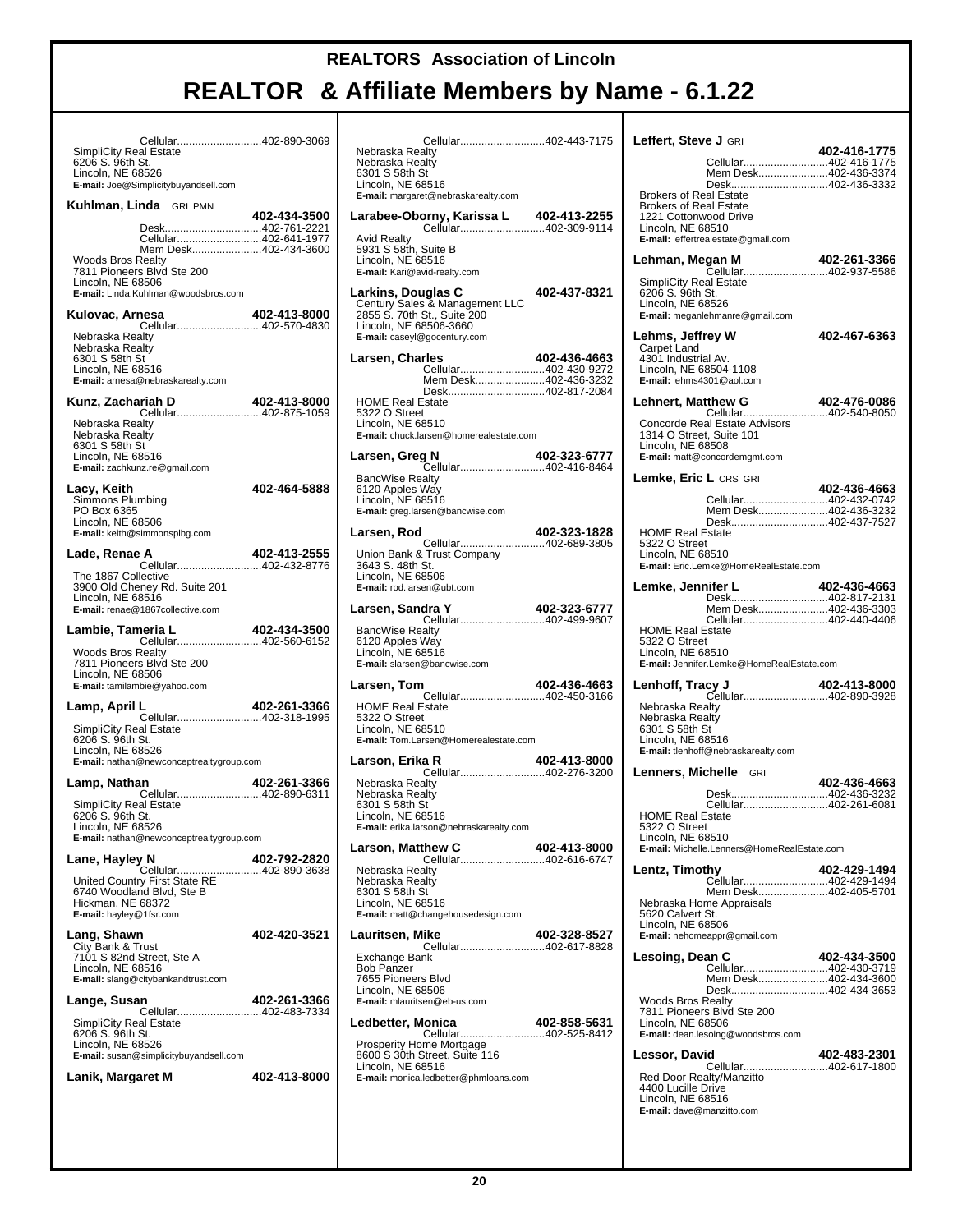| Cellular402-890-3069<br>SimpliCity Real Estate<br>6206 S. 96th St.                                                                                                                     |              |
|----------------------------------------------------------------------------------------------------------------------------------------------------------------------------------------|--------------|
| Lincoln, NE 68526<br>E-mail: Joe@Simplicitybuyandsell.com                                                                                                                              |              |
| Kuhlman, Linda GRI PMN                                                                                                                                                                 | 402-434-3500 |
| Desk402-761-2221<br>Cellular402-641-1977<br>Mem Desk402-434-3600<br><b>Woods Bros Realty</b><br>7811 Pioneers Blvd Ste 200<br>Lincoln. NE 68506<br>E-mail: Linda.Kuhlman@woodsbros.com |              |
| Kulovac, Arnesa                                                                                                                                                                        | 402-413-8000 |
| Cellular402-570-4830<br>Nebraska Realty<br>Nebraska Realty<br>6301 S 58th St<br>Lincoln, NE 68516<br>E-mail: arnesa@nebraskarealty.com                                                 |              |
| Kunz, Zachariah D<br>Cellular402-875-1059                                                                                                                                              | 402-413-8000 |
| Nebraska Realty<br>Nebraska Realty<br>6301 S 58th St<br>Lincoln, NE 68516<br>E-mail: zachkunz.re@gmail.com                                                                             |              |
| Lacy, Keith<br>Simmons Plumbing<br>PO Box 6365<br>Lincoln, NE 68506<br>E-mail: keith@simmonsplbg.com                                                                                   | 402-464-5888 |
| Lade, Renae A<br>Cellular402-432-8776                                                                                                                                                  | 402-413-2555 |
| The 1867 Collective<br>3900 Old Cheney Rd. Suite 201<br>Lincoln, NE 68516<br>E-mail: renae@1867collective.com                                                                          |              |
| Lambie, Tameria L<br>Cellular402-560-6152                                                                                                                                              | 402-434-3500 |
| Woods Bros Realty<br>7811 Pioneers Blvd Ste 200<br>Lincoln, NE 68506<br>E-mail: tamilambie@yahoo.com                                                                                   |              |
| Lamp, April L<br>Cellular402-318-1995                                                                                                                                                  | 402-261-3366 |
| <b>SimpliCity Real Estate</b><br>6206 S. 96th St.<br>Lincoln, NE 68526<br>E-mail: nathan@newconceptrealtygroup.com                                                                     |              |
| Lamp, Nathan<br>Cellular402-890-6311                                                                                                                                                   | 402-261-3366 |
| <b>SimpliCity Real Estate</b><br>6206 S. 96th St.<br>Lincoln, NE 68526<br><b>E-mail:</b> nathan@newconceptrealtygroup.com                                                              |              |
| Lane, Hayley N<br>Cellular402-890-3638                                                                                                                                                 | 402-792-2820 |
| United Country First State RE<br>6740 Woodland Blvd, Ste B<br>Hickman, NE 68372<br>E-mail: hayley@1fsr.com                                                                             |              |
| Lang, Shawn<br>City Bank & Trust<br>7101 S 82nd Street, Ste A<br>Lincoln, NE 68516<br>E-mail: slang@citybankandtrust.com                                                               | 402-420-3521 |
| Lange, Susan<br>Cellular402-483-7334                                                                                                                                                   | 402-261-3366 |
| <b>SimpliCity Real Estate</b><br>6206 S. 96th St.<br>Lincoln, NE 68526<br>E-mail: susan@simplicitybuyandsell.com                                                                       |              |
| Lanik, Margaret M                                                                                                                                                                      | 402-413-8000 |
|                                                                                                                                                                                        |              |

| Cellular402-443-7175                                                                                                                                 |              |
|------------------------------------------------------------------------------------------------------------------------------------------------------|--------------|
| Nebraska Realty<br>Nebraska Realty<br>6301 S 58th St<br>Lincoln, NE 68516<br>E-mail: margaret@nebraskarealty.com                                     |              |
|                                                                                                                                                      |              |
| <b>Avid Realty</b><br>5931 S 58th, Suite B<br>Lincoln, NE 68516<br>E-mail: Kari@avid-realty.com                                                      |              |
| Larkins, Douglas C<br>Century Sales & Management LLC<br>2855 S. 70th St., Suite 200<br>Lincoln, NE 68506-3660<br>E-mail: caseyl@gocentury.com        | 402-437-8321 |
| Larsen, Charles                                                                                                                                      | 402-436-4663 |
| Mem Desk402-436-3232<br>Desk402-817-2084<br><b>HOME Real Estate</b><br>5322 O Street<br>Lincoln, NE 68510<br>E-mail: chuck.larsen@homerealestate.com |              |
|                                                                                                                                                      |              |
| Larsen, Greg N<br>Cellular402-416-8464                                                                                                               | 402-323-6777 |
| <b>BancWise Realty</b><br>6120 Apples Way<br>Lincoln, NE 68516<br>E-mail: greg.larsen@bancwise.com                                                   |              |
| Larsen, Rod                                                                                                                                          | 402-323-1828 |
| Union Bank & Trust Company<br>3643 S. 48th St.<br>Lincoln, NE 68506<br>E-mail: rod.larsen@ubt.com                                                    |              |
| Larsen, Sandra Y<br>dra Y 402-323-6777<br>Cellular402-499-9607                                                                                       |              |
| <b>BancWise Realty</b><br>6120 Apples Way<br>Lincoln, NE 68516<br>E-mail: slarsen@bancwise.com                                                       |              |
| Larsen, Tom                                                                                                                                          | 402-436-4663 |
| Cellular402-450-3166<br><b>HOME Real Estate</b><br>5322 O Street<br>Lincoln, NE 68510<br>E-mail: Tom.Larsen@Homerealestate.com                       |              |
| Larson, Erika R                                                                                                                                      | 402-413-8000 |
| Cellular402-276-3200<br>Nebraska Realtv<br>Nebraska Realty<br>6301 S 58th St<br>Lincoln, NE 68516<br>E-mail: erika.larson@nebraskarealty.com         |              |
| Larson, Matthew C<br>hew C 402-413-8000<br>Cellular402-616-6747                                                                                      |              |
| Nebraska Realty<br>Nebraska Realty<br>6301 S 58th St<br>Lincoln, NE 68516<br>E-mail: matt@changehousedesign.com                                      |              |
| Lauritsen, Mike                                                                                                                                      | 402-328-8527 |
| Cellular402-617-8828<br>Exchange Bank<br><b>Bob Panzer</b><br>7655 Pioneers Blvd<br>Lincoln, NE 68506<br>E-mail: mlauritsen@eb-us.com                |              |
| Ledbetter, Monica                                                                                                                                    | 402-858-5631 |
| Cellular402-525-8412<br>Prosperity Home Mortgage<br>8600 S 30th Street, Suite 116<br>Lincoln, NE 68516<br>E-mail: monica.ledbetter@phmloans.com      |              |

| Leffert, Steve J GRI<br>Cellular402-416-1775                                                                                                                                                              | 402-416-1775 |
|-----------------------------------------------------------------------------------------------------------------------------------------------------------------------------------------------------------|--------------|
| Mem Desk402-436-3374<br>Desk402-436-3332<br><b>Brokers of Real Estate</b><br><b>Brokers of Real Estate</b><br>1221 Cottonwood Drive<br>Lincoln, NE 68510<br>E-mail: leffertrealestate@gmail.com           |              |
| Lehman, Megan M<br>Cellular402-937-5586<br><b>SimpliCity Real Estate</b><br>6206 S. 96th St.<br>Lincoln, NE 68526<br>E-mail: meganlehmanre@gmail.com                                                      | 402-261-3366 |
| Lehms, Jeffrey W<br>Carpet Land<br>4301 Industrial Av.<br>Lincoln, NE 68504-1108<br>E-mail: lehms4301@aol.com                                                                                             | 402-467-6363 |
| <b>Lehnert, Matthew G</b><br>Cellular402-540-8050<br>Concorde Real Estate Advisors<br>1314 O Street, Suite 101<br>Lincoln, NE 68508<br>E-mail: matt@concordemgmt.com                                      | 402-476-0086 |
| Lemke, Eric L CRS GRI<br>Cellular402-432-0742<br>Mem Desk402-436-3232<br>Desk402-437-7527<br><b>HOME Real Estate</b><br>5322 O Street<br>Lincoln, NE 68510<br>E-mail: Eric.Lemke@HomeRealEstate.com       | 402-436-4663 |
| Lemke, Jennifer L<br>Desk402-817-2131<br>Mem Desk402-436-3303<br>Cellular402-440-4406<br><b>HOME Real Estate</b><br>5322 O Street<br>Lincoln, NE 68510                                                    | 402-436-4663 |
| E-mail: Jennifer.Lemke@HomeRealEstate.com<br>Lenhoff, Tracy J<br>Cellular402-890-3928<br>Nebraska Realty<br>Nebraska Realty<br>6301 S 58th St<br>Lincoln. NE 68516<br>E-mail: tlenhoff@nebraskarealty.com | 402-413-8000 |
| Lenners, Michelle GRI<br>Desk402-436-3232<br>Cellular402-261-6081<br><b>HOME Real Estate</b><br>5322 O Street<br>Lincoln, NE 68510<br>E-mail: Michelle.Lenners@HomeRealEstate.com                         | 402-436-4663 |
| Lentz, Timothy<br>Cellular402-429-1494<br>Mem Desk402-405-5701<br>Nebraska Home Appraisals<br>5620 Calvert St.<br>Lincoln, NE 68506<br>E-mail: nehomeappr@gmail.com                                       | 402-429-1494 |
| Lesoing, Dean C<br>Cellular402-430-3719<br>Mem Desk402-434-3600<br>Desk402-434-3653<br><b>Woods Bros Realty</b><br>7811 Pioneers Blvd Ste 200<br>Lincoln, NE 68506<br>E-mail: dean.lesoing@woodsbros.com  | 402-434-3500 |
| Lessor, David<br>Cellular402-617-1800<br>Red Door Realty/Manzitto<br>4400 Lucille Drive<br>Lincoln, NE 68516<br>E-mail: dave@manzitto.com                                                                 | 402-483-2301 |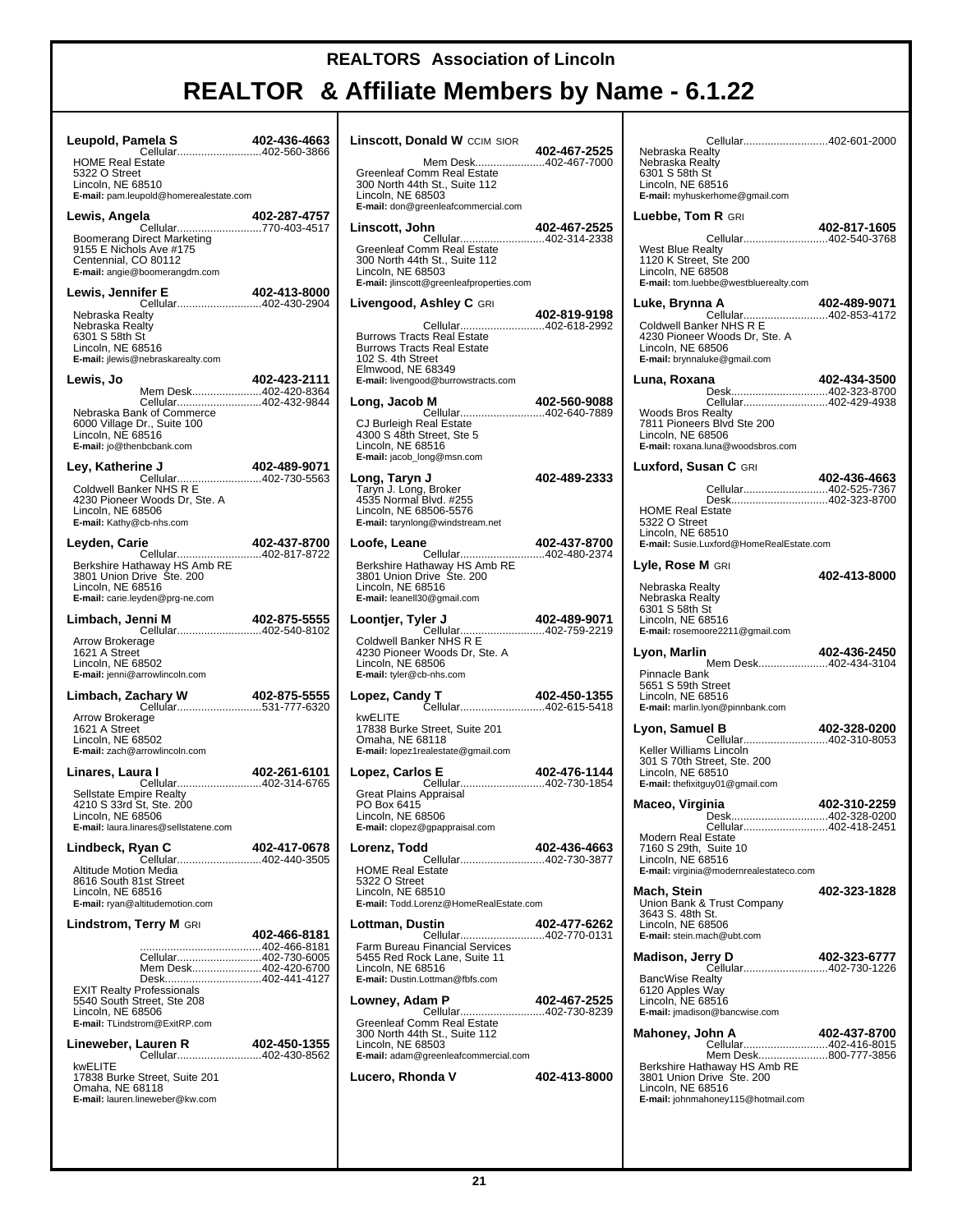# **REALTOR & Affiliate Members by Name - 6.1.22**

Τ

| Leupold, Pamela S                                                                                                                                                                        |              | Linscott, Donald                                                                                                                    |
|------------------------------------------------------------------------------------------------------------------------------------------------------------------------------------------|--------------|-------------------------------------------------------------------------------------------------------------------------------------|
| <b>HOME Real Estate</b><br>5322 O Street<br>Lincoln, NE 68510<br>E-mail: pam.leupold@homerealestate.com                                                                                  |              | Mem<br>Greenleaf Comm R<br>300 North 44th St.,<br>Lincoln, NE 68503<br>E-mail: don@greenlea                                         |
| Lewis, Angela                                                                                                                                                                            |              | Linscott, John                                                                                                                      |
| Boomerang Direct Marketing<br>9155 E Nichols Ave #175<br>Centennial, CO 80112<br>E-mail: angie@boomerangdm.com                                                                           |              | Cellu<br>Greenleaf Comm R<br>300 North 44th St.,<br>Lincoln, NE 68503<br>E-mail: jlinscott@gree                                     |
| Lewis, Jennifer E<br>Cellular402-430-2904                                                                                                                                                | 402-413-8000 | Livengood, Ashl                                                                                                                     |
| Nebraska Realty<br>Nebraska Realty<br>6301 S 58th St<br>Lincoln, NE 68516<br>E-mail: jlewis@nebraskarealty.com                                                                           |              | Cellu<br><b>Burrows Tracts Rea</b><br><b>Burrows Tracts Rea</b><br>102 S. 4th Street<br>Elmwood, NE 6834                            |
| Lewis, Jo<br>Mem Desk402-420-8364                                                                                                                                                        | 402-423-2111 | E-mail: livengood@bu                                                                                                                |
| Cellular402-432-9844<br>Nebraska Bank of Commerce<br>6000 Village Dr., Suite 100<br>Lincoln, NE 68516<br>E-mail: jo@thenbcbank.com                                                       |              | Long, Jacob M<br>Cellu<br>CJ Burleigh Real E<br>4300 S 48th Street<br>Lincoln. NE 68516<br>E-mail: jacob_long@r                     |
| Ley, Katherine J<br>Cellular402-730-5563                                                                                                                                                 | 402-489-9071 | Long, Taryn J                                                                                                                       |
| Coldwell Banker NHS R E<br>4230 Pioneer Woods Dr, Ste. A<br>Lincoln, NE 68506<br>E-mail: Kathy@cb-nhs.com                                                                                |              | Taryn J. Long, Brol<br>4535 Normal Blvd.<br>Lincoln, NE 68506-<br>E-mail: tarynlong@wi                                              |
| Leyden, Carie                                                                                                                                                                            |              | Loofe, Leane<br>Cellu                                                                                                               |
| Berkshire Hathaway HS Amb RE<br>3801 Union Drive Ste. 200<br>Lincoln, NE 68516<br>E-mail: carie.leyden@prg-ne.com                                                                        |              | <b>Berkshire Hathawa</b><br>3801 Union Drive:<br>Lincoln, NE 68516<br>E-mail: leanell30@gm                                          |
| Limbach, Jenni M<br><br>Cellular402-540-8102                                                                                                                                             | 402-875-5555 | Loontjer, Tyler J<br>Cellu                                                                                                          |
| Arrow Brokerage<br>1621 A Street<br>Lincoln, NE 68502<br>E-mail: jenni@arrowlincoln.com                                                                                                  |              | Coldwell Banker NI<br>4230 Pioneer Woo<br>Lincoln, NE 68506<br>E-mail: tyler@cb-nhs.                                                |
|                                                                                                                                                                                          |              | Lopez, Candy T                                                                                                                      |
| Arrow Brokerage<br>1621 A Street<br>Lincoln, NE 68502<br>E-mail: zach@arrowlincoln.com                                                                                                   |              | Cellu<br>kwELITE<br>17838 Burke Stree<br>Omaha, NE 68118<br>E-mail: lopez1realesta                                                  |
| Linares, Laura I                                                                                                                                                                         | 402-261-6101 | Lopez, Carlos E                                                                                                                     |
| Cellular402-314-6765<br>Sellstate Empire Realty<br>4210 S 33rd St. Ste. 200<br>Lincoln, NE 68506<br>E-mail: laura.linares@sellstatene.com                                                |              | Cellu<br><b>Great Plains Appra</b><br>PO Box 6415<br>Lincoln, NE 68506<br><b>E-mail:</b> clopez@gpap                                |
| Lindbeck, Ryan C<br>Cellular402-440-3505                                                                                                                                                 | 402-417-0678 | Lorenz, Todd<br>Cellu                                                                                                               |
| <b>Altitude Motion Media</b><br>8616 South 81st Street<br>Lincoln, NE 68516<br>E-mail: ryan@altitudemotion.com                                                                           |              | <b>HOME Real Estate</b><br>5322 O Street<br>Lincoln, NE 68510<br>E-mail: Todd.Lorenz@                                               |
| Lindstrom, Terry M GRI                                                                                                                                                                   | 402-466-8181 | Lottman, Dustin<br>Cellu                                                                                                            |
| Cellular402-730-6005<br>Mem Desk402-420-6700<br>Desk402-441-4127<br><b>EXIT Realty Professionals</b><br>5540 South Street, Ste 208<br>Lincoln, NE 68506<br>E-mail: TLindstrom@ExitRP.com |              | Farm Bureau Finar<br>5455 Red Rock Lar<br>Lincoln. NE 68516<br>E-mail: Dustin.Lottma<br>Lowney, Adam P<br>Cellu<br>Greenleaf Comm R |
| Lineweber, Lauren R                                                                                                                                                                      | 402-450-1355 | 300 North 44th St.,<br>Lincoln, NE 68503                                                                                            |
| Cellular402-430-8562<br>kwELITE<br>17838 Burke Street, Suite 201<br>Omaha, NE 68118<br>E-mail: lauren.lineweber@kw.com                                                                   |              | E-mail: adam@green<br>Lucero, Rhonda                                                                                                |

| Linscott, Donald W CCIM SIOR                                                                                                                                                    | 402-467-2525 | N۰                         |
|---------------------------------------------------------------------------------------------------------------------------------------------------------------------------------|--------------|----------------------------|
| Mem Desk402-467-7000<br>Greenleaf Comm Real Estate<br>300 North 44th St., Suite 112<br>Lincoln, NE 68503<br>E-mail: don@greenleafcommercial.com                                 |              | N۰<br>63<br>Li<br>E-       |
| Linscott, John                                                                                                                                                                  | 402-467-2525 | Lu                         |
| Cellular402-314-2338<br>Greenleaf Comm Real Estate<br>300 North 44th St., Suite 112<br>Lincoln, NE 68503<br>E-mail: jlinscott@greenleafproperties.com                           |              | W<br>11<br>Li<br>Ε.        |
| Livengood, Ashley C <sub>GRI</sub>                                                                                                                                              | 402-819-9198 | Lu                         |
| Cellular402-618-2992<br><b>Burrows Tracts Real Estate</b><br><b>Burrows Tracts Real Estate</b><br>102 S. 4th Street<br>Elmwood, NE 68349<br>E-mail: livengood@burrowstracts.com |              | C٥<br>42<br>Li<br>Ε-<br>Lu |
| Long, Jacob M                                                                                                                                                                   | 402-560-9088 |                            |
| Cellular402-640-7889<br>CJ Burleigh Real Estate<br>4300 S 48th Street, Ste 5<br>Lincoln, NE 68516<br>E-mail: jacob_long@msn.com                                                 |              | W<br>78<br>Li<br>E-<br>Lu  |
| <b>Long, Taryn J</b><br>Taryn J. Long, Broker<br>4535 Normal Blvd. #255<br>Lincoln, NE 68506-5576<br>E-mail: tarynlong@windstream.net                                           | 402-489-2333 | Н١<br>53                   |
| Loofe, Leane                                                                                                                                                                    | 402-437-8700 | Li<br>Ε.                   |
| <b>C</b><br>Cellular402-480-2374<br>Berkshire Hathaway HS Amb RE<br>3801 Union Drive Ste. 200<br>Lincoln, NE 68516<br>E-mail: leanell30@gmail.com                               |              | Ly<br>N۰<br>N<br>63        |
| <b>ler J</b> 402-489-9071<br>Cellular402-759-2219<br>Loontjer, Tyler J                                                                                                          |              | Li<br>Ε-                   |
| Coldwell Banker NHS R E<br>4230 Pioneer Woods Dr, Ste. A<br>Lincoln, NE 68506<br>E-mail: tyler@cb-nhs.com                                                                       |              | Lу<br>Pi                   |
| Lopez, Candy T<br>Cellular402-615-5418                                                                                                                                          | 402-450-1355 | 56<br>Li                   |
| kwELITE<br>17838 Burke Street, Suite 201<br>Omaha, NE 68118<br>E-mail: lopez1realestate@gmail.com                                                                               |              | Ε.<br>Lу<br>K٥             |
| Lopez, Carlos E                                                                                                                                                                 | 402-476-1144 | 30<br>Li                   |
| Cellular402-730-1854<br>Great Plains Appraisal<br>PO Box 6415<br>Lincoln, NE 68506<br>E-mail: clopez@gpappraisal.com                                                            |              | Ε.<br>Ма                   |
| Lorenz, Todd                                                                                                                                                                    | 402-436-4663 | М<br>71                    |
| Cellular402-730-3877<br><b>HOME Real Estate</b><br>5322 O Street<br>Lincoln, NE 68510                                                                                           |              | Li<br>Е-<br>Ма             |
| E-mail: Todd.Lorenz@HomeRealEstate.com                                                                                                                                          |              | Uı<br>36                   |
| Lottman, Dustin<br>Cellular402-770-0131                                                                                                                                         | 402-477-6262 | Li<br>Е-                   |
| Farm Bureau Financial Services<br>5455 Red Rock Lane, Suite 11<br>Lincoln, NE 68516<br>E-mail: Dustin.Lottman@fbfs.com                                                          |              | Мa<br>B                    |
| Lowney, Adam P                                                                                                                                                                  | 402-467-2525 | 61<br>Li                   |
| <br>Cellular402-730-8239<br>Greenleaf Comm Real Estate<br>300 North 44th St., Suite 112<br>Lincoln, NE 68503                                                                    |              | E-<br>Ма                   |
| E-mail: adam@greenleafcommercial.com<br>Lucero, Rhonda V                                                                                                                        | 402-413-8000 | B<br>38<br>Li<br>Ε-        |

| Cellular402-601-2000<br>Nebraska Realtv<br>Nebraska Realty<br>6301 S 58th St<br>Lincoln, NE 68516<br>E-mail: myhuskerhome@gmail.com          |              |
|----------------------------------------------------------------------------------------------------------------------------------------------|--------------|
| Luebbe, Tom R GRI                                                                                                                            |              |
| Cellular402-540-3768<br><b>West Blue Realty</b><br>1120 K Street, Ste 200<br>Lincoln, NE 68508<br>E-mail: tom.luebbe@westbluerealty.com      | 402-817-1605 |
| Luke, Brynna A                                                                                                                               | 402-489-9071 |
| Cellular402-853-4172<br>Coldwell Banker NHS R E<br>4230 Pioneer Woods Dr, Ste. A<br>Lincoln, NE 68506<br>E-mail: brynnaluke@gmail.com        |              |
| Luna, Roxana<br>Desk402-323-8700                                                                                                             | 402-434-3500 |
| Cellular402-429-4938<br><b>Woods Bros Realty</b><br>7811 Pioneers Blvd Ste 200<br>Lincoln. NE 68506<br>E-mail: roxana.luna@woodsbros.com     |              |
| Luxford, Susan C GRI                                                                                                                         | 402-436-4663 |
| Cellular402-525-7367<br>Desk402-323-8700                                                                                                     |              |
| <b>HOME Real Estate</b><br>5322 O Street<br>Lincoln. NE 68510<br>E-mail: Susie.Luxford@HomeRealEstate.com                                    |              |
| Lyle, Rose M GRI                                                                                                                             |              |
| Nebraska Realty<br>Nebraska Realty<br>6301 S 58th St<br>Lincoln, NE 68516<br>E-mail: rosemoore2211@gmail.com                                 | 402-413-8000 |
| Lyon, Marlin                                                                                                                                 | 402-436-2450 |
| Mem Desk402-434-3104<br>Pinnacle Bank<br>5651 S 59th Street<br>Lincoln, NE 68516<br>E-mail: marlin.lyon@pinnbank.com                         |              |
| Lyon, Samuel B                                                                                                                               | 402-328-0200 |
| Keller Williams Lincoln<br>301 S 70th Street, Ste. 200<br>Lincoln, NE 68510<br>E-mail: thefixitguy01@gmail.com                               |              |
| Maceo, Virginia                                                                                                                              | 402-310-2259 |
| Cellular402-418-2451<br>Modern Real Estate<br>7160 S 29th, Suite 10<br>Lincoln, NE 68516<br>E-mail: virginia@modernrealestateco.com          |              |
| Mach, Stein<br>Union Bank & Trust Company<br>3643 S. 48th St.<br>Lincoln, NE 68506<br>E-mail: stein.mach@ubt.com                             | 402-323-1828 |
| Madison, Jerry D                                                                                                                             | 402-323-6777 |
| <b>BancWise Realty</b><br>6120 Apples Way<br>Lincoln, NE 68516<br>E-mail: jmadison@bancwise.com                                              |              |
| Mahoney, John A<br>Cellular402-416-8015                                                                                                      | 402-437-8700 |
| Mem Desk800-777-3856<br>Berkshire Hathaway HS Amb RE<br>3801 Union Drive Ste. 200<br>Lincoln, NE 68516<br>E-mail: johnmahoney115@hotmail.com |              |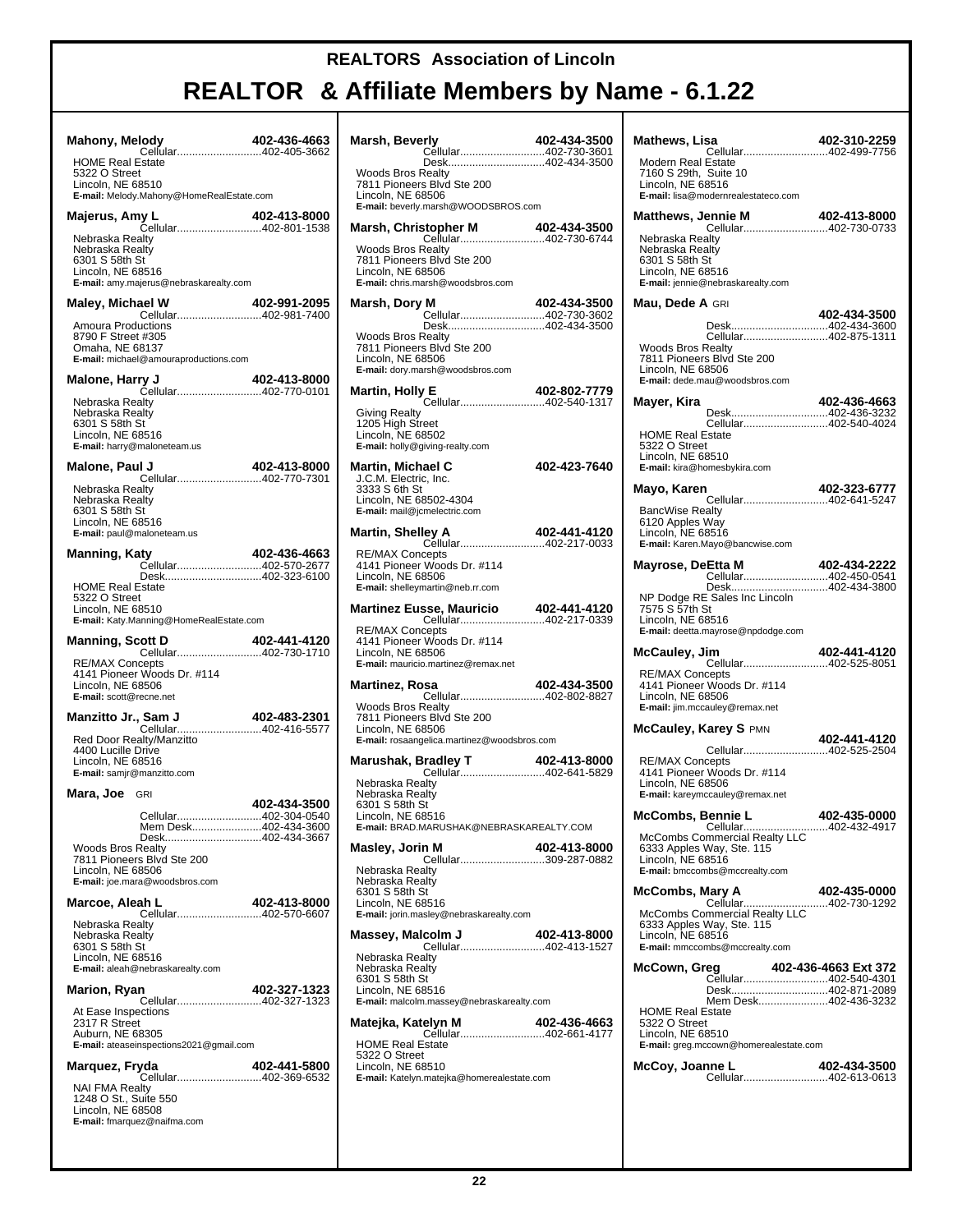# **REALTOR & Affiliate Members by Name - 6.1.22**

T

| <b>Mahony, Melody</b><br>Cellular402-405-3662                                                                                                                                     | 402-436-4663 |
|-----------------------------------------------------------------------------------------------------------------------------------------------------------------------------------|--------------|
| <b>HOME Real Estate</b><br>5322 O Street<br>Lincoln, NE 68510                                                                                                                     |              |
| E-mail: Melody.Mahony@HomeRealEstate.com                                                                                                                                          |              |
| Nebraska Realty<br>Nebraska Realty<br>6301 S 58th St<br>Lincoln, NE 68516<br>E-mail: amy.majerus@nebraskarealty.com                                                               |              |
| <b>Maley, Michael W</b>                                                                                                                                                           | 402-991-2095 |
| Cellular402-981-7400<br>Amoura Productions<br>8790 F Street #305<br>Omaha, NE 68137<br>E-mail: michael@amouraproductions.com                                                      |              |
|                                                                                                                                                                                   |              |
| Nebraska Realty<br>Nebraska Realty<br>6301 S 58th St<br>Lincoln. NE 68516<br>E-mail: harry@maloneteam.us                                                                          |              |
| Malone, Paul J                                                                                                                                                                    | 402-413-8000 |
| Nebraska Realty<br>Nebraska Realty<br>6301 S 58th St<br>Lincoln, NE 68516<br>E-mail: paul@maloneteam.us                                                                           |              |
| Manning, Katy<br>Cellular402-570-2677                                                                                                                                             | 402-436-4663 |
| Desk402-323-6100<br><b>HOME Real Estate</b><br>5322 O Street<br>Lincoln, NE 68510<br>E-mail: Katy.Manning@HomeRealEstate.com                                                      |              |
|                                                                                                                                                                                   |              |
|                                                                                                                                                                                   | 402-441-4120 |
| <b>Manning, Scott D</b><br><b>RE/MAX Concepts</b><br>4141 Pioneer Woods Dr. #114<br>Lincoln, NE 68506<br>E-mail: scott@recne.net                                                  |              |
| Manzitto Jr., Sam J                                                                                                                                                               |              |
| Sam J<br>Cellular402-416-5577<br>Red Door Realty/Manzitto<br>4400 Lucille Drive<br>Lincoln, NE 68516<br>E-mail: samjr@manzitto.com                                                |              |
| Mara, Joe GRI                                                                                                                                                                     |              |
| Cellular402-304-0540<br>Mem Desk402-434-3600<br>Desk402-434-3667<br>Woods Bros Realty<br>7811 Pioneers Blvd Ste 200<br>Lincoln, NE 68506<br><b>E-mail:</b> joe.mara@woodsbros.com | 402-434-3500 |
| Marcoe, Aleah L                                                                                                                                                                   | 402-413-8000 |
| Cellular402-570-6607<br>Nebraska Realty<br>Nebraska Realty<br>6301 S 58th St<br>Lincoln, NE 68516<br>E-mail: aleah@nebraskarealty.com                                             |              |
| Marion, Ryan                                                                                                                                                                      | 402-327-1323 |
| Cellular402-327-1323<br>At Ease Inspections<br>2317 R Street<br>Auburn, NE 68305<br>E-mail: ateaseinspections2021@gmail.com                                                       |              |
| Marquez, Fryda<br><b>402-441-5800/</b><br>Cellular402-369-6532                                                                                                                    | 402-441-5800 |

| Marsh, Beverly                                                                                                                                   | 402-434-3500 |
|--------------------------------------------------------------------------------------------------------------------------------------------------|--------------|
| Cellular402-730-3601<br>Desk402-434-3500                                                                                                         |              |
| <b>Woods Bros Realty</b><br>7811 Pioneers Blvd Ste 200<br>Lincoln, NE 68506<br>E-mail: beverly.marsh@WOODSBROS.com                               |              |
|                                                                                                                                                  |              |
| <b>Woods Bros Realty</b><br>7811 Pioneers Blvd Ste 200<br>Lincoln, NE 68506<br>E-mail: chris.marsh@woodsbros.com                                 |              |
| Marsh, Dory M<br>Cellular402-730-3602                                                                                                            | 402-434-3500 |
| Desk402-434-3500<br><b>Woods Bros Realty</b><br>7811 Pioneers Blvd Ste 200<br>Lincoln, NE 68506<br>E-mail: dory.marsh@woodsbros.com              |              |
| <b>E</b> 402-802-7779<br>Cellular402-540-1317<br>Martin, Holly E                                                                                 |              |
| <b>Giving Realty</b><br>1205 High Street<br>Lincoln, NE 68502<br><b>E-mail:</b> holly@giving-realty.com                                          |              |
| Martin, Michael C<br>J.C.M. Electric, Inc.<br>3333 S 6th St<br>Lincoln, NE 68502-4304<br>E-mail: mail@jcmelectric.com                            | 402-423-7640 |
| Martin, Shelley A<br>Cellular402-217-0033                                                                                                        | 402-441-4120 |
| <b>RE/MAX Concepts</b><br>4141 Pioneer Woods Dr. #114<br>Lincoln, NE 68506<br>E-mail: shelleymartin@neb.rr.com                                   |              |
| Martinez Eusse, Mauricio 402-441-4120<br>Cellular402-217-0339                                                                                    |              |
| <b>RE/MAX Concepts</b><br>4141 Pioneer Woods Dr. #114<br>Lincoln, NE 68506<br>E-mail: mauricio.martinez@remax.net                                |              |
| Martinez, Rosa<br>Cellular402-802-8827                                                                                                           | 402-434-3500 |
| <b>Woods Bros Realty</b><br>7811 Pioneers Blvd Ste 200<br>Lincoln, NE 68506<br>E-mail: rosaangelica.martinez@woodsbros.com                       |              |
|                                                                                                                                                  |              |
| Nebraska Realty<br>Nebraska Realty<br>6301 S 58th St<br>Lincoln, NE 68516<br>E-mail: BRAD.MARUSHAK@NEBRASKAREALTY.COM                            |              |
| Masley, Jorin M                                                                                                                                  | 402-413-8000 |
| <br>Cellular309-287-0882<br>Nebraska Realty<br>Nebraska Realty<br>6301 S 58th St<br>Lincoln, NE 68516<br>E-mail: jorin.masley@nebraskarealty.com |              |
| Massey, Malcolm J<br>Cellular402-413-1527                                                                                                        | 402-413-8000 |
| Nebraska Realty<br>Nebraska Realty<br>6301 S 58th St<br>Lincoln, NE 68516<br>E-mail: malcolm.massey@nebraskarealty.com                           |              |
| Matejka, Katelyn M<br>Cellular402-661-4177                                                                                                       | 402-436-4663 |
| <b>HOME Real Estate</b><br>5322 O Street<br>Lincoln, NE 68510<br>E-mail: Katelyn.matejka@homerealestate.com                                      |              |

| Mathews, Lisa                                                                                                                   | 402-310-2259 |
|---------------------------------------------------------------------------------------------------------------------------------|--------------|
| Cellular402-499-7756<br>Modern Real Estate<br>7160 S 29th, Suite 10<br>Lincoln, NE 68516<br>E-mail: lisa@modernrealestateco.com |              |
|                                                                                                                                 |              |
| Nebraska Realty<br>Nebraska Realty<br>6301 S 58th St<br>Lincoln, NE 68516<br>E-mail: jennie@nebraskarealty.com                  |              |
| Mau, Dede A GRI                                                                                                                 | 402-434-3500 |
| Desk402-434-3600<br>Cellular402-875-1311                                                                                        |              |
| <b>Woods Bros Realty</b><br>7811 Pioneers Blvd Ste 200<br>Lincoln, NE 68506<br>E-mail: dede.mau@woodsbros.com                   |              |
| Mayer, Kira<br>Desk402-436-3232                                                                                                 | 402-436-4663 |
| Cellular402-540-4024<br><b>HOME Real Estate</b><br>5322 O Street<br>Lincoln, NE 68510<br>E-mail: kira@homesbykira.com           |              |
| Mayo, Karen<br>Cellular402-641-5247                                                                                             | 402-323-6777 |
| <b>BancWise Realty</b><br>6120 Apples Way<br>Lincoln, NE 68516<br>E-mail: Karen.Mayo@bancwise.com                               |              |
| Mayrose, DeEtta M<br>Cellular402-450-0541                                                                                       | 402-434-2222 |
| Desk402-434-3800<br>NP Dodge RE Sales Inc Lincoln<br>7575 S 57th St<br>Lincoln, NE 68516<br>E-mail: deetta.mayrose@npdodge.com  |              |
| McCauley, Jim<br>Cellular402-525-8051                                                                                           | 402-441-4120 |
| <b>RE/MAX Concepts</b><br>4141 Pioneer Woods Dr. #114<br>Lincoln, NE 68506<br>E-mail: jim.mccauley@remax.net                    |              |
| McCauley, Karey S PMN                                                                                                           | 402-441-4120 |
| <b>RE/MAX Concepts</b><br>4141 Pioneer Woods Dr. #114<br>Lincoln, NE 68506<br>E-mail: kareymccauley@remax.net                   |              |
| McCombs, Bennie L<br><b>PETTITLE LADDETER 402-433-0000</b><br>Cellular402-432-4917                                              | 402-435-0000 |
| McCombs Commercial Realty LLC<br>6333 Apples Way, Ste. 115<br>Lincoln, NE 68516<br>E-mail: bmccombs@mccrealty.com               |              |
| McCombs, Mary A                                                                                                                 | 402-435-0000 |
|                                                                                                                                 |              |
| 6333 Apples Way, Ste. 115<br>Lincoln, NE 68516<br>E-mail: mmccombs@mccrealty.com                                                |              |
| McCown, Greg                                                                                                                    |              |
| eg 102-436-4663 Ext 372<br>Cellular402-540-4301<br>Desk402-871-2089<br>Mem Desk402-436-3232                                     |              |
| <b>HOME Real Estate</b><br>5322 O Street<br>Lincoln, NE 68510<br>E-mail: greg.mccown@homerealestate.com                         |              |
| McCoy, Joanne L<br>Cellular402-613-0613                                                                                         | 402-434-3500 |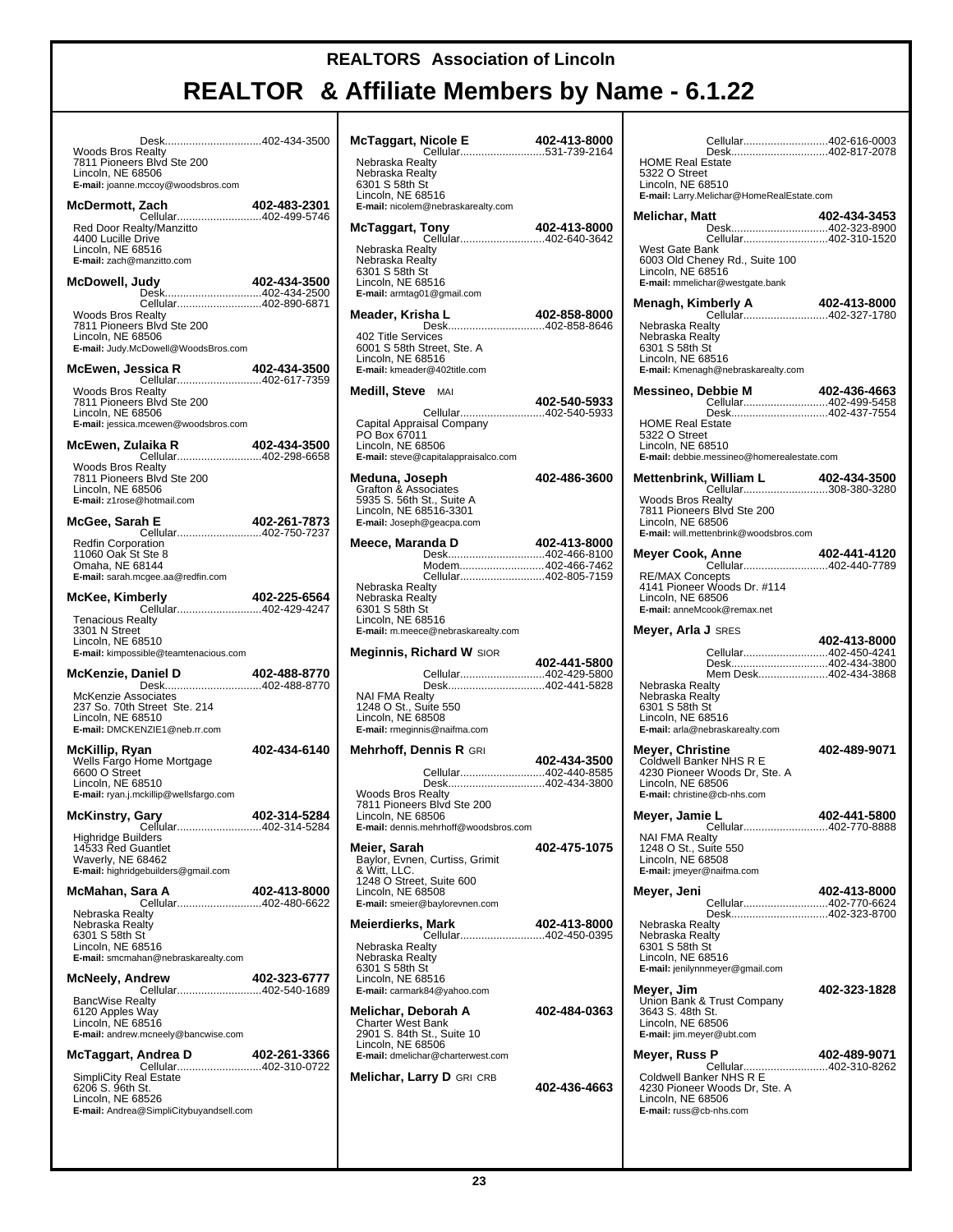| Desk402-434-3500                                                                                                                                               |              |
|----------------------------------------------------------------------------------------------------------------------------------------------------------------|--------------|
| Woods Bros Realty<br>7811 Pioneers Blvd Ste 200<br>Lincoln, NE 68506<br>E-mail: joanne.mccoy@woodsbros.com                                                     |              |
| McDermott, Zach                                                                                                                                                | 402-483-2301 |
| Cellular402-499-5746<br>Red Door Realty/Manzitto<br>4400 Lucille Drive<br>Lincoln, NE 68516<br>E-mail: zach@manzitto.com                                       |              |
| McDowell, Judy                                                                                                                                                 | 402-434-3500 |
| Desk402-434-2500<br>Cellular402-890-6871<br><b>Woods Bros Realty</b><br>7811 Pioneers Blvd Ste 200<br>Lincoln, NE 68506<br>E-mail: Judy.McDowell@WoodsBros.com |              |
| McEwen, Jessica R                                                                                                                                              |              |
| <b>Woods Bros Realty</b><br>7811 Pioneers Blvd Ste 200<br>Lincoln, NE 68506<br>E-mail: jessica.mcewen@woodsbros.com                                            |              |
| McEwen, Zulaika R                                                                                                                                              | 402-434-3500 |
| <b>Woods Bros Realty</b><br>7811 Pioneers Blvd Ste 200<br>Lincoln, NE 68506<br>E-mail: z1rose@hotmail.com                                                      |              |
| McGee, Sarah E                                                                                                                                                 | 402-261-7873 |
| Cellular402-750-7237<br><b>Redfin Corporation</b><br>11060 Oak St Ste 8<br>Omaha, NE 68144<br>E-mail: sarah.mcgee.aa@redfin.com                                |              |
| McKee, Kimberly                                                                                                                                                | 402-225-6564 |
| Cellular402-429-4247<br>Tenacious Realty<br>3301 N Street<br>Lincoln, NE 68510<br>E-mail: kimpossible@teamtenacious.com                                        |              |
| McKenzie, Daniel D                                                                                                                                             | 402-488-8770 |
| Desk402-488-8770<br>McKenzie Associates<br>237 So. 70th Street Ste. 214<br>Lincoln, NE 68510<br>E-mail: DMCKENZIE1@neb.rr.com                                  |              |
| McKillip, Ryan<br>Wells Fargo Home Mortgage<br>6600 O Street<br>Lincoln, NE 68510<br>E-mail: ryan.j.mckillip@wellsfargo.com                                    | 402-434-6140 |
| McKinstry, Gary                                                                                                                                                | 402-314-5284 |
| Cellular402-314-5284<br>Highridge Builders<br>14533 Red Guantlet<br>Waverly, NE 68462<br>E-mail: highridgebuilders@gmail.com                                   |              |
| McMahan, Sara A<br>Cellular402-480-6622                                                                                                                        | 402-413-8000 |
| Nebraska Realty<br>Nebraska Realty<br>6301 S 58th St<br>Lincoln, NE 68516<br>E-mail: smcmahan@nebraskarealty.com                                               |              |
| <b>McNeely, Andrew</b>                                                                                                                                         | 402-323-6777 |
| Cellular402-540-1689<br><b>BancWise Realty</b><br>6120 Apples Way<br>Lincoln, NE 68516<br>E-mail: andrew.mcneely@bancwise.com                                  |              |
| McTaggart, Andrea D                                                                                                                                            | 402-261-3366 |
| Cellular402-310-0722<br><b>SimpliCity Real Estate</b><br>6206 S. 96th St.<br>Lincoln, NE 68526<br>E-mail: Andrea@SimpliCitybuyandsell.com                      |              |

| McTaggart, Nicole E<br>Cellular531-739-2164                                                                                                       | 402-413-8000 |
|---------------------------------------------------------------------------------------------------------------------------------------------------|--------------|
| Nebraska Realty<br>Nebraska Realty<br>6301 S 58th St<br>Lincoln, NE 68516<br>E-mail: nicolem@nebraskarealty.com                                   |              |
| McTaggart, Tony<br><b>402-413-6000<br/>Cellular402-640-3642</b>                                                                                   | 402-413-8000 |
| Nebraska Realty<br>Nebraska Realty<br>6301 S 58th St<br>Lincoln, NE 68516<br>E-mail: armtag01@gmail.com                                           |              |
| Meader, Krisha L                                                                                                                                  | 402-858-8000 |
| Desk402-858-8646<br>402 Title Services<br>6001 S 58th Street, Ste. A<br>Lincoln, NE 68516<br>E-mail: kmeader@402title.com                         |              |
| Medill, Steve MAI                                                                                                                                 | 402-540-5933 |
| Cellular402-540-5933<br>Capital Appraisal Company<br>PO Box 67011<br>Lincoln, NE 68506<br>E-mail: steve@capitalappraisalco.com                    |              |
| Meduna, Joseph<br>Grafton & Associates<br>5935 S. 56th St., Suite A<br>Lincoln, NE 68516-3301<br>E-mail: Joseph@geacpa.com                        | 402-486-3600 |
| Meece, Maranda D<br>Desk402-466-8100                                                                                                              | 402-413-8000 |
| Modem402-466-7462                                                                                                                                 |              |
| Cellular402-805-7159<br>Nebraska Realty<br>Nebraska Realty<br>6301 S 58th St<br>Lincoln, NE 68516<br>E-mail: m.meece@nebraskarealty.com           |              |
| <b>Meginnis, Richard W</b> SIOR                                                                                                                   | 402-441-5800 |
| Cellular402-429-5800                                                                                                                              |              |
| Desk402-441-5828<br><b>NAI FMA Realty</b><br>1248 O St., Suite 550<br>Lincoln, NE 68508<br>E-mail: rmeginnis@naifma.com                           |              |
| Mehrhoff, Dennis R GRI                                                                                                                            |              |
| Cellular402-440-8585                                                                                                                              | 402-434-3500 |
| Desk402-434-3800<br><b>Woods Bros Realty</b><br>7811 Pioneers Blvd Ste 200<br>Lincoln, NE 68506<br>E-mail: dennis.mehrhoff@woodsbros.com          |              |
| Meier, Sarah<br>Baylor, Evnen, Curtiss, Grimit<br>& Witt, LLC.<br>1248 O Street, Suite 600<br>Lincoln, NE 68508<br>E-mail: smeier@baylorevnen.com | 402-475-1075 |
| Meierdierks, Mark                                                                                                                                 | 402-413-8000 |
| Cellular402-450-0395<br>Nebraska Realty<br>Nebraska Realty<br>6301 S 58th St<br>Lincoln, NE 68516<br>E-mail: carmark84@yahoo.com                  |              |
| Melichar, Deborah A<br>Charter West Bank<br>2901 S. 84th St., Suite 10<br>Lincoln, NE 68506<br>E-mail: dmelichar@charterwest.com                  | 402-484-0363 |
| Melichar, Larry D GRI CRB                                                                                                                         | 402-436-4663 |

|                                              | Cellular402-616-0003<br>Desk402-817-2078                 |              |
|----------------------------------------------|----------------------------------------------------------|--------------|
| <b>HOME Real Estate</b>                      |                                                          |              |
| 5322 O Street<br>Lincoln, NE 68510           |                                                          |              |
|                                              | E-mail: Larry.Melichar@HomeRealEstate.com                |              |
| Melichar, Matt                               | Desk402-323-8900                                         | 402-434-3453 |
|                                              | Cellular402-310-1520                                     |              |
| West Gate Bank                               | 6003 Old Cheney Rd., Suite 100                           |              |
| Lincoln, NE 68516                            | E-mail: mmelichar@westgate.bank                          |              |
| Menagh, Kimberly A                           |                                                          | 402-413-8000 |
| Nebraska Realty                              | 10 <b>00-113-102-413</b> nperly<br>Cellular402-327-1780  |              |
| Nebraska Realty                              |                                                          |              |
| 6301 S 58th St<br>Lincoln, NE 68516          |                                                          |              |
|                                              | E-mail: Kmenagh@nebraskarealty.com                       |              |
| <b>Messineo, Debbie M</b>                    | Cellular402-499-5458                                     | 402-436-4663 |
| <b>HOME Real Estate</b>                      | Desk402-437-7554                                         |              |
| 5322 O Street                                |                                                          |              |
| Lincoln, NE 68510                            | E-mail: debbie.messineo@homerealestate.com               |              |
|                                              | Mettenbrink, William L 402-434-3500                      |              |
| <b>Woods Bros Realty</b>                     | Cellular308-380-3280                                     |              |
| Lincoln, NE 68506                            | 7811 Pioneers Blvd Ste 200                               |              |
|                                              | E-mail: will.mettenbrink@woodsbros.com                   |              |
| Meyer Cook, Anne                             |                                                          | 402-441-4120 |
| <b>RE/MAX Concepts</b>                       | Cellular402-440-7789                                     |              |
| Lincoln, NE 68506                            | 4141 Pioneer Woods Dr. #114                              |              |
|                                              | E-mail: anneMcook@remax.net                              |              |
| <b>Meyer, Arla J</b> sres                    |                                                          |              |
|                                              |                                                          |              |
|                                              | Cellular402-450-4241                                     | 402-413-8000 |
|                                              | Desk402-434-3800<br>Mem Desk402-434-3868                 |              |
| Nebraska Realty<br>Nebraska Realty           |                                                          |              |
| 6301 S 58th St                               |                                                          |              |
| Lincoln, NE 68516                            | E-mail: arla@nebraskarealty.com                          |              |
| Meyer, Christine                             |                                                          | 402-489-9071 |
|                                              | Coldwell Banker NHS R E<br>4230 Pioneer Woods Dr, Ste. A |              |
| Lincoln, NE 68506                            | E-mail: christine@cb-nhs.com                             |              |
|                                              |                                                          |              |
| Meyer, Jamie L                               | Cellular402-770-8888                                     | 402-441-5800 |
| <b>NAI FMA Realty</b>                        |                                                          |              |
| 1248 O St., Suite 550<br>Lincoln, NE 68508   | E-mail: jmeyer@naifma.com                                |              |
| Meyer, Jeni                                  |                                                          | 402-413-8000 |
|                                              | Cellular402-770-6624<br>Desk402-323-8700                 |              |
| Nebraska Realty                              |                                                          |              |
| Nebraska Realty<br>6301 S 58th St            |                                                          |              |
| Lincoln, NE 68516                            | E-mail: jenilynnmeyer@gmail.com                          |              |
| Meyer, Jim                                   |                                                          | 402-323-1828 |
| 3643 S. 48th St.                             | Union Bank & Trust Company                               |              |
| Lincoln, NE 68506                            |                                                          |              |
|                                              | E-mail: jim.meyer@ubt.com                                |              |
| Meyer, Russ P                                | Cellular402-310-8262                                     | 402-489-9071 |
|                                              | Coldwell Banker NHS R E<br>4230 Pioneer Woods Dr, Ste. A |              |
| Lincoln, NE 68506<br>E-mail: russ@cb-nhs.com |                                                          |              |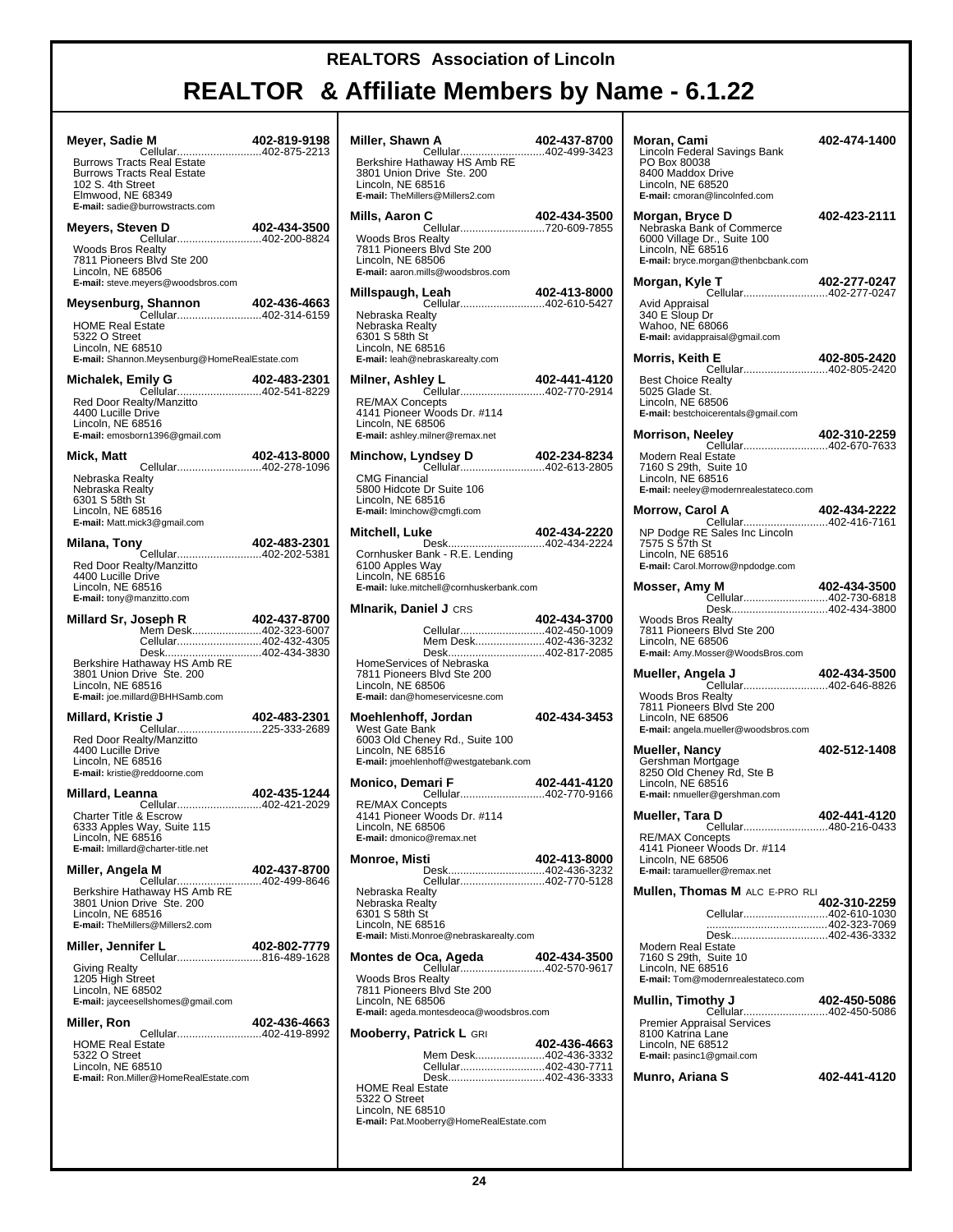# **REALTOR & Affiliate Members by Name - 6.1.22**

┯

| Meyer, Sadie M<br>- <b>n.</b><br>Cellular402-875-2213                                                                                                                      | 402-819-9198 |
|----------------------------------------------------------------------------------------------------------------------------------------------------------------------------|--------------|
| <b>Burrows Tracts Real Estate</b><br><b>Burrows Tracts Real Estate</b><br>102 S. 4th Street<br>Elmwood, NE 68349<br>E-mail: sadie@burrowstracts.com                        |              |
| Meyers, Steven D<br>Cellular402-200-8824                                                                                                                                   | 402-434-3500 |
| <b>Woods Bros Realty</b><br>7811 Pioneers Blvd Ste 200<br>Lincoln, NE 68506<br>E-mail: steve.meyers@woodsbros.com                                                          |              |
|                                                                                                                                                                            |              |
| <b>HOME Real Estate</b><br>5322 O Street<br>Lincoln, NE 68510<br>E-mail: Shannon.Meysenburg@HomeRealEstate.com                                                             |              |
| Michalek, Emily G<br>nily G 102-483-2301<br>Cellular402-541-8229                                                                                                           |              |
| Red Door Realty/Manzitto<br>4400 Lucille Drive<br>Lincoln, NE 68516<br>E-mail: emosborn1396@gmail.com                                                                      |              |
| Mick, Matt<br>Cellular402-278-1096                                                                                                                                         | 402-413-8000 |
| Nebraska Realty<br>Nebraska Realty<br>6301 S 58th St<br>Lincoln, NE 68516<br>E-mail: Matt.mick3@gmail.com                                                                  |              |
| Milana, Tony<br>Cellular402-202-5381                                                                                                                                       | 402-483-2301 |
| Red Door Realty/Manzitto<br>4400 Lucille Drive<br>Lincoln, NE 68516<br>E-mail: tony@manzitto.com                                                                           |              |
| Millard Sr, Joseph R<br>Mem Desk402-323-6007<br>Cellular402-432-4305<br>Desk402-434-3830<br>Berkshire Hathaway HS Amb RE<br>3801 Union Drive Ste. 200<br>Lincoln, NE 68516 | 402-437-8700 |
| E-mail: joe.millard@BHHSamb.com<br>Millard, Kristie J                                                                                                                      | 402-483-2301 |
| Red Door Realty/Manzitto<br>4400 Lucille Drive<br>Lincoln, NE 68516<br>E-mail: kristie@reddoorne.com                                                                       |              |
| Millard, Leanna                                                                                                                                                            | 402-435-1244 |
| Cellular402-421-2029<br>Charter Title & Escrow<br>6333 Apples Way, Suite 115<br>Lincoln, NE 68516<br>E-mail: Imillard@charter-title.net                                    |              |
| Miller, Angela M<br>Cellular402-499-8646                                                                                                                                   | 402-437-8700 |
| Berkshire Hathaway HS Amb RE<br>3801 Union Drive Ste. 200<br>Lincoln, NE 68516<br>E-mail: TheMillers@Millers2.com                                                          |              |
| Miller, Jennifer L<br>Cellular816-489-1628                                                                                                                                 | 402-802-7779 |
| Giving Realty<br>1205 High Street<br>Lincoln, NE 68502<br>E-mail: jayceesellshomes@gmail.com                                                                               |              |
| Miller, Ron<br>Cellular402-419-8992                                                                                                                                        | 402-436-4663 |
| <b>HOME Real Estate</b><br>5322 O Street<br>Lincoln, NE 68510<br>E-mail: Ron.Miller@HomeRealEstate.com                                                                     |              |
|                                                                                                                                                                            |              |

| Miller, Shawn A                                                                                                                                                              | 402-437-8700 |
|------------------------------------------------------------------------------------------------------------------------------------------------------------------------------|--------------|
| Lincoln. NE 68516<br>E-mail: TheMillers@Millers2.com                                                                                                                         |              |
| Mills, Aaron C                                                                                                                                                               |              |
| <b>Woods Bros Realty</b><br>7811 Pioneers Blvd Ste 200<br>Lincoln, NE 68506<br>E-mail: aaron.mills@woodsbros.com                                                             |              |
| Millspaugh, Leah<br>Cellular402-610-5427                                                                                                                                     | 402-413-8000 |
| Nebraska Realtv<br>Nebraska Realty<br>6301 S 58th St<br>Lincoln, NE 68516<br>E-mail: leah@nebraskarealty.com                                                                 |              |
| Milner, Ashley L<br><b>ey L</b><br>Cellular402-770-2914                                                                                                                      | 402-441-4120 |
| <b>RE/MAX Concepts</b><br>4141 Pioneer Woods Dr. #114<br>Lincoln, NE 68506<br>E-mail: ashley.milner@remax.net                                                                |              |
|                                                                                                                                                                              |              |
| <b>CMG Financial</b><br>5800 Hidcote Dr Suite 106<br>Lincoln, NE 68516<br>E-mail: Iminchow@cmgfi.com                                                                         |              |
| Mitchell, Luke<br>Desk402-434-2224                                                                                                                                           | 402-434-2220 |
| Cornhusker Bank - R.E. Lending<br>6100 Apples Way<br>Lincoln. NE 68516<br>E-mail: luke.mitchell@cornhuskerbank.com                                                           |              |
| <b>Minarik, Daniel J</b> CRS                                                                                                                                                 | 402-434-3700 |
| Cellular402-450-1009<br>Mem Desk402-436-3232                                                                                                                                 |              |
| Desk402-817-2085<br>HomeServices of Nebraska<br>7811 Pioneers Blvd Ste 200<br>Lincoln, NE 68506<br>E-mail: dan@homeservicesne.com                                            |              |
| Moehlenhoff, Jordan<br>West Gate Bank<br>6003 Old Cheney Rd., Suite 100<br>Lincoln, NE 68516<br>E-mail: jmoehlenhoff@westgatebank.com                                        | 402-434-3453 |
| Monico, Demari F<br>Cellular402-770-9166                                                                                                                                     | 402-441-4120 |
| <b>RE/MAX Concepts</b><br>4141 Pioneer Woods Dr. #114<br>Lincoln, NE 68506<br>E-mail: dmonico@remax.net                                                                      |              |
| Monroe, Misti<br>Desk402-436-3232                                                                                                                                            | 402-413-8000 |
| Cellular402-770-5128<br>Nebraska Realty<br>Nebraska Realty<br>6301 S 58th St<br>Lincoln, NE 68516<br>E-mail: Misti.Monroe@nebraskarealty.com                                 |              |
| Montes de Oca, Ageda<br>Cellular402-570-9617                                                                                                                                 | 402-434-3500 |
| <b>Woods Bros Realty</b><br>7811 Pioneers Blvd Ste 200<br>Lincoln, NE 68506<br>E-mail: ageda.montesdeoca@woodsbros.com                                                       |              |
| <b>Mooberry, Patrick L GRI</b>                                                                                                                                               |              |
| Mem Desk402-436-3332<br>Cellular402-430-7711<br>Desk402-436-3333<br><b>HOME Real Estate</b><br>5322 O Street<br>Lincoln, NE 68510<br>E-mail: Pat.Mooberry@HomeRealEstate.com | 402-436-4663 |

| Moran, Cami<br>Lincoln Federal Savings Bank<br>PO Box 80038<br>8400 Maddox Drive<br>Lincoln, NE 68520                                                                    | 402-474-1400 |
|--------------------------------------------------------------------------------------------------------------------------------------------------------------------------|--------------|
| E-mail: cmoran@lincolnfed.com<br>Morgan, Bryce D<br>Nebraska Bank of Commerce<br>6000 Village Dr., Suite 100<br>Lincoln, NE 68516<br>E-mail: bryce.morgan@thenbcbank.com | 402-423-2111 |
| Morgan, Kyle T                                                                                                                                                           | 402-277-0247 |
| Cellular402-277-0247<br>Avid Appraisal<br>340 E Sloup Dr<br>Wahoo, NE 68066<br>E-mail: avidappraisal@gmail.com                                                           |              |
| Morris, Keith E                                                                                                                                                          | 402-805-2420 |
| Cellular402-805-2420<br><b>Best Choice Realty</b><br>5025 Glade St.<br>Lincoln, NE 68506<br>E-mail: bestchoicerentals@gmail.com                                          |              |
| eeley <b>402-310-2259</b><br>Cellular402-670-7633<br><b>Morrison, Neeley</b>                                                                                             |              |
| Modern Real Estate<br>7160 S 29th, Suite 10<br>Lincoln, NE 68516<br>E-mail: neeley@modernrealestateco.com                                                                |              |
| Morrow, Carol A                                                                                                                                                          | 402-434-2222 |
| NP Dodge RE Sales Inc Lincoln<br>7575 S 57th St<br>Lincoln, NE 68516<br>E-mail: Carol.Morrow@npdodge.com                                                                 |              |
| <b>y M 402-434-3500</b><br>Cellular402-730-6818<br>Mosser, Amy M                                                                                                         |              |
| Desk402-434-3800                                                                                                                                                         |              |
| <b>Woods Bros Realty</b><br>7811 Pioneers Blvd Ste 200<br>Lincoln, NE 68506<br>E-mail: Amy.Mosser@WoodsBros.com                                                          |              |
| Mueller, Angela J                                                                                                                                                        | 402-434-3500 |
| Cellular402-646-8826<br><b>Woods Bros Realty</b><br>7811 Pioneers Blvd Ste 200<br>Lincoln, NE 68506<br>E-mail: angela.mueller@woodsbros.com                              |              |
| <b>Mueller, Nancy</b><br>Gershman Mortgage<br>8250 Old Cheney Rd, Ste B<br>Lincoln, NE 68516<br>E-mail: nmueller@gershman.com                                            | 402-512-1408 |
| Mueller, Tara D                                                                                                                                                          | 402-441-4120 |
| Cellular480-216-0433<br><b>RE/MAX Concepts</b><br>4141 Pioneer Woods Dr. #114<br>Lincoln, NE 68506<br>E-mail: taramueller@remax.net                                      |              |
| <b>Mullen, Thomas M ALC E-PRO RLI</b>                                                                                                                                    |              |
| Cellular402-610-1030                                                                                                                                                     | 402-310-2259 |
| Desk402-436-3332                                                                                                                                                         |              |
| Modern Real Estate<br>7160 S 29th, Suite 10<br>Lincoln, NE 68516<br>E-mail: Tom@modernrealestateco.com                                                                   |              |
| Mullin, Timothy J                                                                                                                                                        | 402-450-5086 |
| Cellular402-450-5086<br>Premier Appraisal Services<br>8100 Katrina Lane<br>Lincoln, NE 68512<br>E-mail: pasinc1@gmail.com                                                |              |
| Munro, Ariana S                                                                                                                                                          | 402-441-4120 |
|                                                                                                                                                                          |              |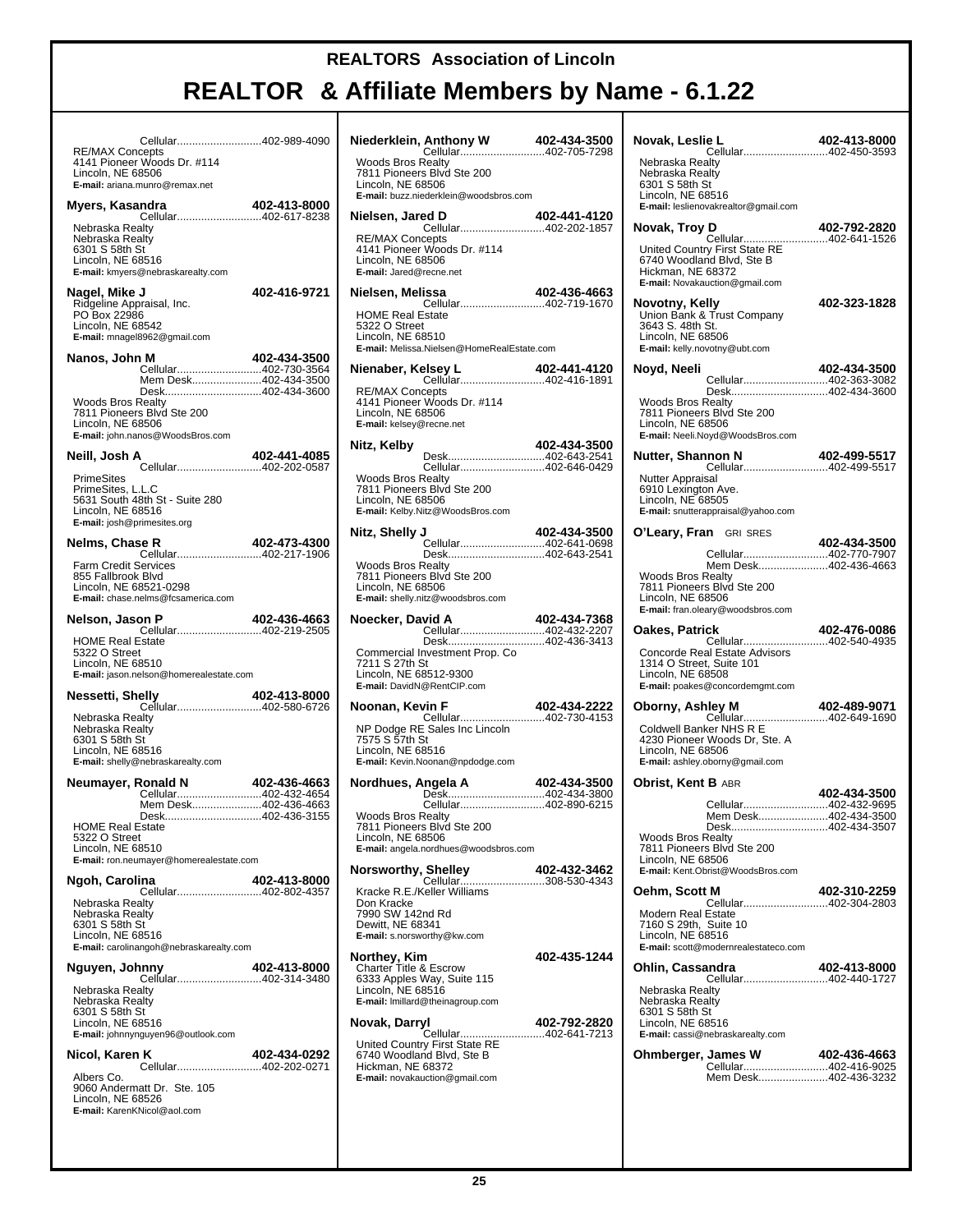| Cellular402-989-4090<br><b>RE/MAX Concepts</b>                       |              |
|----------------------------------------------------------------------|--------------|
| 4141 Pioneer Woods Dr. #114<br>Lincoln, NE 68506                     |              |
| E-mail: ariana.munro@remax.net                                       |              |
| Myers, Kasandra                                                      | 402-413-8000 |
|                                                                      |              |
| Nebraska Realty<br>Nebraska Realty                                   |              |
| 6301 S 58th St<br>Lincoln, NE 68516                                  |              |
| E-mail: kmyers@nebraskarealty.com                                    |              |
| Nagel, Mike J                                                        | 402-416-9721 |
| Ridgeline Appraisal, Inc.<br>PO Box 22986                            |              |
| Lincoln, NE 68542                                                    |              |
| E-mail: mnagel8962@gmail.com                                         |              |
| Nanos, John M<br>Cellular402-730-3564                                | 402-434-3500 |
| Mem Desk402-434-3500                                                 |              |
| Desk402-434-3600<br><b>Woods Bros Realty</b>                         |              |
| 7811 Pioneers Blvd Ste 200<br>Lincoln, NE 68506                      |              |
| E-mail: john.nanos@WoodsBros.com                                     |              |
| Neill, Josh A                                                        | 402-441-4085 |
| Cellular402-202-0587<br><b>PrimeSites</b>                            |              |
| PrimeSites, L.L.C                                                    |              |
| 5631 South 48th St - Suite 280<br>Lincoln, NE 68516                  |              |
| E-mail: josh@primesites.org                                          |              |
| Nelms, Chase R                                                       | 402-473-4300 |
| <b>Farm Credit Services</b>                                          |              |
| 855 Fallbrook Blvd                                                   |              |
| Lincoln, NE 68521-0298<br>E-mail: chase.nelms@fcsamerica.com         |              |
| Nelson, Jason P                                                      | 402-436-4663 |
| Cellular402-219-2505                                                 |              |
| <b>HOME Real Estate</b><br>5322 O Street                             |              |
| Lincoln, NE 68510<br>E-mail: jason.nelson@homerealestate.com         |              |
|                                                                      |              |
| <b>elly 402-413-8000</b><br>Cellular402-580-6726<br>Nessetti, Shelly |              |
| Nebraska Realty<br>Nebraska Realty                                   |              |
| 6301 S 58th St                                                       |              |
| Lincoln, NE 68516<br>E-mail: shelly@nebraskarealty.com               |              |
| Neumayer, Ronald N                                                   | 402-436-4663 |
| Cellular402-432-4654                                                 |              |
| Mem Desk402-436-4663<br>Desk                                         | 402-436-3155 |
| <b>HOME Real Estate</b><br>5322 O Street                             |              |
| Lincoln, NE 68510                                                    |              |
| <b>E-mail:</b> ron.neumayer@homerealestate.com                       |              |
| Ngoh, Carolina<br>Cellular402-802-4357                               | 402-413-8000 |
| Nebraska Realty                                                      |              |
| Nebraska Realty<br>6301 S 58th St                                    |              |
| Lincoln, NE 68516<br>E-mail: carolinangoh@nebraskarealty.com         |              |
|                                                                      |              |
| Nguyen, Johnny<br>Cellular402-314-3480                               | 402-413-8000 |
| Nebraska Realty                                                      |              |
| Nebraska Realty<br>6301 S 58th St                                    |              |
| Lincoln, NE 68516<br>E-mail: johnnynguyen96@outlook.com              |              |
|                                                                      |              |
| Nicol, Karen K<br>Cellular402-202-0271                               | 402-434-0292 |
| Albers Co.<br>9060 Andermatt Dr. Ste. 105                            |              |
| Lincoln, NE 68526                                                    |              |
| E-mail: KarenKNicol@aol.com                                          |              |
|                                                                      |              |

| <b>Woods Bros Realty</b><br>7811 Pioneers Blvd Ste 200<br>Lincoln, NE 68506                                                          |  |                                                          |
|--------------------------------------------------------------------------------------------------------------------------------------|--|----------------------------------------------------------|
| E-mail: buzz.niederklein@woodsbros.com<br>Nielsen, Jared D                                                                           |  |                                                          |
| <b>RE/MAX Concepts</b><br>4141 Pioneer Woods Dr. #114<br>Lincoln, NE 68506<br>E-mail: Jared@recne.net                                |  | <b>ed D</b> 402-441-4120<br>Cellular402-202-1857         |
| Nielsen, Melissa                                                                                                                     |  | <b>issa 402-436-4663</b><br>Cellular402-719-1670         |
| <b>HOME Real Estate</b><br>5322 O Street<br>Lincoln, NE 68510<br>E-mail: Melissa.Nielsen@HomeRealEstate.com                          |  |                                                          |
| Nienaber, Kelsey L                                                                                                                   |  | <b>elsey L 402-441-4120</b><br>Cellular402-416-1891      |
| <b>RE/MAX Concepts</b><br>4141 Pioneer Woods Dr. #114<br>Lincoln, NE 68506<br>E-mail: kelsey@recne.net                               |  |                                                          |
| Nitz, Kelby                                                                                                                          |  | 402-434-3500<br>Cellular402-646-0429                     |
| <b>Woods Bros Realty</b><br>7811 Pioneers Blvd Ste 200<br>Lincoln, NE 68506<br>E-mail: Kelby.Nitz@WoodsBros.com                      |  |                                                          |
| Nitz, Shelly J                                                                                                                       |  | 402-434-3500<br><b>Cellular402-641-0698</b>              |
| <b>Woods Bros Realty</b><br>7811 Pioneers Blvd Ste 200<br>Lincoln, NE 68506<br>E-mail: shelly.nitz@woodsbros.com                     |  | Desk402-643-2541                                         |
| Noecker, David A                                                                                                                     |  | 402-434-7368<br>Cellular402-432-2207                     |
| Commercial Investment Prop. Co.<br>7211 S 27th St<br>Lincoln, NE 68512-9300<br>E-mail: DavidN@RentCIP.com                            |  | Desk402-436-3413                                         |
| Noonan, Kevin F                                                                                                                      |  | 402-434-2222                                             |
| NP Dodge RE Sales Inc Lincoln<br>7575 S 57th St<br>Lincoln, NE 68516<br>E-mail: Kevin.Noonan@npdodge.com                             |  |                                                          |
| Nordhues, Angela A                                                                                                                   |  | 402-434-3500<br>Desk402-434-3800<br>Cellular402-890-6215 |
| <b>Woods Bros Realty</b><br>7811 Pioneers Blvd Ste 200<br>Lincoln, NE 68506<br><b>E-mail:</b> angela.nordhues@woodsbros.com          |  |                                                          |
| <b>Norsworthy, Shelley</b>                                                                                                           |  | 402-432-3462<br>Cellular308-530-4343                     |
| Kracke R.E./Keller Williams<br>Don Kracke<br>7990 SW 142nd Rd<br>Dewitt, NE 68341<br>E-mail: s.norsworthy@kw.com                     |  |                                                          |
| <b>Northey, Kim</b><br>Charter Title & Escrow<br>6333 Apples Way, Suite 115<br>Lincoln, NE 68516<br>E-mail: Imillard@theinagroup.com |  | 402-435-1244                                             |
| Novak, Darryl                                                                                                                        |  | 402-792-2820                                             |
| United Country First State RE<br>6740 Woodland Blvd, Ste B<br>Hickman, NE 68372<br><b>E-mail:</b> novakauction@gmail.com             |  | Cellular402-641-7213                                     |
|                                                                                                                                      |  |                                                          |

| Novak, Leslie L                                                                                                                           | 402-413-8000                 |
|-------------------------------------------------------------------------------------------------------------------------------------------|------------------------------|
| Cellular402-450-3593<br>Nebraska Realty<br>Nebraska Realty                                                                                |                              |
| 6301 S 58th St<br>Lincoln, NE 68516<br>E-mail: leslienovakrealtor@gmail.com                                                               |                              |
| Novak, Troy D<br>Cellular402-641-1526                                                                                                     | 402-792-2820                 |
| United Country First State RE<br>6740 Woodland Blvd, Ste B<br>Hickman, NE 68372<br>E-mail: Novakauction@gmail.com                         |                              |
| Novotny, Kelly<br>Union Bank & Trust Company<br>3643 S. 48th St.<br>Lincoln, NE 68506<br>E-mail: kelly.novotny@ubt.com                    | 402-323-1828                 |
| Noyd, Neeli<br>Cellular402-363-3082                                                                                                       | 402-434-3500                 |
| Desk402-434-3600<br><b>Woods Bros Realty</b><br>7811 Pioneers Blvd Ste 200<br>Lincoln, NE 68506<br>E-mail: Neeli.Noyd@WoodsBros.com       |                              |
| Nutter, Shannon N<br>Cellular402-499-5517                                                                                                 | 402-499-5517                 |
| Nutter Appraisal<br>6910 Lexington Ave.<br>Lincoln, NE 68505<br>E-mail: snutterappraisal@yahoo.com                                        |                              |
| O'Leary, Fran GRI SRES<br>Cellular402-770-7907                                                                                            | 402-434-3500                 |
| Mem Desk402-436-4663<br>Woods Bros Realty<br>7811 Pioneers Blvd Ste 200<br>Lincoln, NE 68506<br>E-mail: fran.oleary@woodsbros.com         |                              |
| Oakes, Patrick                                                                                                                            | 402-476-0086                 |
|                                                                                                                                           |                              |
| Cellular402-540-4935<br>Concorde Real Estate Advisors<br>1314 O Street, Suite 101<br>Lincoln, NE 68508<br>E-mail: poakes@concordemgmt.com |                              |
| Oborny, Ashley M                                                                                                                          | 402-489-9071                 |
| Cellular402-649-1690<br>Coldwell Banker NHS R E<br>4230 Pioneer Woods Dr, Ste. A<br>Lincoln, NE 68506<br>E-mail: ashley.oborny@gmail.com  |                              |
| <b>Obrist, Kent B ABR</b>                                                                                                                 |                              |
| Cellular<br>Mem Desk402-434-3500                                                                                                          | 402-434-3500<br>402-432-9695 |
| Desk402-434-3507<br><b>Woods Bros Realty</b><br>7811 Pioneers Blvd Ste 200<br>Lincoln, NE 68506<br>E-mail: Kent.Obrist@WoodsBros.com      |                              |
| Oehm, Scott M                                                                                                                             | 402-310-2259                 |
| <br>Cellular402-304-2803<br>Modern Real Estate<br>7160 S 29th, Suite 10<br>Lincoln, NE 68516<br>E-mail: scott@modernrealestateco.com      |                              |
| Ohlin, Cassandra                                                                                                                          | 402-413-8000                 |
| Cellular402-440-1727<br>Nebraska Realty<br>Nebraska Realty<br>6301 S 58th St<br>Lincoln, NE 68516<br>E-mail: cassi@nebraskarealty.com     |                              |
| Ohmberger, James W<br><b>James W</b> 402-436-4663<br>Cellular402-416-9025<br>Mem Desk402-436-3232                                         | 402-436-4663                 |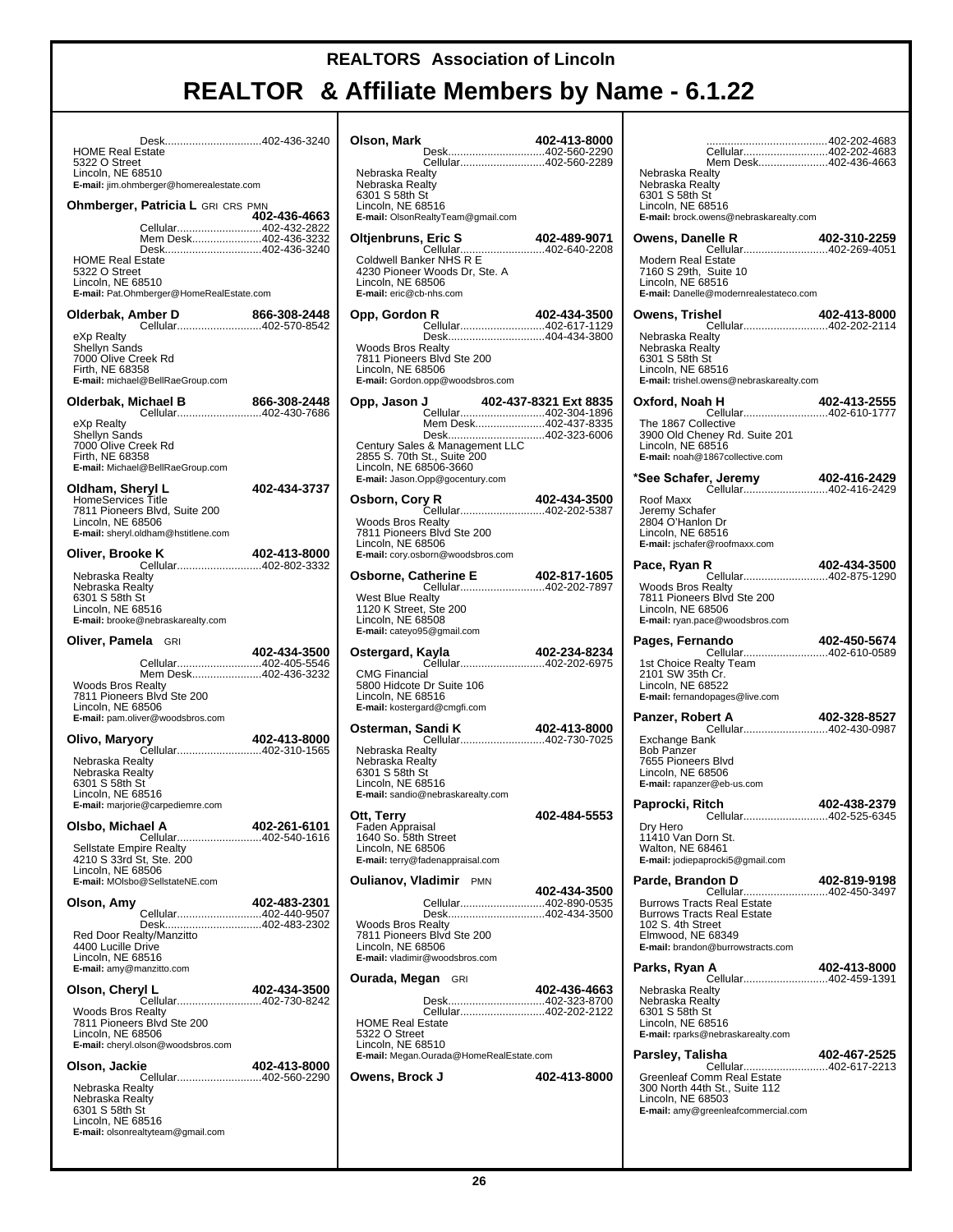| Desk402-436-3240<br><b>HOME Real Estate</b><br>5322 O Street<br>Lincoln, NE 68510                                                                                                                                                         |   |
|-------------------------------------------------------------------------------------------------------------------------------------------------------------------------------------------------------------------------------------------|---|
| E-mail: jim.ohmberger@homerealestate.com                                                                                                                                                                                                  |   |
| <b>Ohmberger, Patricia L GRI CRS PMN</b><br>402-436-4663<br>Cellular402-432-2822<br>Mem Desk402-436-3232<br>Desk402-436-3240<br><b>HOME Real Estate</b><br>5322 O Street<br>Lincoln, NE 68510<br>E-mail: Pat.Ohmberger@HomeRealEstate.com | C |
| Olderbak, Amber D                                                                                                                                                                                                                         |   |
| mber D 866-308-2448<br>Cellular402-570-8542<br>eXp Realty<br>Shellyn Sands<br>7000 Olive Creek Rd<br>Firth, NE 68358<br>E-mail: michael@BellRaeGroup.com                                                                                  |   |
| Olderbak, Michael B<br>866-308-2448<br><b>ichael B</b> 866-308-2448<br>Cellular402-430-7686                                                                                                                                               |   |
| eXp Realty<br>Shellyn Sands<br>7000 Olive Creek Rd<br>Firth, NE 68358<br>E-mail: Michael@BellRaeGroup.com                                                                                                                                 |   |
| Oldham, Sheryl L<br>402-434-3737<br>HomeServices Title<br>7811 Pioneers Blvd, Suite 200<br>Lincoln, NE 68506<br>E-mail: sheryl.oldham@hstitlene.com                                                                                       | C |
| Oliver, Brooke K<br>402-413-8000                                                                                                                                                                                                          |   |
| Nebraska Realty<br>Nebraska Realty<br>6301 S 58th St<br>Lincoln, NE 68516<br>E-mail: brooke@nebraskarealty.com                                                                                                                            |   |
|                                                                                                                                                                                                                                           |   |
| Oliver, Pamela GRI                                                                                                                                                                                                                        |   |
| 402-434-3500<br>Cellular402-405-5546<br>Mem Desk402-436-3232<br><b>Woods Bros Realty</b><br>7811 Pioneers Blvd Ste 200                                                                                                                    | C |
| Lincoln, NE 68506<br>E-mail: pam.oliver@woodsbros.com                                                                                                                                                                                     | C |
| 402-413-8000<br>Olivo, Maryory<br>Cellular402-310-1565<br>Nebraska Realty<br>Nebraska Realty<br>6301 S 58th St<br>Lincoln, NE 68516                                                                                                       |   |
| E-mail: marjorie@carpediemre.com                                                                                                                                                                                                          |   |
| Olsbo, Michael A<br>402-261-6101<br>Cellular402-540-1616<br><b>Sellstate Empire Realty</b><br>4210 S 33rd St, Ste. 200<br>Lincoln, NE 68506<br>E-mail: MOIsbo@SellstateNE.com                                                             | C |
| 402-483-2301<br>Olson, Amy                                                                                                                                                                                                                |   |
| Cellular402-440-9507<br>Desk402-483-2302<br>Red Door Realty/Manzitto<br>4400 Lucille Drive<br>Lincoln, NE 68516<br>E-mail: amy@manzitto.com                                                                                               |   |
| Olson, Cheryl L<br>402-434-3500                                                                                                                                                                                                           | C |
| Cellular402-730-8242<br><b>Woods Bros Realty</b><br>7811 Pioneers Blvd Ste 200<br>Lincoln, NE 68506<br>E-mail: cheryl.olson@woodsbros.com                                                                                                 |   |
| 402-413-8000<br>Olson, Jackie<br>Cellular402-560-2290                                                                                                                                                                                     | C |

| Olson, Mark                                                                   | 402-413-8000 |
|-------------------------------------------------------------------------------|--------------|
| Desk402-560-2290<br>Cellular402-560-2289                                      |              |
| Nebraska Realty                                                               |              |
| Nebraska Realty<br>6301 S 58th St                                             |              |
| Lincoln, NE 68516                                                             |              |
| E-mail: OlsonRealtyTeam@gmail.com                                             |              |
| Oltjenbruns, Eric S                                                           |              |
|                                                                               |              |
|                                                                               |              |
| 4230 Pioneer Woods Dr, Ste. A<br>Lincoln, NE 68506                            |              |
| E-mail: eric@cb-nhs.com                                                       |              |
| Opp, Gordon R                                                                 | 402-434-3500 |
| Cellular402-617-1129                                                          |              |
| Desk404-434-3800<br><b>Woods Bros Realty</b>                                  |              |
| 7811 Pioneers Blvd Ste 200                                                    |              |
| Lincoln, NE 68506                                                             |              |
| E-mail: Gordon.opp@woodsbros.com                                              |              |
|                                                                               |              |
| Mem Desk402-437-8335                                                          |              |
| Desk402-323-6006                                                              |              |
| Century Sales & Management LLC<br>2855 S. 70th St., Suite 200                 |              |
| Lincoln, NE 68506-3660                                                        |              |
| E-mail: Jason.Opp@gocentury.com                                               |              |
| Osborn, Cory R                                                                | 402-434-3500 |
| Cellular402-202-5387                                                          |              |
| <b>Woods Bros Realty</b><br>7811 Pioneers Blvd Ste 200                        |              |
| Lincoln, NE 68506                                                             |              |
| E-mail: cory.osborn@woodsbros.com                                             |              |
| Osborne, Catherine E<br><b>therine E</b> 402-817-1605<br>Cellular402-202-7897 |              |
|                                                                               |              |
| <b>West Blue Realty</b><br>1120 K Street, Ste 200                             |              |
| Lincoln, NE 68508                                                             |              |
| E-mail: cateyo95@gmail.com                                                    |              |
| Ostergard, Kayla                                                              | 402-234-8234 |
| <b>CMG Financial</b>                                                          |              |
| 5800 Hidcote Dr Suite 106                                                     |              |
| Lincoln, NE 68516                                                             |              |
| E-mail: kostergard@cmgfi.com                                                  |              |
| Osterman, Sandi K                                                             | 402-413-8000 |
| Nebraska Realty                                                               |              |
| Nebraska Realtv                                                               |              |
| 6301 S 58th St<br>Lincoln, NE 68516                                           |              |
| E-mail: sandio@nebraskarealty.com                                             |              |
| Ott, Terry                                                                    | 402-484-5553 |
|                                                                               |              |
| Faden Appraisal                                                               |              |
| 1640 So. 58th Street                                                          |              |
| Lincoln, NE 68506<br>E-mail: terry@fadenappraisal.com                         |              |
|                                                                               |              |
|                                                                               | 402-434-3500 |
| Cellular402-890-0535                                                          |              |
| Desk402-434-3500                                                              |              |
| <b>Woods Bros Realty</b><br>7811 Pioneers Blvd Ste 200                        |              |
| Lincoln, NE 68506                                                             |              |
| E-mail: vladimir@woodsbros.com                                                |              |
|                                                                               |              |
| Desk402-323-8700                                                              | 402-436-4663 |
| Cellular402-202-2122                                                          |              |
| <b>HOME Real Estate</b>                                                       |              |
| 5322 O Street<br>Lincoln, NE 68510                                            |              |
| E-mail: Megan.Ourada@HomeRealEstate.com                                       |              |
| <b>Oulianov, Vladimir</b> PMN<br><b>Ourada, Megan</b> GRI<br>Owens, Brock J   | 402-413-8000 |
|                                                                               |              |
|                                                                               |              |

| Cellular402-202-4683                                                                                                                                  | 402-202-4683                 |
|-------------------------------------------------------------------------------------------------------------------------------------------------------|------------------------------|
| Mem Desk402-436-4663<br>Nebraska Realty<br>Nebraska Realty<br>6301 S 58th St<br>Lincoln, NE 68516<br>E-mail: brock.owens@nebraskarealty.com           |                              |
| Owens, Danelle R<br><b>Modern Real Estate</b>                                                                                                         | 402-310-2259                 |
| 7160 S 29th, Suite 10<br>Lincoln, NE 68516<br>E-mail: Danelle@modernrealestateco.com                                                                  |                              |
| Owens, Trishel<br>Cellular402-202-2114                                                                                                                | 402-413-8000                 |
| Nebraska Realty<br>Nebraska Realty<br>6301 S 58th St<br>Lincoln, NE 68516<br>E-mail: trishel.owens@nebraskarealty.com                                 |                              |
| Oxford, Noah H<br><b>h H 402-413-2555</b><br>Cellular402-610-1777                                                                                     |                              |
| The 1867 Collective<br>3900 Old Cheney Rd. Suite 201<br>Lincoln, NE 68516<br>E-mail: noah@1867collective.com                                          |                              |
| <b>r, Jeremy 402-416-2429</b><br>Cellular402-416-2429<br>*See Schafer, Jeremy                                                                         |                              |
| Roof Maxx<br>Jeremy Schafer<br>2804 O'Hanlon Dr<br>Lincoln, NE 68516<br>E-mail: jschafer@roofmaxx.com                                                 |                              |
| Pace, Ryan R<br>Cellular402-875-1290                                                                                                                  | 402-434-3500                 |
| <b>Woods Bros Realty</b><br>7811 Pioneers Blvd Ste 200<br>Lincoln, NE 68506<br>E-mail: ryan.pace@woodsbros.com                                        |                              |
| <b>ando 402-450-5674</b><br>Cellular402-610-0589<br>Pages, Fernando<br>1st Choice Realty Team<br>2101 SW 35th Cr.                                     |                              |
| Lincoln, NE 68522<br>E-mail: fernandopages@live.com                                                                                                   |                              |
| Panzer, Robert A                                                                                                                                      |                              |
| Exchange Bank<br><b>Bob Panzer</b><br>7655 Pioneers Blvd<br>Lincoln, NE 68506<br>E-mail: rapanzer@eb-us.com                                           |                              |
| Paprocki, Ritch<br>Cellular                                                                                                                           | 402-438-2379<br>402-525-6345 |
| Dry Hero<br>11410 Van Dorn St.<br>Walton, NE 68461<br>E-mail: jodiepaprocki5@gmail.com                                                                |                              |
| Parde, Brandon D<br><b>402-819-9198</b><br>Cellular402-450-3497                                                                                       | 402-819-9198                 |
| <b>Burrows Tracts Real Estate</b><br><b>Burrows Tracts Real Estate</b><br>102 S. 4th Street<br>Elmwood, NE 68349<br>E-mail: brandon@burrowstracts.com |                              |
| Parks, Ryan A                                                                                                                                         | 402-413-8000                 |
| Nebraska Realty<br>Nebraska Realty<br>6301 S 58th St<br>Lincoln, NE 68516<br>E-mail: rparks@nebraskarealty.com                                        |                              |
| Parsley, Talisha<br>Cellular402-617-2213                                                                                                              | 402-467-2525                 |
| Greenleaf Comm Real Estate<br>300 North 44th St., Suite 112<br>Lincoln, NE 68503<br>E-mail: amy@greenleafcommercial.com                               |                              |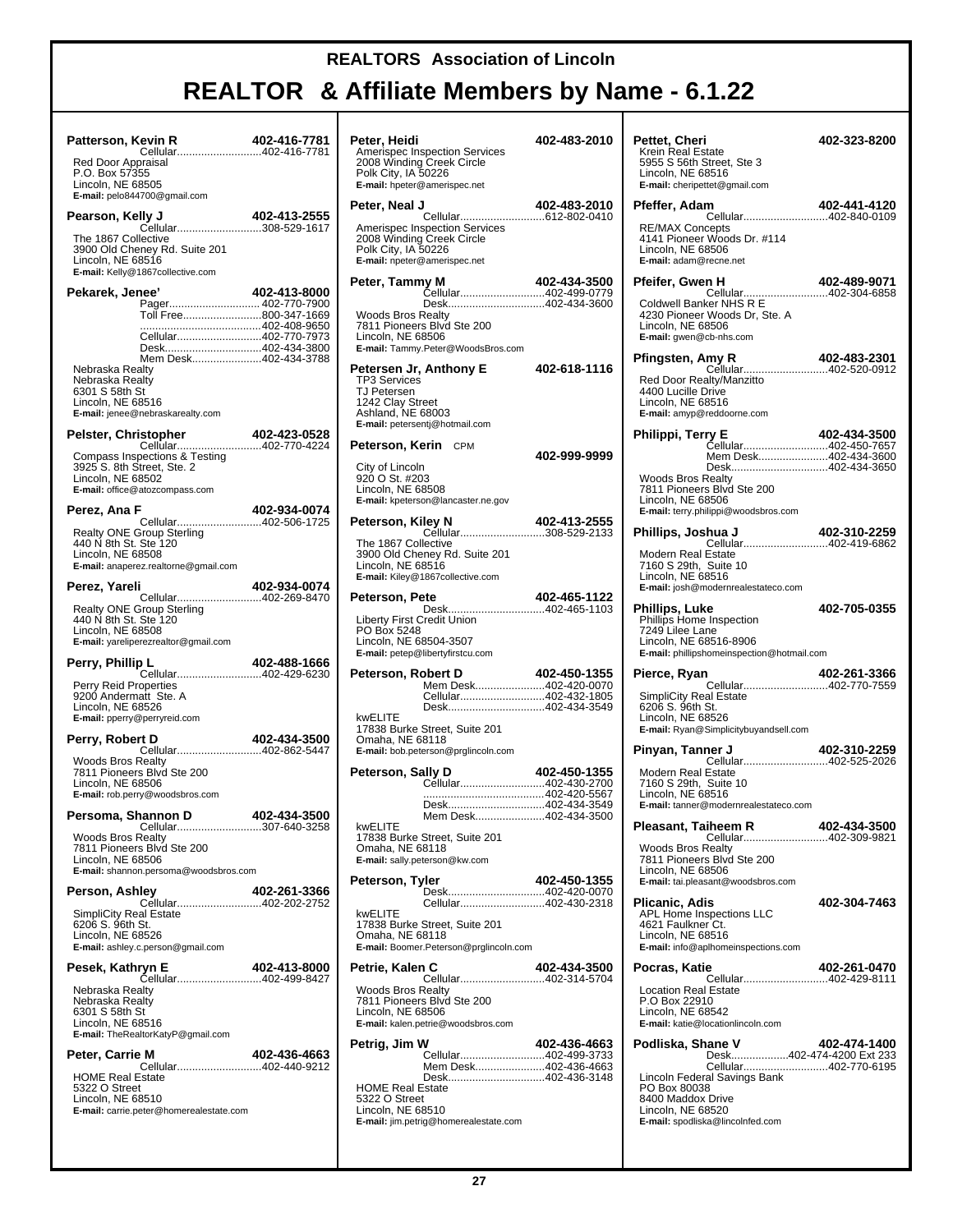## **REALTOR & Affiliate Members by Name - 6.1.22**

┯

| Patterson, Kevin R<br>Cellular402-416-7781<br>Red Door Appraisal<br>P.O. Box 57355<br>Lincoln, NE 68505                                      | 402-416-7781 | Peter, He<br>Amerisper<br>2008 Win<br>Polk City,<br>E-mail: hpe                     |
|----------------------------------------------------------------------------------------------------------------------------------------------|--------------|-------------------------------------------------------------------------------------|
| E-mail: pelo844700@gmail.com                                                                                                                 |              | Peter, Ne                                                                           |
| Ily J 402-413-2555<br>Cellular308-529-1617<br>Pearson, Kelly J<br>The 1867 Collective<br>3900 Old Cheney Rd. Suite 201<br>Lincoln, NE 68516  |              | Amerisper<br>2008 Win<br>Polk City,<br>E-mail: npe                                  |
| E-mail: Kelly@1867collective.com<br>Pekarek, Jenee'                                                                                          | 402-413-8000 | Peter, Ta                                                                           |
| Pager 402-770-7900<br>Toll Free800-347-1669<br>Cellular402-770-7973<br>Desk402-434-3800<br>Mem Desk402-434-3788                              |              | Woods Br<br>7811 Pion<br>Lincoln, N<br>E-mail: Tar                                  |
| Nebraska Realty<br>Nebraska Realty<br>6301 S 58th St<br>Lincoln, NE 68516<br>E-mail: jenee@nebraskarealty.com                                |              | Petersen<br><b>TP3 Servi</b><br>TJ Peters<br>1242 Clay<br>Ashland, I<br>E-mail: pet |
| Pelster, Christopher<br>istopher 402-423-0528<br>Cellular402-770-4224                                                                        |              | Peterson                                                                            |
| Compass Inspections & Testing<br>3925 S. 8th Street, Ste. 2<br>Lincoln, NE 68502<br>E-mail: office@atozcompass.com                           |              | City of Lin<br>920 O St.<br>Lincoln, N                                              |
| <b>402-934-0074</b><br>Cellular402-506-1725<br>Perez, Ana F                                                                                  |              | E-mail: kpe<br>Peterson                                                             |
| Realty ONE Group Sterling<br>440 N 8th St. Ste 120<br>Lincoln, NE 68508<br>E-mail: anaperez.realtorne@gmail.com                              |              | The 1867<br>3900 Old<br>Lincoln, N                                                  |
| Perez, Yareli                                                                                                                                | 402-934-0074 | E-mail: Kile                                                                        |
| Cellular402-269-8470<br>Realty ONE Group Sterling<br>440 N 8th St. Ste 120<br>Lincoln, NE 68508<br>E-mail: yareliperezrealtor@gmail.com      |              | Peterson<br>Liberty Fir<br>PO Box 5<br>Lincoln, N                                   |
| <b>D L 402-488-1666</b><br>Cellular402-429-6230<br>Perry, Phillip L                                                                          |              | <b>E-mail:</b> pet<br>Peterson                                                      |
| Perry Reid Properties<br>9200 Andermatt Ste. A<br>Lincoln, NE 68526<br>E-mail: pperry@perryreid.com                                          |              | kwELITE                                                                             |
| rt D 402-434-3500<br>Cellular402-862-5447<br>Perry, Robert D                                                                                 |              | 17838 Bu<br>Omaha, N<br>E-mail: bob                                                 |
| <b>Woods Bros Realty</b><br>7811 Pioneers Blvd Ste 200<br>Lincoln, NE 68506<br>E-mail: rob.perry@woodsbros.com                               |              | Peterson                                                                            |
| Persoma, Shannon D                                                                                                                           | 402-434-3500 |                                                                                     |
| Cellular307-640-3258<br><b>Woods Bros Realty</b><br>7811 Pioneers Blvd Ste 200<br>Lincoln, NE 68506<br>E-mail: shannon.persoma@woodsbros.com |              | kwELITE<br>17838 Bu<br>Omaha, N<br>E-mail: sall                                     |
| Person, Ashlev                                                                                                                               | 402-261-3366 | Peterson                                                                            |
| Cellular402-202-2752<br>SimpliCity Real Estate<br>6206 S. 96th St.<br>Lincoln, NE 68526<br>E-mail: ashley.c.person@gmail.com                 |              | kwELITE<br>17838 Bu<br>Omaha, N<br>E-mail: Bod                                      |
| Pesek, Kathryn E<br>Cellular402-499-8427                                                                                                     | 402-413-8000 | Petrie, Ka                                                                          |
| Nebraska Realty<br>Nebraska Realty<br>6301 S 58th St<br>Lincoln, NE 68516                                                                    |              | Woods Br<br>7811 Pion<br>Lincoln, N<br>E-mail: kak                                  |
| E-mail: TheRealtorKatyP@gmail.com<br>Peter, Carrie M                                                                                         | 402-436-4663 | Petrig, Ji                                                                          |
| Cellular402-440-9212<br><b>HOME Real Estate</b><br>5322 O Street<br>Lincoln, NE 68510<br>E-mail: carrie.peter@homerealestate.com             |              | <b>HOME Re</b><br>5322 O St<br>Lincoln, N<br>E-mail: jim.                           |

| Peter, Heidi<br>Amerispec Inspection Services<br>2008 Winding Creek Circle                                                                                                 | 402-483-2010 |
|----------------------------------------------------------------------------------------------------------------------------------------------------------------------------|--------------|
| Polk City, IA 50226<br>E-mail: hpeter@amerispec.net                                                                                                                        |              |
| Peter, Neal J                                                                                                                                                              | 402-483-2010 |
| Amerispec Inspection Services<br>2008 Winding Creek Circle<br>Polk City, IA 50226<br>E-mail: npeter@amerispec.net                                                          |              |
| Peter, Tammy M<br>Cellular402-499-0779                                                                                                                                     | 402-434-3500 |
| Desk402-434-3600<br><b>Woods Bros Realty</b><br>7811 Pioneers Blvd Ste 200<br>Lincoln, NE 68506<br>E-mail: Tammy.Peter@WoodsBros.com                                       |              |
| Petersen Jr, Anthony E<br><b>TP3 Services</b><br>TJ Petersen<br>1242 Clay Street<br>Ashland, NE 68003<br>E-mail: petersentj@hotmail.com                                    | 402-618-1116 |
| Peterson, Kerin CPM                                                                                                                                                        | 402-999-9999 |
| City of Lincoln<br>920 O St. #203<br>Lincoln, NE 68508<br>E-mail: kpeterson@lancaster.ne.gov                                                                               |              |
| Peterson, Kiley N<br>Cellular308-529-2133                                                                                                                                  | 402-413-2555 |
| The 1867 Collective<br>3900 Old Cheney Rd. Suite 201<br>Lincoln, NE 68516<br>E-mail: Kiley@1867collective.com                                                              |              |
| <b>ete</b> 402-465-1122<br>Desk402-465-1103<br>Peterson, Pete                                                                                                              |              |
| Liberty First Credit Union<br>PO Box 5248<br>Lincoln, NE 68504-3507<br>E-mail: petep@libertyfirstcu.com                                                                    |              |
| Peterson, Robert D<br>Mem Desk402-420-0070<br>Cellular402-432-1805<br>Desk402-434-3549<br>kwELITE                                                                          | 402-450-1355 |
| 17838 Burke Street, Suite 201<br>Omaha, NE 68118<br>E-mail: bob.peterson@prglincoln.com                                                                                    |              |
| Peterson, Sally D<br>Cellular402-430-2700                                                                                                                                  | 402-450-1355 |
| Desk402-434-3549<br>Mem Desk402-434-3500                                                                                                                                   |              |
| kwELITE<br>17838 Burke Street, Suite 201<br>Omaha, NE 68118<br>E-mail: sally.peterson@kw.com                                                                               |              |
| Peterson, Tyler<br>Desk402-420-0070                                                                                                                                        | 402-450-1355 |
| Cellular402-430-2318<br>kwELITE<br>17838 Burke Street, Suite 201<br>Omaha, NE 68118<br>E-mail: Boomer.Peterson@prglincoln.com                                              |              |
| Petrie, Kalen C                                                                                                                                                            | 402-434-3500 |
| <b>Woods Bros Realty</b><br>7811 Pioneers Blvd Ste 200<br>Lincoln, NE 68506<br>E-mail: kalen.petrie@woodsbros.com                                                          |              |
| Petrig, Jim W                                                                                                                                                              | 402-436-4663 |
| Cellular402-499-3733<br>Mem Desk402-436-4663<br>Desk402-436-3148<br><b>HOME Real Estate</b><br>5322 O Street<br>Lincoln, NE 68510<br>E-mail: jim.petrig@homerealestate.com |              |

|                                                                                                                                                                | 402-323-8200 |
|----------------------------------------------------------------------------------------------------------------------------------------------------------------|--------------|
| Pettet, Cheri<br>Krein Real Estate<br>5955 S 56th Street, Ste 3<br>Lincoln, NE 68516<br>E-mail: cheripettet@gmail.com                                          |              |
| Pfeffer, Adam                                                                                                                                                  | 402-441-4120 |
| Cellular402-840-0109<br><b>RE/MAX Concepts</b><br>4141 Pioneer Woods Dr. #114<br>Lincoln, NE 68506<br>E-mail: adam@recne.net                                   |              |
| n H 102-489-9071<br>Cellular402-304-6858<br>Pfeifer, Gwen H                                                                                                    |              |
| Coldwell Banker NHS R E<br>4230 Pioneer Woods Dr, Ste. A<br>Lincoln, NE 68506<br>E-mail: gwen@cb-nhs.com                                                       |              |
| my R 402-483-2301<br>Cellular402-520-0912<br>Pfingsten, Amy R                                                                                                  |              |
| Red Door Realty/Manzitto<br>4400 Lucille Drive<br>Lincoln, NE 68516<br>E-mail: amyp@reddoorne.com                                                              |              |
| Philippi, Terry E<br><b>POZ-454-5566</b><br>Cellular402-450-7657                                                                                               | 402-434-3500 |
| Mem Desk402-434-3600<br>Desk402-434-3650                                                                                                                       |              |
| <b>Woods Bros Realty</b><br>7811 Pioneers Blvd Ste 200<br>Lincoln, NE 68506<br>E-mail: terry.philippi@woodsbros.com                                            |              |
| <b>hua J</b> 402-310-2259<br>Cellular402-419-6862<br>Phillips, Joshua J                                                                                        |              |
| Modern Real Estate<br>7160 S 29th, Suite 10<br>Lincoln, NE 68516<br>E-mail: josh@modernrealestateco.com                                                        |              |
| Phillips, Luke<br>Phillips Home Inspection<br>7249 Lilee Lane<br>Lincoln, NE 68516-8906<br>E-mail: phillipshomeinspection@hotmail.com                          | 402-705-0355 |
| Pierce, Ryan                                                                                                                                                   |              |
| <b>402-261-3366</b><br>Cellular402-770-7559<br><b>SimpliCity Real Estate</b><br>6206 S. 96th St.<br>Lincoln, NE 68526<br>E-mail: Ryan@Simplicitybuyandsell.com |              |
| Pinyan, Tanner J<br>Cellular402-525-2026                                                                                                                       | 402-310-2259 |
| Modern Real Estate<br>7160 S 29th, Suite 10<br>Lincoln, NE 68516<br>E-mail: tanner@modernrealestateco.com                                                      |              |
| Pleasant, Taiheem R<br>Cellular402-309-9821                                                                                                                    | 402-434-3500 |
| Woods Bros Realty<br>7811 Pioneers Blvd Ste 200<br>Lincoln, NE 68506<br>E-mail: tai.pleasant@woodsbros.com                                                     |              |
| Plicanic, Adis<br>APL Home Inspections LLC<br>4621 Faulkner Ct.<br>Lincoln, NE 68516<br>E-mail: info@aplhomeinspections.com                                    | 402-304-7463 |
| Pocras, Katie                                                                                                                                                  | 402-261-0470 |
| <del>uv</del> ∠-∠vi-v÷rv<br>Cellular402-429-8111<br><b>Location Real Estate</b><br>P.O Box 22910<br>Lincoln, NE 68542<br>E-mail: katie@locationlincoln.com     |              |
| Podliska, Shane V<br>Desk402-474-4200 Ext 233                                                                                                                  | 402-474-1400 |
| Cellular402-770-6195<br>Lincoln Federal Savings Bank<br>PO Box 80038<br>8400 Maddox Drive<br>Lincoln, NE 68520<br>E-mail: spodliska@lincolnfed.com             |              |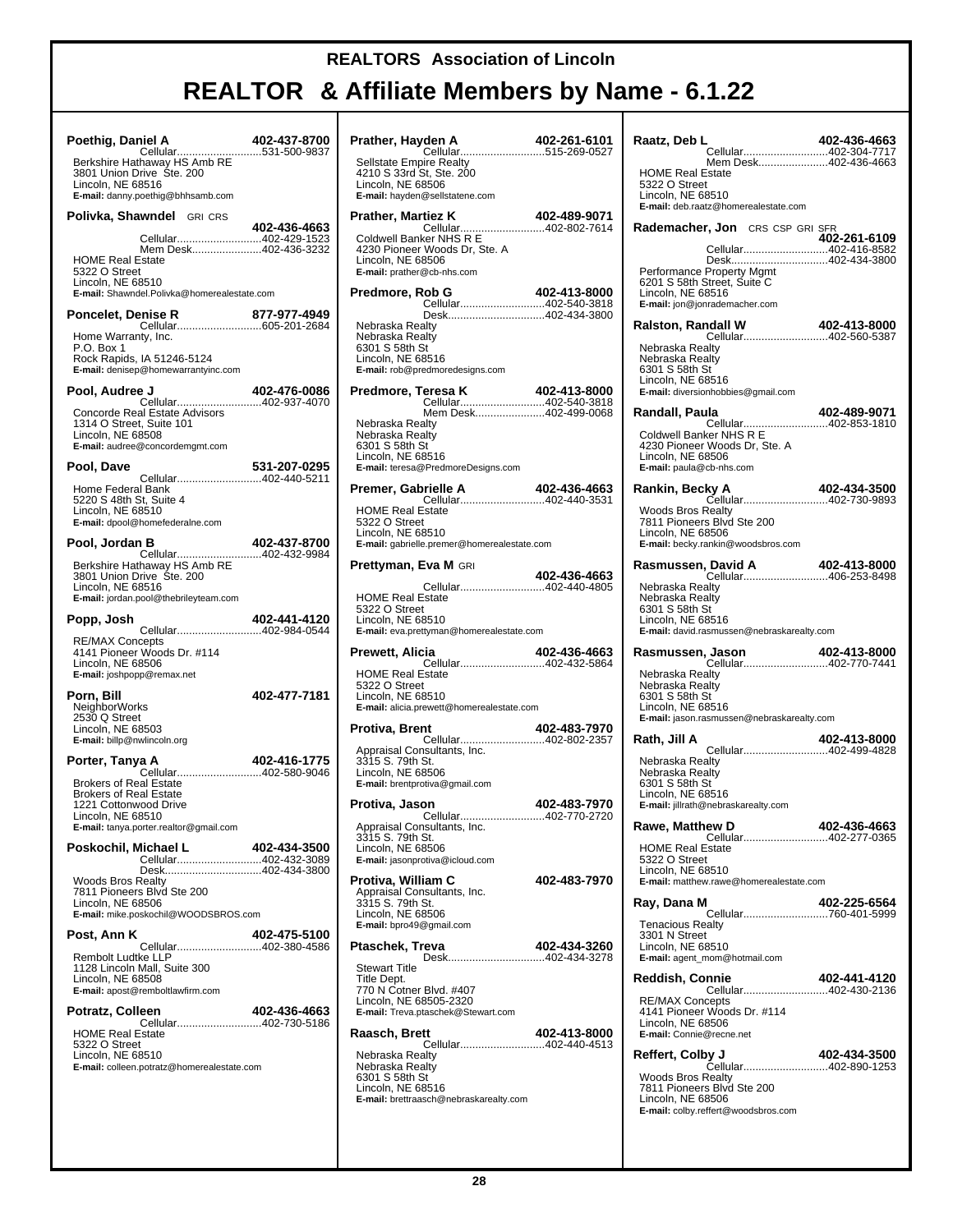# **REALTOR & Affiliate Members by Name - 6.1.22**

т

| Poethig, Daniel A                                                 | 402-437-8700 | Pı          |
|-------------------------------------------------------------------|--------------|-------------|
| Cellular531-500-9837<br>Berkshire Hathaway HS Amb RE              |              | ś           |
| 3801 Union Drive Ste. 200<br>Lincoln, NE 68516                    |              | ۷<br>L      |
| E-mail: danny.poethig@bhhsamb.com                                 |              | E           |
| <b>Polivka, Shawndel</b> GRI CRS                                  |              | Pı          |
| Cellular402-429-1523                                              | 402-436-4663 | C           |
| Mem Desk402-436-3232<br><b>HOME Real Estate</b>                   |              | Ź<br>L      |
| 5322 O Street                                                     |              | E           |
| Lincoln, NE 68510<br>E-mail: Shawndel.Polivka@homerealestate.com  |              | Pı          |
| <b>Poncelet, Denise R</b>                                         |              |             |
| Home Warranty, Inc.                                               |              | ľ<br>ľ      |
| P.O. Box 1                                                        |              | Е           |
| Rock Rapids, IA 51246-5124<br>E-mail: denisep@homewarrantyinc.com |              | L<br>E      |
| Pool, Audree J                                                    | 402-476-0086 | Pı          |
| Cellular402-937-4070                                              |              |             |
| Concorde Real Estate Advisors<br>1314 O Street, Suite 101         |              | ľ           |
| Lincoln, NE 68508<br>E-mail: audree@concordemgmt.com              |              | ľ<br>Е      |
| Pool, Dave                                                        | 531-207-0295 | L<br>E      |
| Cellular402-440-5211                                              |              |             |
| Home Federal Bank<br>5220 S 48th St, Suite 4                      |              | Pı          |
| Lincoln, NE 68510<br>E-mail: dpool@homefederalne.com              |              | ŀ<br>ŧ      |
|                                                                   |              | L           |
| Pool, Jordan B<br>Cellular402-432-9984                            | 402-437-8700 | E           |
| Berkshire Hathaway HS Amb RE<br>3801 Union Drive Ste. 200         |              | Pı          |
| Lincoln, NE 68516                                                 |              | ŀ           |
| E-mail: jordan.pool@thebrileyteam.com                             |              | E           |
|                                                                   |              |             |
| Popp, Josh                                                        | 402-441-4120 | L<br>E      |
| Cellular402-984-0544<br><b>RE/MAX Concepts</b>                    |              |             |
| 4141 Pioneer Woods Dr. #114<br>Lincoln, NE 68506                  |              | Pı          |
| E-mail: joshpopp@remax.net                                        |              | ŀ<br>ŧ      |
| Porn, Bill                                                        | 402-477-7181 | L           |
| <b>NeighborWorks</b><br>2530 Q Street                             |              | E           |
| Lincoln, NE 68503<br>E-mail: billp@nwlincoln.org                  |              | Pı          |
| Porter, Tanya A                                                   | 402-416-1775 | ŀ           |
| Cellular402-580-9046                                              |              | L           |
| <b>Brokers of Real Estate</b><br><b>Brokers of Real Estate</b>    |              | E           |
| 1221 Cottonwood Drive<br>Lincoln, NE 68510                        |              | Pı          |
| E-mail: tanya.porter.realtor@gmail.com                            |              | ŀ<br>Ξ      |
| Poskochil, Michael L                                              | 402-434-3500 | L           |
| Cellular402-432-3089<br>Desk402-434-3800                          |              | E           |
| <b>Woods Bros Realty</b><br>7811 Pioneers Blvd Ste 200            |              | Pı<br>ŀ     |
| Lincoln, NE 68506<br>E-mail: mike.poskochil@WOODSBROS.com         |              | :<br>L      |
|                                                                   |              | Е           |
| Post, Ann K<br>Cellular402-380-4586                               | 402-475-5100 | P۱          |
| Rembolt Ludtke LLP                                                |              |             |
| 1128 Lincoln Mall, Suite 300<br>Lincoln, NE 68508                 |              |             |
| E-mail: apost@remboltlawfirm.com                                  |              | L           |
| Potratz, Colleen                                                  | 402-436-4663 | E           |
| <b>HOME Real Estate</b><br>5322 O Street                          |              | R           |
| Lincoln, NE 68510                                                 |              | ľ           |
| E-mail: colleen.potratz@homerealestate.com                        |              | ľ<br>Е<br>L |

| den A 102-261-6101<br>Cellular515-269-0527<br>Prather, Hayden A                                                                             |              |
|---------------------------------------------------------------------------------------------------------------------------------------------|--------------|
| Sellstate Empire Realty<br>4210 S 33rd St, Ste. 200<br>Lincoln, NE 68506<br>E-mail: hayden@sellstatene.com                                  |              |
| Prather, Martiez K<br>Cellular402-802-7614                                                                                                  | 402-489-9071 |
| Coldwell Banker NHS R E<br>4230 Pioneer Woods Dr, Ste. A<br>Lincoln, NE 68506<br>E-mail: prather@cb-nhs.com                                 |              |
| Predmore, Rob G                                                                                                                             | 402-413-8000 |
| Desk402-434-3800<br>Nebraska Realty<br>Nebraska Realty<br>6301 S 58th St<br>Lincoln, NE 68516<br>E-mail: rob@predmoredesigns.com            |              |
| Predmore, Teresa K                                                                                                                          | 402-413-8000 |
| Cellular402-540-3818<br>Mem Desk402-499-0068                                                                                                |              |
| Nebraska Realty<br>Nebraska Realty<br>6301 S 58th St<br>Lincoln, NE 68516<br>E-mail: teresa@PredmoreDesigns.com                             |              |
| <b>rielle A</b> 402-436-4663<br>Cellular402-440-3531<br>Premer, Gabrielle A                                                                 |              |
| <b>HOME Real Estate</b><br>5322 O Street<br>Lincoln, NE 68510<br>E-mail: gabrielle.premer@homerealestate.com                                |              |
| <b>Prettyman, Eva M GRI</b>                                                                                                                 |              |
| Cellular402-440-4805                                                                                                                        | 402-436-4663 |
| <b>HOME Real Estate</b><br>5322 O Street<br>Lincoln, NE 68510<br>E-mail: eva.prettyman@homerealestate.com                                   |              |
| Prewett, Alicia                                                                                                                             | 402-436-4663 |
| Cellular402-432-5864<br><b>HOME Real Estate</b><br>5322 O Street<br>Lincoln, NE 68510<br>E-mail: alicia.prewett@homerealestate.com          |              |
| Protiva, Brent                                                                                                                              | 402-483-7970 |
| Cellular402-802-2357<br>Appraisal Consultants, Inc.<br>3315 S. 79th St.<br>Lincoln, NE 68506<br>E-mail: brentprotiva@gmail.com              |              |
| Protiva, Jason                                                                                                                              | 402-483-7970 |
| Cellular402-770-2720<br>Appraisal Consultants, Inc.<br>3315 S. 79th St.<br>Lincoln, NE 68506<br>E-mail: jasonprotiva@icloud.com             |              |
| Protiva, William C<br>Appraisal Consultants, Inc.<br>3315 S. 79th St.<br>Lincoln, NE 68506<br><b>E-mail:</b> bpro49@gmail.com               | 402-483-7970 |
| Ptaschek, Treva                                                                                                                             | 402-434-3260 |
| Desk402-434-3278<br>Stewart Title<br>Title Dept.<br>770 N Cotner Blvd. #407<br>Lincoln, NE 68505-2320<br>E-mail: Treva.ptaschek@Stewart.com |              |
| Raasch, Brett<br>Cellular402-440-4513                                                                                                       | 402-413-8000 |
| Nebraska Realty<br>Nebraska Realty<br>6301 S 58th St<br>Lincoln, NE 68516<br>E-mail: brettraasch@nebraskarealty.com                         |              |

| Raatz, Deb L<br>Cellular402-304-7717                                                                                                            | 402-436-4663 |
|-------------------------------------------------------------------------------------------------------------------------------------------------|--------------|
| Mem Desk402-436-4663<br><b>HOME Real Estate</b><br>5322 O Street<br>Lincoln, NE 68510<br>E-mail: deb.raatz@homerealestate.com                   |              |
| Rademacher, Jon CRS CSP GRI SFR                                                                                                                 | 402-261-6109 |
| Cellular402-416-8582                                                                                                                            |              |
| Desk402-434-3800<br>Performance Property Mgmt<br>6201 S 58th Street, Suite C<br>Lincoln, NE 68516<br>E-mail: jon@jonrademacher.com              |              |
| Ralston, Randall W<br><b>102-413-8000 102-413-8000</b><br>Cellular402-560-5387                                                                  | 402-413-8000 |
| Nebraska Realty<br>Nebraska Realty<br>6301 S 58th St<br>Lincoln, NE 68516<br>E-mail: diversionhobbies@gmail.com                                 |              |
| Randall, Paula                                                                                                                                  | 402-489-9071 |
| Cellular402-853-1810<br>Coldwell Banker NHS R E<br>4230 Pioneer Woods Dr, Ste. A<br>Lincoln, NE 68506<br>E-mail: paula@cb-nhs.com               |              |
| Rankin, Becky A                                                                                                                                 | 402-434-3500 |
| <b>Woods Bros Realty</b><br>7811 Pioneers Blvd Ste 200<br>Lincoln, NE 68506<br>E-mail: becky.rankin@woodsbros.com                               |              |
|                                                                                                                                                 |              |
| Nebraska Realty<br>Nebraska Realty<br>6301 S 58th St<br>Lincoln, NE 68516<br>E-mail: david.rasmussen@nebraskarealty.com                         |              |
|                                                                                                                                                 |              |
| Rasmussen, Jason                                                                                                                                | 402-413-8000 |
| Cellular402-770-7441<br>Nebraska Realty<br>Nebraska Realty<br>6301 S 58th St<br>Lincoln, NE 68516<br>E-mail: jason.rasmussen@nebraskarealty.com |              |
| Rath, Jill A                                                                                                                                    | 402-413-8000 |
| Cellular402-499-4828<br>Nebraska Realty<br>Nebraska Realtv<br>6301 S 58th St<br>Lincoln. NE 68516<br>E-mail: jillrath@nebraskarealty.com        |              |
| <b>Rawe, Matthew D</b>                                                                                                                          | 402-436-4663 |
| Cellular402-277-0365<br><b>HOME Real Estate</b><br>5322 O Street<br>Lincoln, NE 68510<br>E-mail: matthew.rawe@homerealestate.com                |              |
| Ray, Dana M                                                                                                                                     | 402-225-6564 |
| Cellular760-401-5999<br><b>Tenacious Realty</b><br>3301 N Street<br>Lincoln, NE 68510<br>E-mail: agent_mom@hotmail.com                          |              |
| Reddish, Connie                                                                                                                                 | 402-441-4120 |
| Cellular402-430-2136<br><b>RE/MAX Concepts</b><br>4141 Pioneer Woods Dr. #114<br>Lincoln, NE 68506<br>E-mail: Connie@recne.net                  |              |
| Reffert, Colby J<br>Čellular402-890-1253                                                                                                        | 402-434-3500 |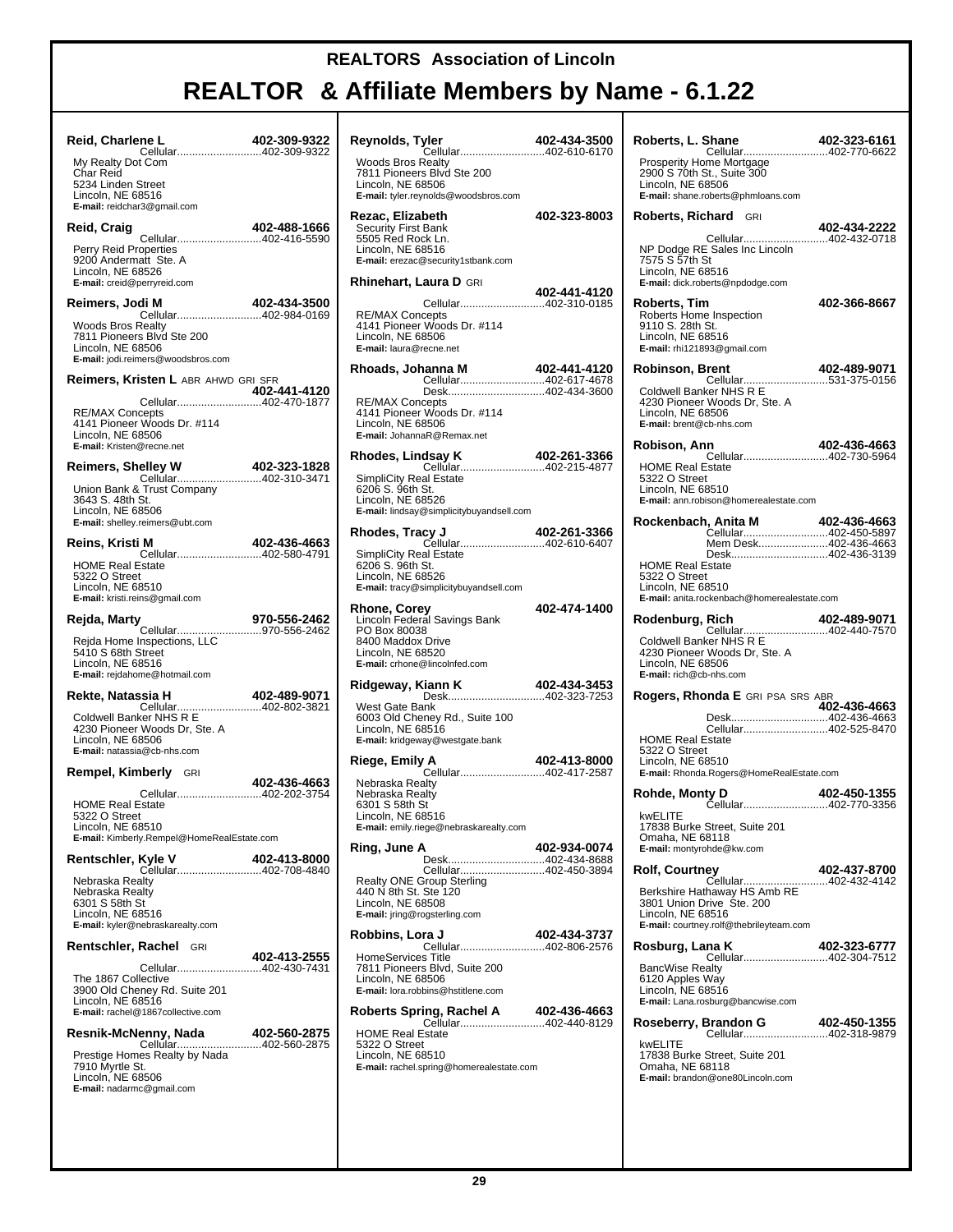| Reid, Charlene L<br>ne L 402-309-9322<br>Cellular402-309-9322                                                                             |              |
|-------------------------------------------------------------------------------------------------------------------------------------------|--------------|
| My Realty Dot Com<br>Char Reid<br>5234 Linden Street<br>Lincoln, NE 68516<br>E-mail: reidchar3@gmail.com                                  |              |
| Reid, Craig                                                                                                                               | 402-488-1666 |
| Cellular402-416-5590<br>Perry Reid Properties<br>9200 Andermatt Ste. A<br>Lincoln, NE 68526<br>E-mail: creid@perryreid.com                |              |
| Reimers, Jodi M                                                                                                                           | 402-434-3500 |
| Cellular402-984-0169<br><b>Woods Bros Realty</b><br>7811 Pioneers Blvd Ste 200<br>Lincoln, NE 68506<br>E-mail: jodi.reimers@woodsbros.com |              |
| <b>Reimers, Kristen L</b> ABR AHWD GRI SFR                                                                                                |              |
| <b>RE/MAX Concepts</b><br>4141 Pioneer Woods Dr. #114<br>Lincoln, NE 68506<br>E-mail: Kristen@recne.net                                   |              |
| <b>Reimers, Shelley W</b>                                                                                                                 | 402-323-1828 |
| Cellular402-310-3471<br>Union Bank & Trust Company<br>3643 S. 48th St.<br>Lincoln, NE 68506<br>E-mail: shelley.reimers@ubt.com            |              |
| Reins, Kristi M<br>Cellular402-580-4791                                                                                                   | 402-436-4663 |
| <b>HOME Real Estate</b><br>5322 O Street<br>Lincoln, NE 68510<br>E-mail: kristi.reins@gmail.com                                           |              |
| Rejda, Marty                                                                                                                              | 970-556-2462 |
| Rejda Home Inspections, LLC<br>5410 S 68th Street<br>Lincoln, NE 68516<br>E-mail: rejdahome@hotmail.com                                   |              |
| Rekte, Natassia H                                                                                                                         | 402-489-9071 |
| Cellular402-802-3821<br>Coldwell Banker NHS R E<br>4230 Pioneer Woods Dr, Ste. A<br>Lincoln, NE 68506<br>E-mail: natassia@cb-nhs.com      |              |
| <b>Rempel, Kimberly</b> GRI                                                                                                               |              |
| Cellular402-202-3754                                                                                                                      | 402-436-4663 |
| <b>HOME Real Estate</b><br>5322 O Street<br>Lincoln, NE 68510<br>E-mail: Kimberly.Rempel@HomeRealEstate.com                               |              |
| Rentschler, Kyle V                                                                                                                        | 402-413-8000 |
| Nebraska Realty<br>Nebraska Realty<br>6301 S 58th St<br>Lincoln, NE 68516<br>E-mail: kyler@nebraskarealty.com                             |              |
| <b>Rentschler, Rachel GRI</b>                                                                                                             |              |
| Cellular402-430-7431<br>The 1867 Collective<br>3900 Old Cheney Rd. Suite 201<br>Lincoln, NE 68516<br>E-mail: rachel@1867collective.com    | 402-413-2555 |
| Resnik-McNenny, Nada 402-560-2875                                                                                                         |              |
| Cellular402-560-2875<br>Prestige Homes Realty by Nada<br>7910 Myrtle St.<br>Lincoln, NE 68506<br>E-mail: nadarmc@gmail.com                |              |
|                                                                                                                                           |              |

| Reynolds, Tyler<br>Cellular402-610-6170                                                                                                         | 402-434-3500 |
|-------------------------------------------------------------------------------------------------------------------------------------------------|--------------|
| <b>Woods Bros Realty</b><br>7811 Pioneers Blvd Ste 200<br>Lincoln, NE 68506<br>E-mail: tyler.reynolds@woodsbros.com                             |              |
| Rezac, Elizabeth<br>Security First Bank<br>5505 Red Rock Ln.<br>Lincoln, NE 68516<br>E-mail: erezac@security1stbank.com                         | 402-323-8003 |
| Rhinehart, Laura D GRI                                                                                                                          | 402-441-4120 |
| Cellular402-310-0185<br><b>RE/MAX Concepts</b><br>4141 Pioneer Woods Dr. #114<br>Lincoln, NE 68506<br>E-mail: laura@recne.net                   |              |
| Rhoads, Johanna M<br>Cellular402-617-4678                                                                                                       | 402-441-4120 |
| Desk402-434-3600<br><b>RE/MAX Concepts</b><br>4141 Pioneer Woods Dr. #114<br>Lincoln, NE 68506<br>E-mail: JohannaR@Remax.net                    |              |
| Rhodes, Lindsay K<br>Cellular402-215-4877                                                                                                       | 402-261-3366 |
| <b>SimpliCity Real Estate</b><br>6206 S. 96th St.<br>Lincoln, NE 68526<br>E-mail: lindsay@simplicitybuyandsell.com                              |              |
| Rhodes, Tracy J<br>Cellular402-610-6407                                                                                                         | 402-261-3366 |
| SimpliCity Real Estate<br>6206 S. 96th St.<br>Lincoln, NE 68526<br>E-mail: tracy@simplicitybuyandsell.com                                       |              |
| <b>Rhone, Corey<br/>Lincoln Federal Savings Bank</b><br>PO Box 80038<br>8400 Maddox Drive<br>Lincoln, NE 68520<br>E-mail: crhone@lincoInfed.com | 402-474-1400 |
| Ridgeway, Kiann K<br><b>Kiann K 402-434-3453</b><br>Desk402-323-7253                                                                            |              |
| West Gate Bank<br>6003 Old Cheney Rd., Suite 100<br>Lincoln, NE 68516<br>E-mail: kridgeway@westgate.bank                                        |              |
| Riege, Emily A                                                                                                                                  | 402-413-8000 |
| Nebraska Realty<br>Nebraska Realty<br>6301 S 58th St<br>Lincoln, NE 68516<br>E-mail: emily.riege@nebraskarealty.com                             |              |
| Ring, June A<br>Desk402-434-8688                                                                                                                | 402-934-0074 |
| Cellular402-450-3894<br><b>Realty ONE Group Sterling</b><br>440 N 8th St. Ste 120<br>Lincoln, NE 68508<br>E-mail: jring@rogsterling.com         |              |
| Robbins, Lora J                                                                                                                                 | 402-434-3737 |
| Cellular402-806-2576<br>HomeServices Title<br>7811 Pioneers Blvd, Suite 200<br>Lincoln, NE 68506<br>E-mail: lora.robbins@hstitlene.com          |              |
|                                                                                                                                                 |              |
| <b>HOME Real Estate</b><br>5322 O Street<br>Lincoln, NE 68510<br>E-mail: rachel.spring@homerealestate.com                                       |              |
|                                                                                                                                                 |              |

| Roberts, L. Shane                                                                                                                                                          | 402-323-6161 |
|----------------------------------------------------------------------------------------------------------------------------------------------------------------------------|--------------|
| Prosperity Home Mortgage<br>2900 S 70th St., Suite 300<br>Lincoln, NE 68506<br>E-mail: shane.roberts@phmloans.com                                                          |              |
| <b>Roberts, Richard GRI</b>                                                                                                                                                | 402-434-2222 |
| Cellular402-432-0718<br>NP Dodge RE Sales Inc Lincoln<br>7575 S 57th St<br>Lincoln, NE 68516<br>E-mail: dick.roberts@npdodge.com                                           |              |
| Roberts, Tim<br>Roberts Home Inspection<br>9110 S. 28th St.<br>Lincoln, NE 68516<br>E-mail: rhi121893@gmail.com                                                            | 402-366-8667 |
| Robinson, Brent<br>Cellular531-375-0156<br>Coldwell Banker NHS R E<br>4230 Pioneer Woods Dr, Ste. A<br>Lincoln, NE 68506<br>E-mail: brent@cb-nhs.com                       | 402-489-9071 |
| Robison, Ann<br>Cellular402-730-5964<br><b>HOME Real Estate</b><br>5322 O Street<br>Lincoln, NE 68510<br>E-mail: ann.robison@homerealestate.com                            | 402-436-4663 |
| Rockenbach, Anita M<br>Cellular402-450-5897<br>Mem Desk402-436-4663<br>Desk402-436-3139                                                                                    | 402-436-4663 |
| <b>HOME Real Estate</b><br>5322 O Street<br>Lincoln, NE 68510<br>E-mail: anita.rockenbach@homerealestate.com                                                               |              |
| Rodenburg, Rich<br>Coldwell Banker NHS R E<br>4230 Pioneer Woods Dr, Ste. A<br>Lincoln, NE 68506<br>E-mail: rich@cb-nhs.com                                                | 402-489-9071 |
| <b>Rogers, Rhonda E</b> GRI PSA SRS ABR                                                                                                                                    | 402-436-4663 |
| Desk402-436-4663<br>Cellular402-525-8470<br><b>HOME Real Estate</b><br>5322 O Street<br>Lincoln, NE 68510<br>E-mail: Rhonda.Rogers@HomeRealEstate.com                      |              |
| Rohde, Monty D<br><b>1ty D 402-450-1355</b><br>Cellular402-770-3356                                                                                                        |              |
| kwELITE<br>17838 Burke Street, Suite 201<br>Omaha, NE 68118<br>E-mail: montyrohde@kw.com                                                                                   |              |
| <b>Rolf, Courtney</b><br>Cellular402-432-4142<br>Berkshire Hathaway HS Amb RE<br>3801 Union Drive Ste. 200<br>Lincoln, NE 68516<br>E-mail: courtney.rolf@thebrileyteam.com | 402-437-8700 |
| Rosburg, Lana K<br>Cellular402-304-7512                                                                                                                                    | 402-323-6777 |
| <b>BancWise Realty</b><br>6120 Apples Way<br>Lincoln, NE 68516<br>E-mail: Lana.rosburg@bancwise.com                                                                        |              |
| Roseberry, Brandon G<br>Brandon G 402-450-1355<br>Cellular402-318-9879                                                                                                     |              |
| kwELITE<br>17838 Burke Street, Suite 201<br>Omaha, NE 68118<br>E-mail: brandon@one80Lincoln.com                                                                            |              |
|                                                                                                                                                                            |              |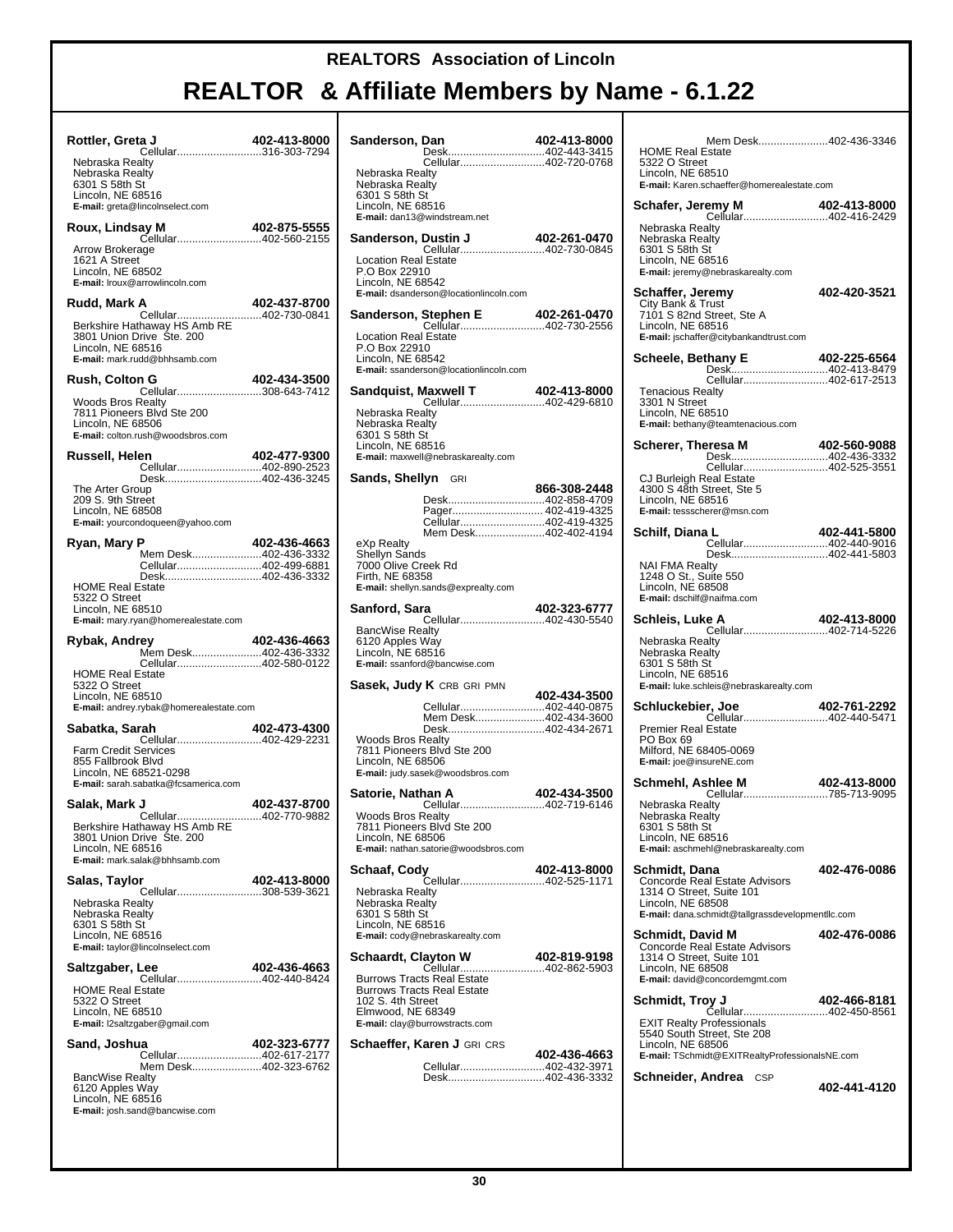| Rottler, Greta J<br>Cellular316-303-7294<br>Nebraska Realty                                                                              | 402-413-8000 |
|------------------------------------------------------------------------------------------------------------------------------------------|--------------|
| Nebraska Realty<br>6301 S 58th St<br>Lincoln, NE 68516<br>E-mail: greta@lincolnselect.com                                                |              |
| Roux, Lindsay M<br>Cellular402-560-2155<br>Arrow Brokerage<br>1621 A Street<br>Lincoln, NE 68502<br>E-mail: Iroux@arrowlincoln.com       | 402-875-5555 |
| Rudd, Mark A<br>Cellular402-730-0841                                                                                                     | 402-437-8700 |
| Berkshire Hathaway HS Amb RE<br>3801 Union Drive Ste. 200<br>Lincoln, NE 68516<br>E-mail: mark.rudd@bhhsamb.com                          |              |
| <b>Rush, Colton G</b><br>Cellular308-643-7412                                                                                            | 402-434-3500 |
| Woods Bros Realty<br>7811 Pioneers Blvd Ste 200<br>Lincoln, NE 68506<br>E-mail: colton.rush@woodsbros.com                                |              |
| Russell, Helen<br>Cellular402-890-2523                                                                                                   | 402-477-9300 |
| Desk402-436-3245<br>The Arter Group<br>209 S. 9th Street<br>Lincoln, NE 68508<br>E-mail: yourcondoqueen@yahoo.com                        |              |
| Ryan, Mary P<br>Mem Desk402-436-3332                                                                                                     | 402-436-4663 |
| Cellular402-499-6881                                                                                                                     |              |
| Desk402-436-3332<br><b>HOME Real Estate</b><br>5322 O Street<br>Lincoln, NE 68510<br>E-mail: mary.ryan@homerealestate.com                |              |
|                                                                                                                                          |              |
| Rybak, Andrey                                                                                                                            | 402-436-4663 |
| Mem Desk402-436-3332<br>Cellular402-580-0122                                                                                             |              |
| <b>HOME Real Estate</b><br>5322 O Street<br>Lincoln, NE 68510<br>E-mail: andrey.rybak@homerealestate.com                                 |              |
| Sabatka, Sarah                                                                                                                           | 402-473-4300 |
| Cellular402-429-2231<br>Farm Credit Services<br>855 Fallbrook Blvd<br>Lincoln, NE 68521-0298<br>E-mail: sarah.sabatka@fcsamerica.com     |              |
| Salak, Mark J                                                                                                                            | 402-437-8700 |
| Cellular402-770-9882<br>Berkshire Hathaway HS Amb RE<br>3801 Union Drive Ste. 200<br>Lincoln, NE 68516<br>E-mail: mark.salak@bhhsamb.com |              |
| Salas, Taylor                                                                                                                            | 402-413-8000 |
| Cellular308-539-3621<br>Nebraska Realty<br>Nebraska Realty<br>6301 S 58th St<br>Lincoln, NE 68516<br>E-mail: taylor@lincolnselect.com    |              |
| Saltzgaber, Lee                                                                                                                          | 402-436-4663 |
| Cellular402-440-8424<br><b>HOME Real Estate</b><br>5322 O Street<br>Lincoln, NE 68510<br>E-mail: I2saltzgaber@gmail.com                  |              |
| Sand, Joshua<br>Cellular402-617-2177<br>Mem Desk402-323-6762                                                                             | 402-323-6777 |

| Sanderson, Dan                                                         |                                                       | 402-413-8000 |
|------------------------------------------------------------------------|-------------------------------------------------------|--------------|
|                                                                        | Desk402-443-3415<br>Cellular402-720-0768              |              |
| Nebraska Realty                                                        |                                                       |              |
| Nebraska Realty<br>6301 S 58th St                                      |                                                       |              |
| Lincoln, NE 68516                                                      |                                                       |              |
| E-mail: dan13@windstream.net                                           |                                                       |              |
| Sanderson, Dustin J                                                    |                                                       | 402-261-0470 |
| <b>Location Real Estate</b>                                            |                                                       |              |
| P.O Box 22910<br>Lincoln, NE 68542                                     |                                                       |              |
| E-mail: dsanderson@locationlincoln.com                                 |                                                       |              |
|                                                                        |                                                       |              |
| <b>Sanderson, Stephen E</b> 402-261-0470<br>Cellular402-730-2556       |                                                       |              |
| <b>Location Real Estate</b><br>P.O Box 22910                           |                                                       |              |
| Lincoln, NE 68542                                                      |                                                       |              |
| E-mail: ssanderson@locationlincoln.com                                 |                                                       |              |
| Sandquist, Maxwell T                                                   | <b>Maxwell T</b> 402-413-8000<br>Cellular402-429-6810 |              |
| Nebraska Realty                                                        |                                                       |              |
| Nebraska Realty<br>6301 S 58th St                                      |                                                       |              |
| Lincoln, NE 68516                                                      |                                                       |              |
| E-mail: maxwell@nebraskarealty.com                                     |                                                       |              |
| Sands, Shellyn GRI                                                     |                                                       |              |
|                                                                        | Desk402-858-4709                                      | 866-308-2448 |
|                                                                        | Pager 402-419-4325                                    |              |
|                                                                        | Cellular402-419-4325<br>Mem Desk402-402-4194          |              |
| eXp Realty                                                             |                                                       |              |
| Shellyn Sands<br>7000 Olive Creek Rd                                   |                                                       |              |
| Firth, NE 68358                                                        |                                                       |              |
| E-mail: shellyn.sands@exprealty.com                                    |                                                       |              |
| Sanford, Sara                                                          | Cellular402-430-5540                                  | 402-323-6777 |
| <b>BancWise Realty</b>                                                 |                                                       |              |
| 6120 Apples Way<br>Lincoln, NE 68516                                   |                                                       |              |
| E-mail: ssanford@bancwise.com                                          |                                                       |              |
| Sasek, Judy K CRB GRI PMN                                              |                                                       |              |
|                                                                        | Cellular402-440-0875                                  | 402-434-3500 |
|                                                                        | Mem Desk402-434-3600                                  |              |
|                                                                        | Desk402-434-2671                                      |              |
| <b>Woods Bros Realty</b><br>7811 Pioneers Blvd Ste 200                 |                                                       |              |
| Lincoln, NE 68506<br>E-mail: judy.sasek@woodsbros.com                  |                                                       |              |
|                                                                        |                                                       |              |
| Satorie, Nathan A                                                      | Cellular402-719-6146                                  | 402-434-3500 |
| Woods Bros Realty                                                      |                                                       |              |
| 7811 Pioneers Blvd<br>Lincoln, NE 68506                                | Ste 200                                               |              |
| E-mail: nathan.satorie@woodsbros.com                                   |                                                       |              |
| Schaaf, Cody                                                           |                                                       | 402-413-8000 |
| Nebraska Realty                                                        | <del>y ==========</del><br>Cellular402-525-1171       |              |
| Nebraska Realty                                                        |                                                       |              |
| 6301 S 58th St<br>Lincoln, NE 68516                                    |                                                       |              |
| E-mail: cody@nebraskarealty.com                                        |                                                       |              |
| Schaardt, Clayton W                                                    |                                                       | 402-819-9198 |
|                                                                        | Cellular402-862-5903                                  |              |
| <b>Burrows Tracts Real Estate</b><br><b>Burrows Tracts Real Estate</b> |                                                       |              |
| 102 S. 4th Street                                                      |                                                       |              |
| Elmwood, NE 68349<br>E-mail: clay@burrowstracts.com                    |                                                       |              |
| <b>Schaeffer, Karen J</b> GRI CRS                                      |                                                       |              |
|                                                                        |                                                       | 402-436-4663 |
|                                                                        | Cellular402-432-3971<br>Desk402-436-3332              |              |
|                                                                        |                                                       |              |
|                                                                        |                                                       |              |

| Mem Desk402-436-3346<br><b>HOME Real Estate</b><br>5322 O Street<br>Lincoln, NE 68510                                                               |              |
|-----------------------------------------------------------------------------------------------------------------------------------------------------|--------------|
| E-mail: Karen.schaeffer@homerealestate.com<br>emy M 402-413-8000<br>Cellular402-416-2429<br>Schafer, Jeremy M                                       |              |
| Nebraska Realty<br>Nebraska Realty<br>6301 S 58th St<br>Lincoln, NE 68516<br>E-mail: jeremy@nebraskarealty.com                                      |              |
| Schaffer, Jeremy<br>City Bank & Trust<br>7101 S 82nd Street, Ste A<br>Lincoln, NE 68516<br>E-mail: jschaffer@citybankandtrust.com                   | 402-420-3521 |
| Scheele, Bethany E<br><b>thany E                     402-225-6564</b><br>Desk402-413-8479                                                           | 402-225-6564 |
| Cellular402-617-2513<br><b>Tenacious Realty</b><br>3301 N Street<br>Lincoln, NE 68510<br>E-mail: bethany@teamtenacious.com                          |              |
| Scherer, Theresa M<br>Cellular402-525-3551<br>CJ Burleigh Real Estate                                                                               | 402-560-9088 |
| 4300 S 48th Street, Ste 5<br>Lincoln, NE 68516<br>E-mail: tessscherer@msn.com                                                                       |              |
| Schilf, Diana L<br>Cellular402-440-9016<br>Desk402-441-5803                                                                                         | 402-441-5800 |
| <b>NAI FMA Realty</b><br>1248 O St., Suite 550<br>Lincoln, NE 68508<br>E-mail: dschilf@naifma.com                                                   |              |
| Schleis, Luke A<br>Cellular402-714-5226<br>Nebraska Realty                                                                                          | 402-413-8000 |
| Nebraska Realty<br>6301 S 58th St<br>Lincoln, NE 68516<br>E-mail: luke.schleis@nebraskarealty.com                                                   |              |
| <b>Premier Real Estate</b>                                                                                                                          |              |
| PO Box 69<br>Milford, NE 68405-0069<br>E-mail: joe@insureNE.com                                                                                     |              |
| Schmehl, Ashlee M<br>Nebraska Realty                                                                                                                |              |
| Nebraska Realty<br>6301 S 58th St<br>Lincoln, NE 68516<br>E-mail: aschmehl@nebraskarealty.com                                                       |              |
| Schmidt, Dana<br>Concorde Real Estate Advisors<br>1314 O Street, Suite 101<br>Lincoln, NE 68508<br>E-mail: dana.schmidt@tallgrassdevelopmentllc.com | 402-476-0086 |
| Schmidt, David M<br>Concorde Real Estate Advisors                                                                                                   | 402-476-0086 |
| 1314 O Street, Suite 101<br>Lincoln, NE 68508<br>E-mail: david@concordemgmt.com                                                                     |              |
| Schmidt, Troy J<br>Cellular402-450-8561                                                                                                             | 402-466-8181 |
| <b>EXIT Realty Professionals</b><br>5540 South Street, Ste 208<br>Lincoln, NE 68506<br>E-mail: TSchmidt@EXITRealtyProfessionalsNE.com               |              |
| <b>Schneider, Andrea</b> CSP                                                                                                                        | 402-441-4120 |
|                                                                                                                                                     |              |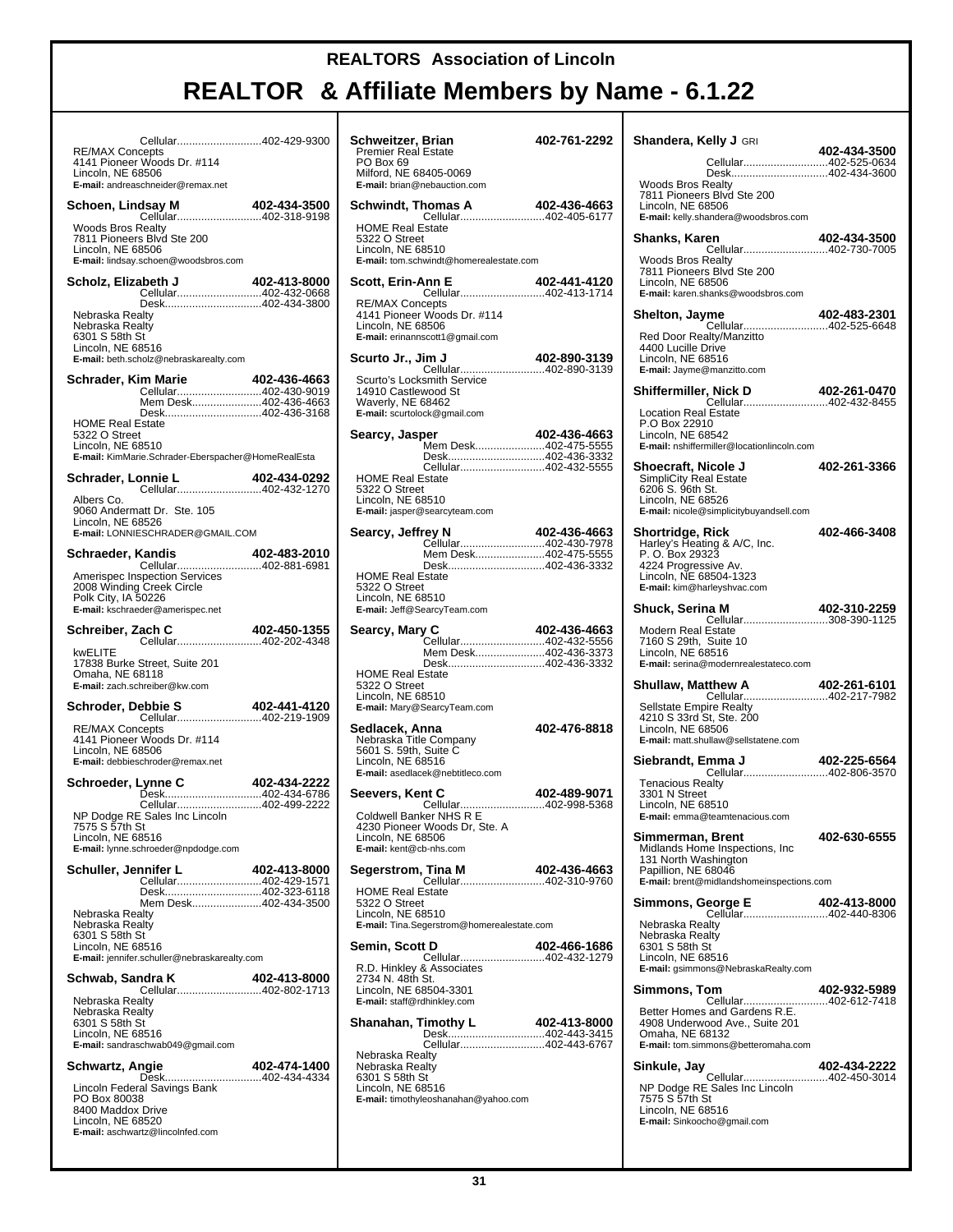| Cellular402-429-9300<br><b>RE/MAX Concepts</b><br>4141 Pioneer Woods Dr. #114<br>Lincoln, NE 68506<br>E-mail: andreaschneider@remax.net        |              | Schweitzer,<br>Premier Real<br>PO Box 69<br>Milford, NE 68<br>E-mail: brian@r         |
|------------------------------------------------------------------------------------------------------------------------------------------------|--------------|---------------------------------------------------------------------------------------|
| dsay M<br>Cellular402-318-9198<br>Schoen, Lindsay M                                                                                            |              | Schwindt, Th                                                                          |
| <b>Woods Bros Realty</b><br>7811 Pioneers Blvd Ste 200<br>Lincoln, NE 68506<br>E-mail: lindsay.schoen@woodsbros.com                            |              | <b>HOME Real E</b><br>5322 O Street<br>Lincoln, NE 68<br>E-mail: tom.sch              |
| Scholz, Elizabeth J<br>Cellular402-432-0668                                                                                                    | 402-413-8000 | Scott, Erin-A                                                                         |
| Desk402-434-3800<br>Nebraska Realty<br>Nebraska Realty<br>6301 S 58th St<br>Lincoln, NE 68516                                                  |              | RE/MAX Cond<br>4141 Pioneer<br>Lincoln, NE 68<br>E-mail: erinanns                     |
| E-mail: beth.scholz@nebraskarealty.com                                                                                                         |              | Scurto Jr., Ji                                                                        |
| Schrader, Kim Marie<br>Cellular402-430-9019<br>Mem Desk402-436-4663<br>Desk402-436-3168<br><b>HOME Real Estate</b>                             | 402-436-4663 | Scurto's Locks<br>14910 Castley<br>Waverly, NE 6<br>E-mail: scurtolo                  |
| 5322 O Street<br>Lincoln, NE 68510<br>E-mail: KimMarie.Schrader-Eberspacher@HomeRealEsta                                                       |              | Searcy, Jasp                                                                          |
| Schrader, Lonnie L<br><b>connie L. 402-434-0292</b><br>Cellular402-432-1270<br>Albers Co.<br>9060 Andermatt Dr. Ste. 105                       |              | <b>HOME Real E</b><br>5322 O Street<br>Lincoln, NE 68<br>E-mail: jasper@              |
| Lincoln, NE 68526<br>E-mail: LONNIESCHRADER@GMAIL.COM                                                                                          |              | Searcy, Jeffr                                                                         |
| Schraeder, Kandis<br><b>Kandis 402-483-2010</b><br>Cellular402-881-6981                                                                        |              |                                                                                       |
| Amerispec Inspection Services<br>2008 Winding Creek Circle<br>Polk City, IA 50226<br>E-mail: kschraeder@amerispec.net                          |              | <b>HOME Real E</b><br>5322 O Street<br>Lincoln, NE 68<br>E-mail: Jeff@Se              |
| Zach C 402-450-1355<br>Cellular402-202-4348<br>Schreiber, Zach C                                                                               |              | Searcy, Mary                                                                          |
| kwELITE<br>17838 Burke Street, Suite 201<br>Omaha, NE 68118<br>E-mail: zach.schreiber@kw.com                                                   |              | <b>HOME Real E</b><br>5322 O Street<br>Lincoln, NE 68                                 |
| <b>Schroder, Debbie S                   402-441-4120</b><br>Cellular402-219-1909                                                               |              | E-mail: Mary@S                                                                        |
| <b>RE/MAX Concepts</b><br>4141 Pioneer Woods Dr. #114<br>Lincoln, NE 68506<br>E-mail: debbieschroder@remax.net                                 |              | Sedlacek, Ar<br>Nebraska Title<br>5601 S. 59th,<br>Lincoln, NE 68<br>E-mail: asedlace |
| Schroeder, Lynne C                                                                                                                             | 402-434-2222 | Seevers, Ker                                                                          |
| Cellular402-499-2222<br>NP Dodge RE Sales Inc Lincoln<br>7575 S 57th St<br>Lincoln, NE 68516<br>E-mail: lynne.schroeder@npdodge.com            |              | <b>Coldwell Bank</b><br>4230 Pioneer<br>Lincoln, NE 68<br>E-mail: kent@cl             |
| Schuller, Jennifer L<br>Cellular402-429-1571                                                                                                   | 402-413-8000 | Segerstrom,                                                                           |
| Desk402-323-6118<br>Mem Desk402-434-3500<br>Nebraska Realty<br>Nebraska Realty<br>6301 S 58th St                                               |              | HOME Real E<br>5322 O Street<br>Lincoln, NE 68<br>E-mail: Tina.Seg                    |
| Lincoln, NE 68516<br>E-mail: jennifer.schuller@nebraskarealty.com                                                                              |              | Semin, Scott                                                                          |
| Schwab, Sandra K<br>Cellular402-802-1713<br>Nebraska Realty                                                                                    | 402-413-8000 | R.D. Hinkley &<br>2734 N. 48th :<br>Lincoln, NE 68<br>E-mail: staff@rd                |
| Nebraska Realty<br>6301 S 58th St<br>Lincoln, NE 68516<br>E-mail: sandraschwab049@gmail.com                                                    |              | Shanahan, T                                                                           |
| Schwartz, Angie                                                                                                                                | 402-474-1400 | Nebraska Rea<br>Nebraska Rea                                                          |
| Desk402-434-4334<br>Lincoln Federal Savings Bank<br>PO Box 80038<br>8400 Maddox Drive<br>Lincoln, NE 68520<br>E-mail: aschwartz@lincolnfed.com |              | 6301 S 58th S<br>Lincoln, NE 68<br>E-mail: timothyle                                  |

| Schweitzer, Brian<br><b>Premier Real Estate</b><br>PO Box 69<br>Milford, NE 68405-0069                                                    | 402-761-2292 |
|-------------------------------------------------------------------------------------------------------------------------------------------|--------------|
| E-mail: brian@nebauction.com                                                                                                              |              |
| Schwindt, Thomas A<br><b>homas A</b> 402-436-4663<br>Cellular402-405-6177                                                                 |              |
| <b>HOME Real Estate</b><br>5322 O Street<br>Lincoln, NE 68510<br>E-mail: tom.schwindt@homerealestate.com                                  |              |
| Scott, Erin-Ann E                                                                                                                         | 402-441-4120 |
| Cellular402-413-1714<br><b>RE/MAX Concepts</b><br>4141 Pioneer Woods Dr. #114<br>Lincoln, NE 68506<br>E-mail: erinannscott1@gmail.com     |              |
| Scurto Jr., Jim J                                                                                                                         | 402-890-3139 |
| Cellular402-890-3139<br>Scurto's Locksmith Service<br>14910 Castlewood St<br>Waverly, NE 68462<br>E-mail: scurtolock@gmail.com            |              |
| Searcy, Jasper                                                                                                                            | 402-436-4663 |
| Mem Desk402-475-5555<br>Desk402-436-3332                                                                                                  |              |
| Cellular402-432-5555<br><b>HOME Real Estate</b><br>5322 O Street<br>Lincoln, NE 68510<br>E-mail: jasper@searcyteam.com                    |              |
| Searcy, Jeffrey N                                                                                                                         | 402-436-4663 |
| Cellular402-430-7978<br>Mem Desk402-475-5555                                                                                              |              |
| Desk402-436-3332<br><b>HOME Real Estate</b><br>5322 O Street<br>Lincoln, NE 68510<br>E-mail: Jeff@SearcyTeam.com                          |              |
| Searcy, Mary C                                                                                                                            | 402-436-4663 |
| Cellular402-432-5556<br>Mem Desk402-436-3373<br>Desk402-436-3332                                                                          |              |
| <b>HOME Real Estate</b><br>5322 O Street<br>Lincoln, NE 68510<br>E-mail: Mary@SearcyTeam.com                                              |              |
| Sedlacek, Anna<br>Nebraska Title Company<br>5601 S. 59th, Suite C<br>Lincoln, NE 68516<br>E-mail: asedlacek@nebtitleco.com                | 402-476-8818 |
| Seevers, Kent C<br>Cellular402-998-5368<br>Coldwell Banker NHS R E<br>4230 Pioneer Woods Dr, Ste. A<br>Lincoln, NE 68506                  | 402-489-9071 |
| E-mail: kent@cb-nhs.com                                                                                                                   |              |
| Segerstrom, Tina M                                                                                                                        | 402-436-4663 |
| <b>HOME Real Estate</b><br>5322 O Street<br>Lincoln, NE 68510<br>E-mail: Tina.Segerstrom@homerealestate.com                               |              |
| Semin, Scott D                                                                                                                            | 402-466-1686 |
| Cellular402-432-1279<br>R.D. Hinkley & Associates<br>2734 N. 48th St.<br>Lincoln, NE 68504-3301<br>E-mail: staff@rdhinklev.com            |              |
| Shanahan, Timothy L<br>Desk402-443-3415                                                                                                   | 402-413-8000 |
| Cellular402-443-6767<br>Nebraska Realty<br>Nebraska Realty<br>6301 S 58th St<br>Lincoln, NE 68516<br>E-mail: timothyleoshanahan@yahoo.com |              |

| <b>Shandera, Kelly J</b> GRI                                                                                                                                                             | 402-434-3500 |
|------------------------------------------------------------------------------------------------------------------------------------------------------------------------------------------|--------------|
| Cellular402-525-0634                                                                                                                                                                     |              |
| Desk402-434-3600<br><b>Woods Bros Realty</b><br>7811 Pioneers Blvd Ste 200<br>Lincoln, NE 68506<br>E-mail: kelly.shandera@woodsbros.com                                                  |              |
| Shanks, Karen                                                                                                                                                                            | 402-434-3500 |
| Cellular402-730-7005<br><b>Woods Bros Realty</b><br>7811 Pioneers Blvd Ste 200<br>Lincoln, NE 68506<br>E-mail: karen.shanks@woodsbros.com                                                |              |
| Shelton, Jayme                                                                                                                                                                           | 402-483-2301 |
| Cellular402-525-6648<br>Red Door Realty/Manzitto<br>4400 Lucille Drive<br>Lincoln, NE 68516<br>E-mail: Jayme@manzitto.com                                                                |              |
| Shiffermiller, Nick D                                                                                                                                                                    | 402-261-0470 |
| <b>, Nick D                  402-261-0470</b><br>Cellular402-432-8455<br><b>Location Real Estate</b><br>P.O Box 22910<br>Lincoln, NE 68542<br>E-mail: nshiffermiller@locationlincoln.com |              |
| Shoecraft, Nicole J<br><b>SimpliCity Real Estate</b><br>6206 S. 96th St.<br>Lincoln, NE 68526<br>E-mail: nicole@simplicitybuyandsell.com                                                 | 402-261-3366 |
| Shortridge, Rick<br>Harley's Heating & A/C, Inc.<br>P. O. Box 29323<br>4224 Progressive Av.<br>Lincoln, NE 68504-1323<br>E-mail: kim@harleyshvac.com                                     | 402-466-3408 |
| Shuck, Serina M                                                                                                                                                                          | 402-310-2259 |
| Cellular308-390-1125<br>Modern Real Estate<br>7160 S 29th, Suite 10<br>Lincoln, NE 68516<br>E-mail: serina@modernrealestateco.com                                                        |              |
| Shullaw, Matthew A                                                                                                                                                                       | 402-261-6101 |
| Cellular402-217-7982<br>Sellstate Empire Realty<br>4210 S 33rd St, Ste. 200<br>Lincoln, NE 68506<br>E-mail: matt.shullaw@sellstatene.com                                                 |              |
| Siebrandt, Emma J                                                                                                                                                                        | 402-225-6564 |
| Cellular402-806-3570<br><b>Tenacious Realty</b><br>3301 N Street<br>Lincoln, NE 68510<br>emma@teamtenacious.com                                                                          |              |
| Simmerman, Brent<br>Midlands Home Inspections, Inc.<br>131 North Washington<br>Papillion, NE 68046<br>E-mail: brent@midlandshomeinspections.com                                          | 402-630-6555 |
| Simmons, George E<br>Cellular402-440-8306                                                                                                                                                | 402-413-8000 |
| Nebraska Realty<br>Nebraska Realty<br>6301 S 58th St<br>Lincoln, NE 68516<br>E-mail: gsimmons@NebraskaRealty.com                                                                         |              |
| Simmons, Tom                                                                                                                                                                             | 402-932-5989 |
| Cellular402-612-7418<br>Better Homes and Gardens R.E.<br>4908 Underwood Ave., Suite 201<br>Omaha, NE 68132<br>E-mail: tom.simmons@betteromaha.com                                        |              |
| Sinkule, Jay                                                                                                                                                                             | 402-434-2222 |
| Cellular402-450-3014<br>NP Dodge RE Sales Inc Lincoln<br>7575 S 57th St<br>Lincoln, NE 68516<br>E-mail: Sinkoocho@gmail.com                                                              |              |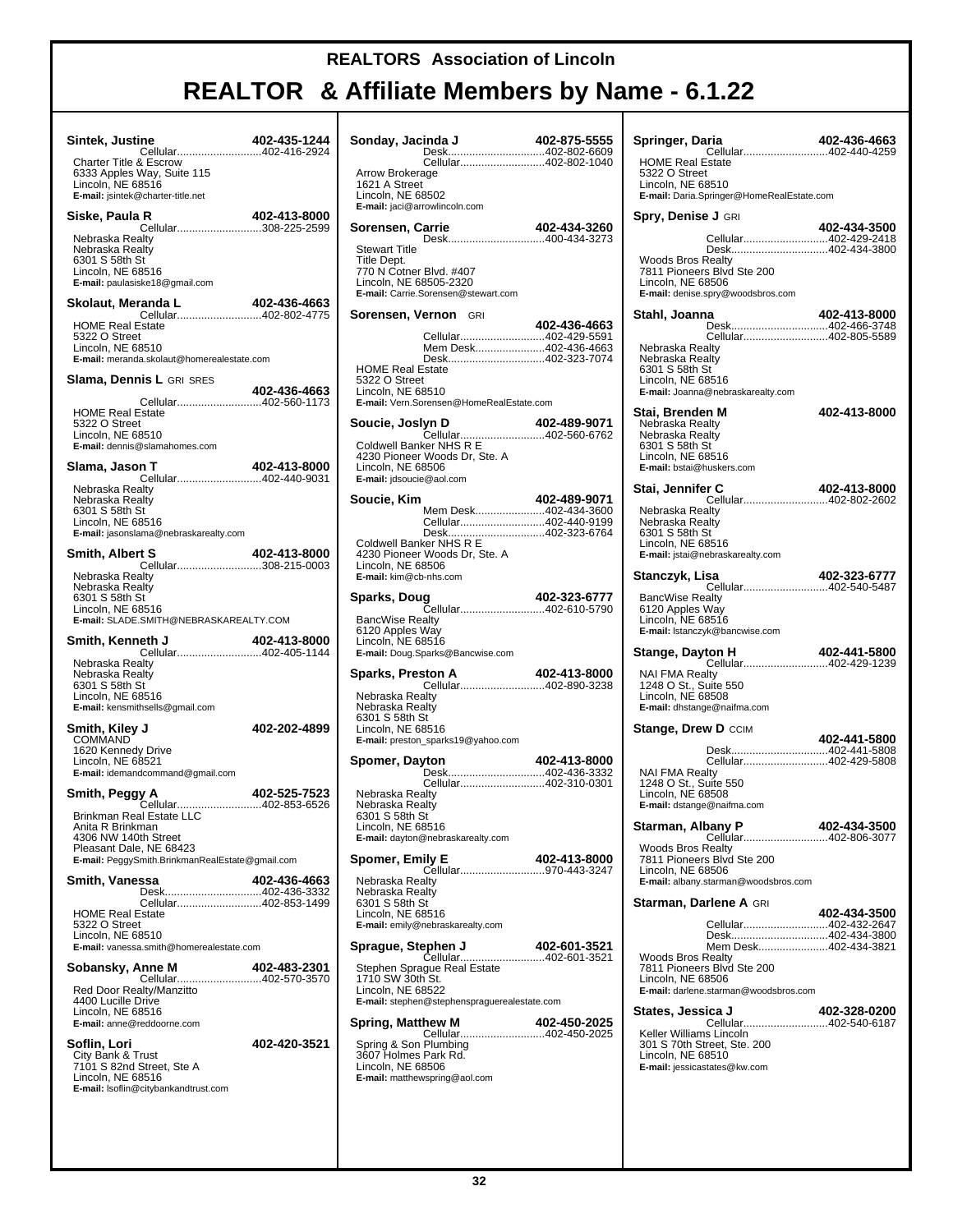# **REALTOR & Affiliate Members by Name - 6.1.22**

┯

| Sintek, Justine                                                                                                           | 402-435-1244 |
|---------------------------------------------------------------------------------------------------------------------------|--------------|
| Charter Title & Escrow<br>6333 Apples Way, Suite 115<br>Lincoln, NE 68516<br>E-mail: jsintek@charter-title.net            |              |
| Siske, Paula R<br>Cellular308-225-2599                                                                                    | 402-413-8000 |
| Nebraska Realtv<br>Nebraska Realty<br>6301 S 58th St<br>Lincoln, NE 68516<br>E-mail: paulasiske18@gmail.com               |              |
| Skolaut, Meranda L                                                                                                        | 402-436-4663 |
| <b>HOME Real Estate</b><br>5322 O Street<br>Lincoln, NE 68510<br>E-mail: meranda.skolaut@homerealestate.com               |              |
| <b>Slama, Dennis L GRI SRES</b>                                                                                           | 402-436-4663 |
| Cellular402-560-1173<br><b>HOME Real Estate</b><br>5322 O Street<br>Lincoln, NE 68510<br>E-mail: dennis@slamahomes.com    |              |
| Slama, Jason T<br>Cellular402-440-9031                                                                                    | 402-413-8000 |
| Nebraska Realty<br>Nebraska Realty<br>6301 S 58th St<br>Lincoln, NE 68516<br>E-mail: jasonslama@nebraskarealty.com        |              |
| <b>Smith, Albert S</b><br>+02−+ + +02−+ +02−+<br>Cellular308-215-0003                                                     | 402-413-8000 |
| Nebraska Realty<br>Nebraska Realty<br>6301 S 58th St<br>Lincoln, NE 68516<br>E-mail: SLADE.SMITH@NEBRASKAREALTY.COM       |              |
|                                                                                                                           |              |
| Smith, Kenneth J                                                                                                          | 402-413-8000 |
| Nebraska Realty<br>Nebraska Realty<br>6301 S 58th St<br>Lincoln, NE 68516<br><b>E-mail:</b> kensmithsells@gmail.com       |              |
| Smith, Kiley J                                                                                                            | 402-202-4899 |
| COMMAND<br>1620 Kennedy Drive<br>Lincoln, NE 68521<br>E-mail: idemandcommand@gmail.com                                    |              |
| Smith, Peggy A                                                                                                            | 402-525-7523 |
| Cellular402-853-6526<br>Brinkman Real Estate LLC<br>Anita R Brinkman<br>4306 NW 140th Street<br>Pleasant Dale, NE 68423   |              |
| E-mail: PeggySmith.BrinkmanRealEstate@gmail.com<br>Smith, Vanessa                                                         | 402-436-4663 |
| Desk402-436-3332<br>Cellular402-853-1499                                                                                  |              |
| <b>HOME Real Estate</b><br>5322 O Street<br>Lincoln, NE 68510<br>E-mail: vanessa.smith@homerealestate.com                 |              |
| Sobansky, Anne M                                                                                                          | 402-483-2301 |
| Cellular402-570-3570<br>Red Door Realty/Manzitto<br>4400 Lucille Drive<br>Lincoln, NE 68516<br>E-mail: anne@reddoorne.com |              |
| Soflin, Lori                                                                                                              | 402-420-3521 |
| City Bank & Trust<br>7101 S 82nd Street, Ste A<br>Lincoln, NE 68516<br>E-mail: Isoflin@citybankandtrust.com               |              |

| Sonday, Jacinda J<br>Desk402-802-6609                                   | 402-875-5555 |
|-------------------------------------------------------------------------|--------------|
| Cellular402-802-1040                                                    |              |
| Arrow Brokerage<br>1621 A Street                                        |              |
| Lincoln, NE 68502                                                       |              |
| E-mail: jaci@arrowlincoln.com                                           |              |
| Sorensen, Carrie<br>Desk400-434-3273                                    | 402-434-3260 |
| <b>Stewart Title</b>                                                    |              |
| Title Dept.<br>770 N Cotner Blvd. #407                                  |              |
| Lincoln, NE 68505-2320<br>E-mail: Carrie.Sorensen@stewart.com           |              |
|                                                                         |              |
| Sorensen, Vernon GRI                                                    | 402-436-4663 |
| Cellular402-429-5591                                                    |              |
| Mem Desk402-436-4663<br>Desk402-323-7074                                |              |
| <b>HOME Real Estate</b>                                                 |              |
| 5322 O Street                                                           |              |
| Lincoln, NE 68510<br>E-mail: Vern.Sorensen@HomeRealEstate.com           |              |
| Soucie, Joslyn D                                                        | 402-489-9071 |
| Cellular402-560-6762                                                    |              |
| Coldwell Banker NHS R E<br>4230 Pioneer Woods Dr, Ste. A                |              |
| Lincoln, NE 68506                                                       |              |
| E-mail: jdsoucie@aol.com                                                |              |
| Soucie, Kim                                                             | 402-489-9071 |
| Mem Desk402-434-3600                                                    |              |
| Cellular402-440-9199<br>Desk402-323-6764                                |              |
| Coldwell Banker NHS R E                                                 |              |
| 4230 Pioneer Woods Dr, Ste. A<br>Lincoln, NE 68506                      |              |
| E-mail: kim@cb-nhs.com                                                  |              |
| Sparks, Doug                                                            | 402-323-6777 |
| Cellular402-610-5790                                                    |              |
| <b>BancWise Realty</b><br>6120 Apples Way                               |              |
| Lincoln, NE 68516                                                       |              |
| E-mail: Doug.Sparks@Bancwise.com                                        |              |
| <b>ston A</b> 402-413-8000<br>Cellular402-890-3238<br>Sparks, Preston A |              |
| Nebraska Realty                                                         |              |
| Nebraska Realty                                                         |              |
| 6301 S 58th St<br>Lincoln, NE 68516                                     |              |
| E-mail: preston_sparks19@yahoo.com                                      |              |
| Spomer, Dayton                                                          | 402-413-8000 |
| Desk402-436-3332                                                        |              |
| Cellular402-310-0301<br>Nebraska Realty                                 |              |
| Nebraska Realty                                                         |              |
| 6301 S 58th St<br>Lincoln, NE 68516                                     |              |
| E-mail: dayton@nebraskarealty.com                                       |              |
| Spomer, Emily E                                                         | 402-413-8000 |
| <br>Cellular970-443-3247                                                |              |
| Nebraska Realty<br>Nebraska Realty                                      |              |
| 6301 S 58th St                                                          |              |
| Lincoln, NE 68516<br>E-mail: emily@nebraskarealty.com                   |              |
|                                                                         |              |
| Sprague, Stephen J                                                      | 402-601-3521 |
| Stephen Sprague Real Estate                                             |              |
| 1710 SW 30th St.                                                        |              |
| Lincoln, NE 68522<br>E-mail: stephen@stephenspraguerealestate.com       |              |
| Spring, Matthew M                                                       | 402-450-2025 |
| Cellular402-450-2025                                                    |              |
| Spring & Son Plumbing<br>3607 Holmes Park Rd.                           |              |
| Lincoln, NE 68506                                                       |              |
| E-mail: matthewspring@aol.com                                           |              |
|                                                                         |              |

| Springer, Daria<br>Cellular402-440-4259<br><b>HOME Real Estate</b>                                                                                                                       | 402-436-4663 |
|------------------------------------------------------------------------------------------------------------------------------------------------------------------------------------------|--------------|
| 5322 O Street<br>Lincoln, NE 68510<br>E-mail: Daria.Springer@HomeRealEstate.com                                                                                                          |              |
| Spry, Denise J GRI                                                                                                                                                                       |              |
| Cellular402-429-2418<br>Desk402-434-3800<br><b>Woods Bros Realty</b><br>7811 Pioneers Blvd Ste 200                                                                                       | 402-434-3500 |
| Lincoln, NE 68506<br>E-mail: denise.spry@woodsbros.com                                                                                                                                   |              |
| Stahl, Joanna<br>Cellular402-805-5589                                                                                                                                                    | 402-413-8000 |
| Nebraska Realty<br>Nebraska Realty<br>6301 S 58th St<br>Lincoln, NE 68516<br>E-mail: Joanna@nebraskarealty.com                                                                           |              |
| Stai, Brenden M<br>Nebraska Realty<br>Nebraska Realty<br>6301 S 58th St<br>Lincoln, NE 68516<br>E-mail: bstai@huskers.com                                                                | 402-413-8000 |
| Stai, Jennifer C                                                                                                                                                                         | 402-413-8000 |
| Nebraska Realty<br>Nebraska Realty<br>6301 S 58th St<br>Lincoln, NE 68516<br>E-mail: jstai@nebraskarealty.com                                                                            |              |
| Stanczyk, Lisa                                                                                                                                                                           | 402-323-6777 |
| <b>BancWise Realty</b><br>6120 Apples Way<br>Lincoln, NE 68516<br>E-mail: Istanczyk@bancwise.com                                                                                         |              |
| Stange, Dayton H<br>Cellular402-429-1239                                                                                                                                                 | 402-441-5800 |
| <b>NAI FMA Realty</b><br>1248 O St., Suite 550<br>Lincoln, NE 68508<br>E-mail: dhstange@naifma.com                                                                                       |              |
| <b>Stange, Drew D CCIM</b>                                                                                                                                                               | 402-441-5800 |
| Desk402-441-5808<br>Cellular402-429-5808<br><b>NAI FMA Realty</b><br>1248 O St., Suite 550<br>Lincoln, NE 68508<br>E-mail: dstange@naifma.com                                            |              |
| Starman, Albany P<br>Cellular402-806-3077                                                                                                                                                | 402-434-3500 |
| <b>Woods Bros Realty</b><br>7811 Pioneers Blvd Ste 200<br>Lincoln, NE 68506<br>E-mail: albany.starman@woodsbros.com                                                                      |              |
| <b>Starman, Darlene A GRI</b>                                                                                                                                                            | 402-434-3500 |
| Cellular402-432-2647<br>Desk402-434-3800<br>Mem Desk402-434-3821<br><b>Woods Bros Realty</b><br>7811 Pioneers Blvd Ste 200<br>Lincoln, NE 68506<br>E-mail: darlene.starman@woodsbros.com |              |
| States, Jessica J                                                                                                                                                                        | 402-328-0200 |
| Keller Williams Lincoln<br>301 S 70th Street, Ste. 200<br>Lincoln, NE 68510<br>E-mail: jessicastates@kw.com                                                                              |              |
|                                                                                                                                                                                          |              |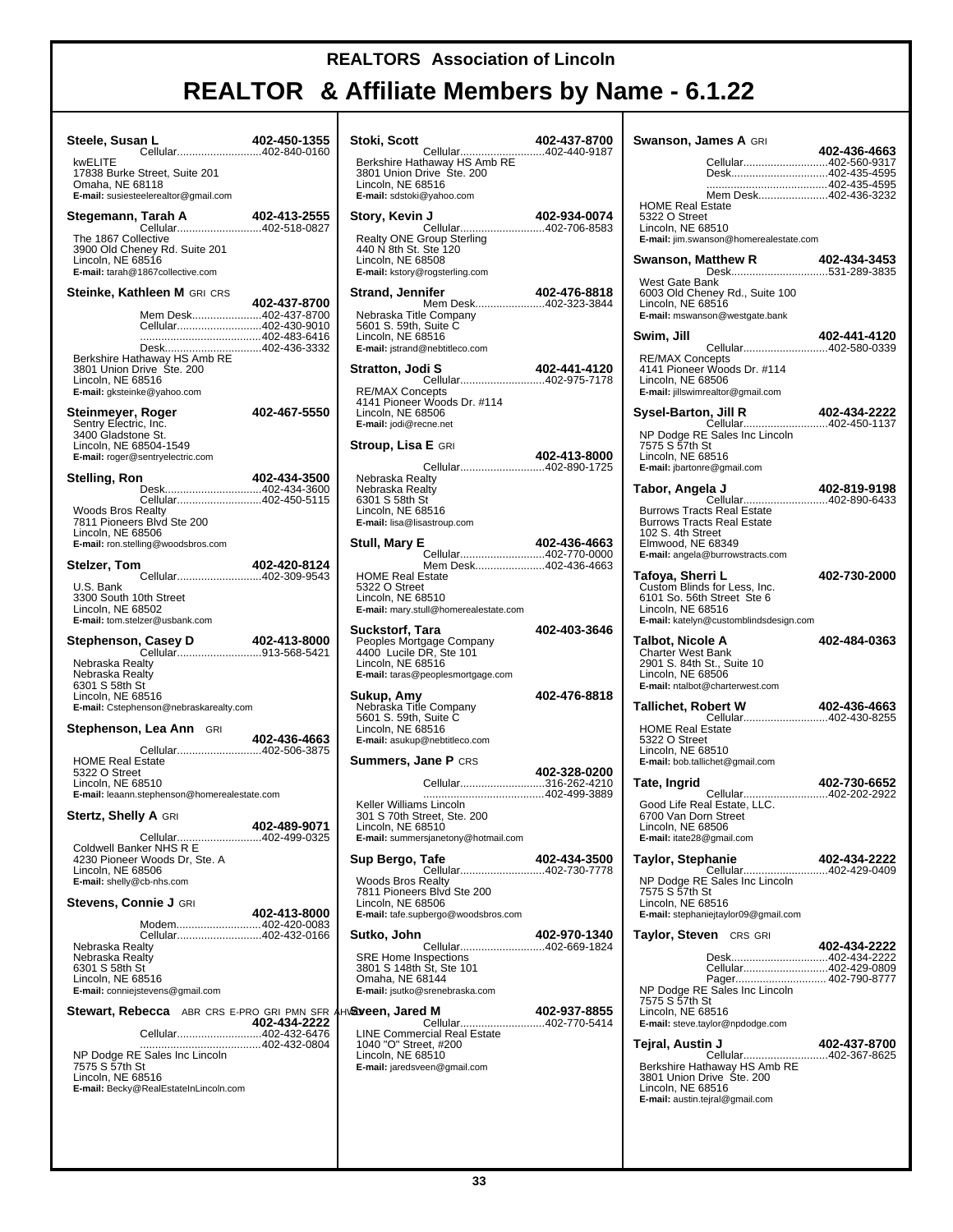| Steele, Susan L                                                                                                                       | 402-450-1355 | Stoki,                                 |
|---------------------------------------------------------------------------------------------------------------------------------------|--------------|----------------------------------------|
| Cellular402-840-0160<br>kwELITE                                                                                                       |              | <b>Berksl</b>                          |
| 17838 Burke Street, Suite 201<br>Omaha, NE 68118<br>E-mail: susiesteelerealtor@gmail.com                                              |              | ا 3801<br>Lincolı<br>E-mail:           |
|                                                                                                                                       |              | Story,                                 |
| The 1867 Collective<br>3900 Old Cheney Rd. Suite 201<br>Lincoln, NE 68516<br>E-mail: tarah@1867collective.com                         |              | Realty<br>440 N<br>Lincoli<br>E-mail:  |
| Steinke, Kathleen M GRI CRS                                                                                                           | 402-437-8700 | Stranc                                 |
| Mem Desk402-437-8700<br>Cellular402-430-9010                                                                                          |              | Nebra<br>5601 \$<br>Lincolı            |
| Desk402-436-3332<br>Berkshire Hathaway HS Amb RE<br>3801 Union Drive Ste. 200<br>Lincoln, NE 68516                                    |              | E-mail:<br><b>Stratto</b>              |
| E-mail: gksteinke@yahoo.com                                                                                                           |              | RE/M/<br>4141 F                        |
| Steinmeyer, Roger<br>Sentry Electric, Inc.<br>3400 Gladstone St.<br>Lincoln, NE 68504-1549<br>E-mail: roger@sentryelectric.com        | 402-467-5550 | Lincoli<br>E-mail:<br>Stroup           |
| Stelling, Ron                                                                                                                         | 402-434-3500 | Nebra                                  |
| Desk402-434-3600<br>Cellular402-450-5115<br><b>Woods Bros Realty</b><br>7811 Pioneers Blvd Ste 200                                    |              | Nebra<br>6301 \$<br>Lincolı<br>E-mail: |
| Lincoln, NE 68506<br>E-mail: ron.stelling@woodsbros.com                                                                               |              | Stull, I                               |
| Stelzer, Tom<br>Cellular402-309-9543                                                                                                  | 402-420-8124 | <b>HOME</b>                            |
| U.S. Bank<br>3300 South 10th Street<br>Lincoln, NE 68502<br>E-mail: tom.stelzer@usbank.com                                            |              | 53220<br>Lincolı<br>E-mail:            |
|                                                                                                                                       |              | Sucks<br>People<br>4400                |
| Nebraska Realty<br>Nebraska Realty<br>6301 S 58th St<br>Lincoln, NE 68516<br>E-mail: Cstephenson@nebraskarealty.com                   |              | Lincolı<br>E-mail:<br>Sukup<br>Nebra   |
| <b>Stephenson, Lea Ann</b> GRI                                                                                                        |              | 5601 \$<br>Lincolı                     |
| <b>HOME Real Estate</b><br>5322 O Street                                                                                              |              | E-mail:<br>Summ                        |
| Lincoln, NE 68510<br>E-mail: leaann.stephenson@homerealestate.com                                                                     |              | Keller                                 |
| Stertz, Shelly A GRI                                                                                                                  | 402-489-9071 | 301 S<br>Lincol                        |
| Cellular402-499-0325<br>Coldwell Banker NHS R E                                                                                       |              | E-mail:                                |
| 4230 Pioneer Woods Dr, Ste. A<br>Lincoln, NE 68506<br>E-mail: shelly@cb-nhs.com                                                       |              | Sup B<br>Wood:                         |
| <b>Stevens, Connie J GRI</b>                                                                                                          |              | 7811 I<br>Lincol                       |
| Modem402-420-0083                                                                                                                     | 402-413-8000 | E-mail:                                |
| Cellular402-432-0166<br>Nebraska Realty                                                                                               |              | Sutko,                                 |
| Nebraska Realty<br>6301 S 58th St<br>Lincoln, NE 68516<br>E-mail: conniejstevens@gmail.com                                            |              | SRE F<br>3801 \$<br>Omah<br>E-mail:    |
| Stewart, Rebecca ABR CRS E-PRO GRI PMN SER AHV& veen                                                                                  |              |                                        |
| Cellular402-432-6476<br>NP Dodge RE Sales Inc Lincoln<br>7575 S 57th St<br>Lincoln, NE 68516<br>E-mail: Becky@RealEstateInLincoln.com | 402-434-2222 | LINE (<br>1040<br>Lincolı<br>E-mail:   |
|                                                                                                                                       |              |                                        |

| Stoki, Scott<br>Cellular                                                                                                                      | 402-437-8700<br>402-440-9187 |
|-----------------------------------------------------------------------------------------------------------------------------------------------|------------------------------|
| Berkshire Hathaway HS Amb RE<br>3801 Union Drive Ste. 200<br>Lincoln, NE 68516<br>E-mail: sdstoki@yahoo.com                                   |                              |
| Story, Kevin J                                                                                                                                | 402-934-0074                 |
| Cellular402-706-8583<br>Realty ONE Group Sterling<br>440 N 8th St. Ste 120<br>Lincoln, NE 68508<br>E-mail: kstory@rogsterling.com             |                              |
| Strand, Jennifer<br><br>Mem Desk402-323-3844                                                                                                  | 402-476-8818                 |
| Nebraska Title Company<br>5601 S. 59th, Suite C<br>Lincoln, NE 68516<br>E-mail: jstrand@nebtitleco.com                                        |                              |
| Stratton, Jodi S<br>Cellular402-975-7178                                                                                                      | 402-441-4120                 |
| <b>RE/MAX Concepts</b><br>4141 Pioneer Woods Dr. #114<br>Lincoln, NE 68506<br>E-mail: jodi@recne.net                                          |                              |
| <b>Stroup, Lisa E</b> GRI                                                                                                                     | 402-413-8000                 |
| Cellular402-890-1725<br>Nebraska Realty                                                                                                       |                              |
| Nebraska Realty<br>6301 S 58th St<br>Lincoln. NE 68516<br>E-mail: lisa@lisastroup.com                                                         |                              |
| Stull, Mary E<br>Cellular402-770-0000                                                                                                         | 402-436-4663                 |
| Mem Desk402-436-4663                                                                                                                          |                              |
| <b>HOME Real Estate</b><br>5322 O Street<br>Lincoln, NE 68510<br>E-mail: mary.stull@homerealestate.com                                        |                              |
|                                                                                                                                               |                              |
| Suckstorf, Tara                                                                                                                               | 402-403-3646                 |
| Peoples Mortgage Company<br>4400 Lucile DR, Ste 101<br>Lincoln, NE 68516<br>E-mail: taras@peoplesmortgage.com                                 |                              |
|                                                                                                                                               | 402-476-8818                 |
| Sukup, Amy<br>Nebraska Title Company<br>5601 S. 59th, Suite C<br>Lincoln, NE 68516<br>E-mail: asukup@nebtitleco.com                           |                              |
| <b>Summers, Jane P CRS</b>                                                                                                                    |                              |
| Cellular316-262-4210                                                                                                                          | 402-328-0200                 |
| Keller Williams Lincoln<br>301 S 70th Street, Ste. 200                                                                                        |                              |
| Lincoln, NE 68510<br>E-mail: summersjanetony@hotmail.com                                                                                      |                              |
| Sup Bergo, Tafe                                                                                                                               | 402-434-3500                 |
| <b>Cellular402-730-7778</b><br><b>Woods Bros Realty</b><br>7811 Pioneers Blvd Ste 200<br>Lincoln, NE 68506                                    |                              |
| E-mail: tafe.supbergo@woodsbros.com<br>Sutko, John                                                                                            | 402-970-1340                 |
| Cellular402-669-1824<br><b>SRE Home Inspections</b><br>3801 S 148th St, Ste 101<br>Omaha, NE 68144<br>E-mail: jsutko@srenebraska.com          |                              |
| <b>।∖Sveen, Jared M</b>                                                                                                                       | 402-937-8855                 |
| .<br>Cellular402-770-5414<br><b>LINE Commercial Real Estate</b><br>1040 "O" Street, #200<br>Lincoln, NE 68510<br>E-mail: jaredsveen@gmail.com |                              |
|                                                                                                                                               |                              |

| <b>Swanson, James A</b> GRI                                                                     |                                                                                                                      | 402-436-4663 |
|-------------------------------------------------------------------------------------------------|----------------------------------------------------------------------------------------------------------------------|--------------|
|                                                                                                 | Cellular402-560-9317<br>Desk402-435-4595                                                                             |              |
| <b>HOME Real Estate</b><br>5322 O Street<br>Lincoln, NE 68510                                   | Mem Desk402-436-3232<br>E-mail: jim.swanson@homerealestate.com                                                       |              |
|                                                                                                 | Swanson, Matthew R<br>Desk531-289-3835                                                                               | 402-434-3453 |
| West Gate Bank<br>Lincoln, NE 68516                                                             | 6003 Old Cheney Rd., Suite 100<br>E-mail: mswanson@westgate.bank                                                     |              |
| Swim, Jill                                                                                      |                                                                                                                      |              |
| <b>RE/MAX Concepts</b><br>Lincoln, NE 68506                                                     | 4141 Pioneer Woods Dr. #114<br>E-mail: jillswimrealtor@gmail.com                                                     |              |
| Sysel-Barton, Jill R                                                                            |                                                                                                                      |              |
| 7575 S 57th St<br>Lincoln, NE 68516<br>E-mail: jbartonre@gmail.com                              | NP Dodge RE Sales Inc Lincoln                                                                                        |              |
| Tabor, Angela J                                                                                 | <b>la J                         402-819-9198</b><br>Cellular402-890-6433                                             | 402-819-9198 |
| 102 S. 4th Street<br>Elmwood, NE 68349                                                          | <b>Burrows Tracts Real Estate</b><br><b>Burrows Tracts Real Estate</b><br>E-mail: angela@burrowstracts.com           |              |
| Tafoya, Sherri L<br>Lincoln, NE 68516                                                           | Custom Blinds for Less, Inc.<br>6101 So. 56th Street Ste 6                                                           | 402-730-2000 |
|                                                                                                 | E-mail: katelyn@customblindsdesign.com                                                                               |              |
| Talbot, Nicole A<br><b>Charter West Bank</b><br>2901 S. 84th St., Suite 10<br>Lincoln, NE 68506 | E-mail: ntalbot@charterwest.com                                                                                      | 402-484-0363 |
| Tallichet, Robert W                                                                             |                                                                                                                      |              |
| <b>HOME Real Estate</b><br>5322 O Street<br>Lincoln, NE 68510                                   | <b>obert W</b> 402-436-4663<br>Cellular402-430-8255<br>E-mail: bob.tallichet@gmail.com                               |              |
| Tate, Ingrid                                                                                    |                                                                                                                      | 402-730-6652 |
| 6700 Van Dorn Street<br>Lincoln, NE 68506<br>E-mail: itate28@gmail.com                          | Good Life Real Estate, LLC.                                                                                          |              |
| Taylor, Stephanie<br>7575 S 57th St<br>Lincoln, NE 68516                                        | Cellular402-429-0409<br>NP Dodge RE Sales Inc Lincoln<br>E-mail: stephaniejtaylor09@gmail.com                        | 402-434-2222 |
| Taylor, Steven CRS GRI                                                                          |                                                                                                                      |              |
|                                                                                                 | Desk402-434-2222                                                                                                     | 402-434-2222 |
| 7575 S 57th St<br>Lincoln, NE 68516                                                             | Cellular402-429-0809<br>Pager 402-790-8777<br>NP Dodge RE Sales Inc Lincoln<br>E-mail: steve.taylor@npdodge.com      |              |
| Tejral, Austin J                                                                                |                                                                                                                      | 402-437-8700 |
| Lincoln, NE 68516                                                                               | Cellular402-367-8625<br>Berkshire Hathaway HS Amb RE<br>3801 Union Drive Ste. 200<br>E-mail: austin.tejral@gmail.com |              |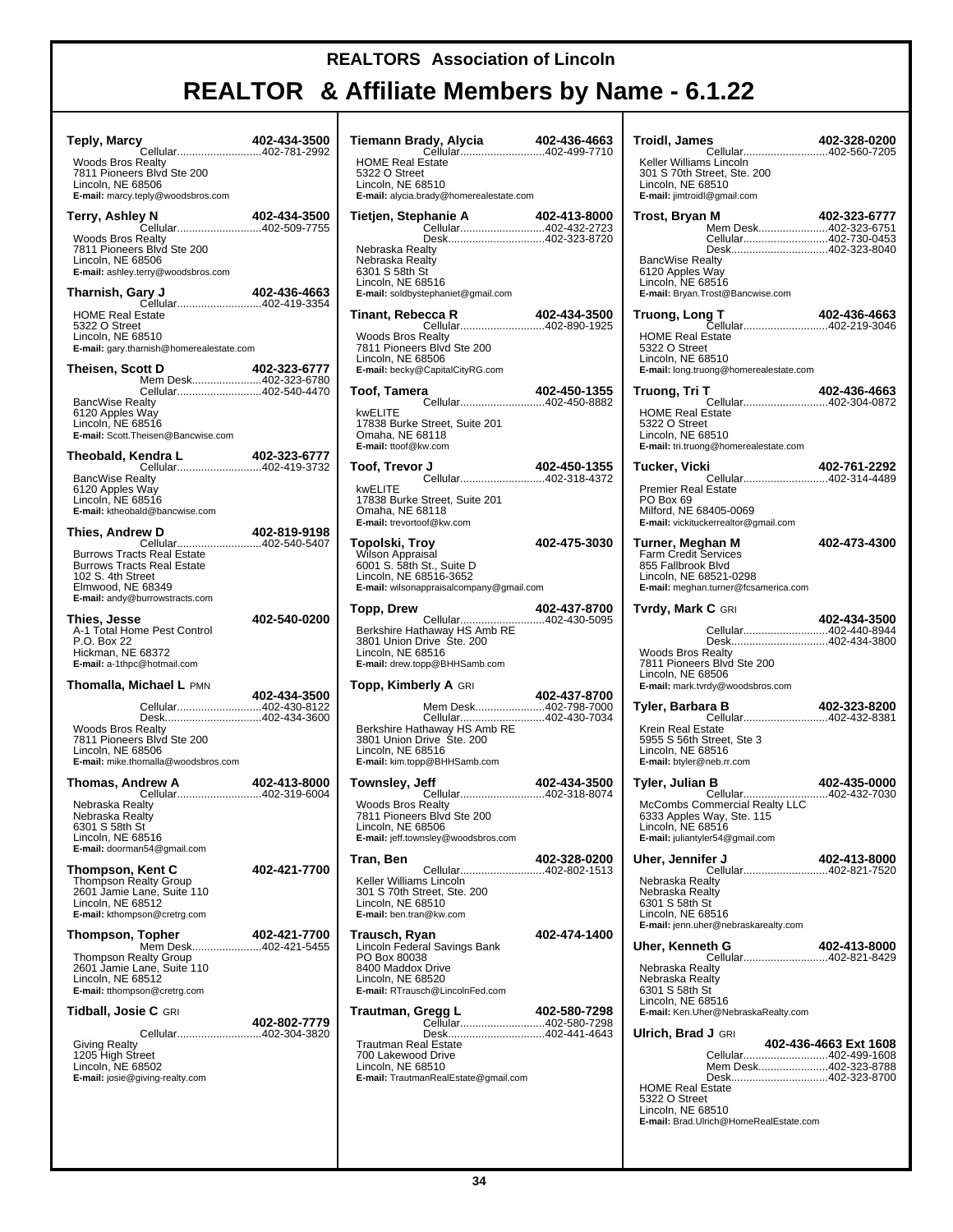# **REALTOR & Affiliate Members by Name - 6.1.22**

т

| <b>Teply, Marcy</b><br>Cellular402-781-2992                                                                                                                                                    | 402-434-3500 | Ti                          |
|------------------------------------------------------------------------------------------------------------------------------------------------------------------------------------------------|--------------|-----------------------------|
| <b>Woods Bros Realty</b><br>7811 Pioneers Blvd Ste 200<br>Lincoln, NE 68506<br>E-mail: marcy.teply@woodsbros.com                                                                               |              | ۲<br>5<br>L<br>E            |
| Terry, Ashley N<br><b>2000-02-434-3300</b><br>Cellular402-509-7755                                                                                                                             | 402-434-3500 | Ti                          |
| <b>Woods Bros Realty</b><br>7811 Pioneers Blvd Ste 200<br>Lincoln, NE 68506<br>E-mail: ashley.terry@woodsbros.com                                                                              |              | N<br>Ν<br>6<br>L            |
| Tharnish, Gary J<br><b>coo←oc-430-490</b><br>Cellular402-419-3354                                                                                                                              | 402-436-4663 | E                           |
| <b>HOME Real Estate</b><br>5322 O Street<br>Lincoln, NE 68510<br>E-mail: gary.tharnish@homerealestate.com                                                                                      |              | Ti<br>V<br>7<br>L           |
| Theisen, Scott D<br>Mem Desk402-323-6780                                                                                                                                                       | 402-323-6777 | E                           |
| Cellular402-540-4470<br><b>BancWise Realty</b><br>6120 Apples Way<br>Lincoln, NE 68516<br>E-mail: Scott. Theisen@Bancwise.com                                                                  |              | Тο<br>k<br>1<br>C<br>E      |
| Theobald, Kendra L<br><b>Gendra L 402-323-6777</b><br>Cellular402-419-3732                                                                                                                     |              | Τo                          |
| <b>BancWise Realty</b><br>6120 Apples Way<br>Lincoln, NE 68516<br>E-mail: ktheobald@bancwise.com                                                                                               |              | k<br>1<br>C<br>Е            |
| <b>ew D</b> 402-819-9198<br>Cellular402-540-5407<br><b>Thies, Andrew D</b><br><b>Burrows Tracts Real Estate</b><br><b>Burrows Tracts Real Estate</b><br>102 S. 4th Street<br>Elmwood, NE 68349 |              | Т٥<br>V<br>6<br>L<br>E      |
| E-mail: andy@burrowstracts.com<br>Thies, Jesse<br>A-1 Total Home Pest Control<br>P.O. Box 22<br>Hickman, NE 68372<br>E-mail: a-1thpc@hotmail.com                                               | 402-540-0200 | Т٥<br>Е<br>3<br>L<br>E      |
| <b>Thomalla, Michael L PMN</b>                                                                                                                                                                 | 402-434-3500 | Т٥                          |
| Cellular402-430-8122<br>Desk402-434-3600<br><b>Woods Bros Realty</b><br>7811 Pioneers Blvd Ste 200<br>Lincoln, NE 68506<br>E-mail: mike.thomalla@woodsbros.com                                 |              | Е<br>3<br>L<br>Е            |
| Thomas, Andrew A<br>Cellular402-319-6004                                                                                                                                                       | 402-413-8000 | Тο                          |
| Nebraska Realtv<br>Nebraska Realty<br>6301 S 58th St<br>Lincoln, NE 68516<br>E-mail: doorman54@gmail.com                                                                                       |              | ٧<br>7<br>L<br>Е            |
| Thompson, Kent C<br>Thompson Realty Group<br>2601 Jamie Lane, Suite 110<br>Lincoln, NE 68512<br><b>E-mail:</b> kthompson@cretrg.com                                                            | 402-421-7700 | Tr<br>κ<br>3<br>L<br>Е      |
| Thompson, Topher<br>Mem Desk402-421-5455<br>Thompson Realty Group<br>2601 Jamie Lane, Suite 110<br>Lincoln, NE 68512<br>E-mail: tthompson@cretrg.com                                           | 402-421-7700 | Τr<br>L<br>F<br>8<br>L<br>Е |
| <b>Tidball, Josie C GRI</b>                                                                                                                                                                    |              | Τr                          |
| Cellular402-304-3820<br><b>Giving Realty</b><br>1205 High Street<br>Lincoln, NE 68502<br>E-mail: josie@giving-realty.com                                                                       | 402-802-7779 | Т<br>7<br>L<br>Е            |
|                                                                                                                                                                                                |              |                             |

| Tiemann Brady, Alycia 402-436-4663<br>Cellular402-499-7710                                                                                                     |              |
|----------------------------------------------------------------------------------------------------------------------------------------------------------------|--------------|
| <b>HOME Real Estate</b><br>5322 O Street<br>Lincoln, NE 68510<br>E-mail: alycia.brady@homerealestate.com                                                       |              |
| Tietjen, Stephanie A<br>Cellular402-432-2723                                                                                                                   | 402-413-8000 |
| Desk402-323-8720<br>Nebraska Realty<br>Nebraska Realty<br>6301 S 58th St<br>Lincoln, NE 68516<br>E-mail: soldbystephaniet@gmail.com                            |              |
| Tinant, Rebecca R                                                                                                                                              | 402-434-3500 |
| Cood N<br>Cellular402-890-1925<br><b>Woods Bros Realty</b><br>7811 Pioneers Blvd Ste 200<br>Lincoln, NE 68506<br>E-mail: becky@CapitalCityRG.com               |              |
| Toof, Tamera<br>Cellular402-450-8882                                                                                                                           | 402-450-1355 |
| kwELITE<br>17838 Burke Street, Suite 201<br>Omaha, NE 68118<br>E-mail: ttoof@kw.com                                                                            |              |
| Toof, Trevor J                                                                                                                                                 | 402-450-1355 |
| kwELITE<br>17838 Burke Street, Suite 201<br>Omaha, NE 68118<br>E-mail: trevortoof@kw.com                                                                       |              |
| Topolski, Troy<br>Wilson Appraisal<br>6001 S. 58th St., Suite D<br>Lincoln, NE 68516-3652<br>E-mail: wilsonappraisalcompany@gmail.com                          | 402-475-3030 |
| Topp, Drew                                                                                                                                                     | 402-437-8700 |
| Cellular402-430-5095<br>Berkshire Hathaway HS Amb RE<br>3801 Union Drive Ste. 200<br>Lincoln, NE 68516<br>E-mail: drew.topp@BHHSamb.com                        |              |
| Topp, Kimberly A GRI                                                                                                                                           |              |
| Mem Desk402-798-7000<br>Cellular402-430-7034<br>Berkshire Hathaway HS Amb RE<br>3801 Union Drive Ste. 200<br>Lincoln, NE 68516<br>E-mail: kim.topp@BHHSamb.com | 402-437-8700 |
| Townsley, Jeff<br>leff 402-434-3500<br>Cellular402-318-8074                                                                                                    |              |
| <b>Woods Bros Realty</b><br>7811 Pioneers Blvd Ste 200<br>Lincoln, NE 68506<br><b>E-mail:</b> jeff.townsley@woodsbros.com                                      |              |
| Tran, Ben                                                                                                                                                      | 402-328-0200 |
| Cellular402-802-1513<br>Keller Williams Lincoln<br>301 S 70th Street, Ste. 200<br>Lincoln, NE 68510<br>E-mail: ben.tran@kw.com                                 |              |
| Trausch, Ryan<br>Lincoln Federal Savings Bank<br>PO Box 80038<br>8400 Maddox Drive<br>Lincoln, NE 68520<br>E-mail: RTrausch@LincolnFed.com                     | 402-474-1400 |
| Trautman, Gregg L<br>Cellular402-580-7298                                                                                                                      | 402-580-7298 |
| Desk402-441-4643<br><b>Trautman Real Estate</b><br>700 Lakewood Drive<br>Lincoln, NE 68510<br>E-mail: TrautmanRealEstate@gmail.com                             |              |
|                                                                                                                                                                |              |

| Troidl, James<br>Cellular402-560-7205<br>Keller Williams Lincoln<br>301 S 70th Street, Ste. 200<br>Lincoln, NE 68510<br>E-mail: jimtroidl@gmail.com                                                      | 402-328-0200          |
|----------------------------------------------------------------------------------------------------------------------------------------------------------------------------------------------------------|-----------------------|
| Trost, Bryan M<br>Mem Desk402-323-6751<br>Cellular402-730-0453<br>Desk402-323-8040<br><b>BancWise Realty</b><br>6120 Apples Way<br>Lincoln, NE 68516<br>E-mail: Bryan.Trost@Bancwise.com                 | 402-323-6777          |
| <b>HOME Real Estate</b><br>5322 O Street<br>Lincoln, NE 68510<br>E-mail: long.truong@homerealestate.com                                                                                                  |                       |
| Truong, Tri T<br>Cellular402-304-0872<br><b>HOME Real Estate</b><br>5322 O Street<br>Lincoln, NE 68510<br>E-mail: tri.truong@homerealestate.com                                                          | 402-436-4663          |
| Tucker, Vicki<br>Cellular402-314-4489<br><b>Premier Real Estate</b><br>PO Box 69<br>Milford, NE 68405-0069<br>E-mail: vickituckerrealtor@gmail.com                                                       | 402-761-2292          |
| Turner, Meghan M<br>Farm Credit Services<br>855 Fallbrook Blvd<br>Lincoln, NE 68521-0298<br>E-mail: meghan.turner@fcsamerica.com                                                                         | 402-473-4300          |
| <b>Tvrdy, Mark C</b> GRI                                                                                                                                                                                 | 402-434-3500          |
| Cellular402-440-8944<br>Desk402-434-3800<br>Woods Bros Realty<br>7811 Pioneers Blvd Ste 200<br>Lincoln, NE 68506<br>E-mail: mark.tvrdy@woodsbros.com                                                     |                       |
| Tyler, Barbara B<br>Krein Real Estate<br>5955 S 56th Street, Ste 3<br>Lincoln, NE 68516<br>E-mail: btyler@neb.rr.com                                                                                     | 402-323-8200          |
| Tyler, Julian B<br>McCombs Commercial Realty LLC<br>6333 Apples Way, Ste. 115<br>Lincoln, NE 68516<br>E-mail: juliantyler54@gmail.com                                                                    |                       |
| Uher, Jennifer J<br>Nebraska Realtv<br>Nebraska Realty<br>6301 S 58th St<br>Lincoln, NE 68516<br>E-mail: jenn.uher@nebraskarealty.com                                                                    | 402-413-8000          |
| Uher, Kenneth G<br>Cellular402-821-8429<br>Nebraska Realty<br>Nebraska Realty<br>6301 S 58th St<br>Lincoln, NE 68516<br>E-mail: Ken.Uher@NebraskaRealty.com                                              | 402-413-8000          |
| <b>Ulrich, Brad J</b> GRI<br>Cellular402-499-1608<br>Mem Desk402-323-8788<br>Desk402-323-8700<br><b>HOME Real Estate</b><br>5322 O Street<br>Lincoln, NE 68510<br>E-mail: Brad.Ulrich@HomeRealEstate.com | 402-436-4663 Ext 1608 |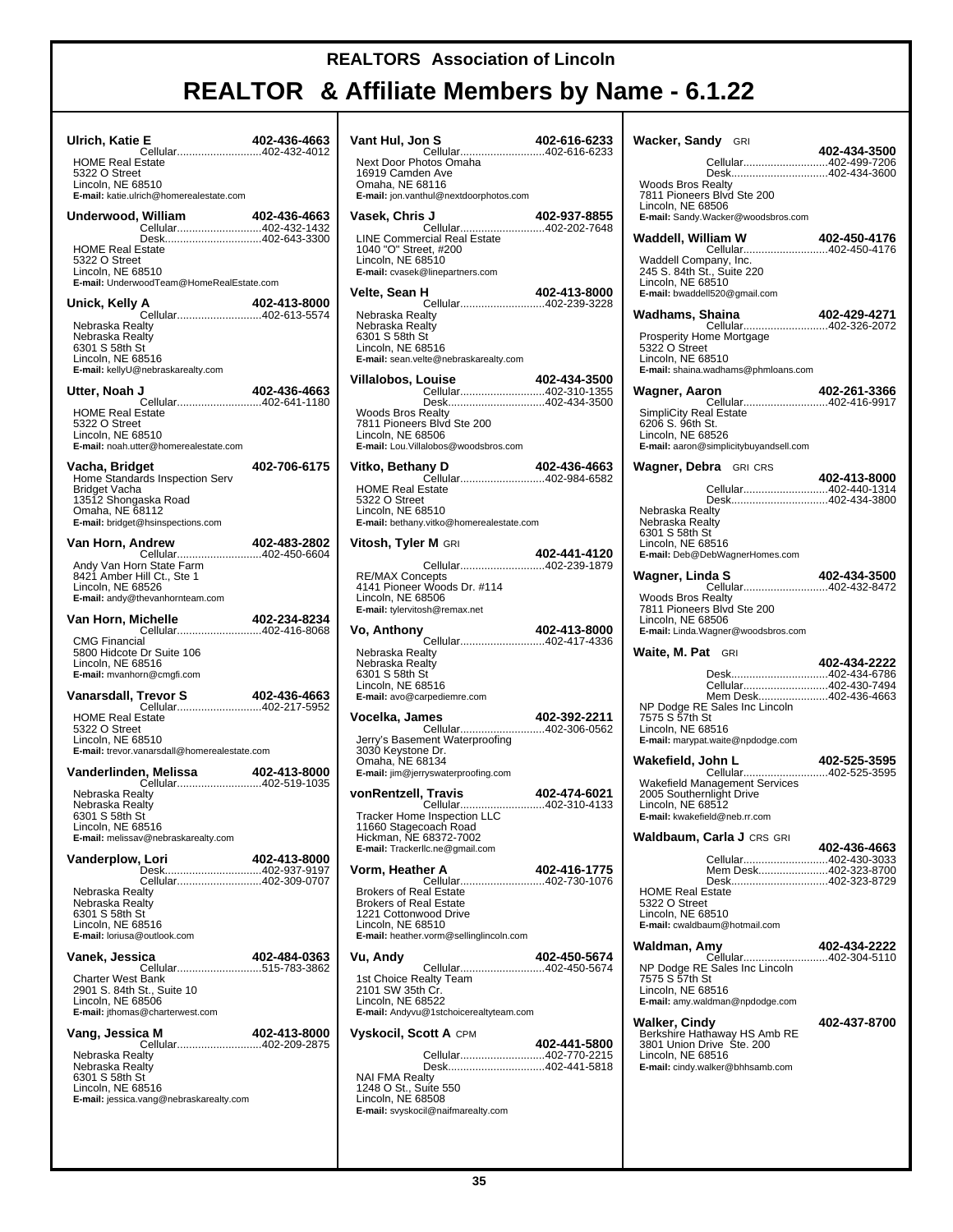| Ulrich, Katie E<br>Cellular402-432-4012                                                                                                           | 402-436-4663 |
|---------------------------------------------------------------------------------------------------------------------------------------------------|--------------|
| <b>HOME Real Estate</b><br>5322 O Street<br>Lincoln, NE 68510<br>E-mail: katie.ulrich@homerealestate.com                                          |              |
| Underwood, William<br>William 402-436-4663<br>Cellular402-432-1432                                                                                |              |
| <b>HOME Real Estate</b><br>5322 O Street<br>Lincoln, NE 68510<br>E-mail: UnderwoodTeam@HomeRealEstate.com                                         |              |
| Unick, Kelly A                                                                                                                                    | 402-413-8000 |
| Cellular402-613-5574<br>Nebraska Realtv<br>Nebraska Realtv<br>6301 S 58th St<br>Lincoln, NE 68516<br>E-mail: kellyU@nebraskarealty.com            |              |
| Utter, Noah J                                                                                                                                     | 402-436-4663 |
| Cellular402-641-1180<br><b>HOME Real Estate</b><br>5322 O Street<br>Lincoln, NE 68510<br>E-mail: noah.utter@homerealestate.com                    |              |
| Vacha, Bridget<br>Home Standards Inspection Serv<br>Bridget Vacha<br>13512 Shongaska Road<br>Omaha, NE 68112<br>E-mail: bridget@hsinspections.com | 402-706-6175 |
| Van Horn, Andrew                                                                                                                                  | 402-483-2802 |
| Andy Van Horn State Farm<br>8421 Amber Hill Ct., Ste 1<br>Lincoln, NE 68526<br>E-mail: andy@thevanhornteam.com                                    |              |
| Van Horn, Michelle                                                                                                                                | 402-234-8234 |
| <b>CMG Financial</b><br>5800 Hidcote Dr Suite 106<br>Lincoln, NE 68516<br>E-mail: mvanhorn@cmgfi.com                                              |              |
| Vanarsdall, Trevor S<br>Trevor S 402-436-4663<br>Cellular402-217-5952<br><b>HOME Real Estate</b><br>5322 O Street                                 | 402-436-4663 |
| Lincoln, NE 68510<br>E-mail: trevor.vanarsdall@homerealestate.com                                                                                 |              |
|                                                                                                                                                   |              |
| Nebraska Realty<br>Nebraska Realty<br>6301 S 58th St<br>Lincoln, NE 68516<br>E-mail: melissav@nebraskarealty.com                                  |              |
| <b>Vanderplow, Lori</b><br>Desk402-937-9197                                                                                                       | 402-413-8000 |
| Cellular402-309-0707<br>Nebraska Realty<br>Nebraska Realty<br>6301 S 58th St<br>Lincoln, NE 68516<br>E-mail: loriusa@outlook.com                  |              |
| Vanek, Jessica                                                                                                                                    | 402-484-0363 |
| Cellular515-783-3862<br><b>Charter West Bank</b><br>2901 S. 84th St., Suite 10<br>Lincoln, NE 68506<br>E-mail: ithomas@charterwest.com            |              |
| Vang, Jessica M<br>Cellular402-209-2875                                                                                                           | 402-413-8000 |
| Nebraska Realty<br>Nebraska Realty<br>6301 S 58th St<br>Lincoln, NE 68516<br>E-mail: jessica.vang@nebraskarealty.com                              |              |

| Vant Hul, Jon S                                                                                                                                         | 402-616-6233                 |
|---------------------------------------------------------------------------------------------------------------------------------------------------------|------------------------------|
| Cellular402-616-6233<br>Next Door Photos Omaha<br>16919 Camden Ave<br>Omaha, NE 68116<br>E-mail: jon.vanthul@nextdoorphotos.com                         |                              |
| Vasek, Chris J                                                                                                                                          | 402-937-8855                 |
| <b>LINE Commercial Real Estate</b><br>1040 "O" Street, #200<br>Lincoln, NE 68510<br>E-mail: cvasek@linepartners.com                                     |                              |
| Velte, Sean H<br>4 <b>02-413-0000</b><br>Cellular402-239-3228                                                                                           | 402-413-8000                 |
| Nebraska Realty<br>Nebraska Realty<br>6301 S 58th St<br>Lincoln, NE 68516<br>E-mail: sean.velte@nebraskarealty.com                                      |                              |
| Villalobos, Louise<br>ouise 402-434-3500<br>Cellular402-310-1355                                                                                        |                              |
| Desk402-434-3500<br><b>Woods Bros Realty</b><br>7811 Pioneers Blvd Ste 200<br>Lincoln, NE 68506<br>E-mail: Lou. Villalobos@woodsbros.com                |                              |
| Vitko, Bethany D                                                                                                                                        |                              |
| <b>HOME Real Estate</b><br>5322 O Street<br>Lincoln, NE 68510<br>E-mail: bethany.vitko@homerealestate.com                                               |                              |
| Vitosh, Tyler M GRI                                                                                                                                     | 402-441-4120                 |
| Cellular402-239-1879<br><b>RE/MAX Concepts</b><br>4141 Pioneer Woods Dr. #114<br>Lincoln, NE 68506<br>E-mail: tylervitosh@remax.net                     |                              |
| Vo, Anthony<br>Cellular402-417-4336                                                                                                                     | 402-413-8000                 |
| Nebraska Realty<br>Nebraska Realty<br>6301 S 58th St<br>Lincoln, NE 68516<br>E-mail: avo@carpediemre.com                                                |                              |
| Vocelka, James<br>Cellular402-306-0562                                                                                                                  | 402-392-2211                 |
| Jerry's Basement Waterproofing<br>3030 Keystone Dr.<br>Omaha, NE 68134<br>E-mail: jim@jerryswaterproofing.com                                           |                              |
| vonRentzell, Travis<br>Cellular                                                                                                                         | 402-474-6021<br>402-310-4133 |
| Tracker Home Inspection LLC<br>11660 Stagecoach Road<br>Hickman, NE 68372-7002<br>E-mail: Trackerllc.ne@gmail.com                                       |                              |
| Vorm, Heather A<br>Cellular402-730-1076                                                                                                                 | 402-416-1775                 |
| <b>Brokers of Real Estate</b><br><b>Brokers of Real Estate</b><br>1221 Cottonwood Drive<br>Lincoln, NE 68510<br>E-mail: heather.vorm@sellinglincoln.com |                              |
| Vu, Andy<br>Cellular402-450-5674                                                                                                                        | 402-450-5674                 |
| 1st Choice Realty Team<br>2101 SW 35th Cr.<br>Lincoln, NE 68522<br>E-mail: Andyvu@1stchoicerealtyteam.com                                               |                              |
| <b>Vyskocil, Scott A CPM</b>                                                                                                                            | 402-441-5800                 |
| Cellular402-770-2215<br>Desk402-441-5818                                                                                                                |                              |
| <b>NAI FMA Realty</b><br>1248 O St., Suite 550<br>Lincoln, NE 68508<br>E-mail: svyskocil@naifmarealty.com                                               |                              |

| <b>Wacker, Sandy</b> GRI                                                                                                                       |              |
|------------------------------------------------------------------------------------------------------------------------------------------------|--------------|
|                                                                                                                                                | 402-434-3500 |
| Cellular402-499-7206<br>Desk402-434-3600                                                                                                       |              |
| Woods Bros Realty<br>7811 Pioneers Blvd Ste 200<br>Lincoln, NE 68506<br>E-mail: Sandy.Wacker@woodsbros.com                                     |              |
| Waddell, William W<br>Cellular402-450-4176                                                                                                     | 402-450-4176 |
| Waddell Company, Inc.<br>245 S. 84th St., Suite 220<br>Lincoln, NE 68510<br>E-mail: bwaddell520@gmail.com                                      |              |
| Wadhams, Shaina                                                                                                                                | 402-429-4271 |
| Prosperity Home Mortgage<br>5322 O Street<br>Lincoln, NE 68510<br>E-mail: shaina.wadhams@phmloans.com                                          |              |
| Wagner, Aaron<br>Cellular402-416-9917                                                                                                          | 402-261-3366 |
| <b>SimpliCity Real Estate</b><br>6206 S. 96th St.<br>Lincoln, NE 68526<br>E-mail: aaron@simplicitybuyandsell.com                               |              |
| <b>Wagner, Debra</b> GRICRS                                                                                                                    | 402-413-8000 |
| Cellular402-440-1314<br>Desk402-434-3800                                                                                                       |              |
| Nebraska Realty<br>Nebraska Realty<br>6301 S 58th St<br>Lincoln, NE 68516<br>E-mail: Deb@DebWagnerHomes.com                                    |              |
| Wagner, Linda S                                                                                                                                |              |
| Woods Bros Realty<br>7811 Pioneers Blvd Ste 200<br>Lincoln, NE 68506<br>E-mail: Linda.Wagner@woodsbros.com                                     |              |
| <b>Waite, M. Pat</b> GRI                                                                                                                       |              |
| Desk402-434-6786                                                                                                                               | 402-434-2222 |
| Cellular402-430-7494                                                                                                                           |              |
| Mem Desk402-436-4663<br>NP Dodge RE Sales Inc Lincoln<br>7575 S 57th St<br>Lincoln, NE 68516<br>E-mail: marypat.waite@npdodge.com              |              |
| Wakefield, John L                                                                                                                              | 402-525-3595 |
| Cellular402-525-3595<br>Wakefield Management Services<br>2005 Southernlight Drive<br>Lincoln, NE 68512<br><b>E-mail:</b> kwakefield@neb.rr.com |              |
| Waldbaum, Carla J CRS GRI                                                                                                                      |              |
| Cellular402-430-3033                                                                                                                           | 402-436-4663 |
| Mem Desk402-323-8700                                                                                                                           |              |
| Desk402-323-8729<br><b>HOME Real Estate</b><br>5322 O Street<br>Lincoln, NE 68510<br>E-mail: cwaldbaum@hotmail.com                             |              |
| Waldman, Amy                                                                                                                                   | 402-434-2222 |
| Cellular402-304-5110<br>NP Dodge RE Sales Inc Lincoln<br>7575 S 57th St<br>Lincoln, NE 68516<br>E-mail: amy.waldman@npdodge.com                |              |
| Walker, Cindy<br>Berkshire Hathaway HS Amb RE<br>3801 Union Drive Ste. 200<br>Lincoln, NE 68516<br>E-mail: cindy.walker@bhhsamb.com            | 402-437-8700 |
|                                                                                                                                                |              |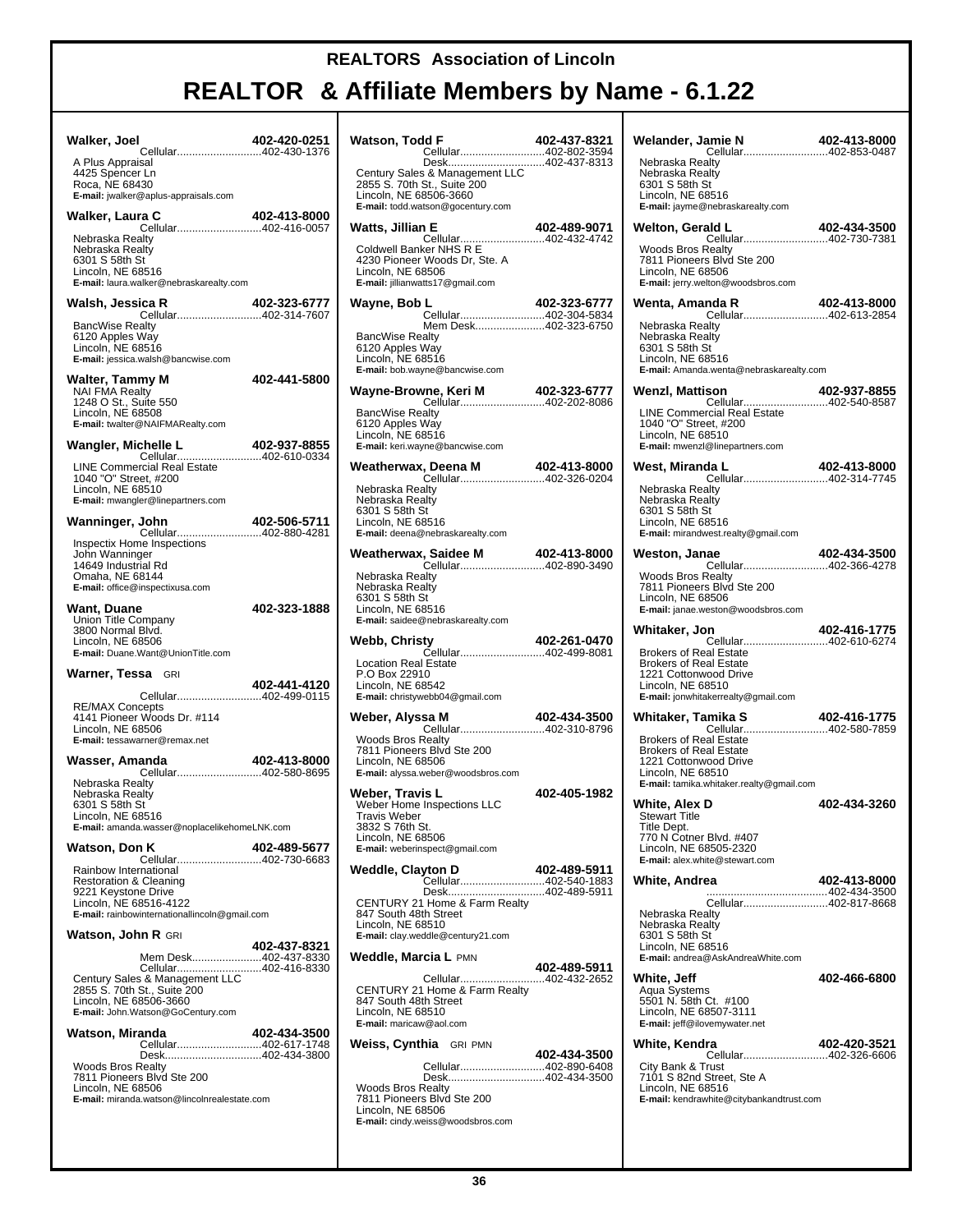| Walker, Joel<br>Cellular402-430-1376                                                                                                                                                             | 402-420-0251 |  |
|--------------------------------------------------------------------------------------------------------------------------------------------------------------------------------------------------|--------------|--|
| A Plus Appraisal<br>4425 Spencer Ln<br>Roca, NE 68430<br>E-mail: jwalker@aplus-appraisals.com                                                                                                    |              |  |
| ra C 402-413-8000<br>Cellular402-416-0057<br>Walker, Laura C                                                                                                                                     |              |  |
| Nebraska Realty<br>Nebraska Realty<br>6301 S 58th St<br>Lincoln, NE 68516<br>E-mail: laura.walker@nebraskarealty.com                                                                             |              |  |
| Walsh, Jessica R                                                                                                                                                                                 | 402-323-6777 |  |
| Cellular402-314-7607<br><b>BancWise Realty</b><br>6120 Apples Way<br>Lincoln, NE 68516<br>E-mail: jessica.walsh@bancwise.com                                                                     |              |  |
| <b>Walter, Tammy M</b><br>NAI FMA Realty                                                                                                                                                         | 402-441-5800 |  |
| 1248 O St., Suite 550<br>Lincoln, NE 68508<br>E-mail: twalter@NAIFMARealty.com                                                                                                                   |              |  |
| chelle L 402-937-8855<br>Cellular402-610-0334<br>Wangler, Michelle L                                                                                                                             |              |  |
| LINE Commercial Real Estate<br>1040 "O" Street, #200<br>Lincoln, NE 68510<br>E-mail: mwangler@linepartners.com                                                                                   |              |  |
| Wanninger, John<br>Cellular402-880-4281                                                                                                                                                          | 402-506-5711 |  |
| Inspectix Home Inspections<br>John Wanninger<br>14649 Industrial Rd<br>Omaha, NE 68144<br><b>E-mail:</b> office@inspectixusa.com                                                                 |              |  |
| Want, Duane<br>Union Title Company<br>3800 Normal Blvd.<br>Lincoln, NE 68506<br>E-mail: Duane.Want@UnionTitle.com                                                                                | 402-323-1888 |  |
| Warner, Tessa GRI                                                                                                                                                                                | 402-441-4120 |  |
| Cellular402-499-0115<br><b>RE/MAX Concepts</b>                                                                                                                                                   |              |  |
| 4141 Pioneer Woods Dr. #114<br>Lincoln, NE 68506<br><b>E-mail:</b> tessawarner@remax.net                                                                                                         |              |  |
| Wasser, Amanda<br>Cellular402-580-8695                                                                                                                                                           | 402-413-8000 |  |
| Nebraska Realty<br>Nebraska Realty<br>6301 S 58th St<br>Lincoln, NE 68516<br>E-mail: amanda.wasser@noplacelikehomeLNK.com                                                                        |              |  |
| Watson, Don K                                                                                                                                                                                    | 402-489-5677 |  |
| Rainbow International<br><b>Restoration &amp; Cleaning</b><br>9221 Keystone Drive<br>Lincoln, NE 68516-4122<br>E-mail: rainbowinternationallincoln@gmail.com                                     |              |  |
| Watson, John R GRI                                                                                                                                                                               |              |  |
| Mem Desk402-437-8330<br>2855 S. 70th St., Suite 200<br>Lincoln, NE 68506-3660<br>E-mail: John.Watson@GoCentury.com                                                                               | 402-437-8321 |  |
| Watson, Miranda                                                                                                                                                                                  | 402-434-3500 |  |
| <b>990-1-201-201-</b><br>Cellular402-617-1748<br>Desk402-434-3800<br><b>Woods Bros Realty</b><br>7811 Pioneers Blvd Ste 200<br>Lincoln, NE 68506<br>E-mail: miranda.watson@lincoInrealestate.com |              |  |

| Watson, Todd F                                                                                                                                                | 402-437-8321 |
|---------------------------------------------------------------------------------------------------------------------------------------------------------------|--------------|
| Cellular402-802-3594                                                                                                                                          |              |
| Desk402-437-8313<br>Century Sales & Management LLC<br>2855 S. 70th St., Suite 200<br>Lincoln, NE 68506-3660<br>E-mail: todd.watson@gocentury.com              |              |
| Watts, Jillian E                                                                                                                                              |              |
| n E 402-489-9071<br>Cellular402-432-4742<br>Coldwell Banker NHS R E<br>4230 Pioneer Woods Dr, Ste. A<br>Lincoln, NE 68506<br>E-mail: jillianwatts17@gmail.com |              |
| Wayne, Bob L                                                                                                                                                  | 402-323-6777 |
| Cellular402-304-5834<br>Mem Desk402-323-6750<br><b>BancWise Realty</b><br>6120 Apples Way<br>Lincoln, NE 68516                                                |              |
| E-mail: bob.wayne@bancwise.com                                                                                                                                |              |
|                                                                                                                                                               |              |
| <b>BancWise Realty</b><br>6120 Apples Way<br>Lincoln, NE 68516<br>E-mail: keri.wayne@bancwise.com                                                             |              |
| Weatherwax, Deena M 402-413-8000<br>Cellular402-326-0204                                                                                                      |              |
| Nebraska Realty<br>Nebraska Realty<br>6301 S 58th St<br>Lincoln, NE 68516<br>E-mail: deena@nebraskarealty.com                                                 |              |
| Weatherwax, Saidee M<br><b>Saidee M</b> 402-413-8000<br>Cellular402-890-3490                                                                                  |              |
| Nebraska Realty<br>Nebraska Realty<br>6301 S 58th St<br>Lincoln, NE 68516<br>E-mail: saidee@nebraskarealty.com                                                |              |
| Webb, Christy                                                                                                                                                 | 402-261-0470 |
| Cellular402-499-8081<br><b>Location Real Estate</b><br>P.O Box 22910<br>Lincoln, NE 68542<br>E-mail: christywebb04@gmail.com                                  |              |
| Weber, Alyssa M                                                                                                                                               | 402-434-3500 |
| Cellular402-310-8796<br><b>Woods Bros Realty</b><br>7811 Pioneers Blvd Ste 200<br>Lincoln, NE 68506<br>E-mail: alyssa.weber@woodsbros.com                     |              |
| Weber, Travis L<br>Weber Home Inspections LLC<br>Travis Weber<br>3832 S 76th St<br>Lincoln, NE 68506<br>E-mail: weberinspect@gmail.com                        | 402-405-1982 |
| Weddle, Clayton D                                                                                                                                             | 402-489-5911 |
| Desk402-489-5911<br>CENTURY 21 Home & Farm Realty<br>847 South 48th Street<br>Lincoln, NE 68510<br>E-mail: clay.weddle@century21.com                          |              |
| Weddle, Marcia L PMN                                                                                                                                          |              |
| Cellular402-432-2652<br>CENTURY 21 Home & Farm Realty<br>847 South 48th Street<br>Lincoln, NE 68510<br>E-mail: maricaw@aol.com                                | 402-489-5911 |
| Weiss, Cynthia GRI PMN                                                                                                                                        |              |
| Cellular402-890-6408<br>Desk402-434-3500<br><b>Woods Bros Realty</b><br>7811 Pioneers Blvd Ste 200<br>Lincoln, NE 68506                                       | 402-434-3500 |
| E-mail: cindy.weiss@woodsbros.com                                                                                                                             |              |

| Welander, Jamie N 402-413-6000                                                                                                                                                                         |              |
|--------------------------------------------------------------------------------------------------------------------------------------------------------------------------------------------------------|--------------|
| Nebraska Realty<br>Nebraska Realty<br>6301 S 58th St<br>Lincoln, NE 68516<br>E-mail: jayme@nebraskarealty.com                                                                                          |              |
| Welton, Gerald L<br><b>402-434-3500 402-434</b><br>Cellular402-730-7381                                                                                                                                | 402-434-3500 |
| <b>Woods Bros Realty</b><br>7811 Pioneers Blvd Ste 200<br>Lincoln, NE 68506<br>E-mail: jerry.welton@woodsbros.com                                                                                      |              |
| Wenta, Amanda R                                                                                                                                                                                        |              |
| Nebraska Realty<br>Nebraska Realty<br>6301 S 58th St<br>Lincoln, NE 68516<br>E-mail: Amanda.wenta@nebraskarealty.com                                                                                   |              |
| Wenzl, Mattison<br>Cellular402-540-8587                                                                                                                                                                | 402-937-8855 |
| <b>LINE Commercial Real Estate</b><br>1040 "O" Street, #200<br>Lincoln, NE 68510<br>E-mail: mwenzl@linepartners.com                                                                                    |              |
| da L 402-413-8000<br>Cellular402-314-7745<br>West, Miranda L                                                                                                                                           |              |
| Nebraska Realty<br>Nebraska Realty<br>6301 S 58th St<br>Lincoln. NE 68516<br>E-mail: mirandwest.realty@gmail.com                                                                                       |              |
| Weston, Janae<br>Cellular402-366-4278                                                                                                                                                                  | 402-434-3500 |
| <b>Woods Bros Realty</b><br>7811 Pioneers Blvd Ste 200<br>Lincoln, NE 68506<br>E-mail: janae.weston@woodsbros.com                                                                                      |              |
|                                                                                                                                                                                                        |              |
| Whitaker, Jon                                                                                                                                                                                          | 402-416-1775 |
| Cellular402-610-6274<br><b>Brokers of Real Estate</b><br><b>Brokers of Real Estate</b><br>1221 Cottonwood Drive<br>Lincoln, NE 68510<br>E-mail: jonwhitakerrealty@gmail.com                            |              |
|                                                                                                                                                                                                        |              |
| Whitaker, Tamika S<br>Cellular402-580-7859<br><b>Brokers of Real Estate</b><br><b>Brokers of Real Estate</b><br>1221 Cottonwood Drive<br>Lincoln, NE 68510<br>E-mail: tamika.whitaker.realty@gmail.com |              |
| White, Alex D                                                                                                                                                                                          | 402-434-3260 |
| Stewart Title<br>Title Dept.<br>770 N Cotner Blvd. #407<br>Lincoln, NE 68505-2320<br>E-mail: alex.white@stewart.com                                                                                    |              |
| White, Andrea                                                                                                                                                                                          | 402-413-8000 |
| Cellular402-817-8668<br>Nebraska Realty<br>Nebraska Realty<br>6301 S 58th St<br>Lincoln, NE 68516<br>E-mail: andrea@AskAndreaWhite.com                                                                 |              |
| White, Jeff                                                                                                                                                                                            | 402-466-6800 |
| Aqua Systems<br>5501 N. 58th Ct. #100<br>Lincoln, NE 68507-3111<br>E-mail: jeff@ilovemywater.net                                                                                                       |              |
| White, Kendra<br>Cellular402-326-6606                                                                                                                                                                  | 402-420-3521 |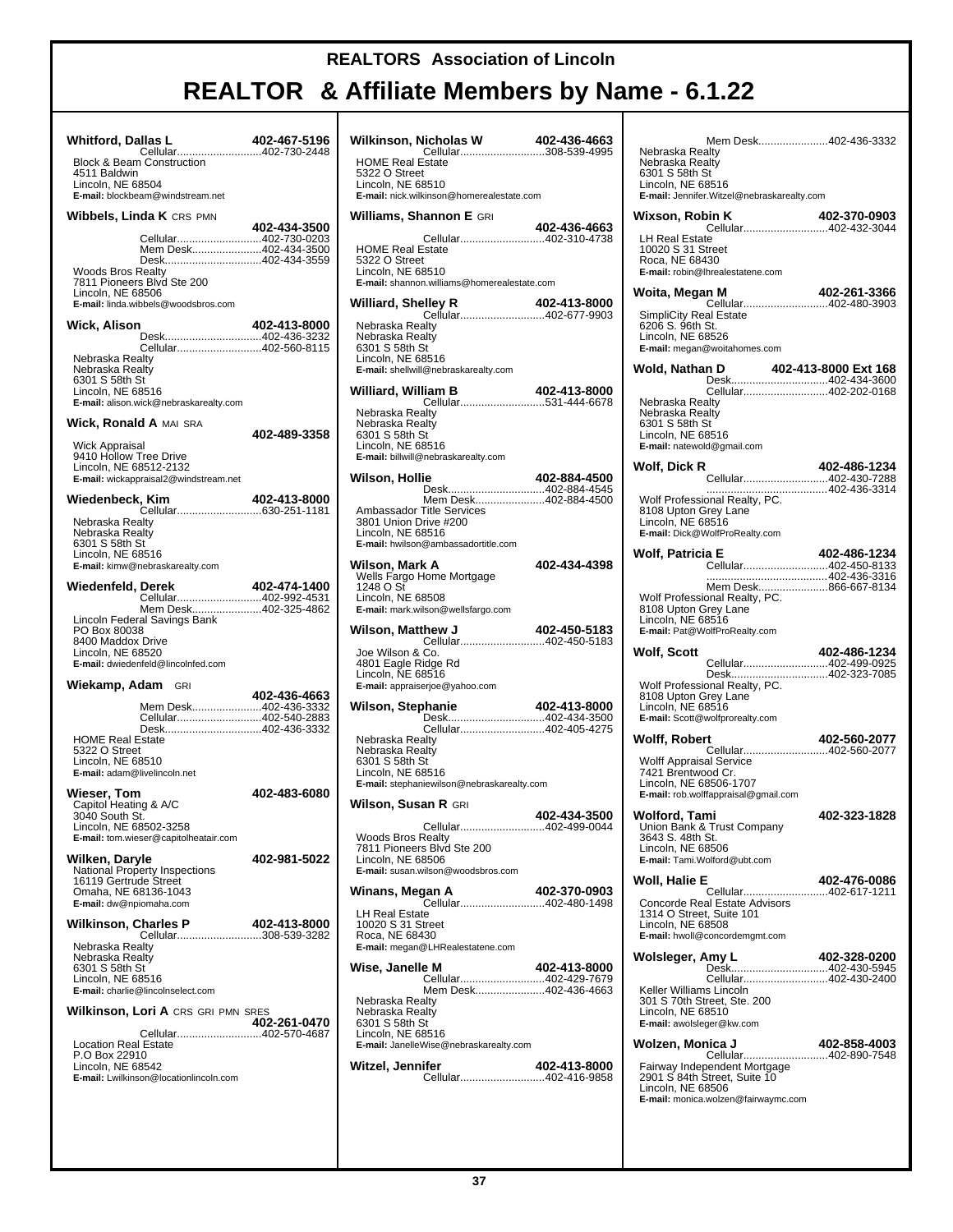| <b>Whitford, Dallas L</b><br><b>Block &amp; Beam Construction</b><br>4511 Baldwin                                                                                               | 402-467-5196 |
|---------------------------------------------------------------------------------------------------------------------------------------------------------------------------------|--------------|
| Lincoln, NE 68504<br>E-mail: blockbeam@windstream.net                                                                                                                           |              |
| Wibbels, Linda K CRS PMN                                                                                                                                                        | 402-434-3500 |
| Cellular402-730-0203<br>Mem Desk402-434-3500<br>Desk402-434-3559<br>Woods Bros Realty<br>7811 Pioneers Blvd Ste 200<br>Lincoln, NE 68506<br>E-mail: linda.wibbels@woodsbros.com |              |
| Wick, Alison<br>Desk402-436-3232                                                                                                                                                | 402-413-8000 |
| Cellular402-560-8115<br>Nebraska Realty<br>Nebraska Realty<br>6301 S 58th St<br>Lincoln, NE 68516<br>E-mail: alison.wick@nebraskarealty.com                                     |              |
| <b>Wick, Ronald A MAI SRA</b>                                                                                                                                                   | 402-489-3358 |
| Wick Appraisal<br>9410 Hollow Tree Drive<br>Lincoln, NE 68512-2132<br>E-mail: wickappraisal2@windstream.net                                                                     |              |
| Wiedenbeck, Kim                                                                                                                                                                 | 402-413-8000 |
| Nebraska Realty<br>Nebraska Realty<br>6301 S 58th St<br>Lincoln, NE 68516<br>E-mail: kimw@nebraskarealty.com                                                                    |              |
| Wiedenfeld, Derek<br>Cellular402-992-4531                                                                                                                                       | 402-474-1400 |
| Mem Desk402-325-4862<br>Lincoln Federal Savings Bank<br>PO Box 80038<br>8400 Maddox Drive<br>Lincoln, NE 68520<br>E-mail: dwiedenfeld@lincolnfed.com                            |              |
| Wiekamp, Adam GRI                                                                                                                                                               | 402-436-4663 |
| Mem Desk402-436-3332<br>Cellular402-540-2883<br>Desk402-436-3332<br><b>HOME Real Estate</b><br>5322 O Street<br>Lincoln, NE 68510<br>E-mail: adam@livelincoln.net               |              |
| Wieser, Tom<br>Capitol Heating & A/C                                                                                                                                            | 402-483-6080 |
| 3040 South St.<br>Lincoln, NE 68502-3258<br>E-mail: tom.wieser@capitolheatair.com                                                                                               |              |
| Wilken, Daryle<br>National Property Inspections<br>16119 Gertrude Street<br>Omaha, NE 68136-1043<br>E-mail: dw@npiomaha.com                                                     | 402-981-5022 |
| Wilkinson, Charles P<br>Cellular308-539-3282                                                                                                                                    | 402-413-8000 |
| Nebraska Realty<br>Nebraska Realty<br>6301 S 58th St<br>Lincoln, NE 68516<br>E-mail: charlie@lincolnselect.com                                                                  |              |
| Wilkinson, Lori A CRS GRI PMN SRES                                                                                                                                              | 402-261-0470 |
| Cellular402-570-4687<br><b>Location Real Estate</b><br>P.O Box 22910<br>Lincoln, NE 68542<br>E-mail: Lwilkinson@locationlincoln.com                                             |              |

| <b>licholas W</b> 402-436-4663<br>Cellular308-539-4995<br>Wilkinson, Nicholas W                                                                 |                      |
|-------------------------------------------------------------------------------------------------------------------------------------------------|----------------------|
| <b>HOME Real Estate</b><br>5322 O Street<br>Lincoln, NE 68510<br>E-mail: nick.wilkinson@homerealestate.com                                      |                      |
| Williams, Shannon E GRI                                                                                                                         | 402-436-4663         |
| <b>HOME Real Estate</b><br>5322 O Street<br>Lincoln, NE 68510<br>E-mail: shannon.williams@homerealestate.com                                    |                      |
| Williard, Shelley R<br>Cellular402-677-9903                                                                                                     | 402-413-8000         |
| Nebraska Realty<br>Nebraska Realty<br>6301 S 58th St<br>Lincoln, NE 68516<br>E-mail: shellwill@nebraskarealty.com                               |                      |
| Williard, William B                                                                                                                             |                      |
| Nebraska Realty<br>Nebraska Realty<br>6301 S 58th St<br>Lincoln, NE 68516<br>E-mail: billwill@nebraskarealty.com                                |                      |
| Wilson, Hollie<br>Desk402-884-4545                                                                                                              | 402-884-4500         |
| Mem Desk402-884-4500<br>Ambassador Title Services<br>3801 Union Drive #200<br>Lincoln, NE 68516<br>E-mail: hwilson@ambassadortitle.com          |                      |
| Wilson, Mark A<br>Wells Fargo Home Mortgage<br>1248 O St<br>Lincoln, NE 68508<br>E-mail: mark.wilson@wellsfargo.com                             | 402-434-4398         |
| Wilson, Matthew J                                                                                                                               | 402-450-5183         |
| Cellular402-450-5183<br>Joe Wilson & Co.<br>4801 Eagle Ridge Rd<br>Lincoln, NE 68516<br>E-mail: appraiserjoe@yahoo.com                          |                      |
| Wilson, Stephanie<br>Desk402-434-3500                                                                                                           | 402-413-8000         |
| Cellular402-405-4275<br>Nebraska Realty<br>Nebraska Realty<br>6301 S 58th St<br>Lincoln, NE 68516<br>E-mail: stephaniewilson@nebraskarealty.com |                      |
| Wilson, Susan R GRI                                                                                                                             | 402-434-3500         |
| Cellular<br><b>Woods Bros Realty</b><br>7811 Pioneers Blvd Ste 200<br>Lincoln, NE 68506<br>E-mail: susan.wilson@woodsbros.com                   | $\dots$ 402-499-0044 |
| Winans, Megan A                                                                                                                                 | 402-370-0903         |
| Cellular402-480-1498<br><b>LH Real Estate</b><br>10020 S 31 Street<br>Roca, NE 68430<br>E-mail: megan@LHRealestatene.com                        |                      |
| Wise, Janelle M<br>Cellular402-429-7679                                                                                                         | 402-413-8000         |
| Mem Desk402-436-4663<br>Nebraska Realty<br>Nebraska Realty<br>6301 S 58th St<br>Lincoln, NE 68516<br>E-mail: JanelleWise@nebraskarealty.com     |                      |
| Witzel, Jennifer<br>Cellular402-416-9858                                                                                                        | 402-413-8000         |

| Mem Desk402-436-3332<br>Nebraska Realty<br>Nebraska Realty<br>6301 S 58th St<br>Lincoln, NE 68516                                                |              |
|--------------------------------------------------------------------------------------------------------------------------------------------------|--------------|
| E-mail: Jennifer. Witzel@nebraskarealty.com                                                                                                      |              |
| Wixson, Robin K<br>Cellular402-432-3044                                                                                                          | 402-370-0903 |
| LH Real Estate<br>10020 S 31 Street<br>Roca, NE 68430<br>E-mail: robin@lhrealestatene.com                                                        |              |
| an M 402-261-3366<br>Cellular402-480-3903<br>Woita, Megan M                                                                                      |              |
| <b>SimpliCity Real Estate</b><br>6206 S. 96th St.<br>Lincoln, NE 68526<br>E-mail: megan@woitahomes.com                                           |              |
| Wold, Nathan D<br><b>n D</b> 402-413-8000 Ext 168<br>Desk402-434-3600                                                                            |              |
| Cellular402-202-0168                                                                                                                             |              |
| Nebraska Realty<br>Nebraska Realty<br>6301 S 58th St<br>Lincoln, NE 68516<br>E-mail: natewold@gmail.com                                          |              |
| Wolf. Dick R<br>Cellular402-430-7288                                                                                                             | 402-486-1234 |
| Wolf Professional Realty, PC.<br>8108 Upton Grey Lane<br>Lincoln, NE 68516<br>E-mail: Dick@WolfProRealty.com                                     |              |
| Wolf, Patricia E                                                                                                                                 | 402-486-1234 |
| Cellular402-450-8133                                                                                                                             |              |
| Mem Desk866-667-8134<br>Wolf Professional Realty, PC.<br>8108 Upton Grey Lane<br>Lincoln, NE 68516<br>E-mail: Pat@WolfProRealty.com              |              |
| Wolf, Scott                                                                                                                                      | 402-486-1234 |
| Desk402-323-7085<br>Wolf Professional Realty, PC.<br>8108 Upton Grey Lane<br>Lincoln, NE 68516<br>E-mail: Scott@wolfprorealty.com                |              |
| Wolff, Robert                                                                                                                                    | 402-560-2077 |
| <b>Wolff Appraisal Service</b><br>7421 Brentwood Cr.<br>Lincoln, NE 68506-1707<br>E-mail: rob.wolffappraisal@gmail.com                           |              |
| Wolford, Tami<br>Union Bank & Trust Company<br>3643 S. 48th St.<br>Lincoln, NE 68506<br>E-mail: Tami.Wolford@ubt.com                             | 402-323-1828 |
| Woll, Halie E                                                                                                                                    | 402-476-0086 |
| Cellular402-617-1211<br>Concorde Real Estate Advisors<br>1314 O Street, Suite 101<br>Lincoln, NE 68508<br>E-mail: hwoll@concordemgmt.com         |              |
| Wolsleger, Amy L<br>020 020 020<br>Desk402-430-5945                                                                                              | 402-328-0200 |
| Cellular402-430-2400<br>Keller Williams Lincoln<br>301 S 70th Street, Ste. 200<br>Lincoln, NE 68510<br>E-mail: awolsleger@kw.com                 |              |
| Wolzen, Monica J                                                                                                                                 | 402-858-4003 |
| Cellular402-890-7548<br>Fairway Independent Mortgage<br>2901 S 84th Street, Suite 10<br>Lincoln, NE 68506<br>E-mail: monica.wolzen@fairwaymc.com |              |